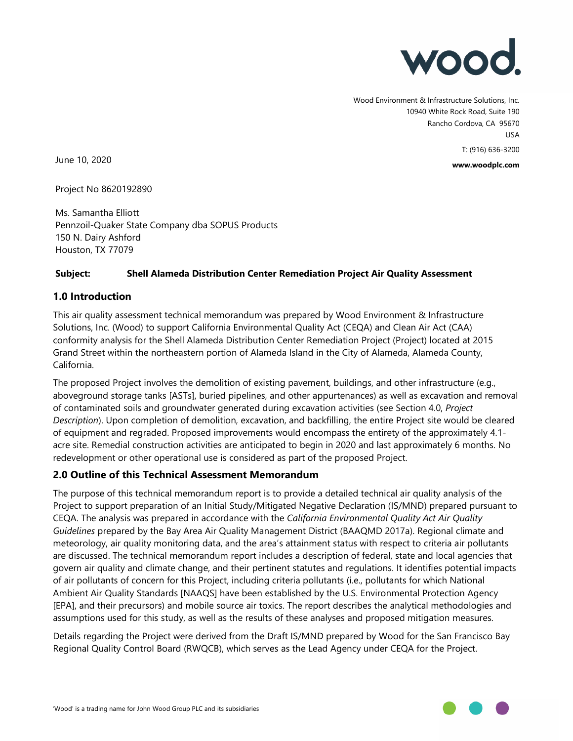

Wood Environment & Infrastructure Solutions, Inc. 10940 White Rock Road, Suite 190 Rancho Cordova, CA 95670 USA T: (916) 636-3200

**www.woodplc.com**

June 10, 2020

Project No 8620192890

Ms. Samantha Elliott Pennzoil-Quaker State Company dba SOPUS Products 150 N. Dairy Ashford Houston, TX 77079

#### **Subject: Shell Alameda Distribution Center Remediation Project Air Quality Assessment**

#### **1.0 Introduction**

This air quality assessment technical memorandum was prepared by Wood Environment & Infrastructure Solutions, Inc. (Wood) to support California Environmental Quality Act (CEQA) and Clean Air Act (CAA) conformity analysis for the Shell Alameda Distribution Center Remediation Project (Project) located at 2015 Grand Street within the northeastern portion of Alameda Island in the City of Alameda, Alameda County, California.

The proposed Project involves the demolition of existing pavement, buildings, and other infrastructure (e.g., aboveground storage tanks [ASTs], buried pipelines, and other appurtenances) as well as excavation and removal of contaminated soils and groundwater generated during excavation activities (see Section 4.0, *Project Description*). Upon completion of demolition, excavation, and backfilling, the entire Project site would be cleared of equipment and regraded. Proposed improvements would encompass the entirety of the approximately 4.1 acre site. Remedial construction activities are anticipated to begin in 2020 and last approximately 6 months. No redevelopment or other operational use is considered as part of the proposed Project.

#### **2.0 Outline of this Technical Assessment Memorandum**

The purpose of this technical memorandum report is to provide a detailed technical air quality analysis of the Project to support preparation of an Initial Study/Mitigated Negative Declaration (IS/MND) prepared pursuant to CEQA. The analysis was prepared in accordance with the *California Environmental Quality Act Air Quality Guidelines* prepared by the Bay Area Air Quality Management District (BAAQMD 2017a). Regional climate and meteorology, air quality monitoring data, and the area's attainment status with respect to criteria air pollutants are discussed. The technical memorandum report includes a description of federal, state and local agencies that govern air quality and climate change, and their pertinent statutes and regulations. It identifies potential impacts of air pollutants of concern for this Project, including criteria pollutants (i.e., pollutants for which National Ambient Air Quality Standards [NAAQS] have been established by the U.S. Environmental Protection Agency [EPA], and their precursors) and mobile source air toxics. The report describes the analytical methodologies and assumptions used for this study, as well as the results of these analyses and proposed mitigation measures.

Details regarding the Project were derived from the Draft IS/MND prepared by Wood for the San Francisco Bay Regional Quality Control Board (RWQCB), which serves as the Lead Agency under CEQA for the Project.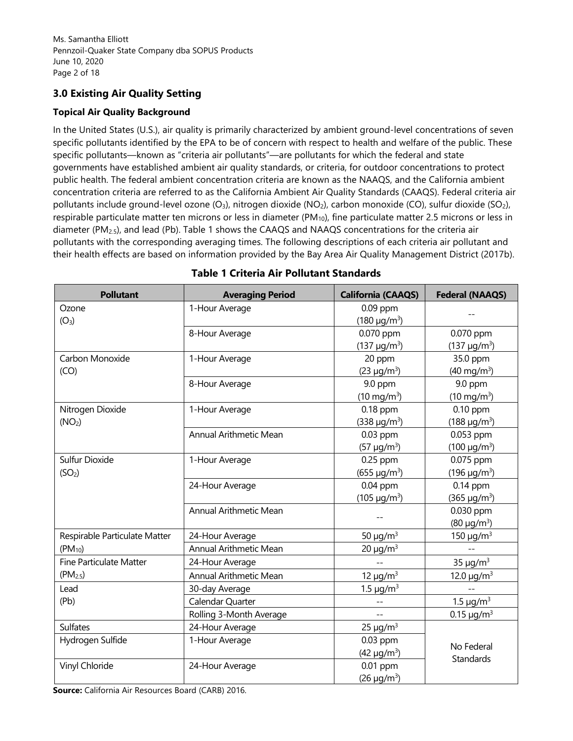# **3.0 Existing Air Quality Setting**

## **Topical Air Quality Background**

In the United States (U.S.), air quality is primarily characterized by ambient ground-level concentrations of seven specific pollutants identified by the EPA to be of concern with respect to health and welfare of the public. These specific pollutants—known as "criteria air pollutants"—are pollutants for which the federal and state governments have established ambient air quality standards, or criteria, for outdoor concentrations to protect public health. The federal ambient concentration criteria are known as the NAAQS, and the California ambient concentration criteria are referred to as the California Ambient Air Quality Standards (CAAQS). Federal criteria air pollutants include ground-level ozone  $(O_3)$ , nitrogen dioxide  $(NO_2)$ , carbon monoxide  $(CO)$ , sulfur dioxide  $(SO_2)$ , respirable particulate matter ten microns or less in diameter ( $PM_{10}$ ), fine particulate matter 2.5 microns or less in diameter (PM2.5), and lead (Pb). Table 1 shows the CAAQS and NAAQS concentrations for the criteria air pollutants with the corresponding averaging times. The following descriptions of each criteria air pollutant and their health effects are based on information provided by the Bay Area Air Quality Management District (2017b).

| <b>Pollutant</b>               | <b>Averaging Period</b>       | <b>California (CAAQS)</b>  | <b>Federal (NAAQS)</b>      |
|--------------------------------|-------------------------------|----------------------------|-----------------------------|
| Ozone                          | 1-Hour Average                | $0.09$ ppm                 |                             |
| (O <sub>3</sub> )              |                               | $(180 \mu g/m^3)$          |                             |
|                                | 8-Hour Average                | 0.070 ppm                  | 0.070 ppm                   |
|                                |                               | $(137 \mu g/m^3)$          | $(137 \mu g/m^3)$           |
| Carbon Monoxide                | 1-Hour Average                | 20 ppm                     | 35.0 ppm                    |
| (CO)                           |                               | $(23 \mu g/m^3)$           | $(40 \text{ mg/m}^3)$       |
|                                | 8-Hour Average                | 9.0 ppm                    | 9.0 ppm                     |
|                                |                               | $(10 \text{ mg/m}^3)$      | $(10 \text{ mg/m}^3)$       |
| Nitrogen Dioxide               | 1-Hour Average                | $0.18$ ppm                 | $0.10$ ppm                  |
| (NO <sub>2</sub> )             |                               | $(338 \,\mu g/m^3)$        | $(188 \,\mu g/m^3)$         |
|                                | <b>Annual Arithmetic Mean</b> | 0.03 ppm                   | 0.053 ppm                   |
|                                |                               | $(57 \mu g/m^3)$           | $(100 \mu g/m^3)$           |
| Sulfur Dioxide                 | 1-Hour Average                | 0.25 ppm                   | 0.075 ppm                   |
| (SO <sub>2</sub> )             |                               | $(655 \mu g/m^3)$          | $(196 \,\mu g/m^3)$         |
|                                | 24-Hour Average               | $0.04$ ppm                 | $0.14$ ppm                  |
|                                |                               | $(105 \mu g/m^3)$          | $(365 \mu g/m^3)$           |
|                                | <b>Annual Arithmetic Mean</b> |                            | 0.030 ppm                   |
|                                |                               |                            | $(80 \text{ µg/m}^3)$       |
| Respirable Particulate Matter  | 24-Hour Average               | 50 $\mu$ g/m <sup>3</sup>  | 150 $\mu$ g/m <sup>3</sup>  |
| $(PM_{10})$                    | Annual Arithmetic Mean        | $20 \mu g/m^3$             |                             |
| <b>Fine Particulate Matter</b> | 24-Hour Average               |                            | 35 $\mu$ g/m <sup>3</sup>   |
| (PM <sub>2.5</sub> )           | Annual Arithmetic Mean        | 12 $\mu$ g/m <sup>3</sup>  | 12.0 $\mu$ g/m <sup>3</sup> |
| Lead                           | 30-day Average                | 1.5 $\mu$ g/m <sup>3</sup> |                             |
| (Pb)                           | Calendar Quarter              | $-$                        | 1.5 $\mu$ g/m <sup>3</sup>  |
|                                | Rolling 3-Month Average       | $-$                        | $0.15 \mu g/m^3$            |
| <b>Sulfates</b>                | 24-Hour Average               | $25 \mu g/m^3$             |                             |
| Hydrogen Sulfide               | 1-Hour Average                | 0.03 ppm                   |                             |
|                                |                               | $(42 \mu g/m^3)$           | No Federal                  |
| Vinyl Chloride                 | 24-Hour Average               | 0.01 ppm                   | Standards                   |
|                                |                               | $(26 \mu g/m^3)$           |                             |

# **Table 1 Criteria Air Pollutant Standards**

**Source:** California Air Resources Board (CARB) 2016.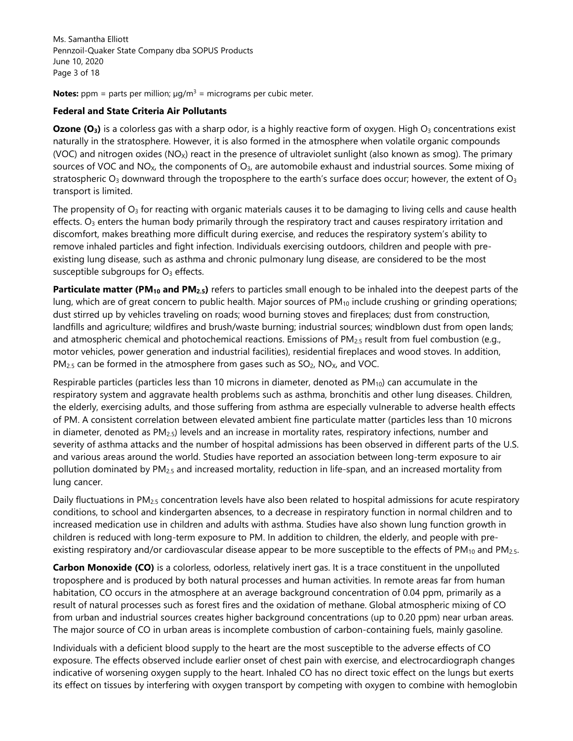Ms. Samantha Elliott Pennzoil-Quaker State Company dba SOPUS Products June 10, 2020 Page 3 of 18

**Notes:**  $ppm =$  parts per million;  $\mu g/m^3 =$  micrograms per cubic meter.

#### **Federal and State Criteria Air Pollutants**

**Ozone**  $(O_3)$  is a colorless gas with a sharp odor, is a highly reactive form of oxygen. High  $O_3$  concentrations exist naturally in the stratosphere. However, it is also formed in the atmosphere when volatile organic compounds (VOC) and nitrogen oxides (NO<sub>x</sub>) react in the presence of ultraviolet sunlight (also known as smog). The primary sources of VOC and NO<sub>X</sub>, the components of  $O_3$ , are automobile exhaust and industrial sources. Some mixing of stratospheric  $O_3$  downward through the troposphere to the earth's surface does occur; however, the extent of  $O_3$ transport is limited.

The propensity of  $O_3$  for reacting with organic materials causes it to be damaging to living cells and cause health effects.  $O<sub>3</sub>$  enters the human body primarily through the respiratory tract and causes respiratory irritation and discomfort, makes breathing more difficult during exercise, and reduces the respiratory system's ability to remove inhaled particles and fight infection. Individuals exercising outdoors, children and people with preexisting lung disease, such as asthma and chronic pulmonary lung disease, are considered to be the most susceptible subgroups for  $O_3$  effects.

**Particulate matter (PM10 and PM2.5)** refers to particles small enough to be inhaled into the deepest parts of the lung, which are of great concern to public health. Major sources of  $PM_{10}$  include crushing or grinding operations; dust stirred up by vehicles traveling on roads; wood burning stoves and fireplaces; dust from construction, landfills and agriculture; wildfires and brush/waste burning; industrial sources; windblown dust from open lands; and atmospheric chemical and photochemical reactions. Emissions of PM<sub>2.5</sub> result from fuel combustion (e.g., motor vehicles, power generation and industrial facilities), residential fireplaces and wood stoves. In addition,  $PM<sub>2.5</sub>$  can be formed in the atmosphere from gases such as  $SO<sub>2</sub>$ , NO<sub>X</sub>, and VOC.

Respirable particles (particles less than 10 microns in diameter, denoted as  $PM_{10}$ ) can accumulate in the respiratory system and aggravate health problems such as asthma, bronchitis and other lung diseases. Children, the elderly, exercising adults, and those suffering from asthma are especially vulnerable to adverse health effects of PM. A consistent correlation between elevated ambient fine particulate matter (particles less than 10 microns in diameter, denoted as  $PM_{2.5}$ ) levels and an increase in mortality rates, respiratory infections, number and severity of asthma attacks and the number of hospital admissions has been observed in different parts of the U.S. and various areas around the world. Studies have reported an association between long-term exposure to air pollution dominated by  $PM_{2.5}$  and increased mortality, reduction in life-span, and an increased mortality from lung cancer.

Daily fluctuations in PM<sub>2.5</sub> concentration levels have also been related to hospital admissions for acute respiratory conditions, to school and kindergarten absences, to a decrease in respiratory function in normal children and to increased medication use in children and adults with asthma. Studies have also shown lung function growth in children is reduced with long-term exposure to PM. In addition to children, the elderly, and people with preexisting respiratory and/or cardiovascular disease appear to be more susceptible to the effects of PM<sub>10</sub> and PM<sub>2.5</sub>.

**Carbon Monoxide (CO)** is a colorless, odorless, relatively inert gas. It is a trace constituent in the unpolluted troposphere and is produced by both natural processes and human activities. In remote areas far from human habitation, CO occurs in the atmosphere at an average background concentration of 0.04 ppm, primarily as a result of natural processes such as forest fires and the oxidation of methane. Global atmospheric mixing of CO from urban and industrial sources creates higher background concentrations (up to 0.20 ppm) near urban areas. The major source of CO in urban areas is incomplete combustion of carbon-containing fuels, mainly gasoline.

Individuals with a deficient blood supply to the heart are the most susceptible to the adverse effects of CO exposure. The effects observed include earlier onset of chest pain with exercise, and electrocardiograph changes indicative of worsening oxygen supply to the heart. Inhaled CO has no direct toxic effect on the lungs but exerts its effect on tissues by interfering with oxygen transport by competing with oxygen to combine with hemoglobin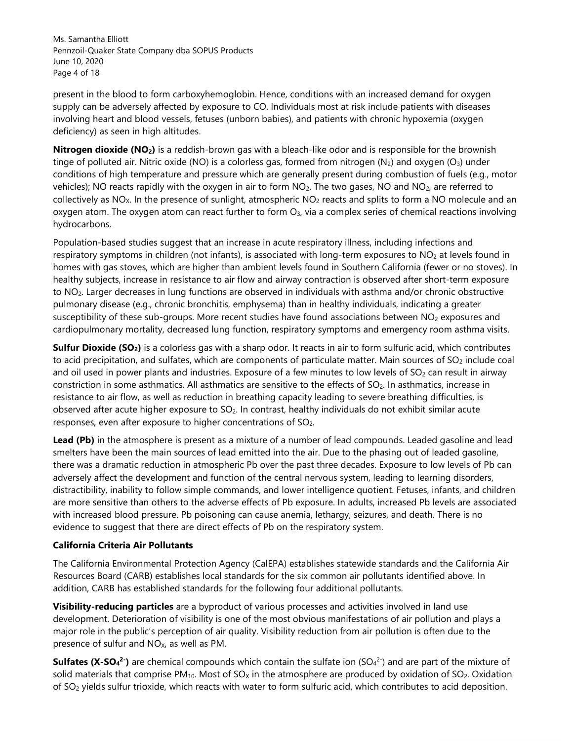Ms. Samantha Elliott Pennzoil-Quaker State Company dba SOPUS Products June 10, 2020 Page 4 of 18

present in the blood to form carboxyhemoglobin. Hence, conditions with an increased demand for oxygen supply can be adversely affected by exposure to CO. Individuals most at risk include patients with diseases involving heart and blood vessels, fetuses (unborn babies), and patients with chronic hypoxemia (oxygen deficiency) as seen in high altitudes.

**Nitrogen dioxide (NO2)** is a reddish-brown gas with a bleach-like odor and is responsible for the brownish tinge of polluted air. Nitric oxide (NO) is a colorless gas, formed from nitrogen  $(N_2)$  and oxygen  $(O_3)$  under conditions of high temperature and pressure which are generally present during combustion of fuels (e.g., motor vehicles); NO reacts rapidly with the oxygen in air to form NO<sub>2</sub>. The two gases, NO and NO<sub>2</sub>, are referred to collectively as  $NO<sub>X</sub>$ . In the presence of sunlight, atmospheric  $NO<sub>2</sub>$  reacts and splits to form a NO molecule and an oxygen atom. The oxygen atom can react further to form  $O_3$ , via a complex series of chemical reactions involving hydrocarbons.

Population-based studies suggest that an increase in acute respiratory illness, including infections and respiratory symptoms in children (not infants), is associated with long-term exposures to NO<sub>2</sub> at levels found in homes with gas stoves, which are higher than ambient levels found in Southern California (fewer or no stoves). In healthy subjects, increase in resistance to air flow and airway contraction is observed after short-term exposure to NO2. Larger decreases in lung functions are observed in individuals with asthma and/or chronic obstructive pulmonary disease (e.g., chronic bronchitis, emphysema) than in healthy individuals, indicating a greater susceptibility of these sub-groups. More recent studies have found associations between NO<sub>2</sub> exposures and cardiopulmonary mortality, decreased lung function, respiratory symptoms and emergency room asthma visits.

**Sulfur Dioxide (SO2)** is a colorless gas with a sharp odor. It reacts in air to form sulfuric acid, which contributes to acid precipitation, and sulfates, which are components of particulate matter. Main sources of  $SO<sub>2</sub>$  include coal and oil used in power plants and industries. Exposure of a few minutes to low levels of  $SO<sub>2</sub>$  can result in airway constriction in some asthmatics. All asthmatics are sensitive to the effects of SO<sub>2</sub>. In asthmatics, increase in resistance to air flow, as well as reduction in breathing capacity leading to severe breathing difficulties, is observed after acute higher exposure to SO<sub>2</sub>. In contrast, healthy individuals do not exhibit similar acute responses, even after exposure to higher concentrations of SO<sub>2</sub>.

**Lead (Pb)** in the atmosphere is present as a mixture of a number of lead compounds. Leaded gasoline and lead smelters have been the main sources of lead emitted into the air. Due to the phasing out of leaded gasoline, there was a dramatic reduction in atmospheric Pb over the past three decades. Exposure to low levels of Pb can adversely affect the development and function of the central nervous system, leading to learning disorders, distractibility, inability to follow simple commands, and lower intelligence quotient. Fetuses, infants, and children are more sensitive than others to the adverse effects of Pb exposure. In adults, increased Pb levels are associated with increased blood pressure. Pb poisoning can cause anemia, lethargy, seizures, and death. There is no evidence to suggest that there are direct effects of Pb on the respiratory system.

## **California Criteria Air Pollutants**

The California Environmental Protection Agency (CalEPA) establishes statewide standards and the California Air Resources Board (CARB) establishes local standards for the six common air pollutants identified above. In addition, CARB has established standards for the following four additional pollutants.

**Visibility-reducing particles** are a byproduct of various processes and activities involved in land use development. Deterioration of visibility is one of the most obvious manifestations of air pollution and plays a major role in the public's perception of air quality. Visibility reduction from air pollution is often due to the presence of sulfur and  $NO<sub>X</sub>$ , as well as PM.

**Sulfates (X-SO<sub>4</sub><sup>2-</sup>)** are chemical compounds which contain the sulfate ion (SO<sub>4</sub><sup>2-</sup>) and are part of the mixture of solid materials that comprise PM<sub>10</sub>. Most of SO<sub>x</sub> in the atmosphere are produced by oxidation of SO<sub>2</sub>. Oxidation of SO2 yields sulfur trioxide, which reacts with water to form sulfuric acid, which contributes to acid deposition.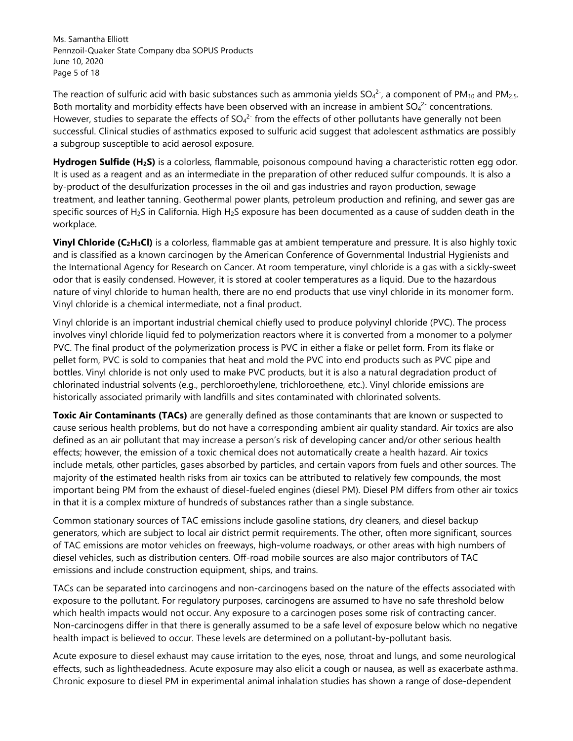Ms. Samantha Elliott Pennzoil-Quaker State Company dba SOPUS Products June 10, 2020 Page 5 of 18

The reaction of sulfuric acid with basic substances such as ammonia yields SO<sub>4</sub><sup>2-</sup>, a component of PM<sub>10</sub> and PM<sub>2.5</sub>. Both mortality and morbidity effects have been observed with an increase in ambient  $SO_4^2$  concentrations. However, studies to separate the effects of SO<sub>4</sub><sup>2-</sup> from the effects of other pollutants have generally not been successful. Clinical studies of asthmatics exposed to sulfuric acid suggest that adolescent asthmatics are possibly a subgroup susceptible to acid aerosol exposure.

**Hydrogen Sulfide (H2S)** is a colorless, flammable, poisonous compound having a characteristic rotten egg odor. It is used as a reagent and as an intermediate in the preparation of other reduced sulfur compounds. It is also a by-product of the desulfurization processes in the oil and gas industries and rayon production, sewage treatment, and leather tanning. Geothermal power plants, petroleum production and refining, and sewer gas are specific sources of H2S in California. High H2S exposure has been documented as a cause of sudden death in the workplace.

**Vinyl Chloride (C2H3Cl)** is a colorless, flammable gas at ambient temperature and pressure. It is also highly toxic and is classified as a known carcinogen by the American Conference of Governmental Industrial Hygienists and the International Agency for Research on Cancer. At room temperature, vinyl chloride is a gas with a sickly-sweet odor that is easily condensed. However, it is stored at cooler temperatures as a liquid. Due to the hazardous nature of vinyl chloride to human health, there are no end products that use vinyl chloride in its monomer form. Vinyl chloride is a chemical intermediate, not a final product.

Vinyl chloride is an important industrial chemical chiefly used to produce polyvinyl chloride (PVC). The process involves vinyl chloride liquid fed to polymerization reactors where it is converted from a monomer to a polymer PVC. The final product of the polymerization process is PVC in either a flake or pellet form. From its flake or pellet form, PVC is sold to companies that heat and mold the PVC into end products such as PVC pipe and bottles. Vinyl chloride is not only used to make PVC products, but it is also a natural degradation product of chlorinated industrial solvents (e.g., perchloroethylene, trichloroethene, etc.). Vinyl chloride emissions are historically associated primarily with landfills and sites contaminated with chlorinated solvents.

**Toxic Air Contaminants (TACs)** are generally defined as those contaminants that are known or suspected to cause serious health problems, but do not have a corresponding ambient air quality standard. Air toxics are also defined as an air pollutant that may increase a person's risk of developing cancer and/or other serious health effects; however, the emission of a toxic chemical does not automatically create a health hazard. Air toxics include metals, other particles, gases absorbed by particles, and certain vapors from fuels and other sources. The majority of the estimated health risks from air toxics can be attributed to relatively few compounds, the most important being PM from the exhaust of diesel-fueled engines (diesel PM). Diesel PM differs from other air toxics in that it is a complex mixture of hundreds of substances rather than a single substance.

Common stationary sources of TAC emissions include gasoline stations, dry cleaners, and diesel backup generators, which are subject to local air district permit requirements. The other, often more significant, sources of TAC emissions are motor vehicles on freeways, high-volume roadways, or other areas with high numbers of diesel vehicles, such as distribution centers. Off-road mobile sources are also major contributors of TAC emissions and include construction equipment, ships, and trains.

TACs can be separated into carcinogens and non-carcinogens based on the nature of the effects associated with exposure to the pollutant. For regulatory purposes, carcinogens are assumed to have no safe threshold below which health impacts would not occur. Any exposure to a carcinogen poses some risk of contracting cancer. Non-carcinogens differ in that there is generally assumed to be a safe level of exposure below which no negative health impact is believed to occur. These levels are determined on a pollutant-by-pollutant basis.

Acute exposure to diesel exhaust may cause irritation to the eyes, nose, throat and lungs, and some neurological effects, such as lightheadedness. Acute exposure may also elicit a cough or nausea, as well as exacerbate asthma. Chronic exposure to diesel PM in experimental animal inhalation studies has shown a range of dose-dependent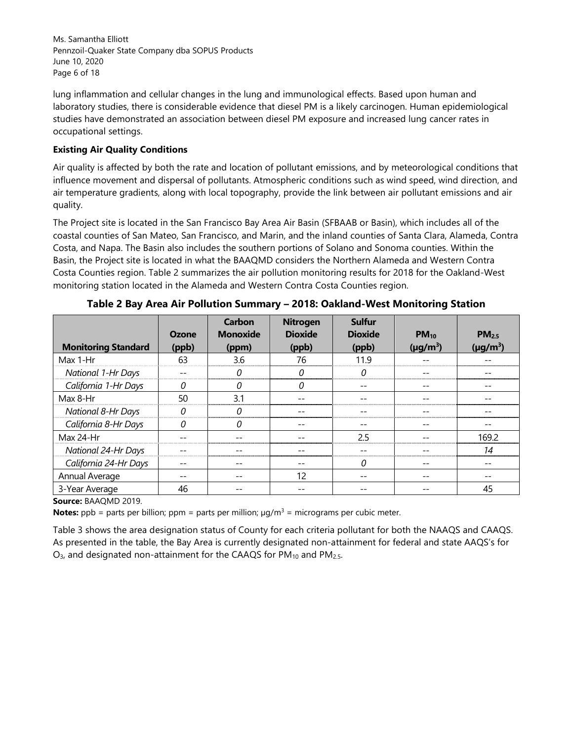Ms. Samantha Elliott Pennzoil-Quaker State Company dba SOPUS Products June 10, 2020 Page 6 of 18

lung inflammation and cellular changes in the lung and immunological effects. Based upon human and laboratory studies, there is considerable evidence that diesel PM is a likely carcinogen. Human epidemiological studies have demonstrated an association between diesel PM exposure and increased lung cancer rates in occupational settings.

## **Existing Air Quality Conditions**

Air quality is affected by both the rate and location of pollutant emissions, and by meteorological conditions that influence movement and dispersal of pollutants. Atmospheric conditions such as wind speed, wind direction, and air temperature gradients, along with local topography, provide the link between air pollutant emissions and air quality.

The Project site is located in the San Francisco Bay Area Air Basin (SFBAAB or Basin), which includes all of the coastal counties of San Mateo, San Francisco, and Marin, and the inland counties of Santa Clara, Alameda, Contra Costa, and Napa. The Basin also includes the southern portions of Solano and Sonoma counties. Within the Basin, the Project site is located in what the BAAQMD considers the Northern Alameda and Western Contra Costa Counties region. Table 2 summarizes the air pollution monitoring results for 2018 for the Oakland-West monitoring station located in the Alameda and Western Contra Costa Counties region.

|                            | Ozone | Carbon<br><b>Monoxide</b> | <b>Nitrogen</b><br><b>Dioxide</b> | <b>Sulfur</b><br><b>Dioxide</b> | $PM_{10}$     | PM <sub>2.5</sub> |
|----------------------------|-------|---------------------------|-----------------------------------|---------------------------------|---------------|-------------------|
| <b>Monitoring Standard</b> | (ppb) | (ppm)                     | (ppb)                             | (ppb)                           | $(\mu g/m^3)$ | $(\mu q/m^3)$     |
| Max 1-Hr                   | 63    | 3.6                       | 76                                | 119                             |               |                   |
| <b>National 1-Hr Days</b>  |       | O                         | 0                                 | 0                               |               |                   |
| California 1-Hr Days       | 0     | 0                         | 0                                 |                                 |               |                   |
| Max 8-Hr                   | 50    | 3.1                       |                                   |                                 |               |                   |
| <b>National 8-Hr Days</b>  | 0     |                           |                                   |                                 |               |                   |
| California 8-Hr Days       |       |                           |                                   |                                 |               |                   |
| Max 24-Hr                  |       |                           |                                   | 25                              |               | 169.2             |
| National 24-Hr Days        |       |                           |                                   |                                 |               | 14                |
| California 24-Hr Days      |       |                           |                                   | $\Omega$                        |               |                   |
| Annual Average             |       |                           | 12                                |                                 |               |                   |
| 3-Year Average             | 46    |                           |                                   |                                 |               | 45                |

**Table 2 Bay Area Air Pollution Summary – 2018: Oakland-West Monitoring Station** 

**Source:** BAAQMD 2019.

**Notes:** ppb = parts per billion; ppm = parts per million;  $\mu g/m^3$  = micrograms per cubic meter.

Table 3 shows the area designation status of County for each criteria pollutant for both the NAAQS and CAAQS. As presented in the table, the Bay Area is currently designated non-attainment for federal and state AAQS's for  $O<sub>3</sub>$ , and designated non-attainment for the CAAQS for PM<sub>10</sub> and PM<sub>2.5</sub>.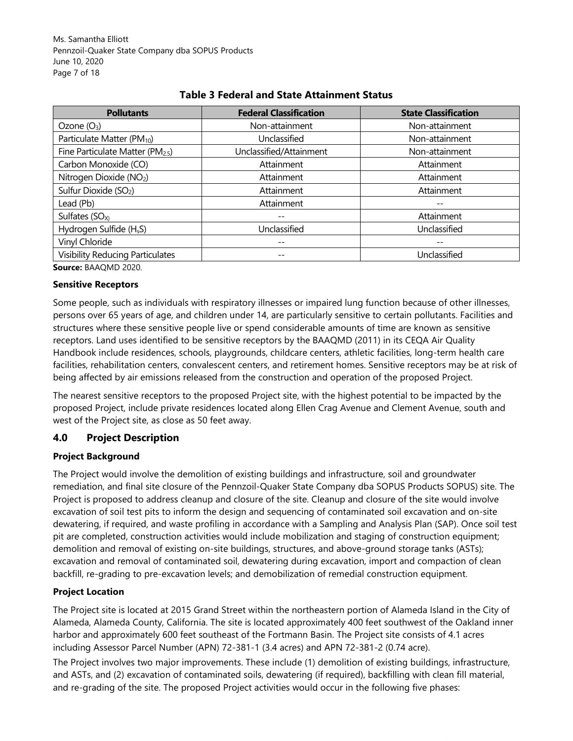Ms. Samantha Elliott Pennzoil-Quaker State Company dba SOPUS Products June 10, 2020 Page 7 of 18

| <b>Pollutants</b>                       | <b>Federal Classification</b> | <b>State Classification</b> |
|-----------------------------------------|-------------------------------|-----------------------------|
| Ozone $(O_3)$                           | Non-attainment                | Non-attainment              |
| Particulate Matter (PM <sub>10</sub> )  | Unclassified                  | Non-attainment              |
| Fine Particulate Matter (PM2.5)         | Unclassified/Attainment       | Non-attainment              |
| Carbon Monoxide (CO)                    | Attainment                    | Attainment                  |
| Nitrogen Dioxide (NO2)                  | Attainment                    | Attainment                  |
| Sulfur Dioxide (SO <sub>2</sub> )       | Attainment                    | Attainment                  |
| Lead (Pb)                               | Attainment                    |                             |
| Sulfates $(SO_X)$                       |                               | Attainment                  |
| Hydrogen Sulfide (H <sub>s</sub> S)     | Unclassified                  | Unclassified                |
| Vinyl Chloride                          |                               |                             |
| <b>Visibility Reducing Particulates</b> | $- -$                         | Unclassified                |

# **Table 3 Federal and State Attainment Status**

**Source:** BAAQMD 2020.

#### **Sensitive Receptors**

Some people, such as individuals with respiratory illnesses or impaired lung function because of other illnesses, persons over 65 years of age, and children under 14, are particularly sensitive to certain pollutants. Facilities and structures where these sensitive people live or spend considerable amounts of time are known as sensitive receptors. Land uses identified to be sensitive receptors by the BAAQMD (2011) in its CEQA Air Quality Handbook include residences, schools, playgrounds, childcare centers, athletic facilities, long-term health care facilities, rehabilitation centers, convalescent centers, and retirement homes. Sensitive receptors may be at risk of being affected by air emissions released from the construction and operation of the proposed Project.

The nearest sensitive receptors to the proposed Project site, with the highest potential to be impacted by the proposed Project, include private residences located along Ellen Crag Avenue and Clement Avenue, south and west of the Project site, as close as 50 feet away.

## **4.0 Project Description**

#### **Project Background**

The Project would involve the demolition of existing buildings and infrastructure, soil and groundwater remediation, and final site closure of the Pennzoil-Quaker State Company dba SOPUS Products SOPUS) site. The Project is proposed to address cleanup and closure of the site. Cleanup and closure of the site would involve excavation of soil test pits to inform the design and sequencing of contaminated soil excavation and on-site dewatering, if required, and waste profiling in accordance with a Sampling and Analysis Plan (SAP). Once soil test pit are completed, construction activities would include mobilization and staging of construction equipment; demolition and removal of existing on-site buildings, structures, and above-ground storage tanks (ASTs); excavation and removal of contaminated soil, dewatering during excavation, import and compaction of clean backfill, re-grading to pre-excavation levels; and demobilization of remedial construction equipment.

## **Project Location**

The Project site is located at 2015 Grand Street within the northeastern portion of Alameda Island in the City of Alameda, Alameda County, California. The site is located approximately 400 feet southwest of the Oakland inner harbor and approximately 600 feet southeast of the Fortmann Basin. The Project site consists of 4.1 acres including Assessor Parcel Number (APN) 72-381-1 (3.4 acres) and APN 72-381-2 (0.74 acre).

The Project involves two major improvements. These include (1) demolition of existing buildings, infrastructure, and ASTs, and (2) excavation of contaminated soils, dewatering (if required), backfilling with clean fill material, and re-grading of the site. The proposed Project activities would occur in the following five phases: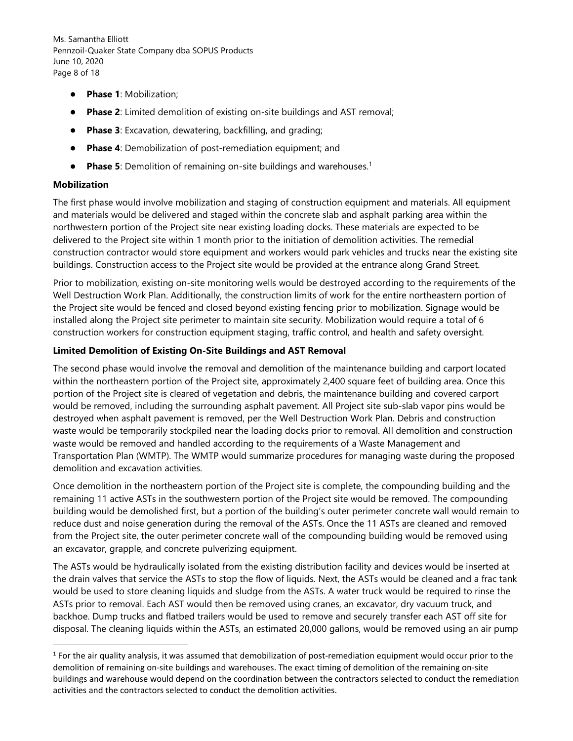Ms. Samantha Elliott Pennzoil-Quaker State Company dba SOPUS Products June 10, 2020 Page 8 of 18

- **Phase 1**: Mobilization;
- **Phase 2**: Limited demolition of existing on-site buildings and AST removal;
- **Phase 3**: Excavation, dewatering, backfilling, and grading;
- **Phase 4**: Demobilization of post-remediation equipment; and
- **Phase 5**: Demolition of remaining on-site buildings and warehouses.<sup>1</sup>

#### **Mobilization**

The first phase would involve mobilization and staging of construction equipment and materials. All equipment and materials would be delivered and staged within the concrete slab and asphalt parking area within the northwestern portion of the Project site near existing loading docks. These materials are expected to be delivered to the Project site within 1 month prior to the initiation of demolition activities. The remedial construction contractor would store equipment and workers would park vehicles and trucks near the existing site buildings. Construction access to the Project site would be provided at the entrance along Grand Street.

Prior to mobilization, existing on-site monitoring wells would be destroyed according to the requirements of the Well Destruction Work Plan. Additionally, the construction limits of work for the entire northeastern portion of the Project site would be fenced and closed beyond existing fencing prior to mobilization. Signage would be installed along the Project site perimeter to maintain site security. Mobilization would require a total of 6 construction workers for construction equipment staging, traffic control, and health and safety oversight.

#### **Limited Demolition of Existing On-Site Buildings and AST Removal**

The second phase would involve the removal and demolition of the maintenance building and carport located within the northeastern portion of the Project site, approximately 2,400 square feet of building area. Once this portion of the Project site is cleared of vegetation and debris, the maintenance building and covered carport would be removed, including the surrounding asphalt pavement. All Project site sub-slab vapor pins would be destroyed when asphalt pavement is removed, per the Well Destruction Work Plan. Debris and construction waste would be temporarily stockpiled near the loading docks prior to removal. All demolition and construction waste would be removed and handled according to the requirements of a Waste Management and Transportation Plan (WMTP). The WMTP would summarize procedures for managing waste during the proposed demolition and excavation activities.

Once demolition in the northeastern portion of the Project site is complete, the compounding building and the remaining 11 active ASTs in the southwestern portion of the Project site would be removed. The compounding building would be demolished first, but a portion of the building's outer perimeter concrete wall would remain to reduce dust and noise generation during the removal of the ASTs. Once the 11 ASTs are cleaned and removed from the Project site, the outer perimeter concrete wall of the compounding building would be removed using an excavator, grapple, and concrete pulverizing equipment.

The ASTs would be hydraulically isolated from the existing distribution facility and devices would be inserted at the drain valves that service the ASTs to stop the flow of liquids. Next, the ASTs would be cleaned and a frac tank would be used to store cleaning liquids and sludge from the ASTs. A water truck would be required to rinse the ASTs prior to removal. Each AST would then be removed using cranes, an excavator, dry vacuum truck, and backhoe. Dump trucks and flatbed trailers would be used to remove and securely transfer each AST off site for disposal. The cleaning liquids within the ASTs, an estimated 20,000 gallons, would be removed using an air pump

<sup>&</sup>lt;sup>1</sup> For the air quality analysis, it was assumed that demobilization of post-remediation equipment would occur prior to the demolition of remaining on-site buildings and warehouses. The exact timing of demolition of the remaining on-site buildings and warehouse would depend on the coordination between the contractors selected to conduct the remediation activities and the contractors selected to conduct the demolition activities.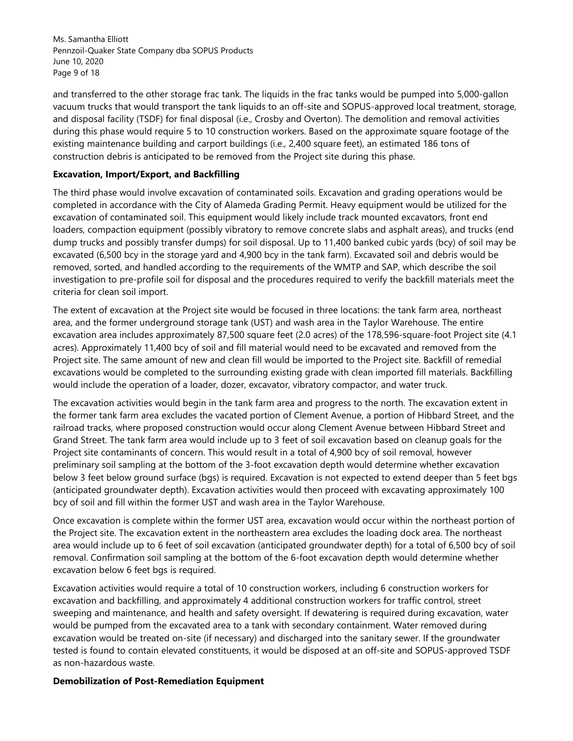Ms. Samantha Elliott Pennzoil-Quaker State Company dba SOPUS Products June 10, 2020 Page 9 of 18

and transferred to the other storage frac tank. The liquids in the frac tanks would be pumped into 5,000-gallon vacuum trucks that would transport the tank liquids to an off-site and SOPUS-approved local treatment, storage, and disposal facility (TSDF) for final disposal (i.e., Crosby and Overton). The demolition and removal activities during this phase would require 5 to 10 construction workers. Based on the approximate square footage of the existing maintenance building and carport buildings (i.e., 2,400 square feet), an estimated 186 tons of construction debris is anticipated to be removed from the Project site during this phase.

#### **Excavation, Import/Export, and Backfilling**

The third phase would involve excavation of contaminated soils. Excavation and grading operations would be completed in accordance with the City of Alameda Grading Permit. Heavy equipment would be utilized for the excavation of contaminated soil. This equipment would likely include track mounted excavators, front end loaders, compaction equipment (possibly vibratory to remove concrete slabs and asphalt areas), and trucks (end dump trucks and possibly transfer dumps) for soil disposal. Up to 11,400 banked cubic yards (bcy) of soil may be excavated (6,500 bcy in the storage yard and 4,900 bcy in the tank farm). Excavated soil and debris would be removed, sorted, and handled according to the requirements of the WMTP and SAP, which describe the soil investigation to pre-profile soil for disposal and the procedures required to verify the backfill materials meet the criteria for clean soil import.

The extent of excavation at the Project site would be focused in three locations: the tank farm area, northeast area, and the former underground storage tank (UST) and wash area in the Taylor Warehouse. The entire excavation area includes approximately 87,500 square feet (2.0 acres) of the 178,596-square-foot Project site (4.1 acres). Approximately 11,400 bcy of soil and fill material would need to be excavated and removed from the Project site. The same amount of new and clean fill would be imported to the Project site. Backfill of remedial excavations would be completed to the surrounding existing grade with clean imported fill materials. Backfilling would include the operation of a loader, dozer, excavator, vibratory compactor, and water truck.

The excavation activities would begin in the tank farm area and progress to the north. The excavation extent in the former tank farm area excludes the vacated portion of Clement Avenue, a portion of Hibbard Street, and the railroad tracks, where proposed construction would occur along Clement Avenue between Hibbard Street and Grand Street. The tank farm area would include up to 3 feet of soil excavation based on cleanup goals for the Project site contaminants of concern. This would result in a total of 4,900 bcy of soil removal, however preliminary soil sampling at the bottom of the 3-foot excavation depth would determine whether excavation below 3 feet below ground surface (bgs) is required. Excavation is not expected to extend deeper than 5 feet bgs (anticipated groundwater depth). Excavation activities would then proceed with excavating approximately 100 bcy of soil and fill within the former UST and wash area in the Taylor Warehouse.

Once excavation is complete within the former UST area, excavation would occur within the northeast portion of the Project site. The excavation extent in the northeastern area excludes the loading dock area. The northeast area would include up to 6 feet of soil excavation (anticipated groundwater depth) for a total of 6,500 bcy of soil removal. Confirmation soil sampling at the bottom of the 6-foot excavation depth would determine whether excavation below 6 feet bgs is required.

Excavation activities would require a total of 10 construction workers, including 6 construction workers for excavation and backfilling, and approximately 4 additional construction workers for traffic control, street sweeping and maintenance, and health and safety oversight. If dewatering is required during excavation, water would be pumped from the excavated area to a tank with secondary containment. Water removed during excavation would be treated on-site (if necessary) and discharged into the sanitary sewer. If the groundwater tested is found to contain elevated constituents, it would be disposed at an off-site and SOPUS-approved TSDF as non-hazardous waste.

#### **Demobilization of Post-Remediation Equipment**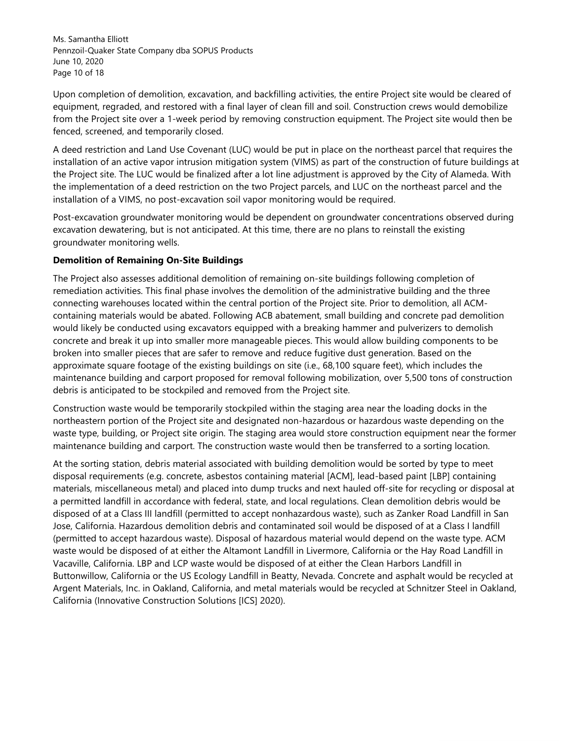Ms. Samantha Elliott Pennzoil-Quaker State Company dba SOPUS Products June 10, 2020 Page 10 of 18

Upon completion of demolition, excavation, and backfilling activities, the entire Project site would be cleared of equipment, regraded, and restored with a final layer of clean fill and soil. Construction crews would demobilize from the Project site over a 1-week period by removing construction equipment. The Project site would then be fenced, screened, and temporarily closed.

A deed restriction and Land Use Covenant (LUC) would be put in place on the northeast parcel that requires the installation of an active vapor intrusion mitigation system (VIMS) as part of the construction of future buildings at the Project site. The LUC would be finalized after a lot line adjustment is approved by the City of Alameda. With the implementation of a deed restriction on the two Project parcels, and LUC on the northeast parcel and the installation of a VIMS, no post-excavation soil vapor monitoring would be required.

Post-excavation groundwater monitoring would be dependent on groundwater concentrations observed during excavation dewatering, but is not anticipated. At this time, there are no plans to reinstall the existing groundwater monitoring wells.

#### **Demolition of Remaining On-Site Buildings**

The Project also assesses additional demolition of remaining on-site buildings following completion of remediation activities. This final phase involves the demolition of the administrative building and the three connecting warehouses located within the central portion of the Project site. Prior to demolition, all ACMcontaining materials would be abated. Following ACB abatement, small building and concrete pad demolition would likely be conducted using excavators equipped with a breaking hammer and pulverizers to demolish concrete and break it up into smaller more manageable pieces. This would allow building components to be broken into smaller pieces that are safer to remove and reduce fugitive dust generation. Based on the approximate square footage of the existing buildings on site (i.e., 68,100 square feet), which includes the maintenance building and carport proposed for removal following mobilization, over 5,500 tons of construction debris is anticipated to be stockpiled and removed from the Project site.

Construction waste would be temporarily stockpiled within the staging area near the loading docks in the northeastern portion of the Project site and designated non-hazardous or hazardous waste depending on the waste type, building, or Project site origin. The staging area would store construction equipment near the former maintenance building and carport. The construction waste would then be transferred to a sorting location.

At the sorting station, debris material associated with building demolition would be sorted by type to meet disposal requirements (e.g. concrete, asbestos containing material [ACM], lead-based paint [LBP] containing materials, miscellaneous metal) and placed into dump trucks and next hauled off-site for recycling or disposal at a permitted landfill in accordance with federal, state, and local regulations. Clean demolition debris would be disposed of at a Class III landfill (permitted to accept nonhazardous waste), such as Zanker Road Landfill in San Jose, California. Hazardous demolition debris and contaminated soil would be disposed of at a Class I landfill (permitted to accept hazardous waste). Disposal of hazardous material would depend on the waste type. ACM waste would be disposed of at either the Altamont Landfill in Livermore, California or the Hay Road Landfill in Vacaville, California. LBP and LCP waste would be disposed of at either the Clean Harbors Landfill in Buttonwillow, California or the US Ecology Landfill in Beatty, Nevada. Concrete and asphalt would be recycled at Argent Materials, Inc. in Oakland, California, and metal materials would be recycled at Schnitzer Steel in Oakland, California (Innovative Construction Solutions [ICS] 2020).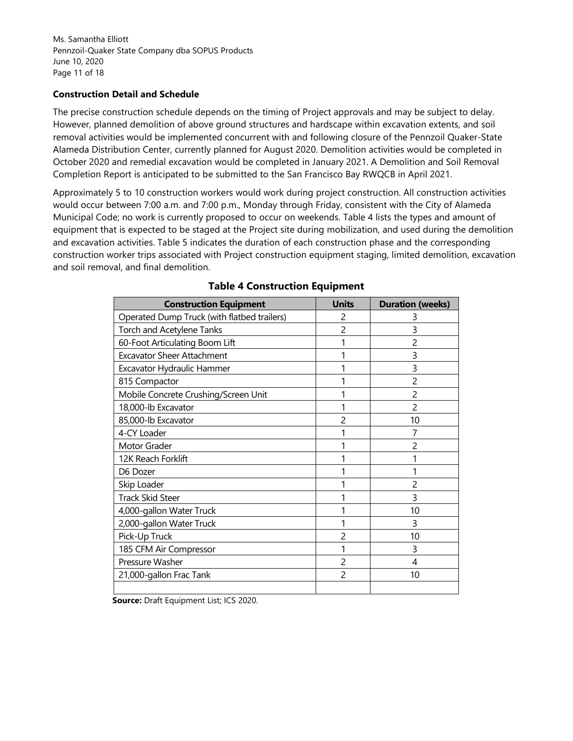Ms. Samantha Elliott Pennzoil-Quaker State Company dba SOPUS Products June 10, 2020 Page 11 of 18

#### **Construction Detail and Schedule**

The precise construction schedule depends on the timing of Project approvals and may be subject to delay. However, planned demolition of above ground structures and hardscape within excavation extents, and soil removal activities would be implemented concurrent with and following closure of the Pennzoil Quaker-State Alameda Distribution Center, currently planned for August 2020. Demolition activities would be completed in October 2020 and remedial excavation would be completed in January 2021. A Demolition and Soil Removal Completion Report is anticipated to be submitted to the San Francisco Bay RWQCB in April 2021.

Approximately 5 to 10 construction workers would work during project construction. All construction activities would occur between 7:00 a.m. and 7:00 p.m., Monday through Friday, consistent with the City of Alameda Municipal Code; no work is currently proposed to occur on weekends. Table 4 lists the types and amount of equipment that is expected to be staged at the Project site during mobilization, and used during the demolition and excavation activities. Table 5 indicates the duration of each construction phase and the corresponding construction worker trips associated with Project construction equipment staging, limited demolition, excavation and soil removal, and final demolition.

| <b>Construction Equipment</b>               | <b>Units</b>             | <b>Duration (weeks)</b> |
|---------------------------------------------|--------------------------|-------------------------|
| Operated Dump Truck (with flatbed trailers) | 2                        | 3                       |
| Torch and Acetylene Tanks                   | 2                        | 3                       |
| 60-Foot Articulating Boom Lift              |                          | $\mathcal{P}$           |
| <b>Excavator Sheer Attachment</b>           |                          | 3                       |
| Excavator Hydraulic Hammer                  |                          | 3                       |
| 815 Compactor                               |                          | $\mathcal{P}$           |
| Mobile Concrete Crushing/Screen Unit        |                          | 2                       |
| 18,000-lb Excavator                         |                          | 2                       |
| 85,000-lb Excavator                         | 2                        | 10                      |
| 4-CY Loader                                 |                          |                         |
| Motor Grader                                |                          | 2                       |
| 12K Reach Forklift                          |                          |                         |
| D6 Dozer                                    |                          |                         |
| Skip Loader                                 |                          | 2                       |
| <b>Track Skid Steer</b>                     |                          | 3                       |
| 4,000-gallon Water Truck                    |                          | 10                      |
| 2,000-gallon Water Truck                    |                          | 3                       |
| Pick-Up Truck                               | 2                        | 10                      |
| 185 CFM Air Compressor                      |                          | 3                       |
| Pressure Washer                             | 2                        | 4                       |
| 21,000-gallon Frac Tank                     | $\overline{\phantom{a}}$ | 10                      |
|                                             |                          |                         |

# **Table 4 Construction Equipment**

 **Source:** Draft Equipment List; ICS 2020.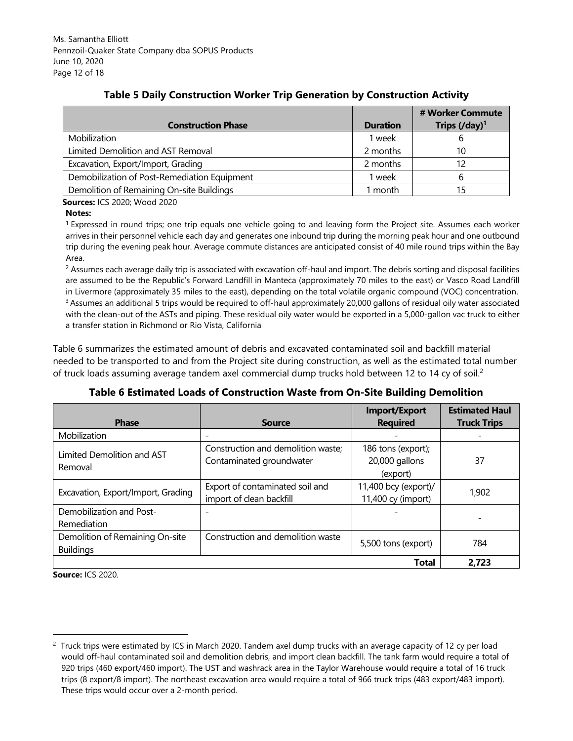|                                              |                 | # Worker Commute                                     |
|----------------------------------------------|-----------------|------------------------------------------------------|
| <b>Construction Phase</b>                    | <b>Duration</b> | Trips $\left(\frac{\text{day}}{\text{day}}\right)^1$ |
| Mobilization                                 | week            |                                                      |
| Limited Demolition and AST Removal           | 2 months        | 10                                                   |
| Excavation, Export/Import, Grading           | 2 months        | 12                                                   |
| Demobilization of Post-Remediation Equipment | week            |                                                      |
| Demolition of Remaining On-site Buildings    | month           | 15                                                   |

# **Table 5 Daily Construction Worker Trip Generation by Construction Activity**

 **Sources:** ICS 2020; Wood 2020

#### **Notes:**

<sup>1</sup>Expressed in round trips; one trip equals one vehicle going to and leaving form the Project site. Assumes each worker arrives in their personnel vehicle each day and generates one inbound trip during the morning peak hour and one outbound trip during the evening peak hour. Average commute distances are anticipated consist of 40 mile round trips within the Bay Area.

 $^{\rm 2}$  Assumes each average daily trip is associated with excavation off-haul and import. The debris sorting and disposal facilities are assumed to be the Republic's Forward Landfill in Manteca (approximately 70 miles to the east) or Vasco Road Landfill in Livermore (approximately 35 miles to the east), depending on the total volatile organic compound (VOC) concentration. <sup>3</sup> Assumes an additional 5 trips would be required to off-haul approximately 20,000 gallons of residual oily water associated with the clean-out of the ASTs and piping. These residual oily water would be exported in a 5,000-gallon vac truck to either a transfer station in Richmond or Rio Vista, California

Table 6 summarizes the estimated amount of debris and excavated contaminated soil and backfill material needed to be transported to and from the Project site during construction, as well as the estimated total number of truck loads assuming average tandem axel commercial dump trucks hold between 12 to 14 cy of soil.<sup>2</sup>

| <b>Phase</b>                                        | <b>Source</b>                                                  | <b>Import/Export</b><br><b>Required</b>          | <b>Estimated Haul</b><br><b>Truck Trips</b> |
|-----------------------------------------------------|----------------------------------------------------------------|--------------------------------------------------|---------------------------------------------|
| Mobilization                                        |                                                                |                                                  |                                             |
| Limited Demolition and AST<br>Removal               | Construction and demolition waste;<br>Contaminated groundwater | 186 tons (export);<br>20,000 gallons<br>(export) | 37                                          |
| Excavation, Export/Import, Grading                  | Export of contaminated soil and<br>import of clean backfill    | 11,400 bcy (export)/<br>11,400 cy (import)       | 1,902                                       |
| Demobilization and Post-<br>Remediation             | $\overline{\phantom{0}}$                                       |                                                  |                                             |
| Demolition of Remaining On-site<br><b>Buildings</b> | Construction and demolition waste                              | 5,500 tons (export)                              | 784                                         |
|                                                     |                                                                | Total                                            | 2.723                                       |

**Table 6 Estimated Loads of Construction Waste from On-Site Building Demolition** 

**Source:** ICS 2020.

 $^2$  Truck trips were estimated by ICS in March 2020. Tandem axel dump trucks with an average capacity of 12 cy per load would off-haul contaminated soil and demolition debris, and import clean backfill. The tank farm would require a total of 920 trips (460 export/460 import). The UST and washrack area in the Taylor Warehouse would require a total of 16 truck trips (8 export/8 import). The northeast excavation area would require a total of 966 truck trips (483 export/483 import). These trips would occur over a 2-month period.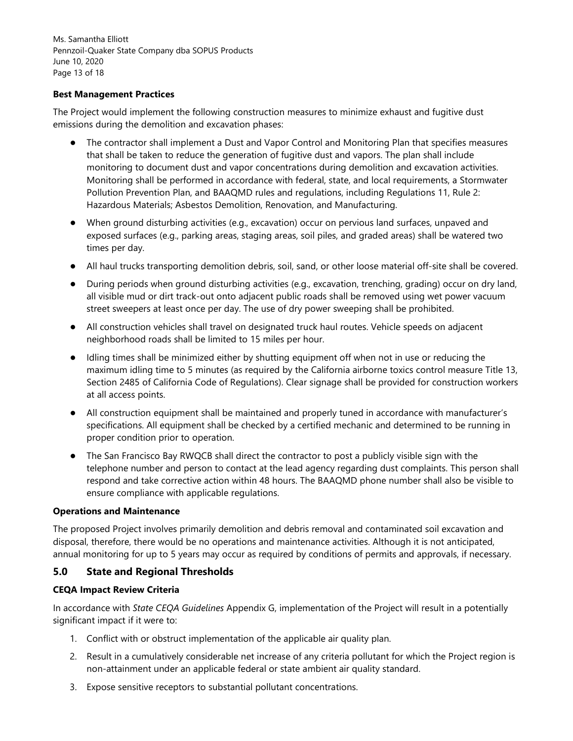Ms. Samantha Elliott Pennzoil-Quaker State Company dba SOPUS Products June 10, 2020 Page 13 of 18

#### **Best Management Practices**

The Project would implement the following construction measures to minimize exhaust and fugitive dust emissions during the demolition and excavation phases:

- The contractor shall implement a Dust and Vapor Control and Monitoring Plan that specifies measures that shall be taken to reduce the generation of fugitive dust and vapors. The plan shall include monitoring to document dust and vapor concentrations during demolition and excavation activities. Monitoring shall be performed in accordance with federal, state, and local requirements, a Stormwater Pollution Prevention Plan, and BAAQMD rules and regulations, including Regulations 11, Rule 2: Hazardous Materials; Asbestos Demolition, Renovation, and Manufacturing.
- When ground disturbing activities (e.g., excavation) occur on pervious land surfaces, unpaved and exposed surfaces (e.g., parking areas, staging areas, soil piles, and graded areas) shall be watered two times per day.
- All haul trucks transporting demolition debris, soil, sand, or other loose material off-site shall be covered.
- During periods when ground disturbing activities (e.g., excavation, trenching, grading) occur on dry land, all visible mud or dirt track-out onto adjacent public roads shall be removed using wet power vacuum street sweepers at least once per day. The use of dry power sweeping shall be prohibited.
- All construction vehicles shall travel on designated truck haul routes. Vehicle speeds on adjacent neighborhood roads shall be limited to 15 miles per hour.
- Idling times shall be minimized either by shutting equipment off when not in use or reducing the maximum idling time to 5 minutes (as required by the California airborne toxics control measure Title 13, Section 2485 of California Code of Regulations). Clear signage shall be provided for construction workers at all access points.
- All construction equipment shall be maintained and properly tuned in accordance with manufacturer's specifications. All equipment shall be checked by a certified mechanic and determined to be running in proper condition prior to operation.
- The San Francisco Bay RWQCB shall direct the contractor to post a publicly visible sign with the telephone number and person to contact at the lead agency regarding dust complaints. This person shall respond and take corrective action within 48 hours. The BAAQMD phone number shall also be visible to ensure compliance with applicable regulations.

#### **Operations and Maintenance**

The proposed Project involves primarily demolition and debris removal and contaminated soil excavation and disposal, therefore, there would be no operations and maintenance activities. Although it is not anticipated, annual monitoring for up to 5 years may occur as required by conditions of permits and approvals, if necessary.

## **5.0 State and Regional Thresholds**

#### **CEQA Impact Review Criteria**

In accordance with *State CEQA Guidelines* Appendix G, implementation of the Project will result in a potentially significant impact if it were to:

- 1. Conflict with or obstruct implementation of the applicable air quality plan.
- 2. Result in a cumulatively considerable net increase of any criteria pollutant for which the Project region is non-attainment under an applicable federal or state ambient air quality standard.
- 3. Expose sensitive receptors to substantial pollutant concentrations.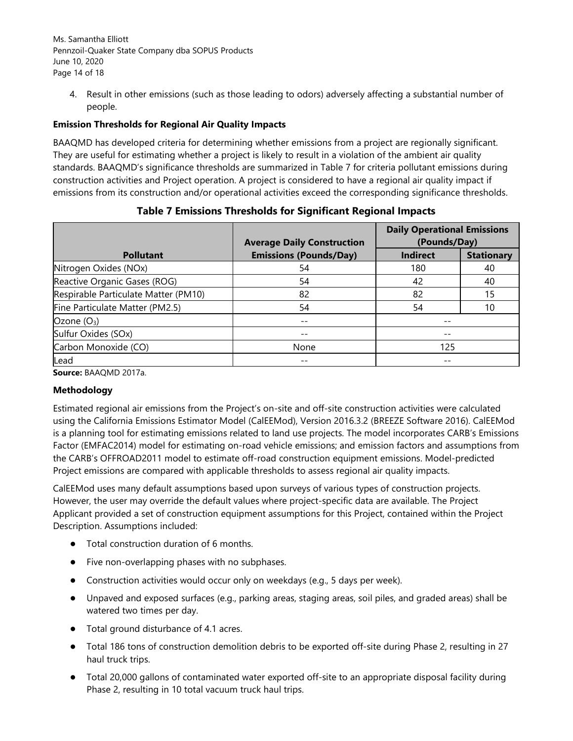Ms. Samantha Elliott Pennzoil-Quaker State Company dba SOPUS Products June 10, 2020 Page 14 of 18

4. Result in other emissions (such as those leading to odors) adversely affecting a substantial number of people.

## **Emission Thresholds for Regional Air Quality Impacts**

BAAQMD has developed criteria for determining whether emissions from a project are regionally significant. They are useful for estimating whether a project is likely to result in a violation of the ambient air quality standards. BAAQMD's significance thresholds are summarized in Table 7 for criteria pollutant emissions during construction activities and Project operation. A project is considered to have a regional air quality impact if emissions from its construction and/or operational activities exceed the corresponding significance thresholds.

|                                      | <b>Average Daily Construction</b> | <b>Daily Operational Emissions</b><br>(Pounds/Day) |                   |
|--------------------------------------|-----------------------------------|----------------------------------------------------|-------------------|
| <b>Pollutant</b>                     | <b>Emissions (Pounds/Day)</b>     | <b>Indirect</b>                                    | <b>Stationary</b> |
| Nitrogen Oxides (NOx)                | 54                                | 180                                                | 40                |
| Reactive Organic Gases (ROG)         | 54                                | 42                                                 | 40                |
| Respirable Particulate Matter (PM10) | 82                                | 82                                                 | 15                |
| Fine Particulate Matter (PM2.5)      | 54                                | 54                                                 | 10                |
| Ozone $(O_3)$                        | $- -$                             | --                                                 |                   |
| Sulfur Oxides (SOx)                  |                                   |                                                    |                   |
| Carbon Monoxide (CO)                 | None                              | 125                                                |                   |
| Lead                                 | $- -$                             |                                                    |                   |

**Table 7 Emissions Thresholds for Significant Regional Impacts** 

**Source:** BAAQMD 2017a.

## **Methodology**

Estimated regional air emissions from the Project's on-site and off-site construction activities were calculated using the California Emissions Estimator Model (CalEEMod), Version 2016.3.2 (BREEZE Software 2016). CalEEMod is a planning tool for estimating emissions related to land use projects. The model incorporates CARB's Emissions Factor (EMFAC2014) model for estimating on-road vehicle emissions; and emission factors and assumptions from the CARB's OFFROAD2011 model to estimate off-road construction equipment emissions. Model-predicted Project emissions are compared with applicable thresholds to assess regional air quality impacts.

CalEEMod uses many default assumptions based upon surveys of various types of construction projects. However, the user may override the default values where project-specific data are available. The Project Applicant provided a set of construction equipment assumptions for this Project, contained within the Project Description. Assumptions included:

- Total construction duration of 6 months.
- Five non-overlapping phases with no subphases.
- Construction activities would occur only on weekdays (e.g., 5 days per week).
- Unpaved and exposed surfaces (e.g., parking areas, staging areas, soil piles, and graded areas) shall be watered two times per day.
- Total ground disturbance of 4.1 acres.
- Total 186 tons of construction demolition debris to be exported off-site during Phase 2, resulting in 27 haul truck trips.
- Total 20,000 gallons of contaminated water exported off-site to an appropriate disposal facility during Phase 2, resulting in 10 total vacuum truck haul trips.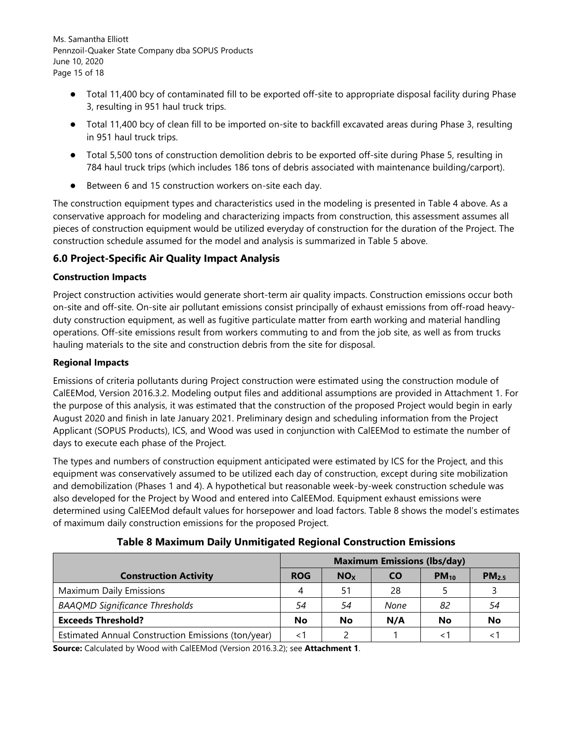Ms. Samantha Elliott Pennzoil-Quaker State Company dba SOPUS Products June 10, 2020 Page 15 of 18

- Total 11,400 bcy of contaminated fill to be exported off-site to appropriate disposal facility during Phase 3, resulting in 951 haul truck trips.
- Total 11,400 bcy of clean fill to be imported on-site to backfill excavated areas during Phase 3, resulting in 951 haul truck trips.
- Total 5,500 tons of construction demolition debris to be exported off-site during Phase 5, resulting in 784 haul truck trips (which includes 186 tons of debris associated with maintenance building/carport).
- Between 6 and 15 construction workers on-site each day.

The construction equipment types and characteristics used in the modeling is presented in Table 4 above. As a conservative approach for modeling and characterizing impacts from construction, this assessment assumes all pieces of construction equipment would be utilized everyday of construction for the duration of the Project. The construction schedule assumed for the model and analysis is summarized in Table 5 above.

# **6.0 Project-Specific Air Quality Impact Analysis**

## **Construction Impacts**

Project construction activities would generate short-term air quality impacts. Construction emissions occur both on-site and off-site. On-site air pollutant emissions consist principally of exhaust emissions from off-road heavyduty construction equipment, as well as fugitive particulate matter from earth working and material handling operations. Off-site emissions result from workers commuting to and from the job site, as well as from trucks hauling materials to the site and construction debris from the site for disposal.

## **Regional Impacts**

Emissions of criteria pollutants during Project construction were estimated using the construction module of CalEEMod, Version 2016.3.2. Modeling output files and additional assumptions are provided in Attachment 1. For the purpose of this analysis, it was estimated that the construction of the proposed Project would begin in early August 2020 and finish in late January 2021. Preliminary design and scheduling information from the Project Applicant (SOPUS Products), ICS, and Wood was used in conjunction with CalEEMod to estimate the number of days to execute each phase of the Project.

The types and numbers of construction equipment anticipated were estimated by ICS for the Project, and this equipment was conservatively assumed to be utilized each day of construction, except during site mobilization and demobilization (Phases 1 and 4). A hypothetical but reasonable week-by-week construction schedule was also developed for the Project by Wood and entered into CalEEMod. Equipment exhaust emissions were determined using CalEEMod default values for horsepower and load factors. Table 8 shows the model's estimates of maximum daily construction emissions for the proposed Project.

**Table 8 Maximum Daily Unmitigated Regional Construction Emissions** 

|                                                    | <b>Maximum Emissions (lbs/day)</b> |                 |           |           |                   |
|----------------------------------------------------|------------------------------------|-----------------|-----------|-----------|-------------------|
| <b>Construction Activity</b>                       | <b>ROG</b>                         | NO <sub>x</sub> | <b>CO</b> | $PM_{10}$ | PM <sub>2.5</sub> |
| <b>Maximum Daily Emissions</b>                     | 4                                  | 51              | 28        |           |                   |
| <b>BAAQMD Significance Thresholds</b>              | 54                                 | 54              | None      | 82        | 54                |
| <b>Exceeds Threshold?</b>                          | No                                 | <b>No</b>       | N/A       | No        | No                |
| Estimated Annual Construction Emissions (ton/year) | < 1                                |                 |           | $\lt$ 1   |                   |

**Source:** Calculated by Wood with CalEEMod (Version 2016.3.2); see **Attachment 1**.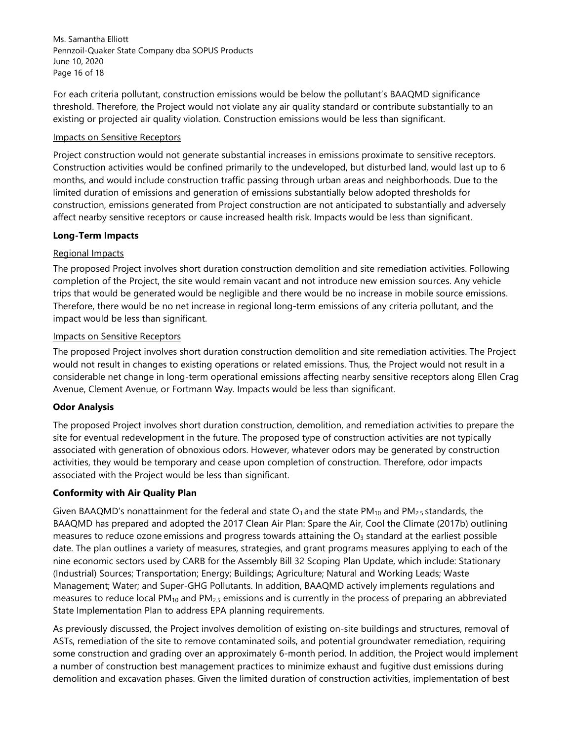Ms. Samantha Elliott Pennzoil-Quaker State Company dba SOPUS Products June 10, 2020 Page 16 of 18

For each criteria pollutant, construction emissions would be below the pollutant's BAAQMD significance threshold. Therefore, the Project would not violate any air quality standard or contribute substantially to an existing or projected air quality violation. Construction emissions would be less than significant.

#### Impacts on Sensitive Receptors

Project construction would not generate substantial increases in emissions proximate to sensitive receptors. Construction activities would be confined primarily to the undeveloped, but disturbed land, would last up to 6 months, and would include construction traffic passing through urban areas and neighborhoods. Due to the limited duration of emissions and generation of emissions substantially below adopted thresholds for construction, emissions generated from Project construction are not anticipated to substantially and adversely affect nearby sensitive receptors or cause increased health risk. Impacts would be less than significant.

#### **Long-Term Impacts**

#### Regional Impacts

The proposed Project involves short duration construction demolition and site remediation activities. Following completion of the Project, the site would remain vacant and not introduce new emission sources. Any vehicle trips that would be generated would be negligible and there would be no increase in mobile source emissions. Therefore, there would be no net increase in regional long-term emissions of any criteria pollutant, and the impact would be less than significant.

#### Impacts on Sensitive Receptors

The proposed Project involves short duration construction demolition and site remediation activities. The Project would not result in changes to existing operations or related emissions. Thus, the Project would not result in a considerable net change in long-term operational emissions affecting nearby sensitive receptors along Ellen Crag Avenue, Clement Avenue, or Fortmann Way. Impacts would be less than significant.

#### **Odor Analysis**

The proposed Project involves short duration construction, demolition, and remediation activities to prepare the site for eventual redevelopment in the future. The proposed type of construction activities are not typically associated with generation of obnoxious odors. However, whatever odors may be generated by construction activities, they would be temporary and cease upon completion of construction. Therefore, odor impacts associated with the Project would be less than significant.

#### **Conformity with Air Quality Plan**

Given BAAQMD's nonattainment for the federal and state  $O_3$  and the state PM<sub>10</sub> and PM<sub>2.5</sub> standards, the BAAQMD has prepared and adopted the 2017 Clean Air Plan: Spare the Air, Cool the Climate (2017b) outlining measures to reduce ozone emissions and progress towards attaining the  $O<sub>3</sub>$  standard at the earliest possible date. The plan outlines a variety of measures, strategies, and grant programs measures applying to each of the nine economic sectors used by CARB for the Assembly Bill 32 Scoping Plan Update, which include: Stationary (Industrial) Sources; Transportation; Energy; Buildings; Agriculture; Natural and Working Leads; Waste Management; Water; and Super-GHG Pollutants. In addition, BAAQMD actively implements regulations and measures to reduce local  $PM_{10}$  and  $PM_{2.5}$  emissions and is currently in the process of preparing an abbreviated State Implementation Plan to address EPA planning requirements.

As previously discussed, the Project involves demolition of existing on-site buildings and structures, removal of ASTs, remediation of the site to remove contaminated soils, and potential groundwater remediation, requiring some construction and grading over an approximately 6-month period. In addition, the Project would implement a number of construction best management practices to minimize exhaust and fugitive dust emissions during demolition and excavation phases. Given the limited duration of construction activities, implementation of best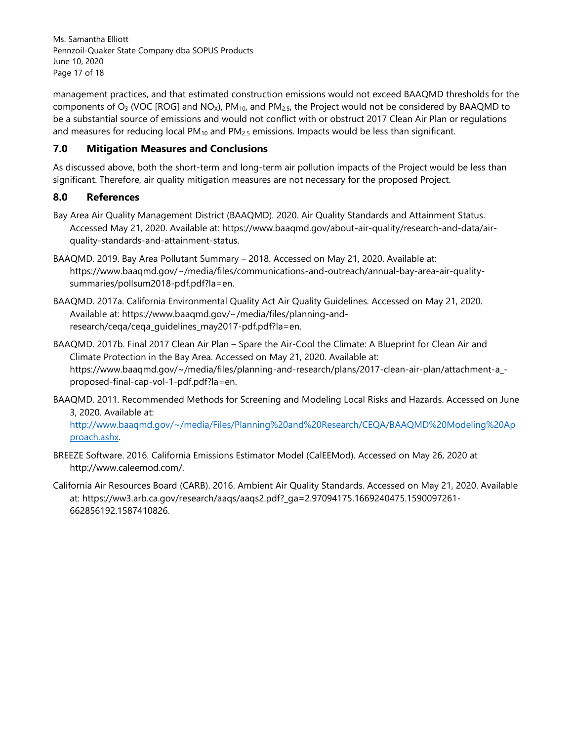Ms. Samantha Elliott Pennzoil-Quaker State Company dba SOPUS Products June 10, 2020 Page 17 of 18

management practices, and that estimated construction emissions would not exceed BAAQMD thresholds for the components of  $O_3$  (VOC [ROG] and NO<sub>X</sub>), PM<sub>10</sub>, and PM<sub>2.5</sub>, the Project would not be considered by BAAQMD to be a substantial source of emissions and would not conflict with or obstruct 2017 Clean Air Plan or regulations and measures for reducing local  $PM_{10}$  and  $PM_{2.5}$  emissions. Impacts would be less than significant.

# **7.0 Mitigation Measures and Conclusions**

As discussed above, both the short-term and long-term air pollution impacts of the Project would be less than significant. Therefore, air quality mitigation measures are not necessary for the proposed Project.

## **8.0 References**

- Bay Area Air Quality Management District (BAAQMD). 2020. Air Quality Standards and Attainment Status. Accessed May 21, 2020. Available at: https://www.baaqmd.gov/about-air-quality/research-and-data/airquality-standards-and-attainment-status.
- BAAQMD. 2019. Bay Area Pollutant Summary 2018. Accessed on May 21, 2020. Available at: https://www.baaqmd.gov/~/media/files/communications-and-outreach/annual-bay-area-air-qualitysummaries/pollsum2018-pdf.pdf?la=en.
- BAAQMD. 2017a. California Environmental Quality Act Air Quality Guidelines. Accessed on May 21, 2020. Available at: https://www.baaqmd.gov/~/media/files/planning-andresearch/ceqa/ceqa\_quidelines\_may2017-pdf.pdf?la=en.
- BAAQMD. 2017b. Final 2017 Clean Air Plan Spare the Air-Cool the Climate: A Blueprint for Clean Air and Climate Protection in the Bay Area. Accessed on May 21, 2020. Available at: https://www.baaqmd.gov/~/media/files/planning-and-research/plans/2017-clean-air-plan/attachment-a\_ proposed-final-cap-vol-1-pdf.pdf?la=en.
- BAAQMD. 2011. Recommended Methods for Screening and Modeling Local Risks and Hazards. Accessed on June 3, 2020. Available at: http://www.baaqmd.gov/~/media/Files/Planning%20and%20Research/CEQA/BAAQMD%20Modeling%20Ap proach.ashx.
- BREEZE Software. 2016. California Emissions Estimator Model (CalEEMod). Accessed on May 26, 2020 at http://www.caleemod.com/.
- California Air Resources Board (CARB). 2016. Ambient Air Quality Standards. Accessed on May 21, 2020. Available at: https://ww3.arb.ca.gov/research/aaqs/aaqs2.pdf?\_ga=2.97094175.1669240475.1590097261- 662856192.1587410826.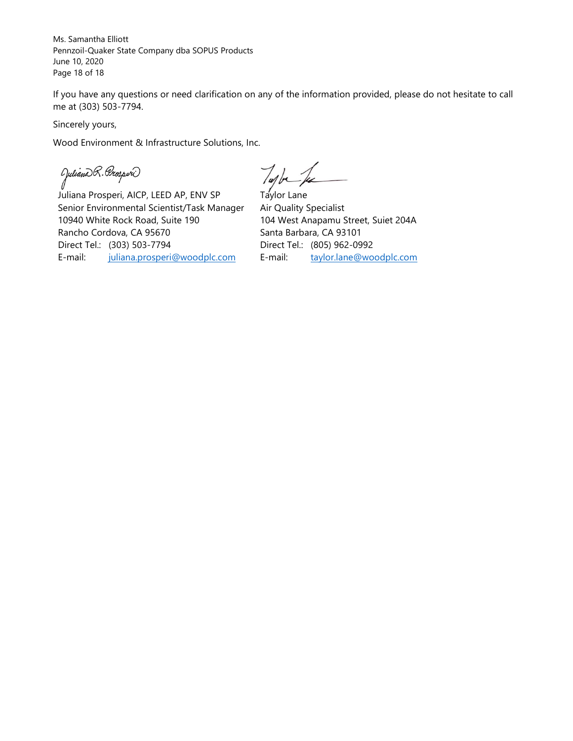Ms. Samantha Elliott Pennzoil-Quaker State Company dba SOPUS Products June 10, 2020 Page 18 of 18

If you have any questions or need clarification on any of the information provided, please do not hesitate to call me at (303) 503-7794.

Sincerely yours,

Wood Environment & Infrastructure Solutions, Inc.

(Juliano)R. Prosperi)<br>J

Juliana Prosperi, AICP, LEED AP, ENV SP Senior Environmental Scientist/Task Manager 10940 White Rock Road, Suite 190 Rancho Cordova, CA 95670 Direct Tel.: (303) 503-7794 E-mail: juliana.prosperi@woodplc.com

Tupla Je

Taylor Lane Air Quality Specialist 104 West Anapamu Street, Suiet 204A Santa Barbara, CA 93101 Direct Tel.: (805) 962-0992 E-mail: taylor.lane@woodplc.com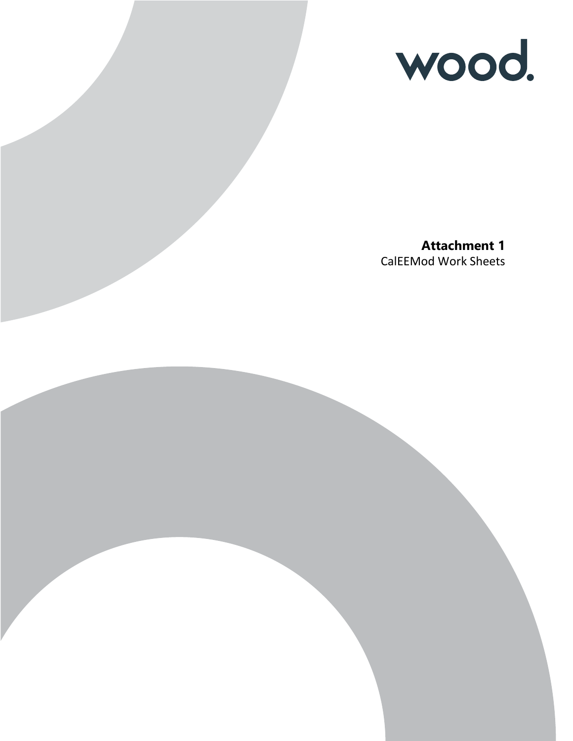

**Attachment 1** CalEEMod Work Sheets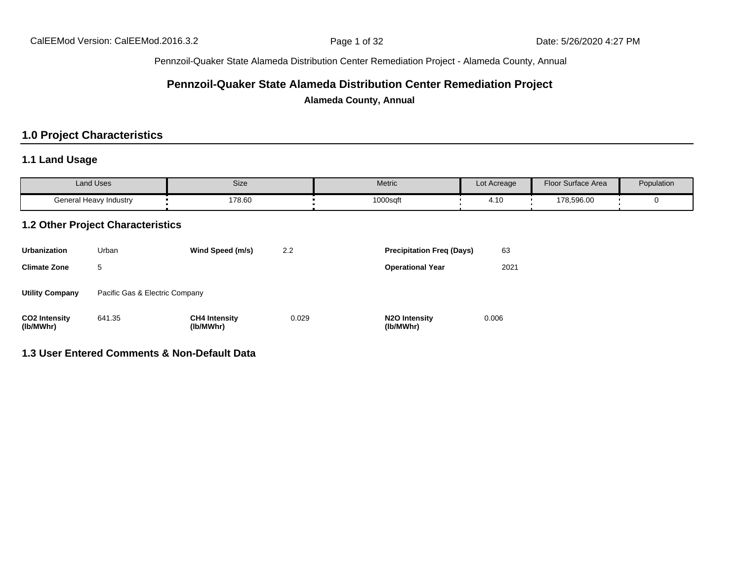# **Pennzoil-Quaker State Alameda Distribution Center Remediation Project**

**Alameda County, Annual**

# **1.0 Project Characteristics**

# **1.1 Land Usage**

| <b>Land Uses</b>       | Size   | Metric   | Lot Acreage                         | <b>Floor Surface Area</b> | Population |
|------------------------|--------|----------|-------------------------------------|---------------------------|------------|
| General Heavy Industry | 178.60 | 1000sqft | $\overline{A}$<br>$\mathbf{r}$ . IV | 178,596.00                |            |

# **1.2 Other Project Characteristics**

| <b>Urbanization</b>               | Urban                          | Wind Speed (m/s)                  | 2.2   | <b>Precipitation Freq (Days)</b>        | 63    |
|-----------------------------------|--------------------------------|-----------------------------------|-------|-----------------------------------------|-------|
| <b>Climate Zone</b>               | 5                              |                                   |       | <b>Operational Year</b>                 | 2021  |
| <b>Utility Company</b>            | Pacific Gas & Electric Company |                                   |       |                                         |       |
| <b>CO2 Intensity</b><br>(lb/MWhr) | 641.35                         | <b>CH4 Intensity</b><br>(lb/MWhr) | 0.029 | N <sub>2</sub> O Intensity<br>(lb/MWhr) | 0.006 |

## **1.3 User Entered Comments & Non-Default Data**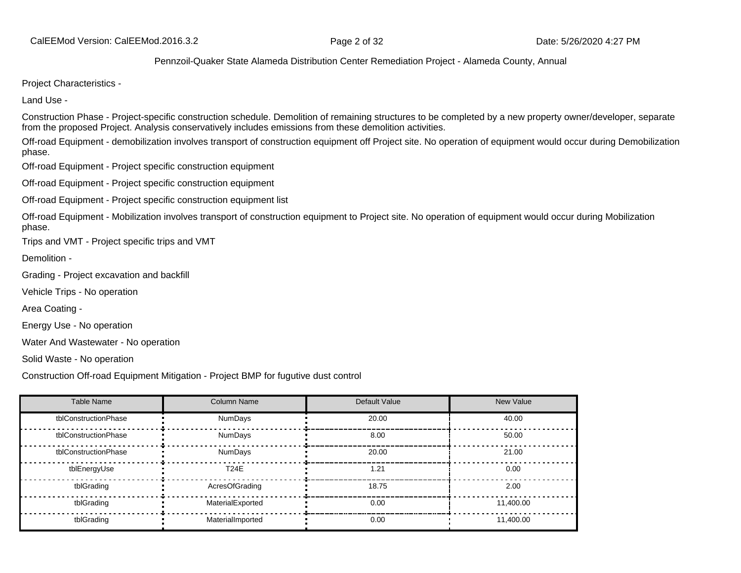Project Characteristics -

Land Use -

Construction Phase - Project-specific construction schedule. Demolition of remaining structures to be completed by a new property owner/developer, separate from the proposed Project. Analysis conservatively includes emissions from these demolition activities.

Off-road Equipment - demobilization involves transport of construction equipment off Project site. No operation of equipment would occur during Demobilization phase.

Off-road Equipment - Project specific construction equipment

Off-road Equipment - Project specific construction equipment

Off-road Equipment - Project specific construction equipment list

Off-road Equipment - Mobilization involves transport of construction equipment to Project site. No operation of equipment would occur during Mobilization phase.

Trips and VMT - Project specific trips and VMT

Demolition -

Grading - Project excavation and backfill

Vehicle Trips - No operation

Area Coating -

Energy Use - No operation

Water And Wastewater - No operation

Solid Waste - No operation

Construction Off-road Equipment Mitigation - Project BMP for fugutive dust control

| <b>Table Name</b>    | <b>Column Name</b> | Default Value | <b>New Value</b> |
|----------------------|--------------------|---------------|------------------|
| tblConstructionPhase | <b>NumDays</b>     | 20.00         | 40.00            |
| tblConstructionPhase | <b>NumDays</b>     | 8.00          | 50.00            |
| tblConstructionPhase | <b>NumDays</b>     | 20.00         | 21.00            |
| tblEnergyUse         | <b>T24E</b>        | 1.21          | 0.00             |
| tblGrading           | AcresOfGrading     | 18.75         | 2.00             |
| tblGrading           | MaterialExported   | 0.00          | 11.400.00        |
| tblGrading           | MaterialImported   | 0.00          | 11.400.00        |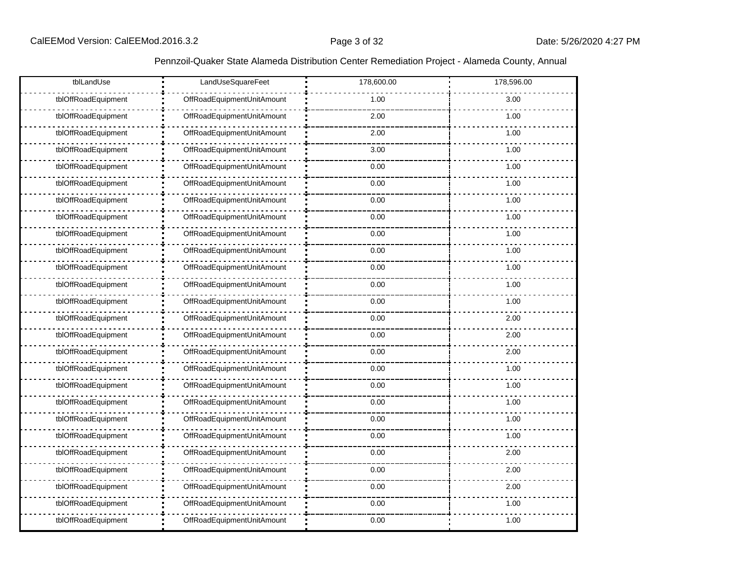| tblLandUse          | LandUseSquareFeet          | 178,600.00 | 178,596.00 |
|---------------------|----------------------------|------------|------------|
| tblOffRoadEquipment | OffRoadEquipmentUnitAmount | 1.00       | 3.00       |
| tblOffRoadEquipment | OffRoadEquipmentUnitAmount | 2.00       | 1.00       |
| tblOffRoadEquipment | OffRoadEquipmentUnitAmount | 2.00       | 1.00       |
| tblOffRoadEquipment | OffRoadEquipmentUnitAmount | 3.00       | 1.00       |
| tblOffRoadEquipment | OffRoadEquipmentUnitAmount | 0.00       | 1.00       |
| tblOffRoadEquipment | OffRoadEquipmentUnitAmount | 0.00       | 1.00       |
| tblOffRoadEquipment | OffRoadEquipmentUnitAmount | 0.00       | 1.00       |
| tblOffRoadEquipment | OffRoadEquipmentUnitAmount | 0.00       | 1.00       |
| tblOffRoadEquipment | OffRoadEquipmentUnitAmount | 0.00       | 1.00       |
| tblOffRoadEquipment | OffRoadEquipmentUnitAmount | 0.00       | 1.00       |
| tblOffRoadEquipment | OffRoadEquipmentUnitAmount | 0.00       | 1.00       |
| tblOffRoadEquipment | OffRoadEquipmentUnitAmount | 0.00       | 1.00       |
| tblOffRoadEquipment | OffRoadEquipmentUnitAmount | 0.00       | 1.00       |
| tblOffRoadEquipment | OffRoadEquipmentUnitAmount | 0.00       | 2.00       |
| tblOffRoadEquipment | OffRoadEquipmentUnitAmount | 0.00       | 2.00       |
| tblOffRoadEquipment | OffRoadEquipmentUnitAmount | 0.00       | 2.00       |
| tblOffRoadEquipment | OffRoadEquipmentUnitAmount | 0.00       | 1.00       |
| tblOffRoadEquipment | OffRoadEquipmentUnitAmount | 0.00       | 1.00       |
| tblOffRoadEquipment | OffRoadEquipmentUnitAmount | 0.00       | 1.00       |
| tblOffRoadEquipment | OffRoadEquipmentUnitAmount | 0.00       | 1.00       |
| tblOffRoadEquipment | OffRoadEquipmentUnitAmount | 0.00       | 1.00       |
| tblOffRoadEquipment | OffRoadEquipmentUnitAmount | 0.00       | 2.00       |
| tblOffRoadEquipment | OffRoadEquipmentUnitAmount | 0.00       | 2.00       |
| tblOffRoadEquipment | OffRoadEquipmentUnitAmount | 0.00       | 2.00       |
| tblOffRoadEquipment | OffRoadEquipmentUnitAmount | 0.00       | 1.00       |
| tblOffRoadEquipment | OffRoadEquipmentUnitAmount | 0.00       | 1.00       |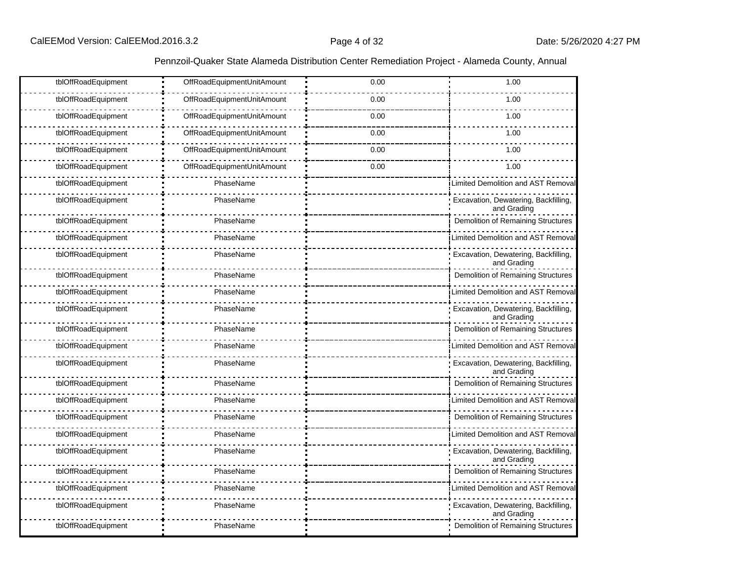| tblOffRoadEquipment | OffRoadEquipmentUnitAmount | 0.00 | 1.00                                                |
|---------------------|----------------------------|------|-----------------------------------------------------|
| tblOffRoadEquipment | OffRoadEquipmentUnitAmount | 0.00 | 1.00                                                |
| tblOffRoadEquipment | OffRoadEquipmentUnitAmount | 0.00 | 1.00                                                |
| tblOffRoadEquipment | OffRoadEquipmentUnitAmount | 0.00 | 1.00                                                |
| tblOffRoadEquipment | OffRoadEquipmentUnitAmount | 0.00 | 1.00                                                |
| tblOffRoadEquipment | OffRoadEquipmentUnitAmount | 0.00 | 1.00                                                |
| tblOffRoadEquipment | PhaseName                  |      | Limited Demolition and AST Removal                  |
| tblOffRoadEquipment | PhaseName                  |      | Excavation, Dewatering, Backfilling,<br>and Grading |
| tblOffRoadEquipment | PhaseName                  |      | <b>Demolition of Remaining Structures</b>           |
| tblOffRoadEquipment | PhaseName                  |      | <b>Limited Demolition and AST Removal</b>           |
| tblOffRoadEquipment | PhaseName                  |      | Excavation, Dewatering, Backfilling,<br>and Grading |
| tblOffRoadEquipment | PhaseName                  |      | Demolition of Remaining Structures                  |
| tblOffRoadEquipment | PhaseName                  |      | Limited Demolition and AST Removal                  |
| tblOffRoadEquipment | PhaseName                  |      | Excavation, Dewatering, Backfilling,<br>and Grading |
| tblOffRoadEquipment | PhaseName                  |      | <b>Demolition of Remaining Structures</b>           |
| tblOffRoadEquipment | PhaseName                  |      | Limited Demolition and AST Removal                  |
| tblOffRoadEquipment | PhaseName                  |      | Excavation, Dewatering, Backfilling,<br>and Grading |
| tblOffRoadEquipment | PhaseName                  |      | Demolition of Remaining Structures                  |
| tblOffRoadEquipment | PhaseName                  |      | <b>Limited Demolition and AST Removal</b>           |
| tblOffRoadEquipment | PhaseName                  |      | <b>Demolition of Remaining Structures</b>           |
| tblOffRoadEquipment | PhaseName                  |      | Limited Demolition and AST Removal                  |
| tblOffRoadEquipment | PhaseName                  |      | Excavation, Dewatering, Backfilling,<br>and Grading |
| tblOffRoadEquipment | PhaseName                  |      | Demolition of Remaining Structures                  |
| tblOffRoadEquipment | PhaseName                  |      | <b>Limited Demolition and AST Removal</b>           |
| tblOffRoadEquipment | PhaseName                  |      | Excavation, Dewatering, Backfilling,<br>and Grading |
| tblOffRoadEquipment | PhaseName                  |      | Demolition of Remaining Structures                  |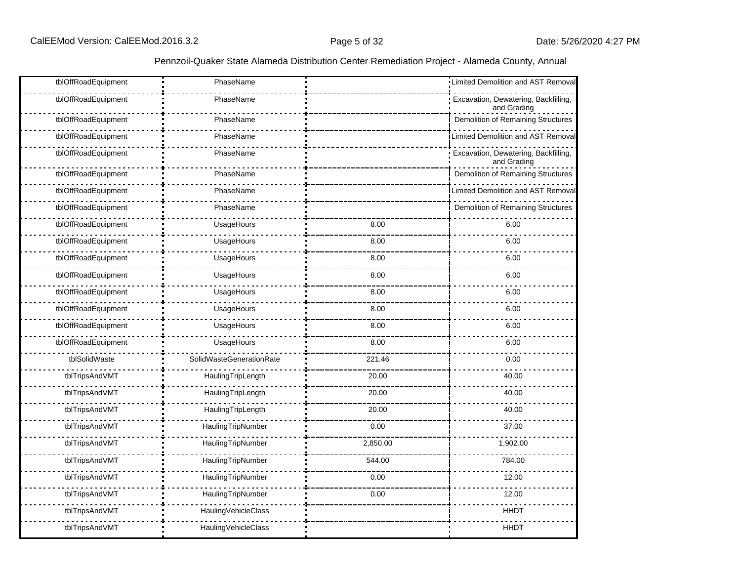| tblOffRoadEquipment | PhaseName                |          | Limited Demolition and AST Removal                  |
|---------------------|--------------------------|----------|-----------------------------------------------------|
| tblOffRoadEquipment | PhaseName                |          | Excavation, Dewatering, Backfilling,<br>and Grading |
| tblOffRoadEquipment | PhaseName                |          | Demolition of Remaining Structures                  |
| tblOffRoadEquipment | PhaseName                |          | Limited Demolition and AST Removal                  |
| tblOffRoadEquipment | PhaseName                |          | Excavation, Dewatering, Backfilling,<br>and Grading |
| tblOffRoadEquipment | PhaseName                |          | Demolition of Remaining Structures                  |
| tblOffRoadEquipment | PhaseName                |          | <b>Limited Demolition and AST Removal</b>           |
| tblOffRoadEquipment | PhaseName                |          | Demolition of Remaining Structures                  |
| tblOffRoadEquipment | UsageHours               | 8.00     | 6.00                                                |
| tblOffRoadEquipment | UsageHours               | 8.00     | 6.00                                                |
| tblOffRoadEquipment | UsageHours               | 8.00     | 6.00                                                |
| tblOffRoadEquipment | UsageHours               | 8.00     | 6.00                                                |
| tblOffRoadEquipment | UsageHours               | 8.00     | 6.00                                                |
| tblOffRoadEquipment | UsageHours               | 8.00     | 6.00                                                |
| tblOffRoadEquipment | UsageHours               | 8.00     | 6.00                                                |
| tblOffRoadEquipment | UsageHours               | 8.00     | 6.00                                                |
| tblSolidWaste       | SolidWasteGenerationRate | 221.46   | 0.00                                                |
| tblTripsAndVMT      | HaulingTripLength        | 20.00    | 40.00                                               |
| tblTripsAndVMT      | HaulingTripLength        | 20.00    | 40.00                                               |
| tblTripsAndVMT      | HaulingTripLength        | 20.00    | 40.00                                               |
| tblTripsAndVMT      | HaulingTripNumber        | 0.00     | 37.00                                               |
| tblTripsAndVMT      | HaulingTripNumber        | 2,850.00 | 1,902.00                                            |
| tblTripsAndVMT      | HaulingTripNumber        | 544.00   | 784.00                                              |
| tblTripsAndVMT      | HaulingTripNumber        | 0.00     | 12.00                                               |
| tblTripsAndVMT      | HaulingTripNumber        | 0.00     | 12.00                                               |
| tblTripsAndVMT      | HaulingVehicleClass      |          | <b>HHDT</b>                                         |
| tblTripsAndVMT      | HaulingVehicleClass      |          | <b>HHDT</b>                                         |
|                     |                          |          |                                                     |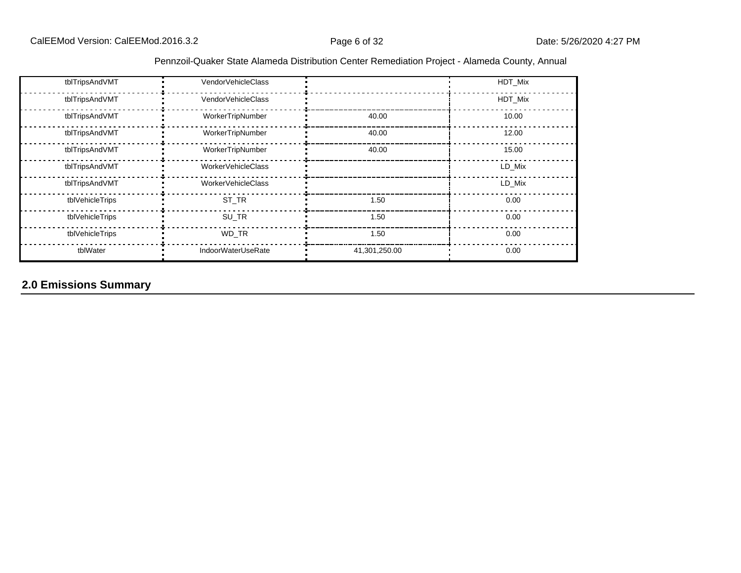| tblTripsAndVMT  | VendorVehicleClass |               | HDT Mix |
|-----------------|--------------------|---------------|---------|
| tblTripsAndVMT  | VendorVehicleClass |               | HDT Mix |
| tblTripsAndVMT  | WorkerTripNumber   | 40.00         | 10.00   |
| tblTripsAndVMT  | WorkerTripNumber   | 40.00         | 12.00   |
| tblTripsAndVMT  | WorkerTripNumber   | 40.00         | 15.00   |
| tblTripsAndVMT  | WorkerVehicleClass |               | LD Mix  |
| tblTripsAndVMT  | WorkerVehicleClass |               | LD Mix  |
| tblVehicleTrips | ST TR              | 1.50          | 0.00    |
| tblVehicleTrips | SU TR              | 1.50          | 0.00    |
| tblVehicleTrips | WD TR              | 1.50          | 0.00    |
| tblWater        | IndoorWaterUseRate | 41,301,250.00 | 0.00    |

# **2.0 Emissions Summary**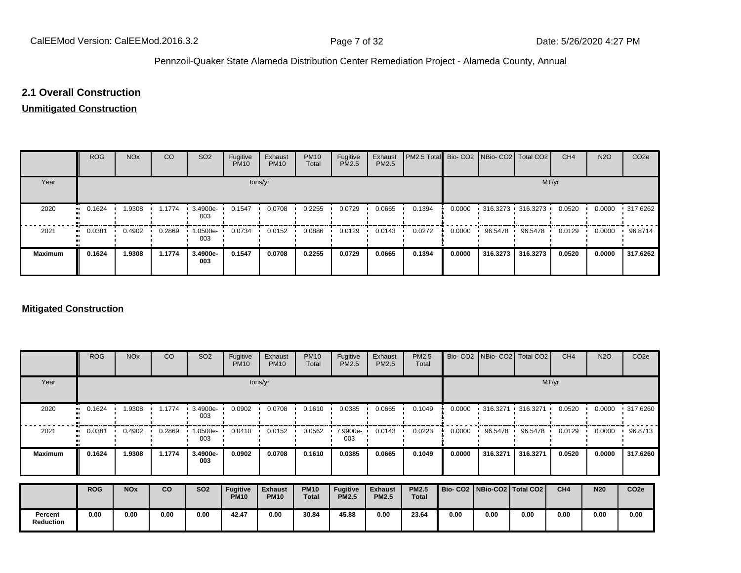# **2.1 Overall Construction**

## **Unmitigated Construction**

|                | <b>ROG</b>  | <b>NO<sub>x</sub></b> | CO     | SO <sub>2</sub> | Fugitive<br><b>PM10</b> | Exhaust<br><b>PM10</b> | <b>PM10</b><br>Total | Fugitive<br><b>PM2.5</b> | Exhaust<br>PM2.5 | PM2.5 Total Bio- CO2 NBio- CO2   Total CO2 |        |           |                                           | CH <sub>4</sub> | <b>N2O</b> | CO <sub>2e</sub> |
|----------------|-------------|-----------------------|--------|-----------------|-------------------------|------------------------|----------------------|--------------------------|------------------|--------------------------------------------|--------|-----------|-------------------------------------------|-----------------|------------|------------------|
| Year           |             |                       |        |                 |                         | tons/yr                |                      |                          |                  |                                            |        |           | MT/yr                                     |                 |            |                  |
| 2020           | 0.1624      | 1.9308                | 1.1774 | 3.4900e-<br>003 | 0.1547                  | 0.0708                 | 0.2255               | 0.0729                   | 0.0665           | 0.1394                                     | 0.0000 |           | $\cdot$ 316.3273 $\cdot$ 316.3273 $\cdot$ | 0.0520          | 0.0000     | .317.6262        |
| 2021           | 0.0381<br>. | 0.4902                | 0.2869 | 1.0500e-<br>003 | 0.0734                  | 0.0152                 | 0.0886               | 0.0129                   | 0.0143           | 0.0272                                     | 0.0000 | 96.5478 · | 96.5478                                   | 0.0129          | 0.0000     | 96.8714          |
| <b>Maximum</b> | 0.1624      | 1.9308                | 1.1774 | 3.4900e-<br>003 | 0.1547                  | 0.0708                 | 0.2255               | 0.0729                   | 0.0665           | 0.1394                                     | 0.0000 | 316.3273  | 316.3273                                  | 0.0520          | 0.0000     | 317.6262         |

#### **Mitigated Construction**

|                  | <b>ROG</b> | <b>NO<sub>x</sub></b> | CO     | SO <sub>2</sub> | Fugitive<br><b>PM10</b>        | Exhaust<br><b>PM10</b>        | <b>PM10</b><br>Total        | Fugitive<br>PM2.5               | Exhaust<br>PM2.5               | PM2.5<br>Total               |                                 | Bio- CO2   NBio- CO2 | Total CO <sub>2</sub>                     | CH <sub>4</sub> | <b>N2O</b> | CO <sub>2e</sub> |
|------------------|------------|-----------------------|--------|-----------------|--------------------------------|-------------------------------|-----------------------------|---------------------------------|--------------------------------|------------------------------|---------------------------------|----------------------|-------------------------------------------|-----------------|------------|------------------|
| Year             |            | tons/yr               |        |                 |                                |                               |                             |                                 |                                |                              | MT/yr                           |                      |                                           |                 |            |                  |
| 2020             | 0.1624     | 1.9308                | 1.1774 | 3.4900e-<br>003 | 0.0902                         | 0.0708                        | 0.1610                      | 0.0385                          | 0.0665                         | 0.1049                       | 0.0000                          |                      | $\cdot$ 316.3271 $\cdot$ 316.3271 $\cdot$ | 0.0520          | 0.0000     | $\cdot$ 317.6260 |
| 2021             | 0.0381     | 0.4902                | 0.2869 | 1.0500e-<br>003 | 0.0410                         | 0.0152                        | 0.0562                      | 7.9900e-<br>003                 | 0.0143                         | 0.0223                       | 0.0000                          | 96.5478              | 96.5478                                   | 0.0129          | 0.0000     | 96.8713          |
| <b>Maximum</b>   | 0.1624     | 1.9308                | 1.1774 | 3.4900e-<br>003 | 0.0902                         | 0.0708                        | 0.1610                      | 0.0385                          | 0.0665                         | 0.1049                       | 0.0000                          | 316.3271             | 316.3271                                  | 0.0520          | 0.0000     | 317.6260         |
|                  | <b>ROG</b> | <b>NO<sub>x</sub></b> | co     | <b>SO2</b>      | <b>Fugitive</b><br><b>PM10</b> | <b>Exhaust</b><br><b>PM10</b> | <b>PM10</b><br><b>Total</b> | <b>Fugitive</b><br><b>PM2.5</b> | <b>Exhaust</b><br><b>PM2.5</b> | <b>PM2.5</b><br><b>Total</b> | Bio- CO2   NBio-CO2   Total CO2 |                      |                                           | CH <sub>4</sub> | <b>N20</b> | CO <sub>2e</sub> |
| Percent          | 0.00       | 0.00                  | 0.00   | 0.00            | 42.47                          | 0.00                          | 30.84                       | 45.88                           | 0.00                           | 23.64                        | 0.00                            | 0.00                 | 0.00                                      | 0.00            | 0.00       | 0.00             |
| <b>Reduction</b> |            |                       |        |                 |                                |                               |                             |                                 |                                |                              |                                 |                      |                                           |                 |            |                  |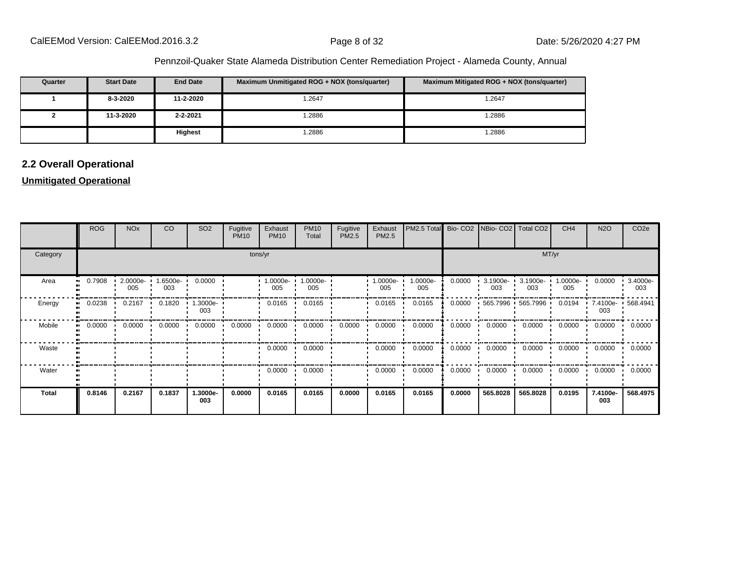| Quarter | <b>Start Date</b> | <b>End Date</b> | Maximum Unmitigated ROG + NOX (tons/quarter) | Maximum Mitigated ROG + NOX (tons/quarter) |
|---------|-------------------|-----------------|----------------------------------------------|--------------------------------------------|
|         | 8-3-2020          | 11-2-2020       | 1.2647                                       | 1.2647                                     |
|         | 11-3-2020         | $2 - 2 - 2021$  | .2886                                        | .2886                                      |
|         |                   | <b>Highest</b>  | .2886                                        | .2886                                      |

# **2.2 Overall Operational**

# **Unmitigated Operational**

|              | <b>ROG</b> | <b>NO<sub>x</sub></b> | CO              | SO <sub>2</sub>      | Fugitive<br><b>PM10</b> | Exhaust<br><b>PM10</b> | <b>PM10</b><br>Total | Fugitive<br>PM2.5 | Exhaust<br>PM2.5 | PM2.5 Total     |        |                 | Bio- CO2   NBio- CO2   Total CO2          | CH <sub>4</sub> | <b>N2O</b>      | CO <sub>2e</sub> |
|--------------|------------|-----------------------|-----------------|----------------------|-------------------------|------------------------|----------------------|-------------------|------------------|-----------------|--------|-----------------|-------------------------------------------|-----------------|-----------------|------------------|
| Category     |            |                       |                 |                      |                         | tons/yr                |                      |                   |                  |                 | MT/yr  |                 |                                           |                 |                 |                  |
| Area         | 0.7908     | 2.0000e-<br>005       | 1.6500e-<br>003 | 0.0000               |                         | 1.0000e-<br>005        | 1.0000e-<br>005      |                   | 1.0000e-<br>005  | 1.0000e-<br>005 | 0.0000 | 3.1900e-<br>003 | 3.1900e-<br>003                           | 1.0000e-<br>005 | 0.0000          | 3.4000e-<br>003  |
| Energy       | 0.0238     | 0.2167                | 0.1820          | $1.3000e - 1$<br>003 |                         | 0.0165                 | 0.0165               |                   | 0.0165           | 0.0165          | 0.0000 |                 | $\cdot$ 565.7996 $\cdot$ 565.7996 $\cdot$ | 0.0194          | 7.4100e-<br>003 | 568.4941         |
| Mobile       | 0.0000     | 0.0000                | 0.0000          | 0.0000               | 0.0000                  | 0.0000                 | 0.0000               | 0.0000            | 0.0000           | 0.0000          | 0.0000 | 0.0000          | 0.0000                                    | 0.0000          | 0.0000          | 0.0000           |
| Waste        |            |                       |                 |                      |                         | 0.0000                 | 0.0000               |                   | 0.0000           | 0.0000          | 0.0000 | 0.0000          | 0.0000                                    | 0.0000          | 0.0000          | 0.0000           |
| Water        |            |                       |                 |                      |                         | 0.0000                 | 0.0000               |                   | 0.0000           | 0.0000          | 0.0000 | 0.0000          | 0.0000                                    | 0.0000          | 0.0000          | 0.0000           |
| <b>Total</b> | 0.8146     | 0.2167                | 0.1837          | 1.3000e-<br>003      | 0.0000                  | 0.0165                 | 0.0165               | 0.0000            | 0.0165           | 0.0165          | 0.0000 | 565.8028        | 565.8028                                  | 0.0195          | 7.4100e-<br>003 | 568.4975         |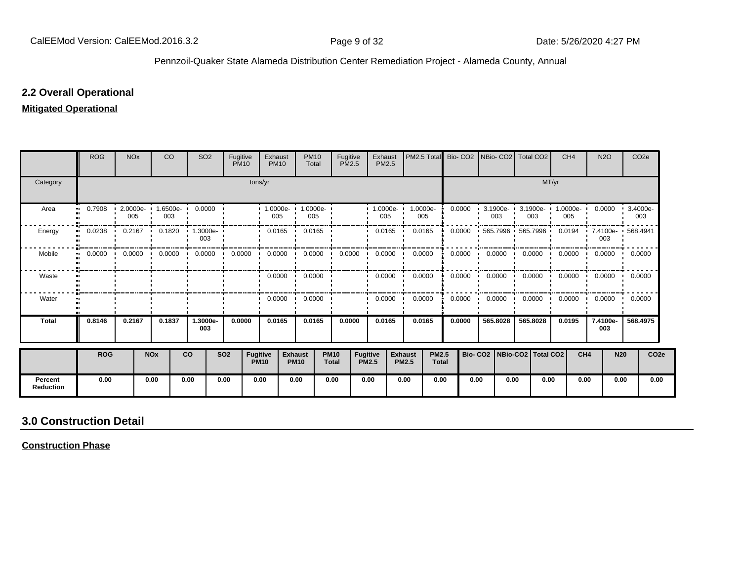# **2.2 Overall Operational**

# **Mitigated Operational**

|                             | <b>ROG</b> | <b>NO<sub>x</sub></b> | <sub>CO</sub>         |           | SO <sub>2</sub>        | Fugitive<br><b>PM10</b> |                                | Exhaust<br><b>PM10</b>          | <b>PM10</b><br>Total  | Fugitive<br><b>PM2.5</b>    |                                 | Exhaust<br><b>PM2.5</b> | PM2.5 Total                                    |              | Bio-CO <sub>2</sub> |                    | INBio- CO2   Total CO2          |       | CH <sub>4</sub> | <b>N2O</b>               | CO <sub>2e</sub> |                  |
|-----------------------------|------------|-----------------------|-----------------------|-----------|------------------------|-------------------------|--------------------------------|---------------------------------|-----------------------|-----------------------------|---------------------------------|-------------------------|------------------------------------------------|--------------|---------------------|--------------------|---------------------------------|-------|-----------------|--------------------------|------------------|------------------|
| Category                    |            |                       |                       |           |                        |                         | tons/yr                        |                                 |                       |                             |                                 |                         |                                                |              |                     |                    |                                 | MT/yr |                 |                          |                  |                  |
| Area                        | 0.7908     | 2.0000e-<br>005       | 1.6500e-<br>003       |           | 0.0000                 |                         |                                | $\cdot$ 1.0000e- $\cdot$<br>005 | 1.0000e-<br>005       |                             |                                 | $1.0000e-$<br>005       | 1.0000e-<br>005                                |              | 0.0000              | $3.1900e -$<br>003 | 3.1900e-<br>003                 |       | 1.0000e-<br>005 | 0.0000                   | 3.4000e-<br>003  |                  |
| Energy                      | 0.0238     | 0.2167                | 0.1820                |           | 1.3000e-<br>003        |                         |                                | 0.0165                          | 0.0165                |                             |                                 | 0.0165                  | 0.0165                                         |              | 0.0000              |                    | 565.7996 565.7996               |       | 0.0194<br>-     | 7.4100e- 568.4941<br>003 |                  |                  |
| Mobile                      | 0.0000     | 0.0000                |                       |           | $0.0000$ 0.0000<br>. . | 0.0000                  |                                |                                 | $0.0000 \cdot 0.0000$ | 0.0000                      |                                 | 0.0000                  | 0.0000                                         |              | 0.0000              | 0.0000             | 0.0000<br>$\mathbf{L}$          |       | 0.0000          | $0.0000$ $\cdot$ 0.0000  |                  |                  |
| Waste                       |            |                       |                       |           |                        |                         |                                |                                 | $0.0000 \cdot 0.0000$ |                             |                                 | 0.0000                  | 0.0000                                         |              | 0.0000              | 0.0000             | 0.0000                          |       | 0.0000          | $0.0000 \cdot 0.0000$    |                  |                  |
| Water                       |            |                       |                       |           |                        |                         |                                | 0.0000<br>$\cdot$               | 0.0000                |                             |                                 | 0.0000                  | 0.0000                                         |              | 0.0000              | 0.0000             | 0.0000                          |       | 0.0000          | 0.0000                   | 0.0000<br>. .    |                  |
| <b>Total</b>                | 0.8146     | 0.2167                | 0.1837                |           | 1.3000e-<br>003        | 0.0000                  |                                | 0.0165                          | 0.0165                | 0.0000                      |                                 | 0.0165                  | 0.0165                                         |              | 0.0000              | 565.8028           | 565.8028                        |       | 0.0195          | 7.4100e-<br>003          | 568.4975         |                  |
|                             | <b>ROG</b> |                       | <b>NO<sub>x</sub></b> | <b>CO</b> |                        | <b>SO2</b>              | <b>Fugitive</b><br><b>PM10</b> | <b>Exhaust</b>                  | <b>PM10</b>           | <b>PM10</b><br><b>Total</b> | <b>Fugitive</b><br><b>PM2.5</b> |                         | <b>Exhaust</b><br><b>PM2.5</b><br><b>PM2.5</b> | <b>Total</b> |                     |                    | Bio- CO2   NBio-CO2   Total CO2 |       | CH <sub>4</sub> |                          | <b>N20</b>       | CO <sub>2e</sub> |
| Percent<br><b>Reduction</b> | 0.00       |                       | 0.00                  | 0.00      |                        | 0.00                    | 0.00                           |                                 | 0.00                  | 0.00                        | 0.00                            |                         | 0.00                                           | 0.00         | 0.00                | 0.00               |                                 | 0.00  | 0.00            |                          | 0.00             | 0.00             |

# **3.0 Construction Detail**

**Construction Phase**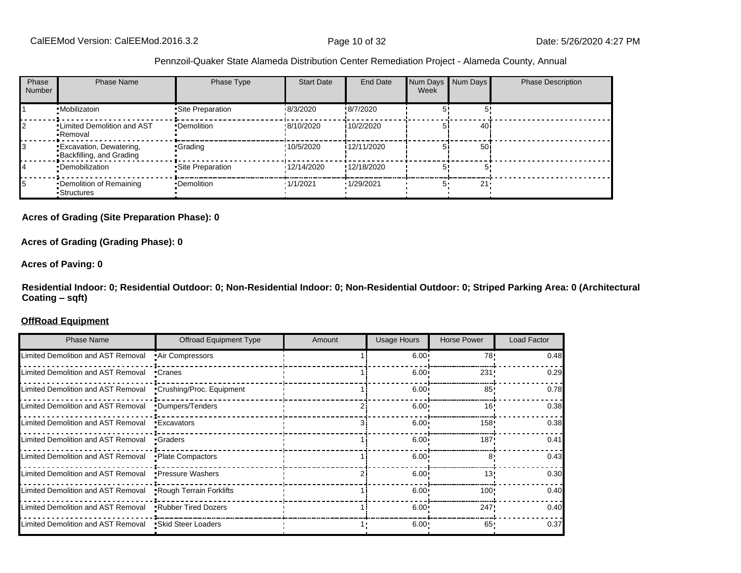| Phase<br><b>Number</b> | <b>Phase Name</b>                                          | Phase Type         | <b>Start Date</b> | End Date         | Num Days Num Days<br>Week |                 | <b>Phase Description</b> |
|------------------------|------------------------------------------------------------|--------------------|-------------------|------------------|---------------------------|-----------------|--------------------------|
|                        | •Mobilizatoin                                              | •Site Preparation  | 18/3/2020         | !8/7/2020        |                           |                 |                          |
|                        | . Limited Demolition and AST<br>•Removal                   | •Demolition        | !8/10/2020        | 10/2/2020        |                           | 40 i            |                          |
|                        | <b>Excavation, Dewatering,</b><br>Backfilling, and Grading | •Grading           | !10/5/2020        | 12/11/2020       |                           | 50 <sub>1</sub> |                          |
|                        | •Demobilization                                            | • Site Preparation | 12/14/2020        | '12/18/2020      |                           |                 |                          |
|                        | •Demolition of Remaining<br>-Structures                    | •Demolition        | 1/1/2021          | <b>1/29/2021</b> |                           | 21'             |                          |

#### **Acres of Grading (Site Preparation Phase): 0**

#### **Acres of Grading (Grading Phase): 0**

#### **Acres of Paving: 0**

**Residential Indoor: 0; Residential Outdoor: 0; Non-Residential Indoor: 0; Non-Residential Outdoor: 0; Striped Parking Area: 0 (Architectural Coating ±sqft)**

#### **OffRoad Equipment**

| <b>Phase Name</b>                  | Offroad Equipment Type    | Amount | <b>Usage Hours</b> | <b>Horse Power</b> | Load Factor |
|------------------------------------|---------------------------|--------|--------------------|--------------------|-------------|
| Limited Demolition and AST Removal | • Air Compressors         |        | 6.00 <sub>1</sub>  | 78'                | 0.48        |
| Limited Demolition and AST Removal | •Cranes                   |        | $6.00 \cdot$       | 231'               | 0.29        |
| Limited Demolition and AST Removal | •Crushing/Proc. Equipment |        | $6.00 \cdot$       | 85 <sup>1</sup>    | 0.78        |
| Limited Demolition and AST Removal | •Dumpers/Tenders          |        | $6.00 \cdot$       | 16'                | 0.38        |
| Limited Demolition and AST Removal | •Excavators               |        | $6.00 \cdot$       | 158                | 0.38        |
| Limited Demolition and AST Removal | •Graders                  |        | $6.00 \cdot$       | 187'               | 0.41        |
| Limited Demolition and AST Removal | • Plate Compactors        |        | $6.00 \cdot$       | 8۱                 | 0.43        |
| Limited Demolition and AST Removal | •Pressure Washers         |        | $6.00 \cdot$       | 13'                | 0.30        |
| Limited Demolition and AST Removal | Rough Terrain Forklifts   |        | $6.00 \cdot$       | 100                | 0.40        |
| Limited Demolition and AST Removal | .Rubber Tired Dozers      |        | 6.00 <sub>1</sub>  | 247                | 0.40        |
| Limited Demolition and AST Removal | •Skid Steer Loaders       |        | $6.00 \cdot$       | 65                 | 0.37        |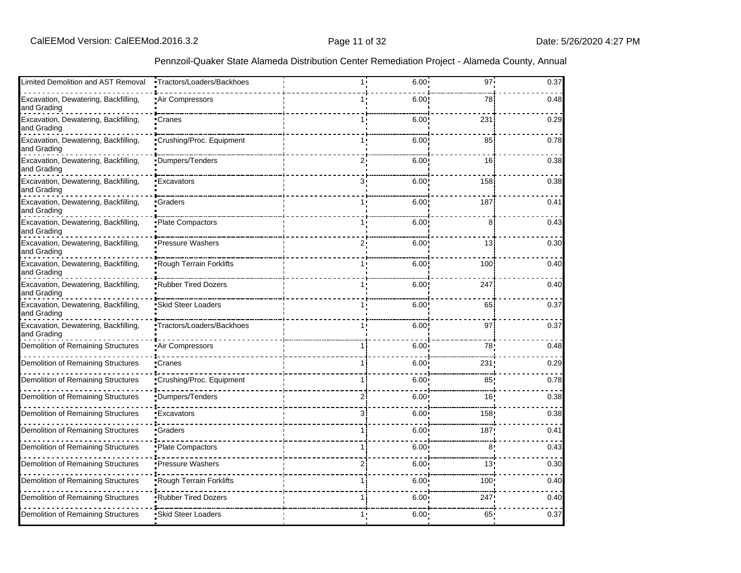| Limited Demolition and AST Removal                  | •Tractors/Loaders/Backhoes | 1.1   | $6.00 -$          | $97 -$           | 0.37 |
|-----------------------------------------------------|----------------------------|-------|-------------------|------------------|------|
| Excavation, Dewatering, Backfilling,<br>and Grading | Air Compressors            |       | 6.00              | 78               | 0.48 |
| Excavation, Dewatering, Backfilling,<br>and Grading | •Cranes                    |       | 6.00              | 231              | 0.29 |
| Excavation, Dewatering, Backfilling,<br>and Grading | Crushing/Proc. Equipment   |       | 6.00              | 85               | 0.78 |
| Excavation, Dewatering, Backfilling,<br>and Grading | Dumpers/Tenders            | $2^1$ | 6.00              | 16               | 0.38 |
| Excavation, Dewatering, Backfilling,<br>and Grading | 'Excavators                | 3.    | 6.00              | 158              | 0.38 |
| Excavation, Dewatering, Backfilling,<br>and Grading | Graders                    |       | 6.00              | 187              | 0.41 |
| Excavation, Dewatering, Backfilling,<br>and Grading | Plate Compactors           |       | 6.00              | 8                | 0.43 |
| Excavation, Dewatering, Backfilling,<br>and Grading | Pressure Washers           | 2.    | 6.00              | 13               | 0.30 |
| Excavation, Dewatering, Backfilling,<br>and Grading | Rough Terrain Forklifts    |       | 6.00              | 100              | 0.40 |
| Excavation, Dewatering, Backfilling,<br>and Grading | Rubber Tired Dozers        |       | 6.00              | 247              | 0.40 |
| Excavation, Dewatering, Backfilling,<br>and Grading | Skid Steer Loaders         |       | 6.00              | 65               | 0.37 |
| Excavation, Dewatering, Backfilling,<br>and Grading | Tractors/Loaders/Backhoes  |       | 6.00              | 97               | 0.37 |
| Demolition of Remaining Structures                  | Air Compressors!           |       | 6.00              | 78               | 0.48 |
| Demolition of Remaining Structures                  | •Cranes                    |       | 6.00              | 231              | 0.29 |
| Demolition of Remaining Structures                  | "Crushing/Proc. Equipment  |       | 6.00              | 85 <sub>1</sub>  | 0.78 |
| Demolition of Remaining Structures                  | Dumpers/Tenders            |       | 6.00              | 16 <sub>1</sub>  | 0.38 |
| Demolition of Remaining Structures                  | Excavators                 | 3.    | 6.00              | 158              | 0.38 |
| Demolition of Remaining Structures                  | Graders                    |       | 6.00              | 187              | 0.41 |
| Demolition of Remaining Structures                  | Plate Compactors           |       | 6.00              | 8'               | 0.43 |
| Demolition of Remaining Structures                  | Pressure Washers           |       | 6.00              | 13 <sub>1</sub>  | 0.30 |
| Demolition of Remaining Structures                  | Rough Terrain Forklifts    |       | 6.00              | 100 <sub>1</sub> | 0.40 |
| Demolition of Remaining Structures                  | Rubber Tired Dozers        |       | 6.00 <sup>1</sup> | 247              | 0.40 |
| Demolition of Remaining Structures                  | Skid Steer Loaders         |       | 6.00              | 65 <sub>1</sub>  | 0.37 |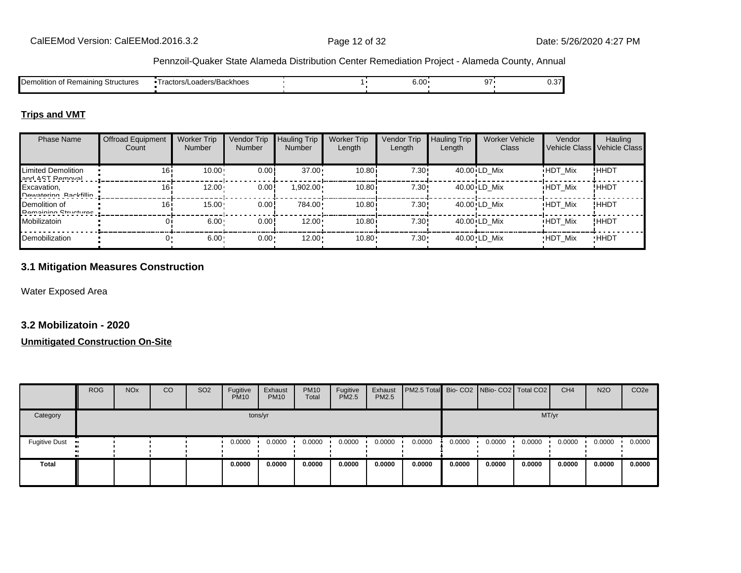| Structures<br>: Remaining<br>Demolition | Loaders/Backhoes<br>l ractors/L | $\sim$ 00<br>o.uu | --<br>$\cdot$ | $\sim$ $-1$<br>∪.∪ |
|-----------------------------------------|---------------------------------|-------------------|---------------|--------------------|
|                                         |                                 |                   |               |                    |

## **Trips and VMT**

| <b>Phase Name</b>                            | <b>Offroad Equipment</b><br>Count | <b>Worker Trip</b><br><b>Number</b> | Vendor Trip<br><b>Number</b> | <b>Hauling Trip</b><br><b>Number</b> | <b>Worker Trip</b><br>Length | Vendor Trip<br>Length | <b>Hauling Trip</b><br>Length | <b>Worker Vehicle</b><br>Class | Vendor         | Hauling<br>Vehicle Class Vehicle Class |
|----------------------------------------------|-----------------------------------|-------------------------------------|------------------------------|--------------------------------------|------------------------------|-----------------------|-------------------------------|--------------------------------|----------------|----------------------------------------|
| Limited Demolition<br>and AST Damoual        | 16                                | 10.00                               | 0.00!                        | $37.00 \cdot$                        | 10.80                        | 7.30!                 |                               | 40.00 LD Mix                   | <b>HDT Mix</b> | !HHDT                                  |
| Excavation,<br>Dowatoring Rackfillin         | 16i                               | 12.00                               | 0.00!                        | 1,902.00+                            | 10.80i                       | 7.30!                 |                               | 40.00 LD Mix                   | <b>HDT Mix</b> | !HHDT                                  |
| Demolition of<br><b>Damaining Ctructures</b> | 16i                               | $15.00 -$                           | 0.00!                        | 784.00                               | 10.80i                       | 7.30!                 |                               | 40.00 LD Mix                   | <b>HDT Mix</b> | !HHDT                                  |
| Mobilizatoin                                 |                                   | 6.00                                | 0.00!                        | $12.00 \cdot$                        | 10.80i                       | 7.30!                 |                               | 40.00 LD Mix                   | <b>HDT Mix</b> | !HHDT                                  |
| Demobilization                               |                                   | $6.00 \cdot$                        | $0.00 -$                     | 12.00                                | 10.80                        | $7.30 \cdot$          |                               | 40.00 LD Mix                   | <b>HDT Mix</b> | <b>HHDT</b>                            |

# **3.1 Mitigation Measures Construction**

Water Exposed Area

# **3.2 Mobilizatoin - 2020**

#### **Unmitigated Construction On-Site**

|               | <b>ROG</b> | <b>NO<sub>x</sub></b> | CO | SO <sub>2</sub> | Fugitive<br><b>PM10</b> | Exhaust<br><b>PM10</b> | <b>PM10</b><br>Total | Fugitive<br><b>PM2.5</b> | Exhaust<br><b>PM2.5</b> | <b>PM2.5 Total</b> Bio- CO2 NBio- CO2 Total CO2 |        |        |        | CH <sub>4</sub> | <b>N2O</b> | CO <sub>2e</sub> |
|---------------|------------|-----------------------|----|-----------------|-------------------------|------------------------|----------------------|--------------------------|-------------------------|-------------------------------------------------|--------|--------|--------|-----------------|------------|------------------|
| Category      |            |                       |    |                 |                         | tons/yr                |                      |                          |                         |                                                 |        |        |        | MT/yr           |            |                  |
| Fugitive Dust |            |                       |    |                 | 0.0000                  | 0.0000                 | 0.0000               | 0.0000                   | 0.0000                  | 0.0000                                          | 0.0000 | 0.0000 | 0.0000 | 0.0000          | 0.0000     | 0.0000           |
| <b>Total</b>  |            |                       |    |                 | 0.0000                  | 0.0000                 | 0.0000               | 0.0000                   | 0.0000                  | 0.0000                                          | 0.0000 | 0.0000 | 0.0000 | 0.0000          | 0.0000     | 0.0000           |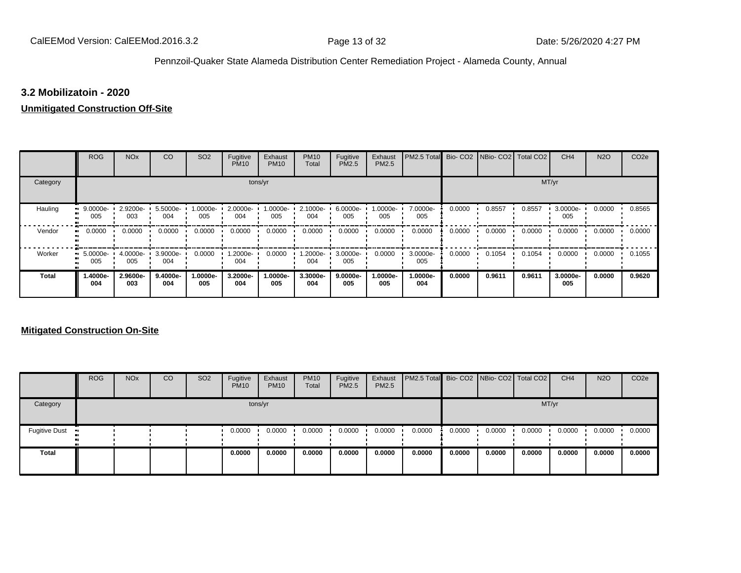## **3.2 Mobilizatoin - 2020**

## **Unmitigated Construction Off-Site**

|              | <b>ROG</b>             | <b>NO<sub>x</sub></b> | CO              | SO <sub>2</sub> | Fugitive<br><b>PM10</b> | Exhaust<br><b>PM10</b> | <b>PM10</b><br>Total | Fugitive<br>PM2.5 | Exhaust<br><b>PM2.5</b> | PM2.5 Total Bio- CO2 NBio- CO2 |        |        | Total CO <sub>2</sub> | CH <sub>4</sub> | <b>N2O</b> | CO <sub>2e</sub> |
|--------------|------------------------|-----------------------|-----------------|-----------------|-------------------------|------------------------|----------------------|-------------------|-------------------------|--------------------------------|--------|--------|-----------------------|-----------------|------------|------------------|
| Category     |                        |                       |                 |                 |                         | tons/yr                |                      |                   |                         |                                |        |        |                       | MT/yr           |            |                  |
| Hauling      | $9.0000e -$<br>005     | 2.9200e-<br>003       | 5.5000e-<br>004 | 1.0000e-<br>005 | 2.0000e-<br>004         | 1.0000e-<br>005        | 2.1000e-<br>004      | 6.0000e-<br>005   | 1.0000e-<br>005         | 7.0000e-<br>005                | 0.0000 | 0.8557 | 0.8557                | 3.0000e-<br>005 | 0.0000     | 0.8565           |
| Vendor       | 0.0000<br>$\mathbf{u}$ | 0.0000                | 0.0000          | 0.0000          | 0.0000                  | 0.0000                 | 0.0000               | 0.0000            | 0.0000                  | 0.0000                         | 0.0000 | 0.0000 | 0.0000                | 0.0000          | 0.0000     | 0.0000           |
| Worker       | 5.0000e-<br>п.<br>005  | 4.0000e-<br>005       | 3.9000e-<br>004 | 0.0000          | -2000e.<br>004          | 0.0000                 | 1.2000e-<br>004      | 3.0000e-<br>005   | 0.0000                  | 3.0000e-<br>005                | 0.0000 | 0.1054 | 0.1054                | 0.0000          | 0.0000     | 0.1055           |
| <b>Total</b> | -.4000e<br>004         | 2.9600e-<br>003       | 9.4000e-<br>004 | 1.0000e-<br>005 | 3.2000e-<br>004         | 1.0000e-<br>005        | 3.3000e-<br>004      | 9.0000e-<br>005   | 1.0000e-<br>005         | 1.0000e-<br>004                | 0.0000 | 0.9611 | 0.9611                | 3.0000e-<br>005 | 0.0000     | 0.9620           |

# **Mitigated Construction On-Site**

|                                        | <b>ROG</b> | <b>NO<sub>x</sub></b> | CO | SO <sub>2</sub> | Fugitive<br><b>PM10</b> | Exhaust<br><b>PM10</b> | <b>PM10</b><br>Total | Fugitive<br><b>PM2.5</b> | Exhaust<br><b>PM2.5</b> | <b>PM2.5 Total</b> Bio- CO2 NBio- CO2 Total CO2 |        |        |        | CH <sub>4</sub> | <b>N2O</b> | CO <sub>2</sub> e |
|----------------------------------------|------------|-----------------------|----|-----------------|-------------------------|------------------------|----------------------|--------------------------|-------------------------|-------------------------------------------------|--------|--------|--------|-----------------|------------|-------------------|
| Category                               |            |                       |    |                 |                         | tons/yr                |                      |                          |                         |                                                 |        |        |        | MT/yr           |            |                   |
| <b>Fugitive Dust</b><br>$\blacksquare$ |            |                       |    |                 | 0.0000                  | 0.0000                 | 0.0000               | 0.0000                   | 0.0000                  | 0.0000                                          | 0.0000 | 0.0000 | 0.0000 | 0.0000          | 0.0000     | 0.0000            |
| Total                                  |            |                       |    |                 | 0.0000                  | 0.0000                 | 0.0000               | 0.0000                   | 0.0000                  | 0.0000                                          | 0.0000 | 0.0000 | 0.0000 | 0.0000          | 0.0000     | 0.0000            |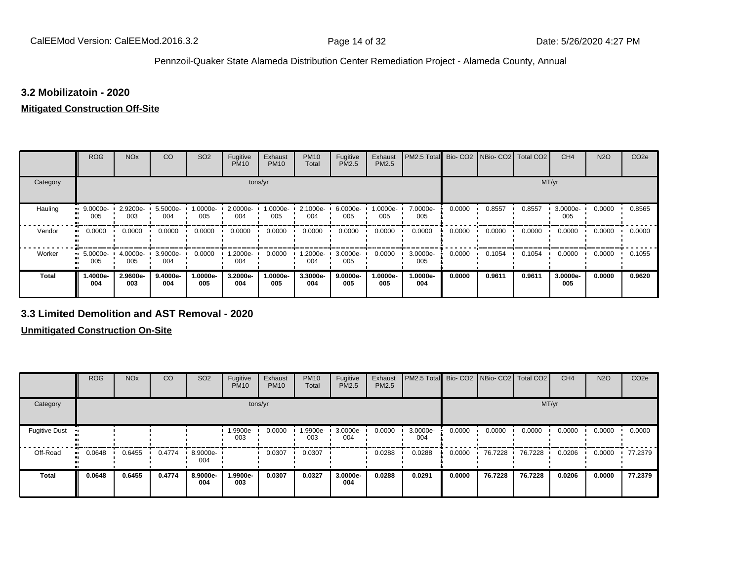## **3.2 Mobilizatoin - 2020**

### **Mitigated Construction Off-Site**

|                     | <b>ROG</b>      | <b>NO<sub>x</sub></b> | CO              | SO <sub>2</sub> | Fugitive<br><b>PM10</b> | Exhaust<br><b>PM10</b> | <b>PM10</b><br>Total | Fugitive<br>PM2.5 | Exhaust<br>PM2.5 | PM2.5 Total     |        | Bio- CO2   NBio- CO2   Total CO2 |        | CH <sub>4</sub> | <b>N2O</b> | CO <sub>2e</sub> |
|---------------------|-----------------|-----------------------|-----------------|-----------------|-------------------------|------------------------|----------------------|-------------------|------------------|-----------------|--------|----------------------------------|--------|-----------------|------------|------------------|
| Category            |                 |                       |                 |                 | tons/yr                 |                        |                      |                   |                  |                 |        |                                  | MT/yr  |                 |            |                  |
| Hauling             | 9.0000e-<br>005 | 2.9200e-<br>003       | 5.5000e-<br>004 | 1.0000e-<br>005 | 2.0000e-<br>004         | 1.0000e-<br>005        | 2.1000e-<br>004      | 6.0000e-<br>005   | $.0000e-$<br>005 | 7.0000e-<br>005 | 0.0000 | 0.8557                           | 0.8557 | 3.0000e-<br>005 | 0.0000     | 0.8565           |
| Vendor<br>$\bullet$ | 0.0000          | 0.0000                | 0.0000          | 0.0000          | 0.0000                  | 0.0000                 | 0.0000               | 0.0000            | 0.0000           | 0.0000          | 0.0000 | 0.0000                           | 0.0000 | 0.0000          | 0.0000     | 0.0000           |
| Worker<br>$\bullet$ | 5.0000e-<br>005 | 4.0000e-<br>005       | 3.9000e-<br>004 | 0.0000          | -2000e.<br>004          | 0.0000                 | -2000e.<br>004       | 3.0000e-<br>005   | 0.0000           | 3.0000e-<br>005 | 0.0000 | 0.1054                           | 0.1054 | 0.0000          | 0.0000     | 0.1055           |
| <b>Total</b>        | -.4000e<br>004  | 2.9600e-<br>003       | 9.4000e-<br>004 | 1.0000e-<br>005 | 3.2000e-<br>004         | 1.0000e-<br>005        | 3.3000e-<br>004      | 9.0000e-<br>005   | .0000e-<br>005   | 1.0000e-<br>004 | 0.0000 | 0.9611                           | 0.9611 | 3.0000e-<br>005 | 0.0000     | 0.9620           |

## **3.3 Limited Demolition and AST Removal - 2020**

**Unmitigated Construction On-Site**

|                          | <b>ROG</b> | <b>NO<sub>x</sub></b> | CO     | SO <sub>2</sub> | Fugitive<br><b>PM10</b> | Exhaust<br><b>PM10</b> | <b>PM10</b><br>Total | Fugitive<br><b>PM2.5</b> | Exhaust<br>PM2.5 | PM2.5 Total Bio- CO2 NBio- CO2 Total CO2 |        |         |         | CH <sub>4</sub> | <b>N2O</b> | CO <sub>2e</sub> |
|--------------------------|------------|-----------------------|--------|-----------------|-------------------------|------------------------|----------------------|--------------------------|------------------|------------------------------------------|--------|---------|---------|-----------------|------------|------------------|
| Category                 |            |                       |        |                 | tons/yr                 |                        |                      |                          |                  |                                          |        |         | MT/yr   |                 |            |                  |
| <b>Fugitive Dust</b>     |            |                       |        |                 | 1.9900e-<br>003         | 0.0000                 | 1.9900e-<br>003      | 3.0000e-<br>004          | 0.0000           | 3.0000e-<br>004                          | 0.0000 | 0.0000  | 0.0000  | 0.0000          | 0.0000     | 0.0000           |
| Off-Road<br>$\mathbf{u}$ | 0.0648     | 0.6455                | 0.4774 | 8.9000e-<br>004 |                         | 0.0307                 | 0.0307               |                          | 0.0288           | 0.0288                                   | 0.0000 | 76.7228 | 76.7228 | 0.0206          | 0.0000     | 77.2379          |
| <b>Total</b>             | 0.0648     | 0.6455                | 0.4774 | 8.9000e-<br>004 | 1.9900e-<br>003         | 0.0307                 | 0.0327               | 3.0000e-<br>004          | 0.0288           | 0.0291                                   | 0.0000 | 76.7228 | 76.7228 | 0.0206          | 0.0000     | 77.2379          |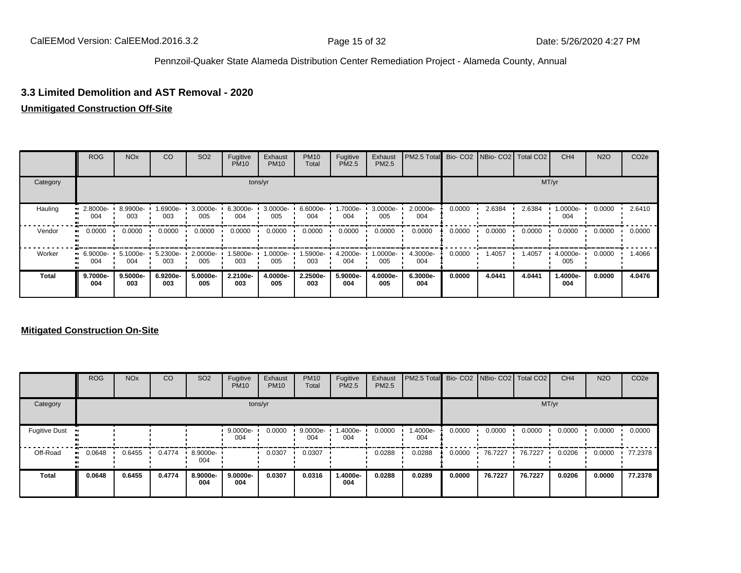## **3.3 Limited Demolition and AST Removal - 2020**

### **Unmitigated Construction Off-Site**

|              | <b>ROG</b>         | <b>NO<sub>x</sub></b> | CO              | SO <sub>2</sub> | Fugitive<br><b>PM10</b> | Exhaust<br><b>PM10</b> | <b>PM10</b><br>Total | Fugitive<br><b>PM2.5</b> | Exhaust<br>PM2.5 | PM2.5 Total Bio- CO2 NBio- CO2 Total CO2 |        |        |        | CH <sub>4</sub> | <b>N2O</b> | CO <sub>2e</sub> |
|--------------|--------------------|-----------------------|-----------------|-----------------|-------------------------|------------------------|----------------------|--------------------------|------------------|------------------------------------------|--------|--------|--------|-----------------|------------|------------------|
| Category     |                    |                       |                 |                 |                         | tons/yr                |                      |                          |                  |                                          |        |        |        | MT/yr           |            |                  |
| Hauling      | 2.8000e-<br>004    | 8.9900e-<br>003       | -6900e-<br>003  | 3.0000e-<br>005 | 6.3000e-<br>004         | 3.0000e-<br>005        | 6.6000e-<br>004      | 1.7000e-<br>004          | 3.0000e-<br>005  | 2.0000e-<br>004                          | 0.0000 | 2.6384 | 2.6384 | 1.0000e-<br>004 | 0.0000     | 2.6410           |
| Vendor       | 0.0000<br>. .      | 0.0000                | 0.0000          | 0.0000          | 0.0000                  | 0.0000                 | 0.0000               | 0.0000                   | 0.0000           | 0.0000                                   | 0.0000 | 0.0000 | 0.0000 | 0.0000          | 0.0000     | 0.0000           |
| Worker       | $-6.9000e-$<br>004 | 5.1000e-<br>004       | 5.2300e-<br>003 | 2.0000e-<br>005 | 1.5800e-<br>003         | 1.0000e-<br>005        | 1.5900e-<br>003      | 4.2000e-<br>004          | -.0000e<br>005   | 4.3000e-<br>004                          | 0.0000 | 1.4057 | 1.4057 | 4.0000e-<br>005 | 0.0000     | 1.4066           |
| <b>Total</b> | 9.7000e-<br>004    | 9.5000e-<br>003       | 6.9200e-<br>003 | 5.0000e-<br>005 | 2.2100e-<br>003         | 4.0000e-<br>005        | 2.2500e-<br>003      | 5.9000e-<br>004          | 4.0000e-<br>005  | 6.3000e-<br>004                          | 0.0000 | 4.0441 | 4.0441 | 1.4000e-<br>004 | 0.0000     | 4.0476           |

#### **Mitigated Construction On-Site**

|                      | <b>ROG</b> | <b>NO<sub>x</sub></b> | CO     | SO <sub>2</sub> | Fugitive<br><b>PM10</b> | Exhaust<br><b>PM10</b> | <b>PM10</b><br>Total | Fugitive<br><b>PM2.5</b> | Exhaust<br><b>PM2.5</b> | PM2.5 Total Bio- CO2 NBio- CO2 Total CO2 |        |         |         | CH <sub>4</sub> | <b>N2O</b> | CO <sub>2e</sub> |
|----------------------|------------|-----------------------|--------|-----------------|-------------------------|------------------------|----------------------|--------------------------|-------------------------|------------------------------------------|--------|---------|---------|-----------------|------------|------------------|
| Category             |            |                       |        |                 |                         | tons/yr                |                      |                          |                         |                                          |        |         | MT/yr   |                 |            |                  |
| <b>Fugitive Dust</b> |            |                       |        |                 | 9.0000e-<br>004         | 0.0000                 | 9.0000e-<br>004      | 1.4000e-<br>004          | 0.0000                  | -.4000e<br>004                           | 0.0000 | 0.0000  | 0.0000  | 0.0000          | 0.0000     | 0.0000           |
| Off-Road             | 0.0648     | 0.6455                | 0.4774 | 8.9000e-<br>004 |                         | 0.0307                 | 0.0307               |                          | 0.0288                  | 0.0288                                   | 0.0000 | 76.7227 | 76.7227 | 0.0206          | 0.0000     | 77.2378          |
| <b>Total</b>         | 0.0648     | 0.6455                | 0.4774 | 8.9000e-<br>004 | 9.0000e-<br>004         | 0.0307                 | 0.0316               | 1.4000e-<br>004          | 0.0288                  | 0.0289                                   | 0.0000 | 76.7227 | 76.7227 | 0.0206          | 0.0000     | 77.2378          |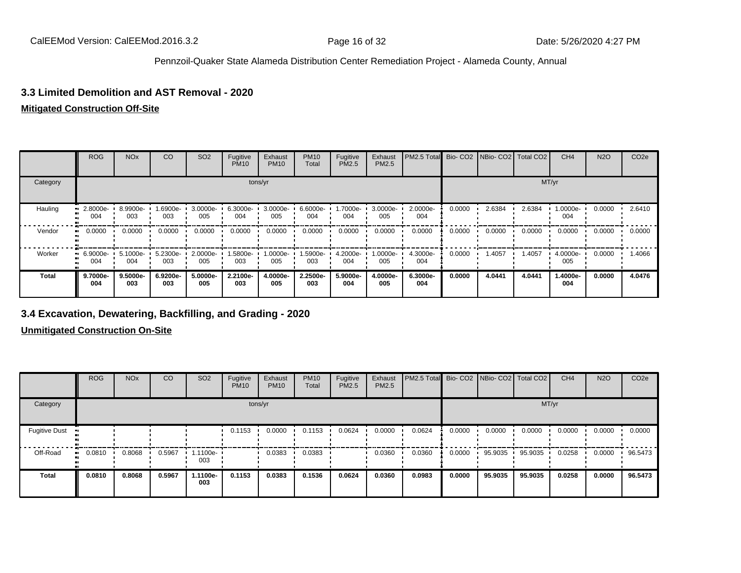## **3.3 Limited Demolition and AST Removal - 2020**

## **Mitigated Construction Off-Site**

|              | <b>ROG</b>         | <b>NO<sub>x</sub></b> | CO              | SO <sub>2</sub>    | Fugitive<br><b>PM10</b> | Exhaust<br><b>PM10</b> | <b>PM10</b><br>Total | Fugitive<br><b>PM2.5</b> | Exhaust<br>PM2.5 | PM2.5 Total     |        | Bio- CO2   NBio- CO2   Total CO2 |        | CH <sub>4</sub> | <b>N2O</b> | CO <sub>2e</sub> |
|--------------|--------------------|-----------------------|-----------------|--------------------|-------------------------|------------------------|----------------------|--------------------------|------------------|-----------------|--------|----------------------------------|--------|-----------------|------------|------------------|
| Category     |                    |                       |                 |                    |                         | tons/yr                |                      |                          |                  |                 |        |                                  |        | MT/yr           |            |                  |
| Hauling      | 2.8000e-<br>004    | 8.9900e-<br>003       | -6900e-<br>003  | 3.0000e-<br>005    | 6.3000e-<br>004         | 3.0000e-<br>005        | 6.6000e-<br>004      | 1.7000e-<br>004          | 3.0000e-<br>005  | 2.0000e-<br>004 | 0.0000 | 2.6384                           | 2.6384 | 1.0000e-<br>004 | 0.0000     | 2.6410           |
| Vendor       | 0.0000<br>ш.       | 0.0000                | 0.0000          | 0.0000             | 0.0000                  | 0.0000                 | 0.0000               | 0.0000                   | 0.0000           | 0.0000          | 0.0000 | 0.0000                           | 0.0000 | 0.0000          | 0.0000     | 0.0000           |
| Worker       | $-6.9000e-$<br>004 | 5.1000e-<br>004       | 5.2300e-<br>003 | $2.0000e -$<br>005 | 1.5800e-<br>003         | 1.0000e-<br>005        | 1.5900e-<br>003      | 4.2000e-<br>004          | -0000e-<br>005   | 4.3000e-<br>004 | 0.0000 | 1.4057                           | 1.4057 | 4.0000e-<br>005 | 0.0000     | 1.4066           |
| <b>Total</b> | 9.7000e-<br>004    | 9.5000e-<br>003       | 6.9200e-<br>003 | 5.0000e-<br>005    | 2.2100e-<br>003         | 4.0000e-<br>005        | 2.2500e-<br>003      | 5.9000e-<br>004          | 4.0000e-<br>005  | 6.3000e-<br>004 | 0.0000 | 4.0441                           | 4.0441 | 1.4000e-<br>004 | 0.0000     | 4.0476           |

# **3.4 Excavation, Dewatering, Backfilling, and Grading - 2020**

**Unmitigated Construction On-Site**

|                      | <b>ROG</b>   | <b>NO<sub>x</sub></b> | CO     | SO <sub>2</sub> | Fugitive<br><b>PM10</b> | Exhaust<br><b>PM10</b> | <b>PM10</b><br>Total | Fugitive<br><b>PM2.5</b> | Exhaust<br>PM2.5 | PM2.5 Total Bio- CO2 NBio- CO2 Total CO2 |        |         |         | CH <sub>4</sub> | <b>N2O</b> | CO <sub>2e</sub> |
|----------------------|--------------|-----------------------|--------|-----------------|-------------------------|------------------------|----------------------|--------------------------|------------------|------------------------------------------|--------|---------|---------|-----------------|------------|------------------|
| Category             |              |                       |        |                 | tons/yr                 |                        |                      |                          |                  |                                          |        |         | MT/yr   |                 |            |                  |
| <b>Fugitive Dust</b> |              |                       |        |                 | 0.1153                  | 0.0000                 | 0.1153               | 0.0624                   | 0.0000           | 0.0624                                   | 0.0000 | 0.0000  | 0.0000  | 0.0000          | 0.0000     | 0.0000           |
| Off-Road             | 0.0810<br>ш. | 0.8068                | 0.5967 | 1.1100e-<br>003 |                         | 0.0383                 | 0.0383               |                          | 0.0360           | 0.0360                                   | 0.0000 | 95.9035 | 95.9035 | 0.0258          | 0.0000     | 96.5473          |
| Total                | 0.0810       | 0.8068                | 0.5967 | 1.1100e-<br>003 | 0.1153                  | 0.0383                 | 0.1536               | 0.0624                   | 0.0360           | 0.0983                                   | 0.0000 | 95.9035 | 95.9035 | 0.0258          | 0.0000     | 96.5473          |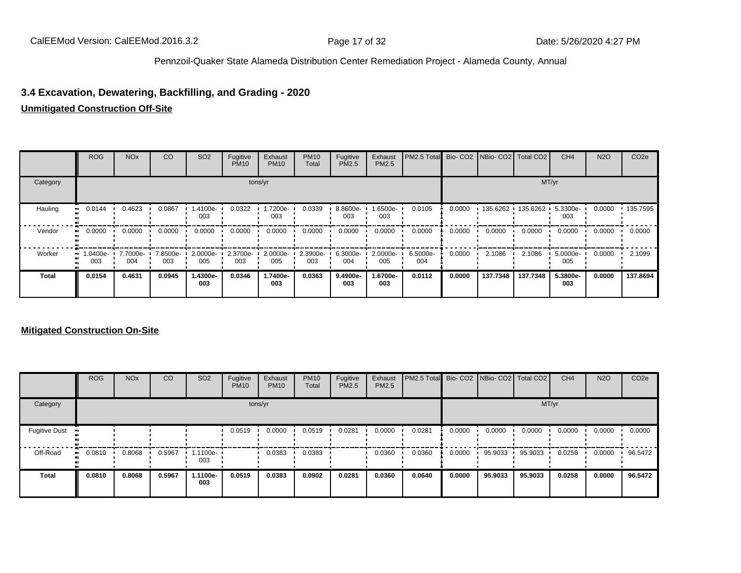# **3.4 Excavation, Dewatering, Backfilling, and Grading - 2020**

# **Unmitigated Construction Off-Site**

|          | <b>ROG</b>            | <b>NO<sub>x</sub></b> | CO              | SO <sub>2</sub> | Fugitive<br><b>PM10</b> | Exhaust<br><b>PM10</b> | <b>PM10</b><br>Total | Fugitive<br>PM2.5 | Exhaust<br><b>PM2.5</b> | PM2.5 Total     |        | Bio- CO2   NBio- CO2   Total CO2 |                     | CH <sub>4</sub> | <b>N2O</b> | CO <sub>2e</sub> |
|----------|-----------------------|-----------------------|-----------------|-----------------|-------------------------|------------------------|----------------------|-------------------|-------------------------|-----------------|--------|----------------------------------|---------------------|-----------------|------------|------------------|
| Category |                       |                       |                 |                 |                         | tons/yr                |                      |                   |                         |                 |        |                                  | MT/yr               |                 |            |                  |
| Hauling  | 0.0144<br>ш.          | 0.4623                | 0.0867          | 1.4100e-<br>003 | 0.0322                  | 1.7200e-<br>003        | 0.0339               | 8.8600e-<br>003   | -6500e-<br>003          | 0.0105          | 0.0000 |                                  | 135.6262 135.6262 ' | 5.3300e-<br>003 | 0.0000     | 135.7595         |
| Vendor   | $\blacksquare$ 0.0000 | 0.0000                | 0.0000          | 0.0000          | 0.0000                  | 0.0000                 | 0.0000               | 0.0000            | 0.0000                  | 0.0000          | 0.0000 | 0.0000                           | 0.0000              | 0.0000          | 0.0000     | 0.0000           |
| Worker   | $-1.0400e-$<br>003    | 7.7000e-<br>004       | 7.8500e-<br>003 | 2.0000e-<br>005 | 2.3700e-<br>003         | 2.0000e-<br>005        | 2.3900e-<br>003      | 6.3000e-<br>004   | 2.0000e-<br>005         | 6.5000e-<br>004 | 0.0000 | 2.1086                           | 2.1086              | 5.0000e-<br>005 | 0.0000     | 2.1099           |
| Total    | 0.0154                | 0.4631                | 0.0945          | 1.4300e-<br>003 | 0.0346                  | 1.7400e-<br>003        | 0.0363               | 9.4900e-<br>003   | 1.6700e-<br>003         | 0.0112          | 0.0000 | 137.7348                         | 137.7348            | 5.3800e-<br>003 | 0.0000     | 137.8694         |

# **Mitigated Construction On-Site**

|                      | <b>ROG</b>   | <b>NO<sub>x</sub></b> | CO     | SO <sub>2</sub>   | Fugitive<br><b>PM10</b> | Exhaust<br><b>PM10</b> | <b>PM10</b><br>Total | Fugitive<br><b>PM2.5</b> | Exhaust<br><b>PM2.5</b> | <b>PM2.5 Total</b> Bio- CO2 NBio- CO2 Total CO2 |        |         |         | CH <sub>4</sub> | <b>N2O</b> | CO <sub>2e</sub> |
|----------------------|--------------|-----------------------|--------|-------------------|-------------------------|------------------------|----------------------|--------------------------|-------------------------|-------------------------------------------------|--------|---------|---------|-----------------|------------|------------------|
| Category             |              |                       |        |                   |                         | tons/yr                |                      |                          |                         |                                                 |        |         | MT/yr   |                 |            |                  |
| <b>Fugitive Dust</b> |              |                       |        |                   | 0.0519                  | 0.0000                 | 0.0519               | 0.0281                   | 0.0000                  | 0.0281                                          | 0.0000 | 0.0000  | 0.0000  | 0.0000          | 0.0000     | 0.0000           |
| Off-Road             | 0.0810<br>ш. | 0.8068                | 0.5967 | 1.1100e- ∙<br>003 |                         | 0.0383                 | 0.0383               |                          | 0.0360                  | 0.0360                                          | 0.0000 | 95.9033 | 95.9033 | 0.0258          | 0.0000     | 96.5472          |
| <b>Total</b>         | 0.0810       | 0.8068                | 0.5967 | 1.1100e-<br>003   | 0.0519                  | 0.0383                 | 0.0902               | 0.0281                   | 0.0360                  | 0.0640                                          | 0.0000 | 95.9033 | 95.9033 | 0.0258          | 0.0000     | 96.5472          |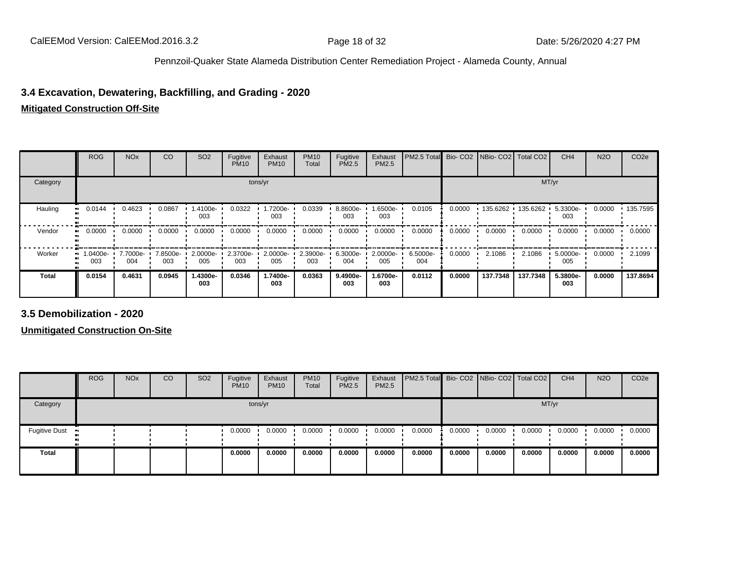# **3.4 Excavation, Dewatering, Backfilling, and Grading - 2020**

# **Mitigated Construction Off-Site**

|              | <b>ROG</b>            | <b>NO<sub>x</sub></b> | CO              | SO <sub>2</sub>      | Fugitive<br><b>PM10</b> | Exhaust<br><b>PM10</b> | <b>PM10</b><br>Total | Fugitive<br><b>PM2.5</b> | Exhaust<br>PM2.5 | PM2.5 Total Bio- CO2 NBio- CO2 Total CO2 |        |                       |          | CH <sub>4</sub> | <b>N2O</b> | CO <sub>2e</sub> |
|--------------|-----------------------|-----------------------|-----------------|----------------------|-------------------------|------------------------|----------------------|--------------------------|------------------|------------------------------------------|--------|-----------------------|----------|-----------------|------------|------------------|
| Category     |                       |                       |                 |                      |                         | tons/yr                |                      |                          |                  |                                          |        |                       |          | MT/yr           |            |                  |
| Hauling      | 0.0144<br>. .         | 0.4623                | 0.0867          | 1.4100e-<br>003      | 0.0322                  | 1.7200e-<br>003        | 0.0339               | 8.8600e-<br>003          | 1.6500e-<br>003  | 0.0105                                   | 0.0000 | $135.6262$ 135.6262 · |          | 5.3300e-<br>003 | 0.0000     | $+135.7595$      |
| Vendor       | 0.0000                | 0.0000                | 0.0000          | 0.0000               | 0.0000                  | 0.0000                 | 0.0000               | 0.0000                   | 0.0000           | 0.0000                                   | 0.0000 | 0.0000                | 0.0000   | 0.0000          | 0.0000     | 0.0000           |
| Worker       | 1.0400e- L<br><br>003 | 7.7000e-<br>004       | 7.8500e-<br>003 | $2.0000e - 1$<br>005 | 2.3700e-<br>003         | 2.0000e-<br>005        | 2.3900e-<br>003      | 6.3000e-<br>004          | 2.0000e-<br>005  | 6.5000e-<br>004                          | 0.0000 | 2.1086                | 2.1086   | 5.0000e-<br>005 | 0.0000     | 2.1099           |
| <b>Total</b> | 0.0154                | 0.4631                | 0.0945          | 1.4300e-<br>003      | 0.0346                  | 1.7400e-<br>003        | 0.0363               | 9.4900e-<br>003          | 1.6700e-<br>003  | 0.0112                                   | 0.0000 | 137.7348              | 137.7348 | 5.3800e-<br>003 | 0.0000     | 137.8694         |

**3.5 Demobilization - 2020**

**Unmitigated Construction On-Site**

|                      | <b>ROG</b> | <b>NO<sub>x</sub></b> | CO | SO <sub>2</sub> | Fugitive<br><b>PM10</b> | Exhaust<br><b>PM10</b> | <b>PM10</b><br>Total | Fugitive<br><b>PM2.5</b> | Exhaust<br>PM2.5 | <b>PM2.5 Total</b> Bio- CO2 NBio- CO2 Total CO2 |        |        |        | CH <sub>4</sub> | <b>N2O</b> | CO <sub>2e</sub> |
|----------------------|------------|-----------------------|----|-----------------|-------------------------|------------------------|----------------------|--------------------------|------------------|-------------------------------------------------|--------|--------|--------|-----------------|------------|------------------|
| Category             |            |                       |    |                 |                         | tons/yr                |                      |                          |                  |                                                 |        |        |        | MT/yr           |            |                  |
| <b>Fugitive Dust</b> |            |                       |    |                 | 0.0000                  | 0.0000                 | 0.0000               | 0.0000                   | 0.0000           | 0.0000                                          | 0.0000 | 0.0000 | 0.0000 | 0.0000          | 0.0000     | 0.0000           |
| <b>Total</b>         |            |                       |    |                 | 0.0000                  | 0.0000                 | 0.0000               | 0.0000                   | 0.0000           | 0.0000                                          | 0.0000 | 0.0000 | 0.0000 | 0.0000          | 0.0000     | 0.0000           |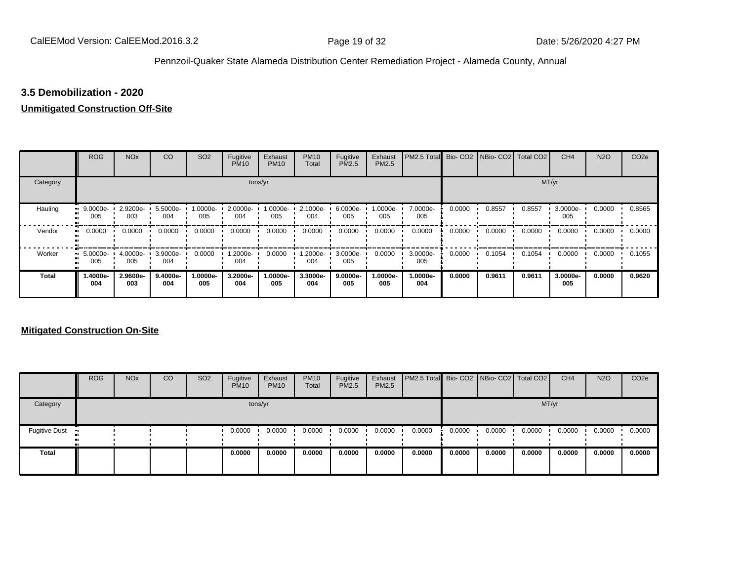#### **3.5 Demobilization - 2020**

#### **Unmitigated Construction Off-Site**

|              | <b>ROG</b>      | <b>NO<sub>x</sub></b> | CO              | SO <sub>2</sub> | Fugitive<br><b>PM10</b> | Exhaust<br><b>PM10</b> | <b>PM10</b><br>Total | Fugitive<br><b>PM2.5</b> | Exhaust<br><b>PM2.5</b> | PM2.5 Total Bio- CO2 NBio- CO2 Total CO2 |        |        |        | CH <sub>4</sub> | <b>N2O</b> | CO <sub>2e</sub> |
|--------------|-----------------|-----------------------|-----------------|-----------------|-------------------------|------------------------|----------------------|--------------------------|-------------------------|------------------------------------------|--------|--------|--------|-----------------|------------|------------------|
| Category     |                 |                       |                 |                 |                         | tons/yr                |                      |                          |                         |                                          |        |        |        | MT/yr           |            |                  |
| Hauling      | 9.0000e-<br>005 | 2.9200e-<br>003       | 5.5000e-<br>004 | 1.0000e-<br>005 | 2.0000e-<br>004         | 1.0000e-<br>005        | 2.1000e-<br>004      | 6.0000e-<br>005          | -:0000e<br>005          | 7.0000e-<br>005                          | 0.0000 | 0.8557 | 0.8557 | 3.0000e-<br>005 | 0.0000     | 0.8565           |
| Vendor       | 0.0000          | 0.0000                | 0.0000          | 0.0000          | 0.0000                  | 0.0000                 | 0.0000               | 0.0000                   | 0.0000                  | 0.0000                                   | 0.0000 | 0.0000 | 0.0000 | 0.0000          | 0.0000     | 0.0000           |
| Worker       | 5.0000e-<br>005 | 4.0000e-<br>005       | 3.9000e-<br>004 | 0.0000          | -2000e.<br>004          | 0.0000                 | 1.2000e-<br>004      | 3.0000e-<br>005          | 0.0000                  | 3.0000e-<br>005                          | 0.0000 | 0.1054 | 0.1054 | 0.0000          | 0.0000     | 0.1055           |
| <b>Total</b> | -.4000e<br>004  | 2.9600e-<br>003       | 9.4000e-<br>004 | 1.0000e-<br>005 | 3.2000e-<br>004         | 1.0000e-<br>005        | 3.3000e-<br>004      | 9.0000e-<br>005          | 1.0000e-<br>005         | 1.0000e-<br>004                          | 0.0000 | 0.9611 | 0.9611 | 3.0000e-<br>005 | 0.0000     | 0.9620           |

#### **Mitigated Construction On-Site**

|                                        | <b>ROG</b> | <b>NO<sub>x</sub></b> | CO | SO <sub>2</sub> | Fugitive<br><b>PM10</b> | Exhaust<br><b>PM10</b> | <b>PM10</b><br>Total | Fugitive<br><b>PM2.5</b> | Exhaust<br><b>PM2.5</b> | <b>PM2.5 Total</b> Bio- CO2 NBio- CO2 Total CO2 |        |        |        | CH <sub>4</sub> | <b>N2O</b> | CO <sub>2</sub> e |
|----------------------------------------|------------|-----------------------|----|-----------------|-------------------------|------------------------|----------------------|--------------------------|-------------------------|-------------------------------------------------|--------|--------|--------|-----------------|------------|-------------------|
| Category                               |            |                       |    |                 |                         | tons/yr                |                      |                          |                         |                                                 |        |        | MT/yr  |                 |            |                   |
| <b>Fugitive Dust</b><br>$\blacksquare$ |            |                       |    |                 | 0.0000                  | 0.0000                 | 0.0000               | 0.0000                   | 0.0000                  | 0.0000                                          | 0.0000 | 0.0000 | 0.0000 | 0.0000          | 0.0000     | 0.0000            |
| <b>Total</b>                           |            |                       |    |                 | 0.0000                  | 0.0000                 | 0.0000               | 0.0000                   | 0.0000                  | 0.0000                                          | 0.0000 | 0.0000 | 0.0000 | 0.0000          | 0.0000     | 0.0000            |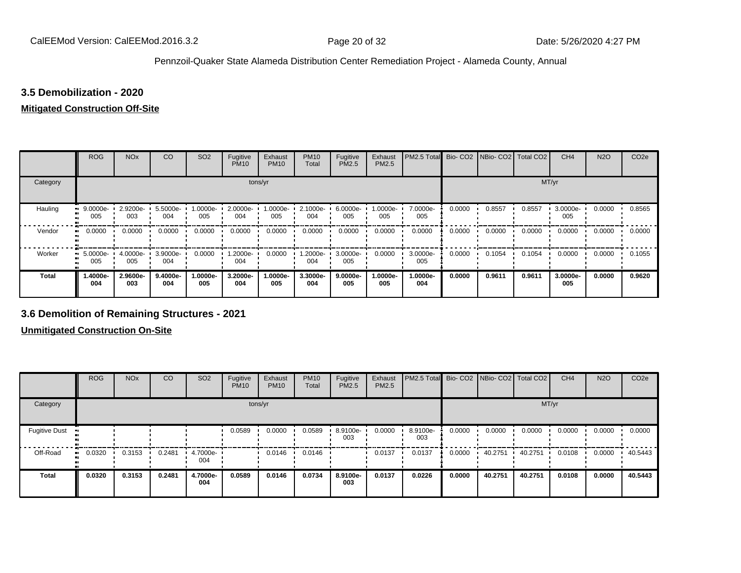# **3.5 Demobilization - 2020**

# **Mitigated Construction Off-Site**

|                     | <b>ROG</b>      | <b>NO<sub>x</sub></b> | CO              | SO <sub>2</sub>    | Fugitive<br><b>PM10</b> | Exhaust<br><b>PM10</b> | <b>PM10</b><br>Total | Fugitive<br>PM2.5 | Exhaust<br>PM2.5 | PM2.5 Total     |        | Bio- CO2 NBio- CO2 Total CO2 |        | CH <sub>4</sub> | <b>N2O</b> | CO <sub>2e</sub> |
|---------------------|-----------------|-----------------------|-----------------|--------------------|-------------------------|------------------------|----------------------|-------------------|------------------|-----------------|--------|------------------------------|--------|-----------------|------------|------------------|
| Category            |                 |                       |                 |                    | tons/yr                 |                        |                      |                   |                  |                 |        |                              | MT/yr  |                 |            |                  |
| Hauling             | 9.0000e-<br>005 | 2.9200e-<br>003       | 5.5000e-<br>004 | $1.0000e -$<br>005 | 2.0000e-<br>004         | 1.0000e-<br>005        | 2.1000e-<br>004      | 6.0000e-<br>005   | .0000e-<br>005   | 7.0000e-<br>005 | 0.0000 | 0.8557                       | 0.8557 | 3.0000e-<br>005 | 0.0000     | 0.8565           |
| Vendor<br>$\bullet$ | 0.0000          | 0.0000                | 0.0000          | 0.0000             | 0.0000                  | 0.0000                 | 0.0000               | 0.0000            | 0.0000           | 0.0000          | 0.0000 | 0.0000                       | 0.0000 | 0.0000          | 0.0000     | 0.0000           |
| Worker<br>$\bullet$ | 5.0000e-<br>005 | $4.0000e -$<br>005    | 3.9000e-<br>004 | 0.0000             | --2000e.l<br>004        | 0.0000                 | 1.2000e-<br>004      | 3.0000e-<br>005   | 0.0000           | 3.0000e-<br>005 | 0.0000 | 0.1054                       | 0.1054 | 0.0000          | 0.0000     | 0.1055           |
| <b>Total</b>        | -.4000e<br>004  | 2.9600e-<br>003       | 9.4000e-<br>004 | 1.0000e-<br>005    | 3.2000e-<br>004         | 1.0000e-<br>005        | 3.3000e-<br>004      | 9.0000e-<br>005   | .0000e-<br>005   | 1.0000e-<br>004 | 0.0000 | 0.9611                       | 0.9611 | 3.0000e-<br>005 | 0.0000     | 0.9620           |

# **3.6 Demolition of Remaining Structures - 2021**

**Unmitigated Construction On-Site**

|                      | <b>ROG</b>                 | <b>NO<sub>x</sub></b> | CO     | SO <sub>2</sub> | Fugitive<br><b>PM10</b> | Exhaust<br><b>PM10</b> | <b>PM10</b><br>Total | Fugitive<br><b>PM2.5</b> | Exhaust<br>PM2.5 | PM2.5 Total Bio- CO2 NBio- CO2 Total CO2 |        |         |         | CH <sub>4</sub> | <b>N2O</b> | CO <sub>2e</sub> |
|----------------------|----------------------------|-----------------------|--------|-----------------|-------------------------|------------------------|----------------------|--------------------------|------------------|------------------------------------------|--------|---------|---------|-----------------|------------|------------------|
| Category             |                            |                       |        |                 | tons/yr                 |                        |                      |                          |                  |                                          |        |         | MT/yr   |                 |            |                  |
| <b>Fugitive Dust</b> |                            |                       |        |                 | 0.0589                  | 0.0000                 | 0.0589               | 8.9100e-<br>003          | 0.0000           | 8.9100e-<br>003                          | 0.0000 | 0.0000  | 0.0000  | 0.0000          | 0.0000     | 0.0000           |
| Off-Road             | 0.0320<br>$\bullet\bullet$ | 0.3153                | 0.2481 | 4.7000e-<br>004 |                         | 0.0146                 | 0.0146               |                          | 0.0137           | 0.0137                                   | 0.0000 | 40.2751 | 40.2751 | 0.0108          | 0.0000     | 40.5443          |
| <b>Total</b>         | 0.0320                     | 0.3153                | 0.2481 | 4.7000e-<br>004 | 0.0589                  | 0.0146                 | 0.0734               | 8.9100e-<br>003          | 0.0137           | 0.0226                                   | 0.0000 | 40.2751 | 40.2751 | 0.0108          | 0.0000     | 40.5443          |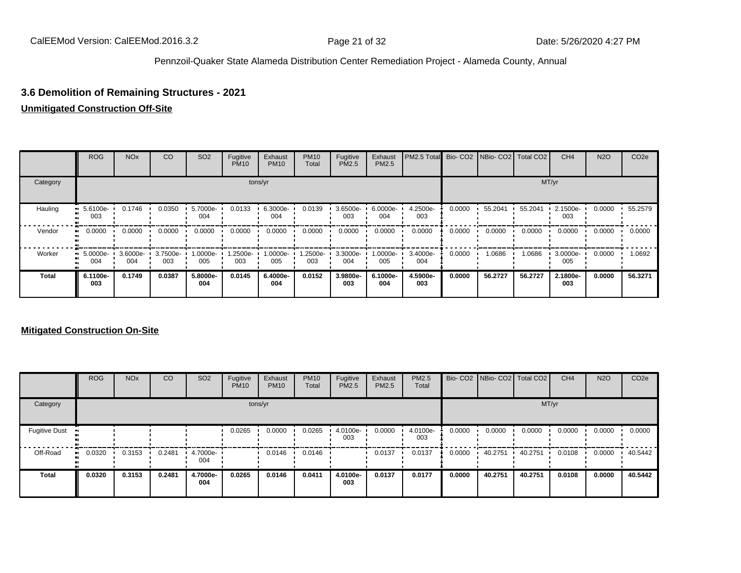# **3.6 Demolition of Remaining Structures - 2021**

#### **Unmitigated Construction Off-Site**

|              | ROG             | <b>NO<sub>x</sub></b> | CO              | SO <sub>2</sub> | Fugitive<br><b>PM10</b> | Exhaust<br><b>PM10</b> | <b>PM10</b><br>Total | Fugitive<br>PM2.5 | Exhaust<br>PM2.5 | PM2.5 Total Bio- CO2 NBio- CO2 Total CO2 |        |         |         | CH <sub>4</sub> | <b>N2O</b> | CO <sub>2e</sub> |
|--------------|-----------------|-----------------------|-----------------|-----------------|-------------------------|------------------------|----------------------|-------------------|------------------|------------------------------------------|--------|---------|---------|-----------------|------------|------------------|
| Category     |                 |                       |                 |                 |                         | tons/yr                |                      |                   |                  |                                          |        |         |         | MT/yr           |            |                  |
| Hauling      | 5.6100e-<br>003 | 0.1746                | 0.0350          | 5.7000e-<br>004 | 0.0133                  | 6.3000e-<br>004        | 0.0139               | 3.6500e-<br>003   | 6.0000e-<br>004  | 4.2500e-<br>003                          | 0.0000 | 55.2041 | 55.2041 | 2.1500e-<br>003 | 0.0000     | 55.2579          |
| Vendor       | 0.0000          | 0.0000                | 0.0000          | 0.0000          | 0.0000                  | 0.0000                 | 0.0000               | 0.0000            | 0.0000           | 0.0000                                   | 0.0000 | 0.0000  | 0.0000  | 0.0000          | 0.0000     | 0.0000           |
| Worker       | 5.0000e-<br>004 | 3.6000e-<br>004       | 3.7500e-<br>003 | -.0000e<br>005  | 1.2500e-<br>003         | 1.0000e-<br>005        | .2500e-<br>003       | 3.3000e-<br>004   | 1.0000e-<br>005  | 3.4000e-<br>004                          | 0.0000 | 1.0686  | 1.0686  | 3.0000e-<br>005 | 0.0000     | 1.0692           |
| <b>Total</b> | 6.1100e-<br>003 | 0.1749                | 0.0387          | 5.8000e-<br>004 | 0.0145                  | 6.4000e-<br>004        | 0.0152               | 3.9800e-<br>003   | 6.1000e-<br>004  | 4.5900e-<br>003                          | 0.0000 | 56.2727 | 56.2727 | 2.1800e-<br>003 | 0.0000     | 56.3271          |

#### **Mitigated Construction On-Site**

|                      | <b>ROG</b> | <b>NO<sub>x</sub></b> | CO     | SO <sub>2</sub> | Fugitive<br><b>PM10</b> | Exhaust<br><b>PM10</b> | <b>PM10</b><br>Total | Fugitive<br>PM2.5 | Exhaust<br><b>PM2.5</b> | PM2.5<br>Total  |        | Bio- CO2 NBio- CO2 | Total CO <sub>2</sub> | CH <sub>4</sub> | <b>N2O</b> | CO <sub>2e</sub> |
|----------------------|------------|-----------------------|--------|-----------------|-------------------------|------------------------|----------------------|-------------------|-------------------------|-----------------|--------|--------------------|-----------------------|-----------------|------------|------------------|
| Category             |            |                       |        |                 |                         | tons/yr                |                      |                   |                         |                 |        |                    | MT/yr                 |                 |            |                  |
| <b>Fugitive Dust</b> |            |                       |        |                 | 0.0265                  | 0.0000                 | 0.0265               | 4.0100e-<br>003   | 0.0000                  | 4.0100e-<br>003 | 0.0000 | 0.0000             | 0.0000                | 0.0000          | 0.0000     | 0.0000           |
| Off-Road             | 0.0320     | 0.3153                | 0.2481 | 4.7000e-<br>004 |                         | 0.0146                 | 0.0146               |                   | 0.0137                  | 0.0137          | 0.0000 | 40.2751            | 40.2751               | 0.0108          | 0.0000     | 40.5442          |
| <b>Total</b>         | 0.0320     | 0.3153                | 0.2481 | 4.7000e-<br>004 | 0.0265                  | 0.0146                 | 0.0411               | 4.0100e-<br>003   | 0.0137                  | 0.0177          | 0.0000 | 40.2751            | 40.2751               | 0.0108          | 0.0000     | 40.5442          |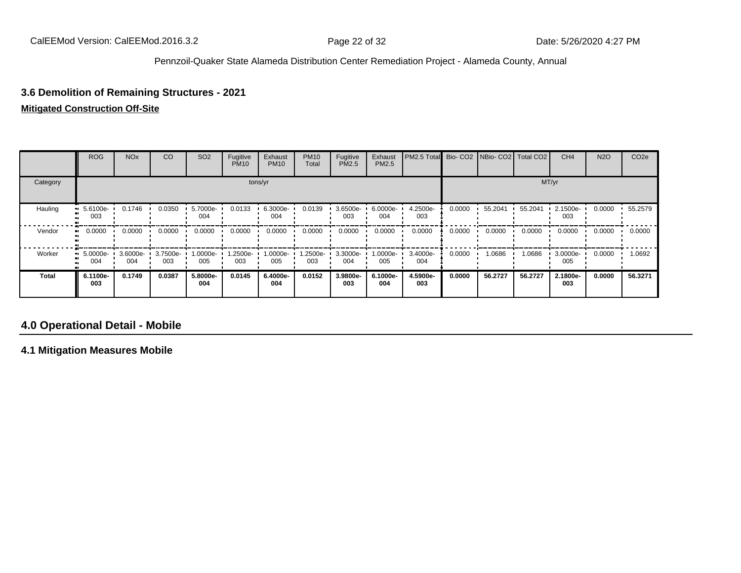# **3.6 Demolition of Remaining Structures - 2021**

#### **Mitigated Construction Off-Site**

|          | <b>ROG</b>                     | <b>NO<sub>x</sub></b> | CO              | SO <sub>2</sub> | Fugitive<br><b>PM10</b> | Exhaust<br><b>PM10</b> | <b>PM10</b><br>Total | Fugitive<br><b>PM2.5</b> | Exhaust<br>PM2.5 | PM2.5 Total Bio- CO2 NBio- CO2 Total CO2 |        |         |         | CH <sub>4</sub> | <b>N2O</b> | CO <sub>2e</sub> |
|----------|--------------------------------|-----------------------|-----------------|-----------------|-------------------------|------------------------|----------------------|--------------------------|------------------|------------------------------------------|--------|---------|---------|-----------------|------------|------------------|
| Category |                                |                       |                 |                 |                         | tons/yr                |                      |                          |                  |                                          |        |         |         | MT/yr           |            |                  |
| Hauling  | $-5.6100e-$<br>003             | 0.1746                | 0.0350          | 5.7000e-<br>004 | 0.0133                  | 6.3000e-<br>004        | 0.0139               | 3.6500e-<br>003          | 6.0000e-<br>004  | 4.2500e-<br>003                          | 0.0000 | 55.2041 | 55.2041 | 2.1500e-<br>003 | 0.0000     | 55.2579          |
| Vendor   | $\blacksquare$ 0.0000          | 0.0000                | 0.0000          | 0.0000          | 0.0000                  | 0.0000                 | 0.0000               | 0.0000                   | 0.0000           | 0.0000                                   | 0.0000 | 0.0000  | 0.0000  | 0.0000          | 0.0000     | 0.0000           |
| Worker   | $\blacksquare$ 5.0000e-<br>004 | 3.6000e-<br>004       | 3.7500e-<br>003 | -0000e.<br>005  | 1.2500e-<br>003         | 1.0000e-<br>005        | -2500e-<br>003       | 3.3000e-<br>004          | 1.0000e-<br>005  | 3.4000e-<br>004                          | 0.0000 | 1.0686  | 1.0686  | 3.0000e-<br>005 | 0.0000     | 1.0692           |
| Total    | 6.1100e-<br>003                | 0.1749                | 0.0387          | 5.8000e-<br>004 | 0.0145                  | 6.4000e-<br>004        | 0.0152               | 3.9800e-<br>003          | 6.1000e-<br>004  | 4.5900e-<br>003                          | 0.0000 | 56.2727 | 56.2727 | 2.1800e-<br>003 | 0.0000     | 56.3271          |

# **4.0 Operational Detail - Mobile**

**4.1 Mitigation Measures Mobile**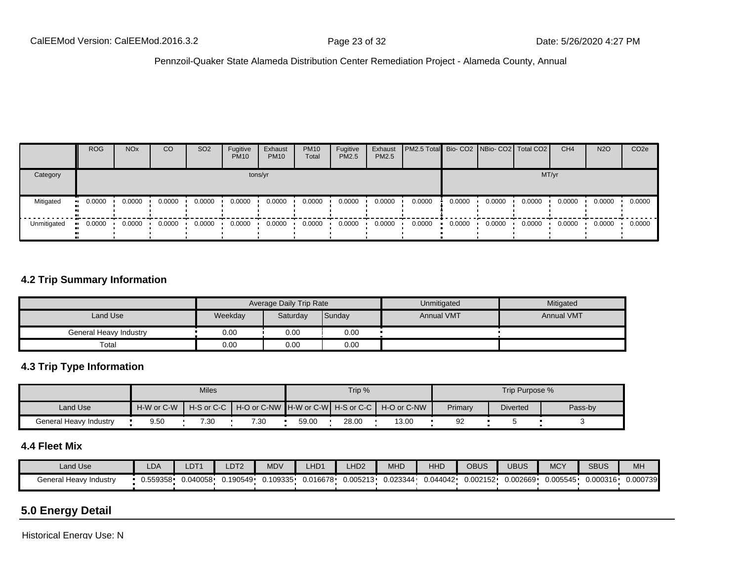|             | <b>ROG</b>             | <b>NO<sub>x</sub></b> | CO     | SO <sub>2</sub> | Fugitive<br><b>PM10</b> | Exhaust<br><b>PM10</b> | <b>PM10</b><br>Total | Fugitive<br><b>PM2.5</b> | Exhaust<br>PM2.5 | <b>PM2.5 Total</b> Bio- CO2 NBio- CO2 Total CO2 |        |        |        | CH <sub>4</sub> | <b>N2O</b> | CO <sub>2e</sub> |
|-------------|------------------------|-----------------------|--------|-----------------|-------------------------|------------------------|----------------------|--------------------------|------------------|-------------------------------------------------|--------|--------|--------|-----------------|------------|------------------|
| Category    |                        |                       |        |                 |                         | tons/yr                |                      |                          |                  |                                                 |        |        | MT/yr  |                 |            |                  |
| Mitigated   | 0.0000<br><b>COLLE</b> | 0.0000                | 0.0000 | 0.0000          | 0.0000                  | 0.0000                 | 0.0000               | 0.0000                   | 0.0000           | 0.0000                                          | 0.0000 | 0.0000 | 0.0000 | 0.0000          | 0.0000     | 0.0000           |
| Unmitigated | 0.0000<br>. .          | 0.0000                | 0.0000 | 0.0000          | 0.0000                  | 0.0000                 | 0.0000               | 0.0000                   | 0.0000           | 0.0000                                          | 0.0000 | 0.0000 | 0.0000 | 0.0000          | 0.0000     | 0.0000           |

# **4.2 Trip Summary Information**

|                        |         | Average Daily Trip Rate |        | Unmitigated       | Mitigated         |
|------------------------|---------|-------------------------|--------|-------------------|-------------------|
| Land Use               | Weekday | Saturday                | Sunday | <b>Annual VMT</b> | <b>Annual VMT</b> |
| General Heavy Industry | 0.00    | 0.00                    | 0.00   |                   |                   |
| Total                  | 0.00    | 0.00                    | 0.00   |                   |                   |

# **4.3 Trip Type Information**

|                        |            | <b>Miles</b> |      |       | Trip % |                                                                |         | Trip Purpose %  |         |
|------------------------|------------|--------------|------|-------|--------|----------------------------------------------------------------|---------|-----------------|---------|
| Land Use               | H-W or C-W |              |      |       |        | H-S or C-C ┃ H-O or C-NW ┃H-W or C-W┃ H-S or C-C ┃ H-O or C-NW | Primary | <b>Diverted</b> | Pass-by |
| General Heavy Industry | 9.50       | 7.30         | 7.30 | 59.00 | 28.00  | 13.00                                                          | 92      |                 |         |

# **4.4 Fleet Mix**

| <b>Land Use</b>                        | LDA      | LDT <sup>1</sup> | LDT <sub>2</sub> | <b>MDV</b> | LHD1     | LHD <sub>2</sub> | MHD      | HHI      | <b>OBUS</b> | UBUS     | <b>MCY</b> | <b>SBUS</b> | MH       |
|----------------------------------------|----------|------------------|------------------|------------|----------|------------------|----------|----------|-------------|----------|------------|-------------|----------|
| General Heavy<br><sup>,</sup> Industry | J.559358 | 0.040058         | .190549          | 0.109335   | 0.016678 | 0.005213         | 0.023344 | 0.044042 | 0.002152    | 0.002669 | 0.005545   | 0.000316    | 0.000739 |

# **5.0 Energy Detail**

Historical Energy Use: N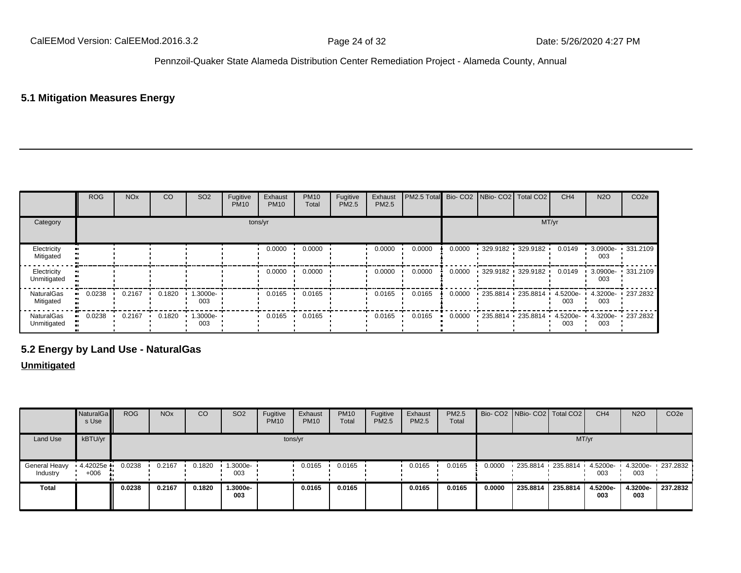# **5.1 Mitigation Measures Energy**

|                            | ROG    | <b>NO<sub>x</sub></b> | CO     | SO <sub>2</sub>    | Fugitive<br><b>PM10</b> | Exhaust<br><b>PM10</b> | <b>PM10</b><br>Total | Fugitive<br>PM2.5 | Exhaust<br>PM2.5 | <b>I PM2.5 Total Bio- CO2 NBio- CO2 Total CO2</b> |        |                   |  | CH <sub>4</sub> | <b>N2O</b> | CO <sub>2e</sub>  |
|----------------------------|--------|-----------------------|--------|--------------------|-------------------------|------------------------|----------------------|-------------------|------------------|---------------------------------------------------|--------|-------------------|--|-----------------|------------|-------------------|
| Category<br>tons/yr        |        |                       |        |                    |                         |                        |                      |                   |                  | MT/yr                                             |        |                   |  |                 |            |                   |
| Electricity<br>Mitigated   |        |                       |        |                    |                         | 0.0000                 | 0.0000               |                   | 0.0000           | 0.0000                                            | 0.0000 | 329.9182 329.9182 |  | 0.0149          | 003        | 3.0900e- 331.2109 |
| Electricity<br>Unmitigated |        |                       |        |                    |                         | 0.0000                 | 0.0000               |                   | 0.0000           | 0.0000                                            | 0.0000 | 329.9182 329.9182 |  | 0.0149          | 003        | 3.0900e- 331.2109 |
| NaturalGas<br>Mitigated    | 0.0238 | 0.2167                | 0.1820 | 1.3000e- 1<br>003  |                         | 0.0165                 | 0.0165               |                   | 0.0165           | 0.0165                                            | 0.0000 | 235.8814 235.8814 |  | 4.5200e-<br>003 | 003        | 4.3200e 237.2832  |
| NaturalGas<br>Unmitigated  | 0.0238 | 0.2167                | 0.1820 | $1.3000e -$<br>003 |                         | 0.0165                 | 0.0165               |                   | 0.0165           | 0.0165                                            | 0.0000 | 235.8814 235.8814 |  | 4.5200e-<br>003 | 003        | 4.3200e 237.2832  |

# **5.2 Energy by Land Use - NaturalGas**

#### **Unmitigated**

|                           | NaturalGa<br>s Use | <b>ROG</b> | <b>NO<sub>x</sub></b> | CO     | SO <sub>2</sub> | Fugitive<br><b>PM10</b> | Exhaust<br><b>PM10</b> | <b>PM10</b><br>Total | Fugitive<br>PM2.5 | Exhaust<br><b>PM2.5</b> | PM2.5<br>Total |        | Bio- CO2 NBio- CO2 Total CO2 |                            | CH <sub>4</sub> | <b>N2O</b>      | CO <sub>2e</sub>    |
|---------------------------|--------------------|------------|-----------------------|--------|-----------------|-------------------------|------------------------|----------------------|-------------------|-------------------------|----------------|--------|------------------------------|----------------------------|-----------------|-----------------|---------------------|
| Land Use                  | kBTU/yr            |            |                       |        |                 |                         | tons/yr                |                      |                   |                         |                |        |                              | MT/yr                      |                 |                 |                     |
| General Heavy<br>Industry | 4.42025e<br>$+006$ | 0.0238     | 0.2167                | 0.1820 | 1.3000e-<br>003 |                         | 0.0165                 | 0.0165               |                   | 0.0165                  | 0.0165         | 0.0000 |                              | 235.8814 235.8814 4.5200e- | 003             | 003             | 4.3200e- 1 237.2832 |
| Total                     |                    | 0.0238     | 0.2167                | 0.1820 | 1.3000e-<br>003 |                         | 0.0165                 | 0.0165               |                   | 0.0165                  | 0.0165         | 0.0000 | 235.8814                     | 235,8814                   | 4.5200e-<br>003 | 4.3200e-<br>003 | 237.2832            |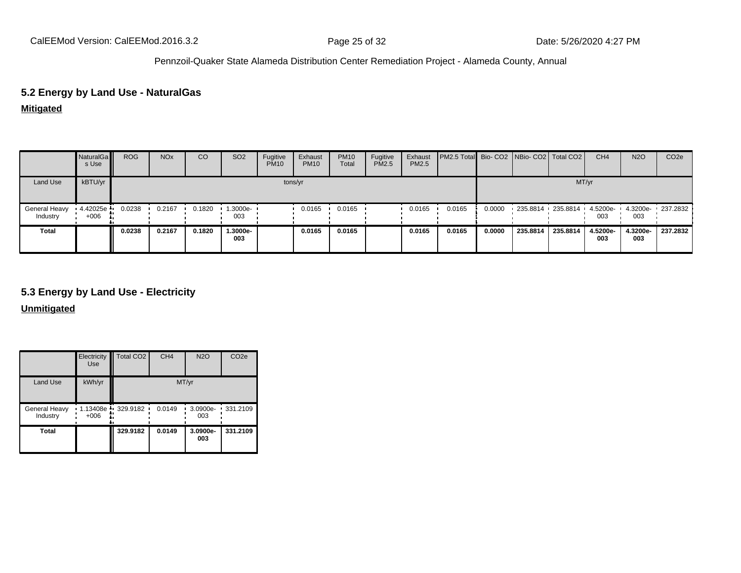# **5.2 Energy by Land Use - NaturalGas**

**Mitigated**

|                           | NaturalGa<br>s Use | <b>ROG</b> | <b>NO<sub>x</sub></b> | CO     | SO <sub>2</sub> | Fugitive<br><b>PM10</b> | Exhaust<br><b>PM10</b> | <b>PM10</b><br>Total | Fugitive<br>PM2.5 | Exhaust<br>PM2.5 | PM2.5 Total Bio- CO2 NBio- CO2 Total CO2 |        |                                  |          | CH <sub>4</sub> | <b>N2O</b>      | CO <sub>2e</sub>    |
|---------------------------|--------------------|------------|-----------------------|--------|-----------------|-------------------------|------------------------|----------------------|-------------------|------------------|------------------------------------------|--------|----------------------------------|----------|-----------------|-----------------|---------------------|
| Land Use                  | kBTU/yr            |            |                       |        |                 | tons/yr                 |                        |                      |                   |                  |                                          |        |                                  | MT/yr    |                 |                 |                     |
| General Heavy<br>Industry | 4.42025e<br>$+006$ | 0.0238     | 0.2167                | 0.1820 | 1.3000e-<br>003 |                         | 0.0165                 | 0.0165               |                   | 0.0165           | 0.0165                                   | 0.0000 | $-235.8814 - 235.8814 - 4.5200e$ |          | 003             | 003             | 4.3200e- 1 237.2832 |
| <b>Total</b>              |                    | 0.0238     | 0.2167                | 0.1820 | 1.3000e-<br>003 |                         | 0.0165                 | 0.0165               |                   | 0.0165           | 0.0165                                   | 0.0000 | 235.8814                         | 235.8814 | 4.5200e-<br>003 | 4.3200e-<br>003 | 237.2832            |

# **5.3 Energy by Land Use - Electricity**

**Unmitigated**

|                           | Electricity<br><b>Use</b>     | Total CO <sub>2</sub> | CH <sub>4</sub> | <b>N2O</b>      | CO <sub>2e</sub>  |  |  |  |  |
|---------------------------|-------------------------------|-----------------------|-----------------|-----------------|-------------------|--|--|--|--|
| Land Use                  | kWh/yr                        | MT/yr                 |                 |                 |                   |  |  |  |  |
| General Heavy<br>Industry | $1.13408e$ 329.9182<br>$+006$ |                       | 0.0149          | 003             | 3.0900e- 331.2109 |  |  |  |  |
| <b>Total</b>              |                               | 329.9182              | 0.0149          | 3.0900e-<br>003 | 331.2109          |  |  |  |  |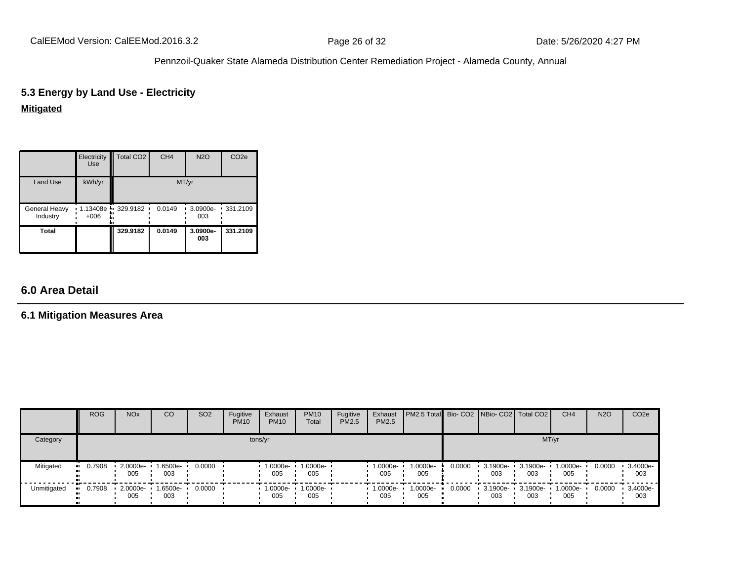# **5.3 Energy by Land Use - Electricity**

# **Mitigated**

|                           | Electricity<br><b>Use</b>     | Total CO <sub>2</sub> | CH <sub>4</sub> | <b>N2O</b>      | CO <sub>2e</sub> |  |  |  |  |
|---------------------------|-------------------------------|-----------------------|-----------------|-----------------|------------------|--|--|--|--|
| Land Use                  | kWh/yr                        | MT/yr                 |                 |                 |                  |  |  |  |  |
| General Heavy<br>Industry | $1.13408e$ 329.9182<br>$+006$ |                       | 0.0149          | 3.0900e-<br>003 | $\cdot$ 331.2109 |  |  |  |  |
| Total                     |                               | 329.9182              | 0.0149          | 3.0900e-<br>003 | 331.2109         |  |  |  |  |

# **6.0 Area Detail**

# **6.1 Mitigation Measures Area**

|             | <b>ROG</b>            | <b>NO<sub>x</sub></b> | <b>CO</b>       | SO <sub>2</sub> | Fugitive<br><b>PM10</b> | Exhaust<br><b>PM10</b> | <b>PM10</b><br>Total     | Fugitive<br><b>PM2.5</b> | Exhaust<br>PM2.5 | <b>PM2.5 Total</b> Bio- CO2 NBio- CO2 Total CO2 |        |                         |                 | CH <sub>4</sub> | <b>N2O</b> | CO <sub>2</sub> e |
|-------------|-----------------------|-----------------------|-----------------|-----------------|-------------------------|------------------------|--------------------------|--------------------------|------------------|-------------------------------------------------|--------|-------------------------|-----------------|-----------------|------------|-------------------|
| Category    | tons/yr               |                       |                 |                 |                         |                        |                          |                          |                  |                                                 |        | MT/yr                   |                 |                 |            |                   |
| Mitigated   | $\blacksquare$ 0.7908 | 2.0000e-<br>005       | 1.6500e-<br>003 | 0.0000          |                         | 1.0000e-<br>005        | 1.0000e-<br>005          |                          | 1.0000e-<br>005  | 1.0000e-<br>005                                 | 0.0000 | $\cdot$ 3.1900e-<br>003 | 3.1900e-<br>003 | 1.0000e-<br>005 | 0.0000     | 3.4000e-<br>003   |
| Unmitigated | 0.7908                | 2.0000e-<br>005       | 1.6500e-<br>003 | 0.0000          |                         | 005                    | 1.0000e- 1.0000e-<br>005 |                          | 1.0000e-<br>005  | 1.0000e-<br>005                                 | 0.0000 | $-3.1900e -$<br>003     | 3.1900e-<br>003 | 1.0000e-<br>005 | 0.0000     | 3.4000e-<br>003   |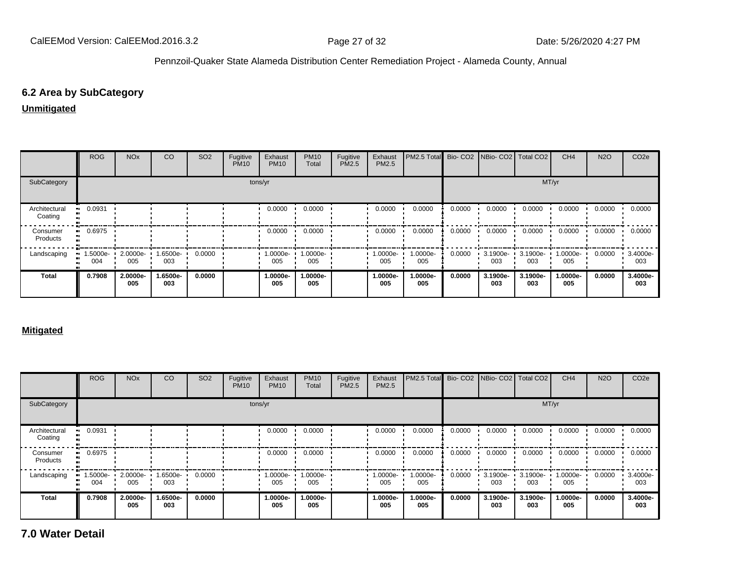# **6.2 Area by SubCategory**

# **Unmitigated**

|                          | <b>ROG</b>      | <b>NO<sub>x</sub></b> | CO              | SO <sub>2</sub> | Fugitive<br><b>PM10</b> | Exhaust<br><b>PM10</b> | <b>PM10</b><br>Total | Fugitive<br>PM2.5 | Exhaust<br><b>PM2.5</b> | PM2.5 Total     |        | Bio- CO2   NBio- CO2   Total CO2 |                 | CH <sub>4</sub> | <b>N2O</b> | CO <sub>2</sub> e |
|--------------------------|-----------------|-----------------------|-----------------|-----------------|-------------------------|------------------------|----------------------|-------------------|-------------------------|-----------------|--------|----------------------------------|-----------------|-----------------|------------|-------------------|
| SubCategory              | tons/yr         |                       |                 |                 |                         |                        |                      |                   |                         |                 |        |                                  |                 | MT/yr           |            |                   |
| Architectural<br>Coating | 0.0931          |                       |                 |                 |                         | 0.0000                 | 0.0000               |                   | 0.0000                  | 0.0000          | 0.0000 | 0.0000                           | 0.0000          | 0.0000          | 0.0000     | 0.0000            |
| Consumer<br>Products     | 0.6975          |                       |                 |                 |                         | 0.0000                 | 0.0000               |                   | 0.0000                  | 0.0000          | 0.0000 | 0.0000                           | 0.0000          | 0.0000          | 0.0000     | 0.0000            |
| Landscaping              | 1.5000e-<br>004 | 2.0000e-<br>005       | -6500e-<br>003  | 0.0000          |                         | 1.0000e-<br>005        | 1.0000e-<br>005      |                   | $1.0000e-$<br>005       | 1.0000e-<br>005 | 0.0000 | 3.1900e-<br>003                  | 3.1900e-<br>003 | 1.0000e-<br>005 | 0.0000     | 3.4000e-<br>003   |
| <b>Total</b>             | 0.7908          | 2.0000e-<br>005       | 1.6500e-<br>003 | 0.0000          |                         | 1.0000e-<br>005        | 1.0000e-<br>005      |                   | 1.0000e-<br>005         | 1.0000e-<br>005 | 0.0000 | 3.1900e-<br>003                  | 3.1900e-<br>003 | 1.0000e-<br>005 | 0.0000     | 3.4000e-<br>003   |

#### **Mitigated**

|                          | <b>ROG</b>         | <b>NO<sub>x</sub></b> | CO              | <b>SO2</b> | Fugitive<br><b>PM10</b> | Exhaust<br><b>PM10</b> | <b>PM10</b><br>Total | Fugitive<br>PM2.5 | Exhaust<br>PM2.5 | PM2.5 Total     |        | Bio- CO2 NBio- CO2 Total CO2 |                    | CH <sub>4</sub>   | <b>N2O</b> | CO <sub>2e</sub> |
|--------------------------|--------------------|-----------------------|-----------------|------------|-------------------------|------------------------|----------------------|-------------------|------------------|-----------------|--------|------------------------------|--------------------|-------------------|------------|------------------|
| SubCategory<br>tons/yr   |                    |                       |                 |            |                         |                        |                      |                   |                  |                 | MT/yr  |                              |                    |                   |            |                  |
| Architectural<br>Coating | 0.0931             |                       |                 |            |                         | 0.0000                 | 0.0000               |                   | 0.0000           | 0.0000          | 0.0000 | 0.0000                       | 0.0000             | 0.0000            | 0.0000     | 0.0000           |
| Consumer<br>Products     | 0.6975             |                       |                 |            |                         | 0.0000                 | 0.0000               |                   | 0.0000           | 0.0000          | 0.0000 | 0.0000                       | 0.0000             | 0.0000            | 0.0000     | 0.0000           |
| Landscaping              | $1.5000e -$<br>004 | 2.0000e-<br>005       | 1.6500e-<br>003 | 0.0000     |                         | 1.0000e-<br>005        | 1.0000e-<br>005      |                   | 1.0000e-<br>005  | 1.0000e-<br>005 | 0.0000 | 3.1900e-<br>003              | $3.1900e -$<br>003 | 1.0000e- +<br>005 | 0.0000     | 3.4000e-<br>003  |
| <b>Total</b>             | 0.7908             | 2.0000e-<br>005       | 1.6500e-<br>003 | 0.0000     |                         | 1.0000e-<br>005        | 1.0000e-<br>005      |                   | 1.0000e-<br>005  | 1.0000e-<br>005 | 0.0000 | 3.1900e-<br>003              | 3.1900e-<br>003    | 1.0000e-<br>005   | 0.0000     | 3.4000e-<br>003  |

**7.0 Water Detail**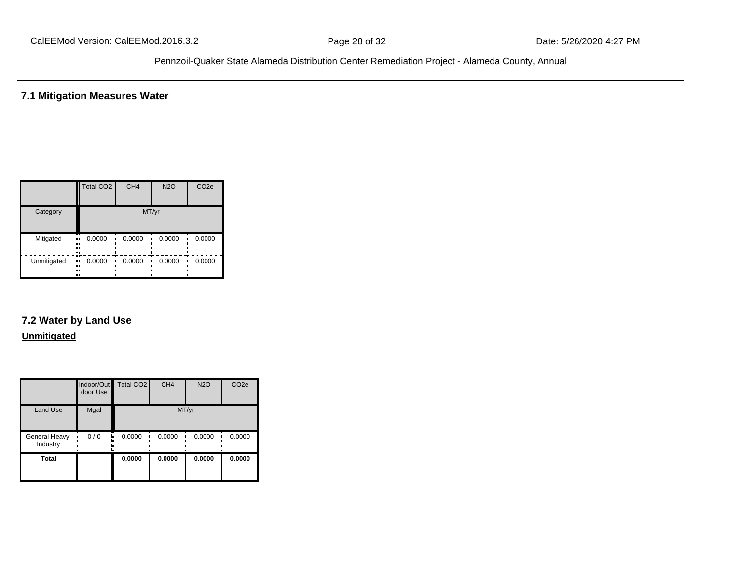**7.1 Mitigation Measures Water**

|             | <b>Total CO2</b>       | CH <sub>4</sub> | <b>N2O</b> | CO <sub>2e</sub> |  |  |  |  |  |  |
|-------------|------------------------|-----------------|------------|------------------|--|--|--|--|--|--|
| Category    | MT/yr                  |                 |            |                  |  |  |  |  |  |  |
| Mitigated   | 0.0000<br>.,<br><br>   | 0.0000          | 0.0000     | 0.0000           |  |  |  |  |  |  |
| Unmitigated | 0.0000<br><br><br><br> | 0.0000          | 0.0000     | 0.0000           |  |  |  |  |  |  |

# **7.2 Water by Land Use**

#### **Unmitigated**

|                           | door Use  | Indoor/Out Total CO2 | CH <sub>4</sub> | <b>N2O</b> | CO <sub>2e</sub> |
|---------------------------|-----------|----------------------|-----------------|------------|------------------|
| <b>Land Use</b>           | Mgal      |                      | MT/yr           |            |                  |
| General Heavy<br>Industry | 0/0<br>٠. | 0.0000               | 0.0000          | 0.0000     | 0.0000           |
| <b>Total</b>              |           | 0.0000               | 0.0000          | 0.0000     | 0.0000           |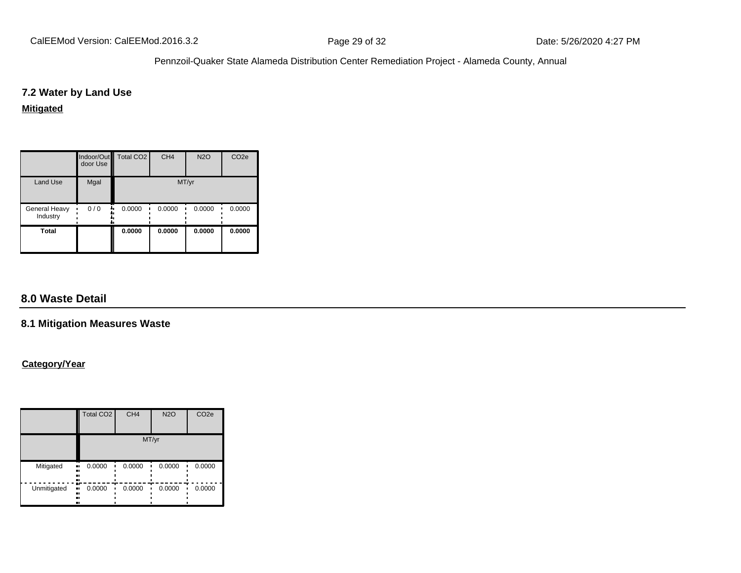# **7.2 Water by Land Use**

#### **Mitigated**

|                           | door Use | Indoor/Out   Total CO2 | CH <sub>4</sub> | <b>N2O</b> | CO <sub>2e</sub> |  |  |  |  |  |
|---------------------------|----------|------------------------|-----------------|------------|------------------|--|--|--|--|--|
| <b>Land Use</b>           | Mgal     | MT/yr                  |                 |            |                  |  |  |  |  |  |
| General Heavy<br>Industry | 0/0<br>  | 0.0000                 | 0.0000          | 0.0000     | 0.0000           |  |  |  |  |  |
| <b>Total</b>              |          | 0.0000                 | 0.0000          | 0.0000     | 0.0000           |  |  |  |  |  |

# **8.0 Waste Detail**

# **8.1 Mitigation Measures Waste**

# **Category/Year**

|             | <b>Total CO2</b>              | CH <sub>4</sub> | <b>N2O</b> | CO <sub>2e</sub> |
|-------------|-------------------------------|-----------------|------------|------------------|
|             |                               |                 | MT/yr      |                  |
| Mitigated   | 0.0000<br><br><br><br>        | 0.0000          | 0.0000     | 0.0000           |
| Unmitigated | æ<br>0.0000<br>.,<br><br><br> | 0.0000          | 0.0000     | 0.0000           |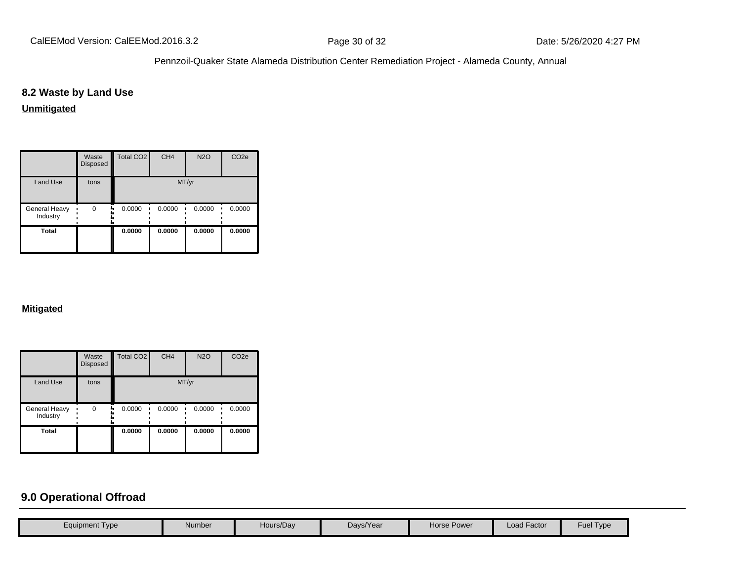# **8.2 Waste by Land Use**

# **Unmitigated**

|                           | Waste<br>Disposed | Total CO <sub>2</sub> | CH <sub>4</sub> | <b>N2O</b> | CO <sub>2e</sub> |
|---------------------------|-------------------|-----------------------|-----------------|------------|------------------|
| Land Use                  | tons              |                       | MT/yr           |            |                  |
| General Heavy<br>Industry | $\Omega$          | 0.0000                | 0.0000          | 0.0000     | 0.0000           |
| <b>Total</b>              |                   | 0.0000                | 0.0000          | 0.0000     | 0.0000           |

#### **Mitigated**

|                           | Waste<br><b>Disposed</b> | <b>Total CO2</b> | CH <sub>4</sub> | <b>N2O</b> | CO <sub>2e</sub> |
|---------------------------|--------------------------|------------------|-----------------|------------|------------------|
| <b>Land Use</b>           | tons                     |                  |                 | MT/yr      |                  |
| General Heavy<br>Industry | 0                        | 0.0000<br>٠.     | 0.0000          | 0.0000     | 0.0000           |
| <b>Total</b>              |                          | 0.0000           | 0.0000          | 0.0000     | 0.0000           |

# **9.0 Operational Offroad**

| Equipment Type | Number | Hours/Day | Days/Year | Horse Power | Load Factor | <b>Fuel Type</b> |
|----------------|--------|-----------|-----------|-------------|-------------|------------------|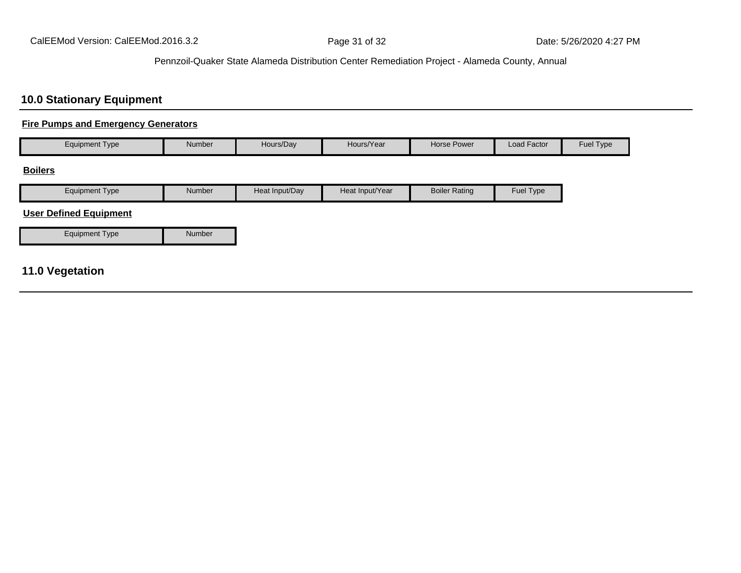# **10.0 Stationary Equipment**

# **Fire Pumps and Emergency Generators**

| <b>Equipment Type</b>         | Number | Hours/Day      | Hours/Year      | Horse Power          | Load Factor | Fuel Type |
|-------------------------------|--------|----------------|-----------------|----------------------|-------------|-----------|
| <b>Boilers</b>                |        |                |                 |                      |             |           |
| <b>Equipment Type</b>         | Number | Heat Input/Day | Heat Input/Year | <b>Boiler Rating</b> | Fuel Type   |           |
| <b>User Defined Equipment</b> |        |                |                 |                      |             |           |
| <b>Equipment Type</b>         | Number |                |                 |                      |             |           |

# **11.0 Vegetation**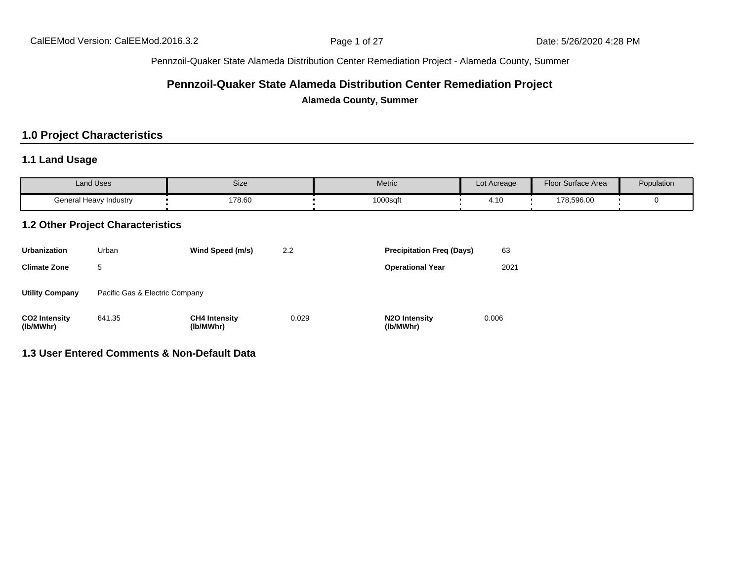# **Pennzoil-Quaker State Alameda Distribution Center Remediation Project**

**Alameda County, Summer**

# **1.0 Project Characteristics**

# **1.1 Land Usage**

| <b>Land Uses</b>       | Size   | Metric   | Lot Acreage                         | <b>Floor Surface Area</b> | Population |
|------------------------|--------|----------|-------------------------------------|---------------------------|------------|
| General Heavy Industry | 178.60 | 1000sqft | $\overline{A}$<br>$\mathbf{r}$ . IV | 178,596.00                |            |

# **1.2 Other Project Characteristics**

| <b>Urbanization</b>               | Urban                          | Wind Speed (m/s)                  | 2.2   | <b>Precipitation Freg (Days)</b>        | 63    |
|-----------------------------------|--------------------------------|-----------------------------------|-------|-----------------------------------------|-------|
| <b>Climate Zone</b>               | 5                              |                                   |       | <b>Operational Year</b>                 | 2021  |
| <b>Utility Company</b>            | Pacific Gas & Electric Company |                                   |       |                                         |       |
| <b>CO2 Intensity</b><br>(lb/MWhr) | 641.35                         | <b>CH4 Intensity</b><br>(lb/MWhr) | 0.029 | N <sub>2</sub> O Intensity<br>(lb/MWhr) | 0.006 |

#### **1.3 User Entered Comments & Non-Default Data**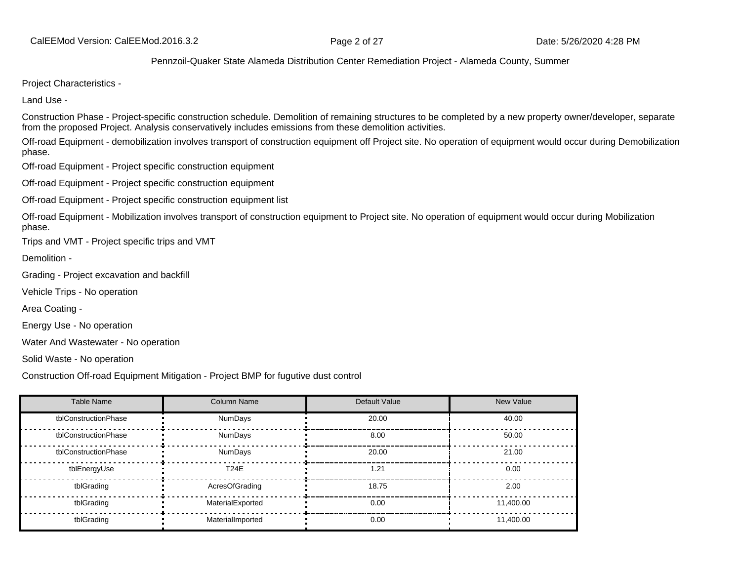Project Characteristics -

Land Use -

Construction Phase - Project-specific construction schedule. Demolition of remaining structures to be completed by a new property owner/developer, separate from the proposed Project. Analysis conservatively includes emissions from these demolition activities.

Off-road Equipment - demobilization involves transport of construction equipment off Project site. No operation of equipment would occur during Demobilization phase.

Off-road Equipment - Project specific construction equipment

Off-road Equipment - Project specific construction equipment

Off-road Equipment - Project specific construction equipment list

Off-road Equipment - Mobilization involves transport of construction equipment to Project site. No operation of equipment would occur during Mobilization phase.

Trips and VMT - Project specific trips and VMT

Demolition -

Grading - Project excavation and backfill

Vehicle Trips - No operation

Area Coating -

Energy Use - No operation

Water And Wastewater - No operation

Solid Waste - No operation

Construction Off-road Equipment Mitigation - Project BMP for fugutive dust control

| <b>Table Name</b>    | <b>Column Name</b> | Default Value | New Value |
|----------------------|--------------------|---------------|-----------|
| tblConstructionPhase | <b>NumDays</b>     | 20.00         | 40.00     |
| tblConstructionPhase | NumDays            | 8.00          | 50.00     |
| tblConstructionPhase | NumDays            | 20.00         | 21.00     |
| tblEnergyUse         | <b>T24E</b>        | 1.21          | 0.00      |
| tblGrading           | AcresOfGrading     | 18.75         | 2.00      |
| tblGrading           | MaterialExported   | 0.00          | 11.400.00 |
| tblGrading           | MaterialImported   | 0.00          | 11,400.00 |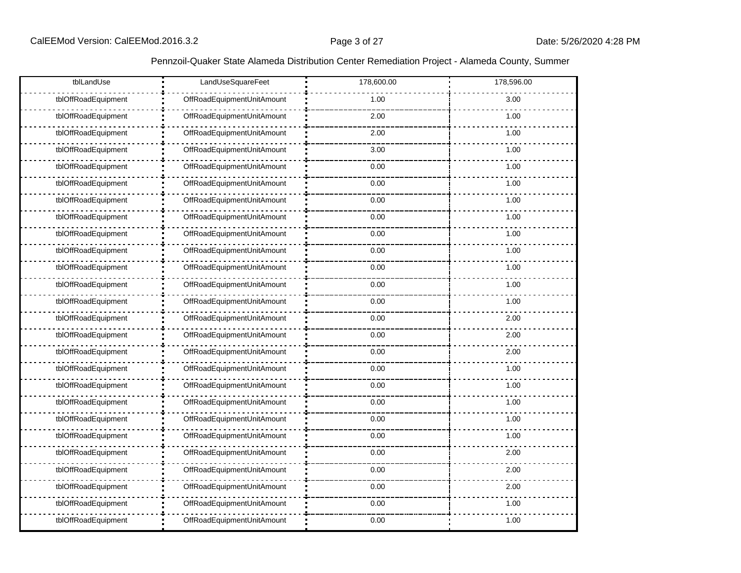| tblLandUse          | LandUseSquareFeet          | 178,600.00 | 178,596.00 |
|---------------------|----------------------------|------------|------------|
| tblOffRoadEquipment | OffRoadEquipmentUnitAmount | 1.00       | 3.00       |
| tblOffRoadEquipment | OffRoadEquipmentUnitAmount | 2.00       | 1.00       |
| tblOffRoadEquipment | OffRoadEquipmentUnitAmount | 2.00       | 1.00       |
| tblOffRoadEquipment | OffRoadEquipmentUnitAmount | 3.00       | 1.00       |
| tblOffRoadEquipment | OffRoadEquipmentUnitAmount | 0.00       | 1.00       |
| tblOffRoadEquipment | OffRoadEquipmentUnitAmount | 0.00       | 1.00       |
| tblOffRoadEquipment | OffRoadEquipmentUnitAmount | 0.00       | 1.00       |
| tblOffRoadEquipment | OffRoadEquipmentUnitAmount | 0.00       | 1.00       |
| tblOffRoadEquipment | OffRoadEquipmentUnitAmount | 0.00       | 1.00       |
| tblOffRoadEquipment | OffRoadEquipmentUnitAmount | 0.00       | 1.00       |
| tblOffRoadEquipment | OffRoadEquipmentUnitAmount | 0.00       | 1.00       |
| tblOffRoadEquipment | OffRoadEquipmentUnitAmount | 0.00       | 1.00       |
| tblOffRoadEquipment | OffRoadEquipmentUnitAmount | 0.00       | 1.00       |
| tblOffRoadEquipment | OffRoadEquipmentUnitAmount | 0.00       | 2.00       |
| tblOffRoadEquipment | OffRoadEquipmentUnitAmount | 0.00       | 2.00       |
| tblOffRoadEquipment | OffRoadEquipmentUnitAmount | 0.00       | 2.00       |
| tblOffRoadEquipment | OffRoadEquipmentUnitAmount | 0.00       | 1.00       |
| tblOffRoadEquipment | OffRoadEquipmentUnitAmount | 0.00       | 1.00       |
| tblOffRoadEquipment | OffRoadEquipmentUnitAmount | 0.00       | 1.00       |
| tblOffRoadEquipment | OffRoadEquipmentUnitAmount | 0.00       | 1.00       |
| tblOffRoadEquipment | OffRoadEquipmentUnitAmount | 0.00       | 1.00       |
| tblOffRoadEquipment | OffRoadEquipmentUnitAmount | 0.00       | 2.00       |
| tblOffRoadEquipment | OffRoadEquipmentUnitAmount | 0.00       | 2.00       |
| tblOffRoadEquipment | OffRoadEquipmentUnitAmount | 0.00       | 2.00       |
| tblOffRoadEquipment | OffRoadEquipmentUnitAmount | 0.00       | 1.00       |
| tblOffRoadEquipment | OffRoadEquipmentUnitAmount | 0.00       | 1.00       |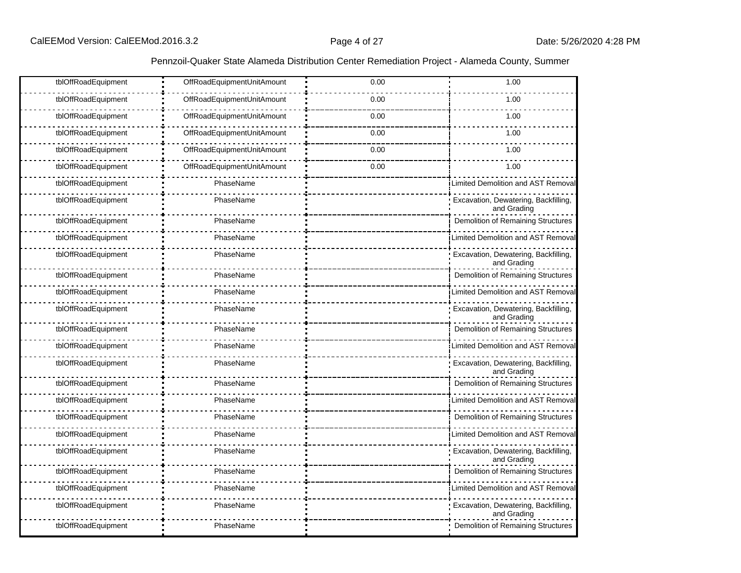| tblOffRoadEquipment | OffRoadEquipmentUnitAmount | 0.00 | 1.00                                                |
|---------------------|----------------------------|------|-----------------------------------------------------|
| tblOffRoadEquipment | OffRoadEquipmentUnitAmount | 0.00 | 1.00                                                |
| tblOffRoadEquipment | OffRoadEquipmentUnitAmount | 0.00 | 1.00                                                |
| tblOffRoadEquipment | OffRoadEquipmentUnitAmount | 0.00 | 1.00                                                |
| tblOffRoadEquipment | OffRoadEquipmentUnitAmount | 0.00 | 1.00                                                |
| tblOffRoadEquipment | OffRoadEquipmentUnitAmount | 0.00 | 1.00                                                |
| tblOffRoadEquipment | PhaseName                  |      | <b>Limited Demolition and AST Removal</b>           |
| tblOffRoadEquipment | PhaseName                  |      | Excavation, Dewatering, Backfilling,<br>and Grading |
| tblOffRoadEquipment | PhaseName                  |      | Demolition of Remaining Structures                  |
| tblOffRoadEquipment | PhaseName                  |      | <b>Limited Demolition and AST Removal</b>           |
| tblOffRoadEquipment | PhaseName                  |      | Excavation, Dewatering, Backfilling,<br>and Grading |
| tblOffRoadEquipment | PhaseName                  |      | Demolition of Remaining Structures                  |
| tblOffRoadEquipment | PhaseName                  |      | Limited Demolition and AST Removal                  |
| tblOffRoadEquipment | PhaseName                  |      | Excavation, Dewatering, Backfilling,<br>and Grading |
| tblOffRoadEquipment | PhaseName                  |      | Demolition of Remaining Structures                  |
| tblOffRoadEquipment | PhaseName                  |      | Limited Demolition and AST Removal                  |
| tblOffRoadEquipment | PhaseName                  |      | Excavation, Dewatering, Backfilling,<br>and Grading |
| tblOffRoadEquipment | PhaseName                  |      | Demolition of Remaining Structures                  |
| tblOffRoadEquipment | PhaseName                  |      | Limited Demolition and AST Removal                  |
| tblOffRoadEquipment | PhaseName                  |      | Demolition of Remaining Structures                  |
| tblOffRoadEquipment | PhaseName                  |      | Limited Demolition and AST Removal                  |
| tblOffRoadEquipment | PhaseName                  |      | Excavation, Dewatering, Backfilling,<br>and Grading |
| tblOffRoadEquipment | PhaseName                  |      | Demolition of Remaining Structures                  |
| tblOffRoadEquipment | PhaseName                  |      | Limited Demolition and AST Removal                  |
| tblOffRoadEquipment | PhaseName                  |      | Excavation, Dewatering, Backfilling,<br>and Grading |
| tblOffRoadEquipment | PhaseName                  |      | Demolition of Remaining Structures                  |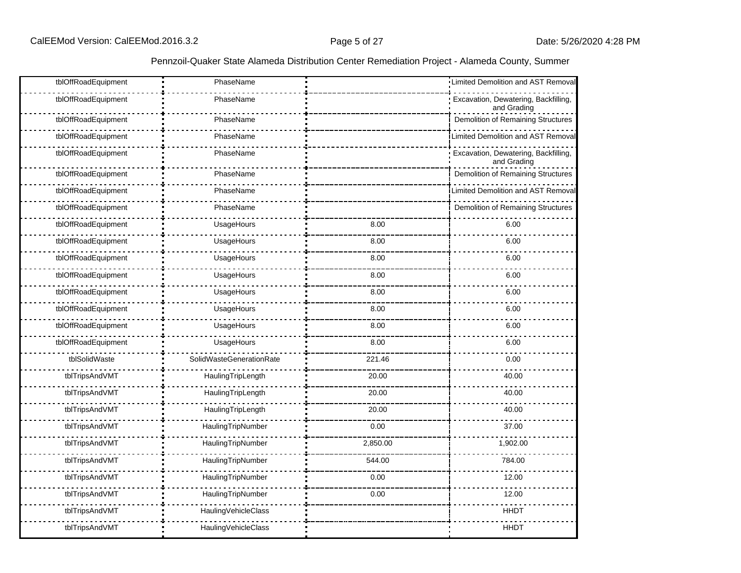| tblOffRoadEquipment | PhaseName                       |          | Limited Demolition and AST Removal                  |
|---------------------|---------------------------------|----------|-----------------------------------------------------|
| tblOffRoadEquipment | PhaseName                       |          | Excavation, Dewatering, Backfilling,<br>and Grading |
| tblOffRoadEquipment | PhaseName                       |          | <b>Demolition of Remaining Structures</b>           |
| tblOffRoadEquipment | PhaseName                       |          | Limited Demolition and AST Removal                  |
| tblOffRoadEquipment | PhaseName                       |          | Excavation, Dewatering, Backfilling,<br>and Grading |
| tblOffRoadEquipment | PhaseName                       |          | Demolition of Remaining Structures                  |
| tblOffRoadEquipment | PhaseName                       |          | Limited Demolition and AST Removal                  |
| tblOffRoadEquipment | PhaseName                       |          | Demolition of Remaining Structures                  |
| tblOffRoadEquipment | UsageHours                      | 8.00     | 6.00                                                |
| tblOffRoadEquipment | UsageHours                      | 8.00     | 6.00                                                |
| tblOffRoadEquipment | UsageHours                      | 8.00     | 6.00                                                |
| tblOffRoadEquipment | UsageHours                      | 8.00     | 6.00                                                |
| tblOffRoadEquipment | UsageHours                      | 8.00     | 6.00                                                |
| tblOffRoadEquipment | UsageHours                      | 8.00     | 6.00                                                |
| tblOffRoadEquipment | UsageHours                      | 8.00     | 6.00                                                |
| tblOffRoadEquipment | UsageHours                      | 8.00     | 6.00                                                |
| tblSolidWaste       | <b>SolidWasteGenerationRate</b> | 221.46   | 0.00                                                |
| tblTripsAndVMT      | HaulingTripLength               | 20.00    | 40.00                                               |
| tblTripsAndVMT      | HaulingTripLength               | 20.00    | 40.00                                               |
| tblTripsAndVMT      | HaulingTripLength               | 20.00    | 40.00                                               |
| tblTripsAndVMT      | HaulingTripNumber               | 0.00     | 37.00                                               |
| tblTripsAndVMT      | HaulingTripNumber               | 2,850.00 | 1,902.00                                            |
| tblTripsAndVMT      | HaulingTripNumber               | 544.00   | 784.00                                              |
| tblTripsAndVMT      | HaulingTripNumber               | 0.00     | 12.00                                               |
| tblTripsAndVMT      | HaulingTripNumber               | 0.00     | 12.00                                               |
| tblTripsAndVMT      | HaulingVehicleClass             |          | <b>HHDT</b>                                         |
| tblTripsAndVMT      | HaulingVehicleClass             |          | <b>HHDT</b>                                         |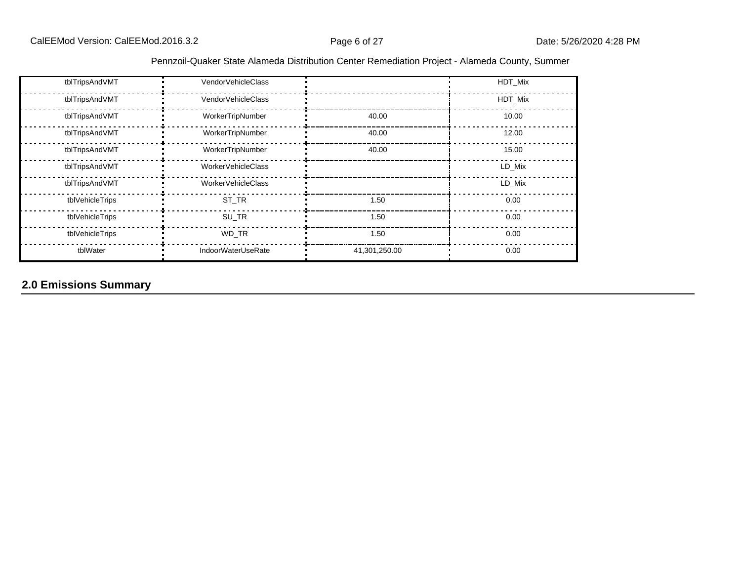| Pennzoil-Quaker State Alameda Distribution Center Remediation Project - Alameda County, Summer |  |  |
|------------------------------------------------------------------------------------------------|--|--|
|                                                                                                |  |  |

| tblTripsAndVMT  | VendorVehicleClass        |               | HDT Mix |
|-----------------|---------------------------|---------------|---------|
| tblTripsAndVMT  | VendorVehicleClass        |               | HDT_Mix |
| tblTripsAndVMT  | WorkerTripNumber          | 40.00         | 10.00   |
| tblTripsAndVMT  | WorkerTripNumber          | 40.00         | 12.00   |
| tblTripsAndVMT  | WorkerTripNumber          | 40.00         | 15.00   |
| tblTripsAndVMT  | WorkerVehicleClass        |               | LD_Mix  |
| tblTripsAndVMT  | WorkerVehicleClass        |               | LD_Mix  |
| tblVehicleTrips | ST_TR                     | 1.50          | 0.00    |
| tblVehicleTrips | SU_TR                     | 1.50          | 0.00    |
| tblVehicleTrips | WD_TR                     | 1.50          | 0.00    |
| tblWater        | <b>IndoorWaterUseRate</b> | 41,301,250.00 | 0.00    |

# **2.0 Emissions Summary**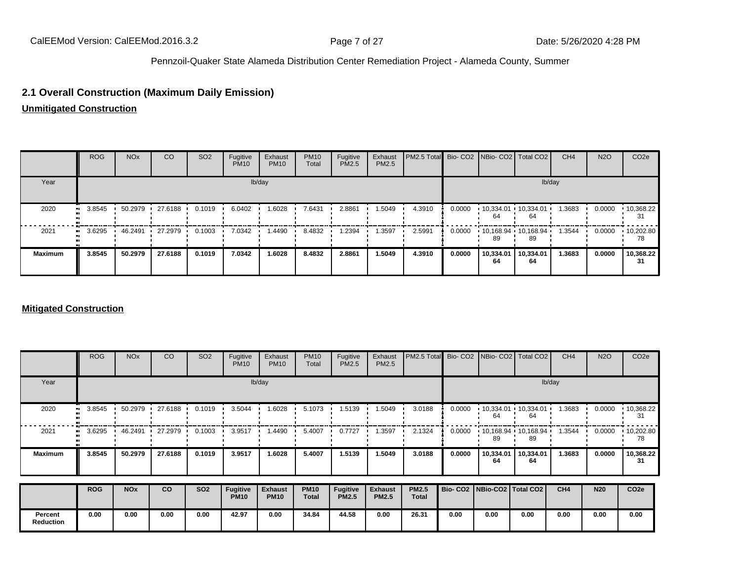# **2.1 Overall Construction (Maximum Daily Emission)**

**Unmitigated Construction**

|                | <b>ROG</b> | <b>NO<sub>x</sub></b> | CO      | SO <sub>2</sub> | Fugitive<br><b>PM10</b> | Exhaust<br><b>PM10</b> | <b>PM10</b><br>Total | Fugitive<br>PM2.5 | Exhaust<br><b>PM2.5</b> | PM2.5 Total Bio- CO2 NBio- CO2   Total CO2 |        |                 |                               | CH <sub>4</sub> | <b>N2O</b> | CO <sub>2</sub> e       |
|----------------|------------|-----------------------|---------|-----------------|-------------------------|------------------------|----------------------|-------------------|-------------------------|--------------------------------------------|--------|-----------------|-------------------------------|-----------------|------------|-------------------------|
| Year           |            |                       |         |                 |                         | lb/day                 |                      |                   |                         |                                            |        |                 |                               | lb/day          |            |                         |
| 2020           | 3.8545<br> | 50.2979               | 27.6188 | 0.1019          | 6.0402                  | 1.6028                 | 7.6431               | 2.8861            | 1.5049                  | 4.3910                                     | 0.0000 | 64              | $10,334.01$ $10,334.01$<br>64 | 1.3683          | 0.0000     | $\cdot$ 10,368.22<br>31 |
| 2021           | 3.6295<br> | 46.2491               | 27.2979 | 0.1003          | 7.0342                  | .4490                  | 8.4832               | 1.2394            | 1.3597                  | 2.5991                                     | 0.0000 | 89              | $10,168.94$ $10,168.94$<br>89 | 1.3544          | 0.0000     | $\cdot$ 10,202.80<br>78 |
| <b>Maximum</b> | 3.8545     | 50.2979               | 27.6188 | 0.1019          | 7.0342                  | 1.6028                 | 8.4832               | 2.8861            | 1.5049                  | 4.3910                                     | 0.0000 | 10,334.01<br>64 | 10,334.01<br>64               | 1.3683          | 0.0000     | 10,368.22<br>31         |

#### **Mitigated Construction**

|                             | <b>ROG</b> | <b>NO<sub>x</sub></b> | CO      | SO <sub>2</sub> | Fugitive<br><b>PM10</b>        | Exhaust<br><b>PM10</b>        | <b>PM10</b><br>Total        | Fugitive<br>PM2.5        | Exhaust<br><b>PM2.5</b>        | PM2.5 Total                  |        |                                 | Bio- CO2   NBio- CO2   Total CO2 | CH <sub>4</sub> | <b>N2O</b> | CO <sub>2e</sub> |
|-----------------------------|------------|-----------------------|---------|-----------------|--------------------------------|-------------------------------|-----------------------------|--------------------------|--------------------------------|------------------------------|--------|---------------------------------|----------------------------------|-----------------|------------|------------------|
| Year                        |            |                       |         |                 |                                | lb/day                        |                             |                          |                                |                              |        |                                 |                                  | lb/day          |            |                  |
| 2020                        | 3.8545     | 50.2979               | 27.6188 | 0.1019          | 3.5044                         | 1.6028                        | 5.1073                      | 1.5139                   | 1.5049                         | 3.0188                       | 0.0000 | 10,334.01<br>64                 | 10,334.01<br>64                  | 1.3683          | 0.0000     | 10,368.22<br>31  |
| 2021                        | 3.6295     | 46.2491               | 27.2979 | 0.1003          | 3.9517                         | 1.4490                        | 5.4007                      | 0.7727                   | 1.3597                         | 2.1324                       | 0.0000 | 89                              | $10,168.94$ 10,168.94<br>89      | 1.3544          | 0.0000     | 10,202.80<br>78  |
| <b>Maximum</b>              | 3.8545     | 50.2979               | 27.6188 | 0.1019          | 3.9517                         | 1.6028                        | 5.4007                      | 1.5139                   | 1.5049                         | 3.0188                       | 0.0000 | 10,334.01<br>64                 | 10,334.01<br>64                  | 1.3683          | 0.0000     | 10,368.22<br>31  |
|                             | <b>ROG</b> | <b>NO<sub>x</sub></b> | co      | <b>SO2</b>      | <b>Fugitive</b><br><b>PM10</b> | <b>Exhaust</b><br><b>PM10</b> | <b>PM10</b><br><b>Total</b> | Fugitive<br><b>PM2.5</b> | <b>Exhaust</b><br><b>PM2.5</b> | <b>PM2.5</b><br><b>Total</b> |        | Bio- CO2   NBio-CO2   Total CO2 |                                  | CH <sub>4</sub> | <b>N20</b> | CO <sub>2e</sub> |
| Percent<br><b>Reduction</b> | 0.00       | 0.00                  | 0.00    | 0.00            | 42.97                          | 0.00                          | 34.84                       | 44.58                    | 0.00                           | 26.31                        | 0.00   | 0.00                            | 0.00                             | 0.00            | 0.00       | 0.00             |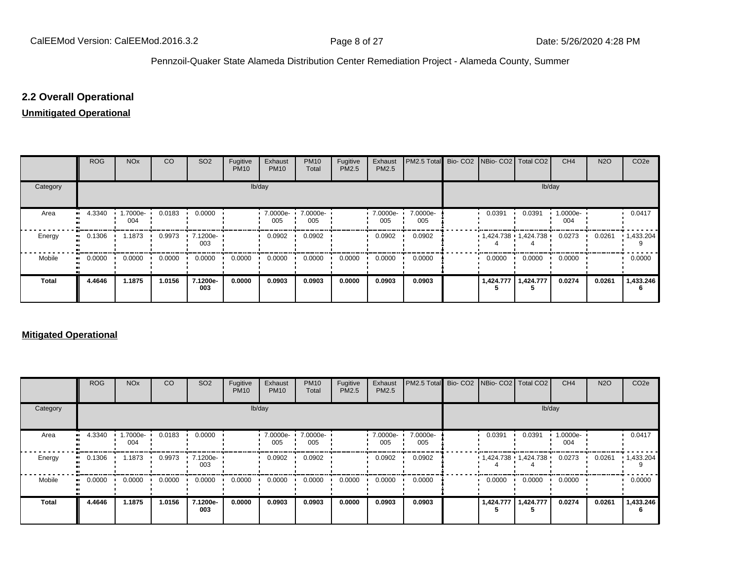# **2.2 Overall Operational**

#### **Unmitigated Operational**

|          | <b>ROG</b> | <b>NO<sub>x</sub></b> | CO     | SO <sub>2</sub>     | Fugitive<br><b>PM10</b> | Exhaust<br><b>PM10</b> | <b>PM10</b><br>Total | Fugitive<br>PM2.5 | Exhaust<br>PM2.5 | PM2.5 Total Bio- CO2 NBio- CO2 Total CO2 |                         |           | CH <sub>4</sub> | <b>N2O</b> | CO <sub>2</sub> e |
|----------|------------|-----------------------|--------|---------------------|-------------------------|------------------------|----------------------|-------------------|------------------|------------------------------------------|-------------------------|-----------|-----------------|------------|-------------------|
| Category |            |                       |        |                     | lb/day                  |                        |                      |                   |                  |                                          |                         | lb/day    |                 |            |                   |
| Area     | 4.3340<br> | 1.7000e-<br>004       | 0.0183 | 0.0000              |                         | 7.0000e-<br>005        | 7.0000e-<br>005      |                   | 7.0000e-<br>005  | 7.0000e-<br>005                          | 0.0391                  | 0.0391    | 1.0000e-<br>004 |            | 0.0417            |
| Energy   | 0.1306<br> | 1.1873                | 0.9973 | $.7.1200e -$<br>003 |                         | 0.0902                 | 0.0902               |                   | 0.0902           | 0.0902                                   | $1,424.738$ $1,424.738$ |           | 0.0273          | 0.0261     | $\cdot$ 1,433.204 |
| Mobile   | 0.0000<br> | 0.0000                | 0.0000 | 0.0000              | 0.0000                  | 0.0000                 | 0.0000               | 0.0000            | 0.0000           | 0.0000                                   | 0.0000                  | 0.0000    | 0.0000          |            | 0.0000            |
| Total    | 4.4646     | 1.1875                | 1.0156 | 7.1200e-<br>003     | 0.0000                  | 0.0903                 | 0.0903               | 0.0000            | 0.0903           | 0.0903                                   | 1,424.777               | 1,424.777 | 0.0274          | 0.0261     | 1,433.246         |

#### **Mitigated Operational**

|              | <b>ROG</b> | <b>NO<sub>x</sub></b>   | CO     | SO <sub>2</sub> | Fugitive<br><b>PM10</b> | Exhaust<br><b>PM10</b> | <b>PM10</b><br>Total | Fugitive<br>PM2.5 | Exhaust<br>PM2.5 | PM2.5 Total Bio- CO2 NBio- CO2   Total CO2 |           |                           | CH <sub>4</sub> | <b>N2O</b> | CO <sub>2e</sub> |
|--------------|------------|-------------------------|--------|-----------------|-------------------------|------------------------|----------------------|-------------------|------------------|--------------------------------------------|-----------|---------------------------|-----------------|------------|------------------|
| Category     |            |                         |        |                 |                         | lb/day                 |                      |                   |                  |                                            |           | lb/day                    |                 |            |                  |
| Area         | 4.3340     | $\cdot$ 1.7000e-<br>004 | 0.0183 | 0.0000          |                         | 7.0000e- ·<br>005      | 7.0000e-<br>005      |                   | 7.0000e-<br>005  | 7.0000e-<br>005                            | 0.0391    | 0.0391                    | 1.0000e-<br>004 |            | 0.0417           |
| Energy       | 0.1306     | 1.1873                  | 0.9973 | 7.1200e-<br>003 |                         | 0.0902                 | 0.0902               |                   | 0.0902           | 0.0902                                     |           | • 1,424.738 • 1,424.738 • | 0.0273          | 0.0261     | 1,433.204        |
| Mobile       | 0.0000     | 0.0000                  | 0.0000 | 0.0000          | 0.0000                  | 0.0000                 | 0.0000               | 0.0000            | 0.0000           | 0.0000                                     | 0.0000    | 0.0000                    | 0.0000          |            | 0.0000           |
| <b>Total</b> | 4.4646     | 1.1875                  | 1.0156 | 7.1200e-<br>003 | 0.0000                  | 0.0903                 | 0.0903               | 0.0000            | 0.0903           | 0.0903                                     | 1,424.777 | 1,424.777                 | 0.0274          | 0.0261     | 1,433.246        |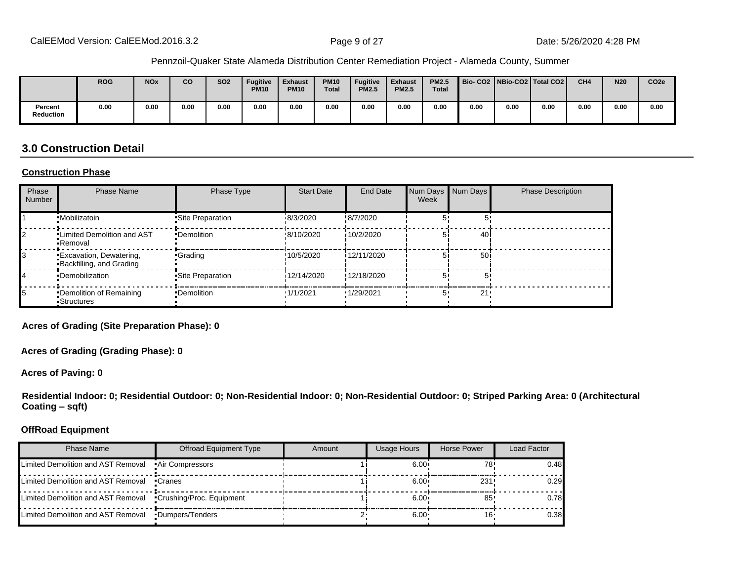|                             | <b>ROG</b> | <b>NO<sub>x</sub></b> | CO   | <b>SO2</b> | <b>Fugitive</b><br><b>PM10</b> | <b>Exhaust</b><br><b>PM10</b> | <b>PM10</b><br><b>Total</b> | <b>Fugitive</b><br><b>PM2.5</b> | <b>Exhaust</b><br><b>PM2.5</b> | <b>PM2.5</b><br><b>Total</b> | Bio-CO2 NBio-CO2 Total CO2 |      |      | CH <sub>4</sub> | <b>N20</b> | CO <sub>2e</sub> |
|-----------------------------|------------|-----------------------|------|------------|--------------------------------|-------------------------------|-----------------------------|---------------------------------|--------------------------------|------------------------------|----------------------------|------|------|-----------------|------------|------------------|
| Percent<br><b>Reduction</b> | 0.00       | 0.00                  | 0.00 | 0.00       | 0.00                           | 0.00                          | 0.00                        | 0.00                            | 0.00                           | 0.00                         | 0.00                       | 0.00 | 0.00 | 0.00            | 0.00       | 0.00             |

# **3.0 Construction Detail**

#### **Construction Phase**

| Phase<br><b>Number</b> | <b>Phase Name</b>                                          | Phase Type         | <b>Start Date</b> | <b>End Date</b> | Num Days Num Days<br>Week |      | <b>Phase Description</b> |
|------------------------|------------------------------------------------------------|--------------------|-------------------|-----------------|---------------------------|------|--------------------------|
|                        | ·Mobilizatoin                                              | • Site Preparation | 18/3/2020         | !8/7/2020       |                           |      |                          |
|                        | <b>.</b> Limited Demolition and AST<br>-Removal            | •Demolition        | !8/10/2020        | 10/2/2020       |                           | 40 i |                          |
|                        | <b>Excavation, Dewatering,</b><br>Backfilling, and Grading | •Grading           | !10/5/2020        | i 12/11/2020    |                           | 50i  |                          |
|                        | •Demobilization                                            | •Site Preparation  | 12/14/2020        | !12/18/2020     |                           |      |                          |
|                        | •Demolition of Remaining<br>Structures                     | •Demolition        | 1/1/2021          | '1/29/2021      |                           | 21   |                          |

**Acres of Grading (Site Preparation Phase): 0**

**Acres of Grading (Grading Phase): 0**

**Acres of Paving: 0**

**Residential Indoor: 0; Residential Outdoor: 0; Non-Residential Indoor: 0; Non-Residential Outdoor: 0; Striped Parking Area: 0 (Architectural Coating ±sqft)**

#### **OffRoad Equipment**

| Phase Name                                                   | Offroad Equipment Type | Amount | Usage Hours  | Horse Power | Load Factor |
|--------------------------------------------------------------|------------------------|--------|--------------|-------------|-------------|
| Limited Demolition and AST Removal . Air Compressors         |                        |        | $6.00 \cdot$ | 78'         | 0.48        |
| Limited Demolition and AST Removal • Cranes                  |                        |        | $6.00 \cdot$ | 231!        | 0.29        |
| Limited Demolition and AST Removal •Crushing/Proc. Equipment |                        |        | $6.00 \cdot$ | 85          | 0.78        |
| Limited Demolition and AST Removal •Dumpers/Tenders          |                        |        | $6.00 \cdot$ | 16'         | 0.38        |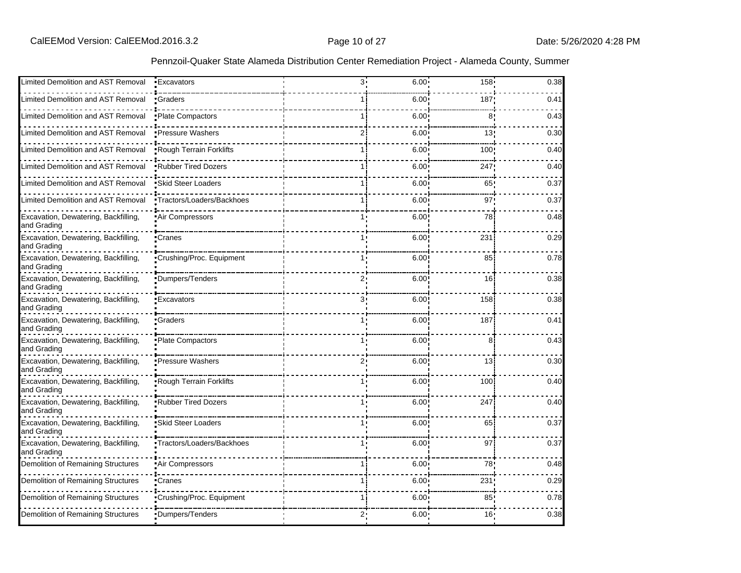| Limited Demolition and AST Removal                  | • Excavators               | 3.             | $6.00 -$          | $158 -$         | 0.38 |
|-----------------------------------------------------|----------------------------|----------------|-------------------|-----------------|------|
| Limited Demolition and AST Removal                  | •Graders                   |                | 6.00 <sup>1</sup> | 187             | 0.41 |
| Limited Demolition and AST Removal                  | • Plate Compactors         | 1 i            | $6.00^{\circ}$    | 8               | 0.43 |
| Limited Demolition and AST Removal                  | <b>•Pressure Washers</b>   |                | $6.00^{\circ}$    | 13!             | 0.30 |
| Limited Demolition and AST Removal                  | .Rough Terrain Forklifts   |                | 6.00 <sup>1</sup> | 100'            | 0.40 |
| <b>Limited Demolition and AST Removal</b>           | .Rubber Tired Dozers       |                | 6.00 <sup>1</sup> | 247             | 0.40 |
| Limited Demolition and AST Removal                  | Skid Steer Loaders         | 1 i            | 6.00 <sub>1</sub> | 65              | 0.37 |
| Limited Demolition and AST Removal                  | •Tractors/Loaders/Backhoes | 1 i            | 6.00              | 97              | 0.37 |
| Excavation, Dewatering, Backfilling,<br>and Grading | Air Compressors            | 1.             | 6.00!             | 78              | 0.48 |
| Excavation, Dewatering, Backfilling,<br>and Grading | 'Cranes                    |                | 6.00              | 231             | 0.29 |
| Excavation, Dewatering, Backfilling,<br>and Grading | Crushing/Proc. Equipment   |                | 6.00              | 85              | 0.78 |
| Excavation, Dewatering, Backfilling,<br>and Grading | Dumpers/Tenders            | 2٠             | 6.00              | 16              | 0.38 |
| Excavation, Dewatering, Backfilling,<br>and Grading | 'Excavators                | 3.             | 6.00              | 158             | 0.38 |
| Excavation, Dewatering, Backfilling,<br>and Grading | Graders                    |                | 6.00              | 187             | 0.41 |
| Excavation, Dewatering, Backfilling,<br>and Grading | Plate Compactors           | 1.             | 6.00              | 8               | 0.43 |
| Excavation, Dewatering, Backfilling,<br>and Grading | •Pressure Washers          | $2^,$          | 6.00              | 13              | 0.30 |
| Excavation, Dewatering, Backfilling,<br>and Grading | Rough Terrain Forklifts    |                | 6.00              | 100             | 0.40 |
| Excavation, Dewatering, Backfilling,<br>and Grading | Rubber Tired Dozers        |                | 6.00              | 247             | 0.40 |
| Excavation, Dewatering, Backfilling,<br>and Grading | <b>Skid Steer Loaders</b>  | 1 <sub>1</sub> | 6.00              | 65              | 0.37 |
| Excavation, Dewatering, Backfilling,<br>and Grading | Tractors/Loaders/Backhoes  |                | 6.00              | 97              | 0.37 |
| Demolition of Remaining Structures                  | Air Compressors            |                | $6.00^{\circ}$    | 78              | 0.48 |
| Demolition of Remaining Structures                  | •Cranes                    |                | 6.00 <sup>1</sup> | 231             | 0.29 |
| Demolition of Remaining Structures                  | Crushing/Proc. Equipment   | 1 i            | 6.00 <sup>1</sup> | 85 <sub>1</sub> | 0.78 |
| Demolition of Remaining Structures                  | Dumpers/Tenders            | 2:             | 6.00 <sub>1</sub> | 16!             | 0.38 |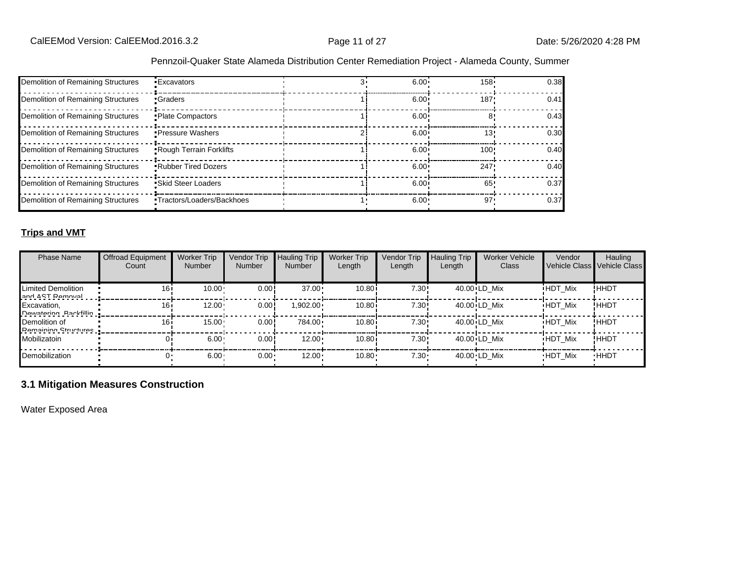| Demolition of Remaining Structures | •Excavators                    | $6.00 -$          | $158 -$ | 0.38 |
|------------------------------------|--------------------------------|-------------------|---------|------|
| Demolition of Remaining Structures | Graders                        | $6.00 \cdot$      | 187'    | 0.41 |
| Demolition of Remaining Structures | Plate Compactors               | 6.00 <sup>1</sup> |         | 0.43 |
| Demolition of Remaining Structures | • Pressure Washers             | 6.00 <sup>1</sup> | 13'     | 0.30 |
| Demolition of Remaining Structures | <b>Rough Terrain Forklifts</b> | $6.00 \cdot$      | 100     | 0.40 |
| Demolition of Remaining Structures | <b>.</b> Rubber Tired Dozers   | $6.00 \cdot$      | 247     | 0.40 |
| Demolition of Remaining Structures | Skid Steer Loaders             | $6.00 \cdot$      | 65'     | 0.37 |
| Demolition of Remaining Structures | •Tractors/Loaders/Backhoes     | $6.00 \cdot$      | $97 -$  | 0.37 |

#### **Trips and VMT**

| <b>Phase Name</b>                            | <b>Offroad Equipment</b><br>Count | <b>Worker Trip</b><br><b>Number</b> | Vendor Trip<br>Number | <b>Hauling Trip</b><br><b>Number</b> | <b>Worker Trip</b><br>Length | <b>Vendor Trip</b><br>Length | <b>Hauling Trip</b><br>Length | <b>Worker Vehicle</b><br>Class | Vendor         | Hauling<br>Vehicle Class Vehicle Class |
|----------------------------------------------|-----------------------------------|-------------------------------------|-----------------------|--------------------------------------|------------------------------|------------------------------|-------------------------------|--------------------------------|----------------|----------------------------------------|
| Limited Demolition<br>and ACT Damoval        | 16i                               | 10.00                               | 0.00!                 | $37.00 \cdot$                        | 10.80i                       | 7.30!                        |                               | 40.00 LD Mix                   | <b>HDT Mix</b> | !HHDT                                  |
| Excavation,<br><b>Nawataring Rackfillin</b>  | 16i                               | 12.00                               | 0.00                  | $1,902.00 \cdot$                     | 10.80i                       | 7.30!                        |                               | 40.00 LD Mix                   | <b>HDT Mix</b> | ! ННDТ                                 |
| Demolition of<br><b>Pamaining Structures</b> | 16i                               | $15.00 -$                           | 0.00                  | 784.00                               | 10.80i                       | 7.30!                        |                               | 40.00 LD Mix                   | <b>HDT Mix</b> | !ННDТ                                  |
| Mobilizatoin                                 |                                   | 6.00                                | 0.00!                 | $12.00 \cdot$                        | 10.80i                       | 7.30!                        |                               | 40.00 LD Mix                   | <b>HDT Mix</b> | !ННDТ                                  |
| Demobilization                               |                                   | 6.00                                | $0.00 -$              | $12.00 \cdot$                        | 10.80                        | $7.30 \cdot$                 |                               | 40.00 LD Mix                   | <b>HDT Mix</b> | <b>HHDT</b>                            |

# **3.1 Mitigation Measures Construction**

Water Exposed Area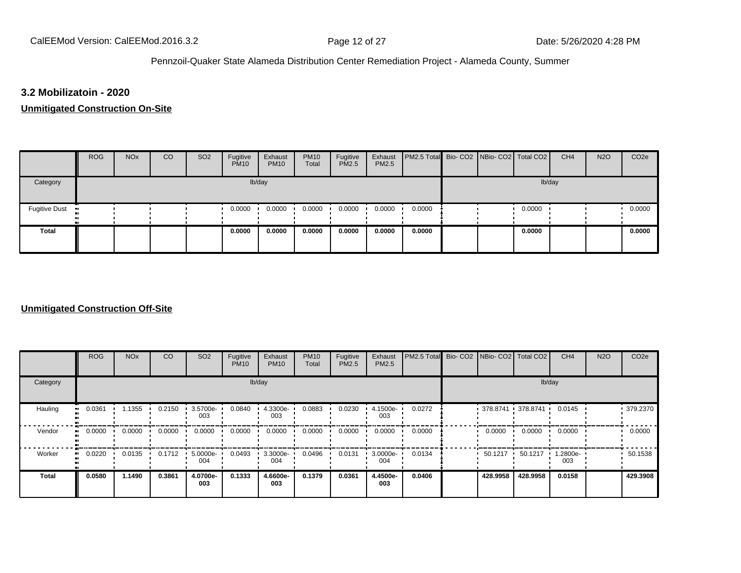# **3.2 Mobilizatoin - 2020**

#### **Unmitigated Construction On-Site**

|                 | <b>ROG</b> | <b>NO<sub>x</sub></b> | CO | SO <sub>2</sub> | Fugitive<br><b>PM10</b> | Exhaust<br><b>PM10</b> | <b>PM10</b><br>Total | Fugitive<br><b>PM2.5</b> | Exhaust<br><b>PM2.5</b> | PM2.5 Total Bio- CO2 NBio- CO2 Total CO2 |  |        | CH <sub>4</sub> | <b>N2O</b> | CO <sub>2e</sub> |
|-----------------|------------|-----------------------|----|-----------------|-------------------------|------------------------|----------------------|--------------------------|-------------------------|------------------------------------------|--|--------|-----------------|------------|------------------|
| Category        |            |                       |    |                 |                         | lb/day                 |                      |                          |                         |                                          |  | lb/day |                 |            |                  |
| Fugitive Dust • |            |                       |    |                 | 0.0000                  | 0.0000                 | 0.0000               | 0.0000                   | 0.0000                  | 0.0000                                   |  | 0.0000 |                 |            | 0.0000           |
| <b>Total</b>    |            |                       |    |                 | 0.0000                  | 0.0000                 | 0.0000               | 0.0000                   | 0.0000                  | 0.0000                                   |  | 0.0000 |                 |            | 0.0000           |

#### **Unmitigated Construction Off-Site**

|                          | <b>ROG</b> | <b>NO<sub>x</sub></b> | CO     | SO <sub>2</sub> | Fugitive<br><b>PM10</b> | Exhaust<br><b>PM10</b> | <b>PM10</b><br>Total | Fugitive<br><b>PM2.5</b> | Exhaust<br>PM2.5 | PM2.5 Total | Bio-CO2 NBio-CO2 Total CO2 |                        | CH <sub>4</sub> | <b>N2O</b> | CO <sub>2e</sub> |
|--------------------------|------------|-----------------------|--------|-----------------|-------------------------|------------------------|----------------------|--------------------------|------------------|-------------|----------------------------|------------------------|-----------------|------------|------------------|
| Category                 |            |                       |        |                 |                         | lb/day                 |                      |                          |                  |             |                            | lb/day                 |                 |            |                  |
| Hauling<br>$\bullet$     | 0.0361     | 1.1355                | 0.2150 | 3.5700e-<br>003 | 0.0840                  | 4.3300e-<br>003        | 0.0883               | 0.0230                   | 4.1500e-<br>003  | 0.0272      |                            | $-378.8741 - 378.8741$ | 0.0145          |            | 379.2370         |
| Vendor<br>$\bullet$      | 0.0000     | 0.0000                | 0.0000 | 0.0000          | 0.0000                  | 0.0000                 | 0.0000               | 0.0000                   | 0.0000           | 0.0000      | 0.0000                     | 0.0000                 | 0.0000          |            | 0.0000           |
| Worker<br>$\blacksquare$ | 0.0220     | 0.0135                | 0.1712 | 5.0000e-<br>004 | 0.0493                  | $3.3000e -$<br>004     | 0.0496               | 0.0131                   | 3.0000e-<br>004  | 0.0134      | 50.1217                    | 50.1217                | 1.2800e-<br>003 |            | 50.1538          |
| <b>Total</b>             | 0.0580     | 1.1490                | 0.3861 | 4.0700e-<br>003 | 0.1333                  | 4.6600e-<br>003        | 0.1379               | 0.0361                   | 4.4500e-<br>003  | 0.0406      | 428.9958                   | 428.9958               | 0.0158          |            | 429.3908         |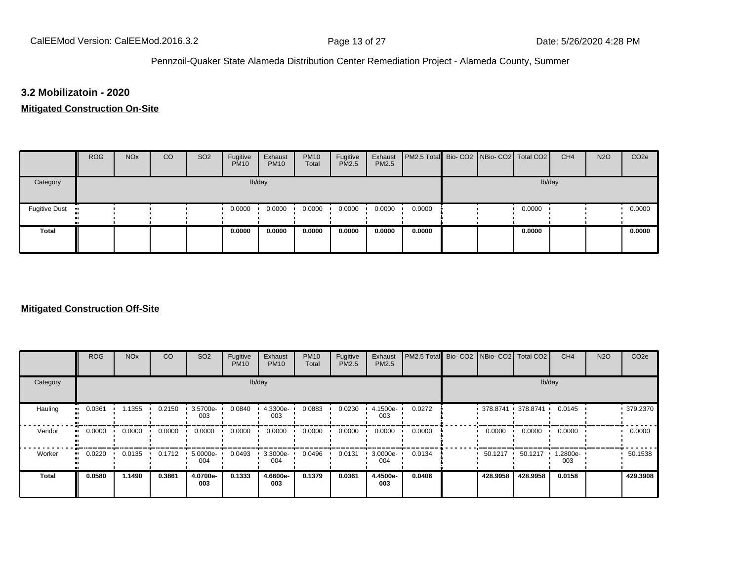#### **3.2 Mobilizatoin - 2020**

#### **Mitigated Construction On-Site**

|                                             | <b>ROG</b> | <b>NO<sub>x</sub></b> | CO | SO <sub>2</sub> | Fugitive<br><b>PM10</b> | Exhaust<br><b>PM10</b> | <b>PM10</b><br>Total | Fugitive<br><b>PM2.5</b> | Exhaust<br>PM2.5 | PM2.5 Total Bio- CO2 NBio- CO2 Total CO2 |  |        | CH <sub>4</sub> | <b>N2O</b> | CO <sub>2e</sub> |
|---------------------------------------------|------------|-----------------------|----|-----------------|-------------------------|------------------------|----------------------|--------------------------|------------------|------------------------------------------|--|--------|-----------------|------------|------------------|
| Category                                    |            |                       |    |                 |                         | lb/day                 |                      |                          |                  |                                          |  | lb/day |                 |            |                  |
| <b>Fugitive Dust</b><br>$\blacksquare$<br>п |            |                       |    |                 | 0.0000                  | 0.0000                 | 0.0000               | 0.0000                   | 0.0000           | 0.0000                                   |  | 0.0000 |                 |            | 0.0000           |
| <b>Total</b>                                |            |                       |    |                 | 0.0000                  | 0.0000                 | 0.0000               | 0.0000                   | 0.0000           | 0.0000                                   |  | 0.0000 |                 |            | 0.0000           |

#### **Mitigated Construction Off-Site**

|                          | <b>ROG</b> | <b>NO<sub>x</sub></b> | CO     | SO <sub>2</sub> | Fugitive<br><b>PM10</b> | Exhaust<br><b>PM10</b> | <b>PM10</b><br>Total | Fugitive<br><b>PM2.5</b> | Exhaust<br>PM2.5 | PM2.5 Total | Bio-CO2 NBio-CO2 Total CO2 |                        | CH <sub>4</sub> | <b>N2O</b> | CO <sub>2e</sub> |
|--------------------------|------------|-----------------------|--------|-----------------|-------------------------|------------------------|----------------------|--------------------------|------------------|-------------|----------------------------|------------------------|-----------------|------------|------------------|
| Category                 |            |                       |        |                 |                         | lb/day                 |                      |                          |                  |             |                            | lb/day                 |                 |            |                  |
| Hauling<br>$\bullet$     | 0.0361     | 1.1355                | 0.2150 | 3.5700e-<br>003 | 0.0840                  | 4.3300e-<br>003        | 0.0883               | 0.0230                   | 4.1500e-<br>003  | 0.0272      |                            | $-378.8741 - 378.8741$ | 0.0145          |            | 379.2370         |
| Vendor<br>$\bullet$      | 0.0000     | 0.0000                | 0.0000 | 0.0000          | 0.0000                  | 0.0000                 | 0.0000               | 0.0000                   | 0.0000           | 0.0000      | 0.0000                     | 0.0000                 | 0.0000          |            | 0.0000           |
| Worker<br>$\blacksquare$ | 0.0220     | 0.0135                | 0.1712 | 5.0000e-<br>004 | 0.0493                  | $3.3000e -$<br>004     | 0.0496               | 0.0131                   | 3.0000e-<br>004  | 0.0134      | 50.1217                    | 50.1217                | 1.2800e-<br>003 |            | 50.1538          |
| <b>Total</b>             | 0.0580     | 1.1490                | 0.3861 | 4.0700e-<br>003 | 0.1333                  | 4.6600e-<br>003        | 0.1379               | 0.0361                   | 4.4500e-<br>003  | 0.0406      | 428.9958                   | 428.9958               | 0.0158          |            | 429.3908         |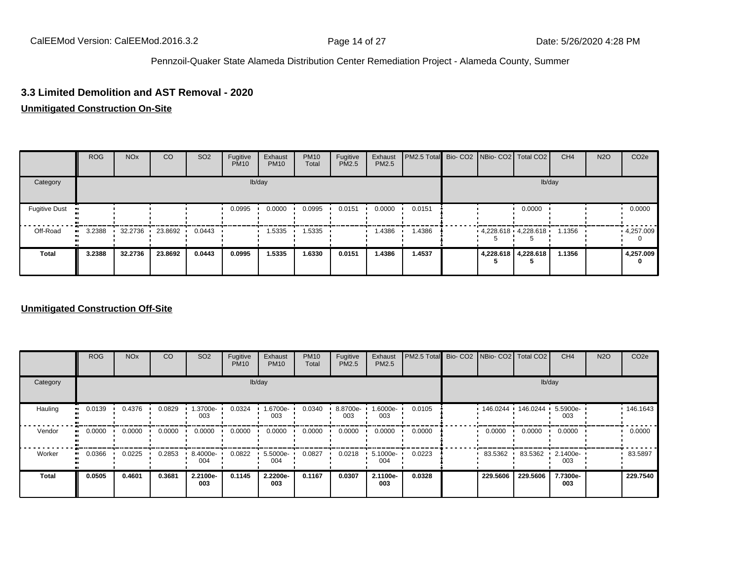#### **3.3 Limited Demolition and AST Removal - 2020**

#### **Unmitigated Construction On-Site**

|                              | <b>ROG</b>   | <b>NO<sub>x</sub></b> | <sub>CO</sub> | SO <sub>2</sub> | Fugitive<br><b>PM10</b> | Exhaust<br><b>PM10</b> | <b>PM10</b><br>Total | Fugitive<br><b>PM2.5</b> | Exhaust<br>PM2.5 | <b>PM2.5 Total</b> Bio- CO2 NBio- CO2 Total CO2 |  |                         | CH <sub>4</sub> | <b>N2O</b> | CO <sub>2e</sub> |
|------------------------------|--------------|-----------------------|---------------|-----------------|-------------------------|------------------------|----------------------|--------------------------|------------------|-------------------------------------------------|--|-------------------------|-----------------|------------|------------------|
| Category                     |              |                       |               |                 |                         | lb/day                 |                      |                          |                  |                                                 |  | lb/day                  |                 |            |                  |
| <b>Fugitive Dust</b><br>- 98 |              |                       |               |                 | 0.0995                  | 0.0000                 | 0.0995               | 0.0151                   | 0.0000           | 0.0151                                          |  | 0.0000                  |                 |            | 0.0000           |
| Off-Road                     | 3.2388<br>ш. | 32.2736               | 23.8692       | 0.0443          |                         | 1.5335                 | 1.5335               |                          | 1.4386           | .4386                                           |  | $4,228.618$ $4,228.618$ | 1.1356          |            | 4,257.009        |
| <b>Total</b>                 | 3.2388       | 32.2736               | 23.8692       | 0.0443          | 0.0995                  | 1.5335                 | 1.6330               | 0.0151                   | 1.4386           | 1.4537                                          |  | 4,228.618 4,228.618     | 1.1356          |            | 4,257.009<br>0   |

#### **Unmitigated Construction Off-Site**

|                        | <b>ROG</b>               | <b>NO<sub>x</sub></b> | CO     | SO <sub>2</sub> | Fugitive<br><b>PM10</b> | Exhaust<br><b>PM10</b> | <b>PM10</b><br>Total | Fugitive<br><b>PM2.5</b> | Exhaust<br>PM2.5 | PM2.5 Total Bio- CO2 NBio- CO2 Total CO2 |          |                     | CH <sub>4</sub>    | <b>N2O</b> | CO <sub>2e</sub> |
|------------------------|--------------------------|-----------------------|--------|-----------------|-------------------------|------------------------|----------------------|--------------------------|------------------|------------------------------------------|----------|---------------------|--------------------|------------|------------------|
| Category               |                          |                       |        |                 |                         | lb/day                 |                      |                          |                  |                                          |          |                     | lb/day             |            |                  |
| Hauling                | 0.0139<br>$\blacksquare$ | 0.4376                | 0.0829 | 1.3700e-<br>003 | 0.0324                  | 1.6700e-<br>003        | 0.0340               | 8.8700e-<br>003          | --6000e.<br>003  | 0.0105                                   |          | 146.0244 146.0244 ' | 5.5900e-<br>003    |            | 146.1643         |
| Vendor<br>$\mathbf{u}$ | 0.0000                   | 0.0000                | 0.0000 | 0.0000          | 0.0000                  | 0.0000                 | 0.0000               | 0.0000                   | 0.0000           | 0.0000                                   | 0.0000   | 0.0000              | 0.0000             |            | 0.0000           |
| Worker<br>$\bullet$    | 0.0366                   | 0.0225                | 0.2853 | 8.4000e-<br>004 | 0.0822                  | 5.5000e-<br>004        | 0.0827               | 0.0218                   | 5.1000e-<br>004  | 0.0223                                   | 83.5362  | 83.5362             | $.21400e-7$<br>003 |            | 83.5897          |
| <b>Total</b>           | 0.0505                   | 0.4601                | 0.3681 | 2.2100e-<br>003 | 0.1145                  | 2.2200e-<br>003        | 0.1167               | 0.0307                   | 2.1100e-<br>003  | 0.0328                                   | 229.5606 | 229,5606            | 7.7300e-<br>003    |            | 229.7540         |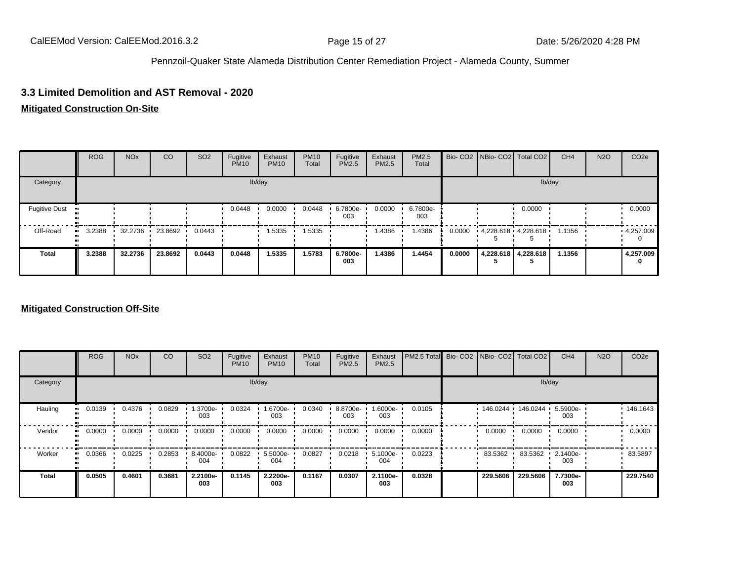#### **3.3 Limited Demolition and AST Removal - 2020**

# **Mitigated Construction On-Site**

|                      | <b>ROG</b> | <b>NO<sub>x</sub></b> | CO              | SO <sub>2</sub> | Fugitive<br><b>PM10</b> | Exhaust<br><b>PM10</b> | <b>PM10</b><br>Total | Fugitive<br>PM2.5 | Exhaust<br>PM2.5 | PM2.5<br>Total  |        | Bio- CO2   NBio- CO2   Total CO2 |                     | CH <sub>4</sub> | <b>N2O</b> | CO <sub>2</sub> e |
|----------------------|------------|-----------------------|-----------------|-----------------|-------------------------|------------------------|----------------------|-------------------|------------------|-----------------|--------|----------------------------------|---------------------|-----------------|------------|-------------------|
| Category             |            |                       |                 |                 |                         | lb/day                 |                      |                   |                  |                 |        |                                  | lb/day              |                 |            |                   |
| <b>Fugitive Dust</b> |            |                       |                 |                 | 0.0448                  | 0.0000                 | 0.0448               | 6.7800e-<br>003   | 0.0000           | 6.7800e-<br>003 |        |                                  | 0.0000              |                 |            | 0.0000            |
| Off-Road             | 3.2388     |                       | 32.2736 23.8692 | 0.0443          |                         | 1.5335                 | 1.5335               |                   | 1.4386           | 1.4386          | 0.0000 | $4.228.618 \cdot 4.228.618$      |                     | 1.1356          |            | 4,257.009         |
| <b>Total</b>         | 3.2388     | 32.2736               | 23.8692         | 0.0443          | 0.0448                  | 1.5335                 | 1.5783               | 6.7800e-<br>003   | 1.4386           | 1.4454          | 0.0000 |                                  | 4,228.618 4,228.618 | 1.1356          |            | 4,257.009<br>0    |

#### **Mitigated Construction Off-Site**

|                      | <b>ROG</b> | <b>NO<sub>x</sub></b> | CO     | SO <sub>2</sub> | Fugitive<br><b>PM10</b> | Exhaust<br><b>PM10</b> | <b>PM10</b><br>Total | Fugitive<br><b>PM2.5</b> | Exhaust<br>PM2.5 | PM2.5 Total | Bio-CO <sub>2</sub> | NBio- CO2   Total CO2 |            | CH <sub>4</sub> | <b>N2O</b> | CO <sub>2e</sub> |
|----------------------|------------|-----------------------|--------|-----------------|-------------------------|------------------------|----------------------|--------------------------|------------------|-------------|---------------------|-----------------------|------------|-----------------|------------|------------------|
| Category             |            |                       |        |                 |                         | lb/day                 |                      |                          |                  |             |                     |                       | lb/day     |                 |            |                  |
| Hauling<br>$\bullet$ | 0.0139     | 0.4376                | 0.0829 | 1.3700e-<br>003 | 0.0324                  | 1.6700e-<br>003        | 0.0340               | 8.8700e-<br>003          | .6000e-<br>003   | 0.0105      |                     | 146.0244              | 146.0244 · | 5.5900e-<br>003 |            | 146.1643         |
| Vendor<br>$\bullet$  | 0.0000     | 0.0000                | 0.0000 | 0.0000          | 0.0000                  | 0.0000                 | 0.0000               | 0.0000                   | 0.0000           | 0.0000      |                     | 0.0000                | 0.0000     | 0.0000          |            | 0.0000           |
| Worker<br>$\bullet$  | 0.0366     | 0.0225                | 0.2853 | 8.4000e-<br>004 | 0.0822                  | 5.5000e-<br>004        | 0.0827               | 0.0218                   | 5.1000e-<br>004  | 0.0223      |                     | 83.5362               | 83.5362    | 2.1400e-<br>003 |            | 83.5897          |
| <b>Total</b>         | 0.0505     | 0.4601                | 0.3681 | 2.2100e-<br>003 | 0.1145                  | 2.2200e-<br>003        | 0.1167               | 0.0307                   | 2.1100e-<br>003  | 0.0328      |                     | 229.5606              | 229.5606   | 7.7300e-<br>003 |            | 229.7540         |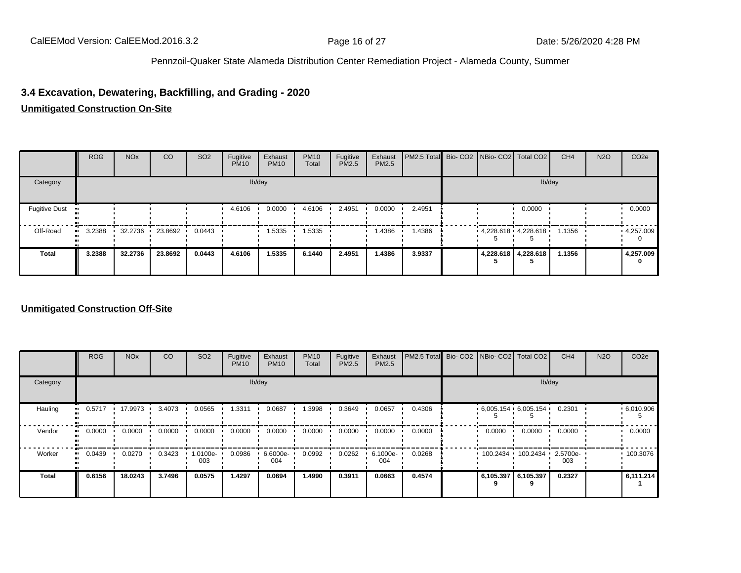# **3.4 Excavation, Dewatering, Backfilling, and Grading - 2020**

#### **Unmitigated Construction On-Site**

|                      | <b>ROG</b> | <b>NO<sub>x</sub></b> | <sub>CO</sub>     | SO <sub>2</sub> | Fugitive<br><b>PM10</b> | Exhaust<br><b>PM10</b> | <b>PM10</b><br>Total | Fugitive<br>PM2.5 | Exhaust<br>PM2.5 | PM2.5 Total Bio- CO2 NBio- CO2 Total CO2 |  |                             | CH <sub>4</sub> | <b>N2O</b> | CO <sub>2</sub> e |
|----------------------|------------|-----------------------|-------------------|-----------------|-------------------------|------------------------|----------------------|-------------------|------------------|------------------------------------------|--|-----------------------------|-----------------|------------|-------------------|
| Category             |            |                       |                   |                 |                         | lb/day                 |                      |                   |                  |                                          |  | lb/day                      |                 |            |                   |
| <b>Fugitive Dust</b> |            |                       |                   |                 | 4.6106                  | 0.0000                 | 4.6106               | 2.4951            | 0.0000           | 2.4951                                   |  | 0.0000                      |                 |            | 0.0000            |
| Off-Road             | 3.2388     |                       | 32.2736 23.8692 ' | 0.0443          |                         | 1.5335                 | 1.5335               |                   | 1.4386           | 1.4386                                   |  | $4.228.618 \cdot 4.228.618$ | 1.1356          |            | 4,257.009         |
| <b>Total</b>         | 3.2388     | 32.2736               | 23.8692           | 0.0443          | 4.6106                  | 1.5335                 | 6.1440               | 2.4951            | 1.4386           | 3.9337                                   |  | 4,228.618 4,228.618         | 1.1356          |            | 4,257.009<br>0    |

#### **Unmitigated Construction Off-Site**

|                     | <b>ROG</b> | <b>NO<sub>x</sub></b> | CO     | SO <sub>2</sub> | Fugitive<br><b>PM10</b> | Exhaust<br><b>PM10</b> | <b>PM10</b><br>Total | Fugitive<br><b>PM2.5</b> | Exhaust<br>PM2.5 | PM2.5 Total Bio- CO2 NBio- CO2 Total CO2 |                       |                     | CH <sub>4</sub> | <b>N2O</b> | CO <sub>2e</sub> |
|---------------------|------------|-----------------------|--------|-----------------|-------------------------|------------------------|----------------------|--------------------------|------------------|------------------------------------------|-----------------------|---------------------|-----------------|------------|------------------|
| Category            |            |                       |        |                 |                         | lb/day                 |                      |                          |                  |                                          |                       | lb/day              |                 |            |                  |
| Hauling<br>ш.       | 0.5717     | 17.9973               | 3.4073 | 0.0565          | 1.3311                  | 0.0687                 | 1.3998               | 0.3649                   | 0.0657           | 0.4306                                   | $6,005.154$ 6,005.154 |                     | 0.2301          |            | .6010.906        |
| Vendor<br>$\bullet$ | 0.0000     | 0.0000                | 0.0000 | 0.0000          | 0.0000                  | 0.0000                 | 0.0000               | 0.0000                   | 0.0000           | 0.0000                                   | 0.0000                | 0.0000              | 0.0000          |            | 0.0000           |
| Worker<br>$\bullet$ | 0.0439     | 0.0270                | 0.3423 | 1.0100e-<br>003 | 0.0986                  | 6.6000e-<br>004        | 0.0992               | 0.0262                   | 6.1000e-<br>004  | 0.0268                                   |                       | 100.2434 100.2434 1 | 2.5700e-<br>003 |            | 100.3076         |
| <b>Total</b>        | 0.6156     | 18.0243               | 3.7496 | 0.0575          | 1.4297                  | 0.0694                 | 1.4990               | 0.3911                   | 0.0663           | 0.4574                                   | 6,105.397             | 6,105.397<br>9      | 0.2327          |            | 6.111.214        |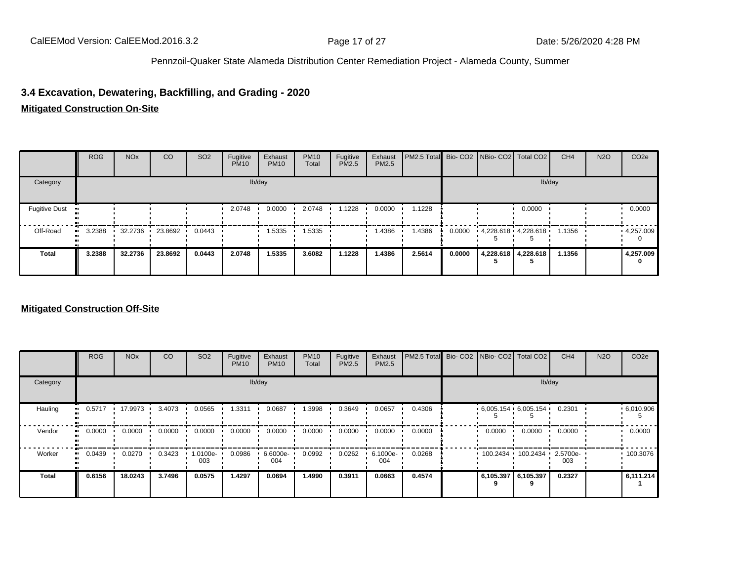# **3.4 Excavation, Dewatering, Backfilling, and Grading - 2020**

#### **Mitigated Construction On-Site**

|                      | <b>ROG</b> | <b>NO<sub>x</sub></b> | <sub>CO</sub>   | <b>SO2</b> | Fugitive<br><b>PM10</b> | Exhaust<br><b>PM10</b> | <b>PM10</b><br>Total | Fugitive<br><b>PM2.5</b> | Exhaust<br>PM2.5 | PM2.5 Total Bio- CO2 NBio- CO2 Total CO2 |        |                         |                     | CH <sub>4</sub> | <b>N2O</b> | CO <sub>2e</sub> |
|----------------------|------------|-----------------------|-----------------|------------|-------------------------|------------------------|----------------------|--------------------------|------------------|------------------------------------------|--------|-------------------------|---------------------|-----------------|------------|------------------|
| Category             |            |                       |                 |            |                         | lb/day                 |                      |                          |                  |                                          |        |                         |                     | lb/day          |            |                  |
| <b>Fugitive Dust</b> |            |                       |                 |            | 2.0748                  | 0.0000                 | 2.0748               | 1.1228                   | 0.0000           | .1228                                    |        |                         | 0.0000              |                 |            | 0.0000           |
| Off-Road             | 3.2388     |                       | 32.2736 23.8692 | 0.0443     |                         | 1.5335                 | .5335                |                          | 1.4386           | .4386                                    | 0.0000 | $4,228.618$ $4,228.618$ |                     | 1.1356          |            | 4,257.009        |
| <b>Total</b>         | 3.2388     | 32.2736               | 23.8692         | 0.0443     | 2.0748                  | 1.5335                 | 3.6082               | 1.1228                   | 1.4386           | 2.5614                                   | 0.0000 |                         | 4,228.618 4,228.618 | 1.1356          |            | 4,257.009<br>0   |

#### **Mitigated Construction Off-Site**

|              | <b>ROG</b> | <b>NO<sub>x</sub></b> | CO     | SO <sub>2</sub> | Fugitive<br><b>PM10</b> | Exhaust<br><b>PM10</b> | <b>PM10</b><br>Total | Fugitive<br><b>PM2.5</b> | Exhaust<br>PM2.5 | PM2.5 Total Bio- CO2 | NBio- CO2   Total CO2 |                            | CH <sub>4</sub> | <b>N2O</b> | CO <sub>2e</sub> |
|--------------|------------|-----------------------|--------|-----------------|-------------------------|------------------------|----------------------|--------------------------|------------------|----------------------|-----------------------|----------------------------|-----------------|------------|------------------|
| Category     |            |                       |        |                 | lb/day                  |                        |                      |                          |                  |                      |                       | lb/day                     |                 |            |                  |
| Hauling      | 0.5717     | 17.9973 .             | 3.4073 | 0.0565          | 1.3311                  | 0.0687                 | 1.3998               | 0.3649                   | 0.0657           | 0.4306               | $6,005.154$ 6,005.154 |                            | 0.2301          |            | .6010.906        |
| Vendor       | 0.0000     | 0.0000                | 0.0000 | 0.0000          | 0.0000                  | 0.0000                 | 0.0000               | 0.0000                   | 0.0000           | 0.0000               | 0.0000                | 0.0000                     | 0.0000          |            | 0.0000           |
| Worker       | 0.0439     | 0.0270                | 0.3423 | 1.0100e-<br>003 | 0.0986                  | 6.6000e-<br>004        | 0.0992               | 0.0262                   | 6.1000e-<br>004  | 0.0268               |                       | 100.2434 100.2434 2.5700e- | 003             |            | 100.3076         |
| <b>Total</b> | 0.6156     | 18.0243               | 3.7496 | 0.0575          | 1.4297                  | 0.0694                 | 1.4990               | 0.3911                   | 0.0663           | 0.4574               | 6,105.397             | 6,105.397                  | 0.2327          |            | 6,111.214        |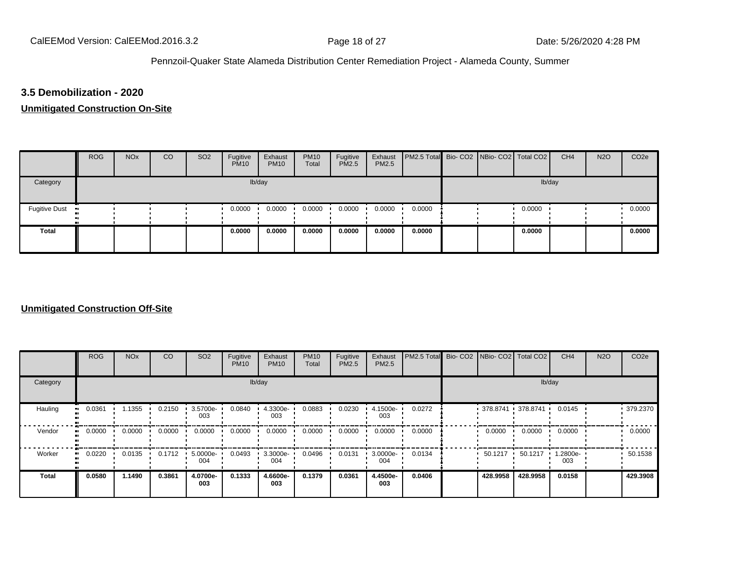# **3.5 Demobilization - 2020**

#### **Unmitigated Construction On-Site**

|                 | <b>ROG</b> | <b>NO<sub>x</sub></b> | CO | SO <sub>2</sub> | Fugitive<br><b>PM10</b> | Exhaust<br><b>PM10</b> | <b>PM10</b><br>Total | Fugitive<br><b>PM2.5</b> | Exhaust<br><b>PM2.5</b> | PM2.5 Total Bio- CO2 NBio- CO2 Total CO2 |  |        | CH <sub>4</sub> | <b>N2O</b> | CO <sub>2e</sub> |
|-----------------|------------|-----------------------|----|-----------------|-------------------------|------------------------|----------------------|--------------------------|-------------------------|------------------------------------------|--|--------|-----------------|------------|------------------|
| Category        |            |                       |    |                 |                         | lb/day                 |                      |                          |                         |                                          |  | lb/day |                 |            |                  |
| Fugitive Dust • |            |                       |    |                 | 0.0000                  | 0.0000                 | 0.0000               | 0.0000                   | 0.0000                  | 0.0000                                   |  | 0.0000 |                 |            | 0.0000           |
| <b>Total</b>    |            |                       |    |                 | 0.0000                  | 0.0000                 | 0.0000               | 0.0000                   | 0.0000                  | 0.0000                                   |  | 0.0000 |                 |            | 0.0000           |

#### **Unmitigated Construction Off-Site**

|                      | <b>ROG</b>   | <b>NO<sub>x</sub></b> | CO     | SO <sub>2</sub> | Fugitive<br><b>PM10</b> | Exhaust<br><b>PM10</b> | <b>PM10</b><br>Total | Fugitive<br>PM2.5 | Exhaust<br>PM2.5 | PM2.5 Total Bio- CO2 NBio- CO2 Total CO2 |                     |          | CH <sub>4</sub> | <b>N2O</b> | CO <sub>2e</sub> |
|----------------------|--------------|-----------------------|--------|-----------------|-------------------------|------------------------|----------------------|-------------------|------------------|------------------------------------------|---------------------|----------|-----------------|------------|------------------|
| Category             |              |                       |        |                 |                         | lb/day                 |                      |                   |                  |                                          |                     | lb/day   |                 |            |                  |
| Hauling<br>$\bullet$ | 0.0361       | 1.1355                | 0.2150 | 3.5700e-<br>003 | 0.0840                  | 4.3300e-<br>003        | 0.0883               | 0.0230            | 4.1500e-<br>003  | 0.0272                                   | $378.8741$ 378.8741 |          | 0.0145          |            | 379.2370         |
| Vendor               | 0.0000<br>ш. | 0.0000                | 0.0000 | 0.0000          | 0.0000                  | 0.0000                 | 0.0000               | 0.0000            | 0.0000           | 0.0000                                   | 0.0000              | 0.0000   | 0.0000          |            | 0.0000           |
| Worker<br>$\bullet$  | 0.0220       | 0.0135                | 0.1712 | 5.0000e-<br>004 | 0.0493                  | 3.3000e-<br>004        | 0.0496               | 0.0131            | 3.0000e-<br>004  | 0.0134                                   | $50.1217$ $\cdot$   | 50.1217  | 1.2800e-<br>003 |            | 50.1538          |
| <b>Total</b>         | 0.0580       | 1.1490                | 0.3861 | 4.0700e-<br>003 | 0.1333                  | 4.6600e-<br>003        | 0.1379               | 0.0361            | 4.4500e-<br>003  | 0.0406                                   | 428.9958            | 428.9958 | 0.0158          |            | 429.3908         |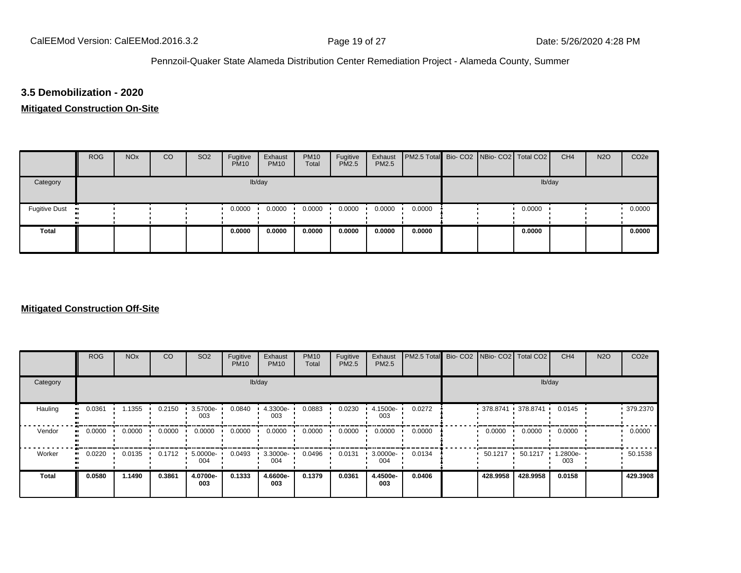# **3.5 Demobilization - 2020**

# **Mitigated Construction On-Site**

|                      | <b>ROG</b> | <b>NO<sub>x</sub></b> | CO | SO <sub>2</sub> | Fugitive<br><b>PM10</b> | Exhaust<br><b>PM10</b> | <b>PM10</b><br>Total | Fugitive<br><b>PM2.5</b> | Exhaust<br><b>PM2.5</b> | PM2.5 Total Bio- CO2 NBio- CO2 Total CO2 |  |        | CH <sub>4</sub> | <b>N2O</b> | CO <sub>2e</sub> |
|----------------------|------------|-----------------------|----|-----------------|-------------------------|------------------------|----------------------|--------------------------|-------------------------|------------------------------------------|--|--------|-----------------|------------|------------------|
| Category             |            | lb/day                |    |                 |                         |                        |                      |                          |                         |                                          |  | lb/day |                 |            |                  |
| <b>Fugitive Dust</b> |            |                       |    |                 | 0.0000                  | 0.0000                 | 0.0000               | 0.0000                   | 0.0000                  | 0.0000                                   |  | 0.0000 |                 |            | 0.0000           |
| <b>Total</b>         |            |                       |    |                 | 0.0000                  | 0.0000                 | 0.0000               | 0.0000                   | 0.0000                  | 0.0000                                   |  | 0.0000 |                 |            | 0.0000           |

#### **Mitigated Construction Off-Site**

|              | <b>ROG</b> | <b>NO<sub>x</sub></b> | CO     | SO <sub>2</sub>    | Fugitive<br><b>PM10</b> | Exhaust<br><b>PM10</b> | <b>PM10</b><br>Total | Fugitive<br>PM2.5 | Exhaust<br>PM2.5 | PM2.5 Total |          | Bio-CO2 NBio-CO2 Total CO2 | CH <sub>4</sub> | <b>N2O</b> | CO <sub>2e</sub> |
|--------------|------------|-----------------------|--------|--------------------|-------------------------|------------------------|----------------------|-------------------|------------------|-------------|----------|----------------------------|-----------------|------------|------------------|
| Category     |            |                       |        |                    |                         | lb/day                 |                      |                   |                  |             |          | lb/day                     |                 |            |                  |
| Hauling      | 0.0361     | .1355                 | 0.2150 | 3.5700e-<br>003    | 0.0840                  | 4.3300e-<br>003        | 0.0883               | 0.0230            | 4.1500e-<br>003  | 0.0272      |          | $378.8741$ 378.8741 ·      | 0.0145          |            | 379.2370         |
| Vendor       | 0.0000     | 0.0000                | 0.0000 | 0.0000             | 0.0000                  | 0.0000                 | 0.0000               | 0.0000            | 0.0000           | 0.0000      | 0.0000   | 0.0000                     | 0.0000          |            | 0.0000           |
| Worker       | 0.0220     | 0.0135                | 0.1712 | $5.0000e -$<br>004 | 0.0493                  | $3.3000e -$<br>004     | 0.0496               | 0.0131            | 3.0000e-<br>004  | 0.0134      | 50.1217  | 50.1217                    | 1.2800e-<br>003 |            | 50.1538          |
| <b>Total</b> | 0.0580     | 1.1490                | 0.3861 | 4.0700e-<br>003    | 0.1333                  | 4.6600e-<br>003        | 0.1379               | 0.0361            | 4.4500e-<br>003  | 0.0406      | 428.9958 | 428.9958                   | 0.0158          |            | 429.3908         |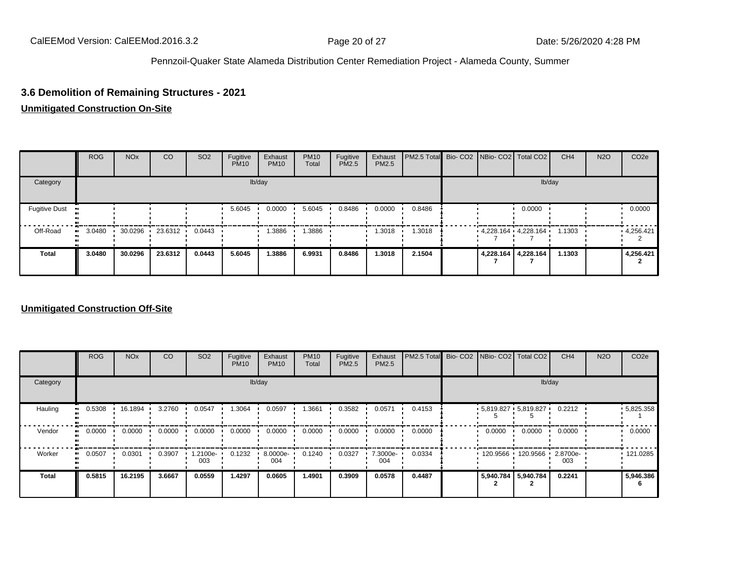# **3.6 Demolition of Remaining Structures - 2021**

#### **Unmitigated Construction On-Site**

|                      | <b>ROG</b> | <b>NO<sub>x</sub></b> | <sub>CO</sub>   | SO <sub>2</sub> | Fugitive<br><b>PM10</b> | Exhaust<br><b>PM10</b> | <b>PM10</b><br>Total | Fugitive<br>PM2.5 | Exhaust<br>PM2.5 | PM2.5 Total Bio- CO2 NBio- CO2 Total CO2 |  |                         | CH <sub>4</sub> | <b>N2O</b> | CO <sub>2</sub> e |
|----------------------|------------|-----------------------|-----------------|-----------------|-------------------------|------------------------|----------------------|-------------------|------------------|------------------------------------------|--|-------------------------|-----------------|------------|-------------------|
| Category             |            |                       |                 |                 |                         | lb/day                 |                      |                   |                  |                                          |  | lb/day                  |                 |            |                   |
| <b>Fugitive Dust</b> |            |                       |                 |                 | 5.6045                  | 0.0000                 | 5.6045               | 0.8486            | 0.0000           | 0.8486                                   |  | 0.0000                  |                 |            | 0.0000            |
| Off-Road             | 3.0480     |                       | 30.0296 23.6312 | 0.0443          |                         | .3886                  | .3886                |                   | 1.3018           | 1.3018                                   |  | $4,228.164$ $4,228.164$ | 1.1303          |            | 4,256.421         |
| <b>Total</b>         | 3.0480     | 30.0296               | 23.6312         | 0.0443          | 5.6045                  | 1.3886                 | 6.9931               | 0.8486            | 1.3018           | 2.1504                                   |  | 4,228.164 4,228.164     | 1.1303          |            | 4,256.421         |

#### **Unmitigated Construction Off-Site**

|                        | <b>ROG</b>               | <b>NO<sub>x</sub></b> | CO     | SO <sub>2</sub> | Fugitive<br><b>PM10</b> | Exhaust<br><b>PM10</b> | <b>PM10</b><br>Total | Fugitive<br><b>PM2.5</b> | Exhaust<br>PM2.5 | PM2.5 Total Bio- CO2 NBio- CO2 Total CO2 |        |                         | CH <sub>4</sub> | <b>N2O</b> | CO <sub>2e</sub> |
|------------------------|--------------------------|-----------------------|--------|-----------------|-------------------------|------------------------|----------------------|--------------------------|------------------|------------------------------------------|--------|-------------------------|-----------------|------------|------------------|
| Category               |                          |                       |        |                 |                         | lb/day                 |                      |                          |                  |                                          |        |                         | lb/day          |            |                  |
| Hauling                | 0.5308<br>$\blacksquare$ | 16.1894               | 3.2760 | 0.0547          | 1.3064                  | 0.0597                 | .3661                | 0.3582                   | 0.0571           | 0.4153                                   |        | $5,819.827$ $5,819.827$ | 0.2212          |            | $-5,825.358$     |
| Vendor<br>$\mathbf{u}$ | 0.0000                   | 0.0000                | 0.0000 | 0.0000          | 0.0000                  | 0.0000                 | 0.0000               | 0.0000                   | 0.0000           | 0.0000                                   | 0.0000 | 0.0000                  | 0.0000          |            | 0.0000           |
| Worker<br>$\bullet$    | 0.0507                   | 0.0301                | 0.3907 | 1.2100e-<br>003 | 0.1232                  | 8.0000e-<br>004        | 0.1240               | 0.0327                   | 7.3000e-<br>004  | 0.0334                                   |        | 120.9566 120.9566       | 2.8700e-<br>003 |            | .121.0285        |
| <b>Total</b>           | 0.5815                   | 16.2195               | 3.6667 | 0.0559          | 1.4297                  | 0.0605                 | 1.4901               | 0.3909                   | 0.0578           | 0.4487                                   |        | 5,940.784 5,940.784     | 0.2241          |            | 5.946.386        |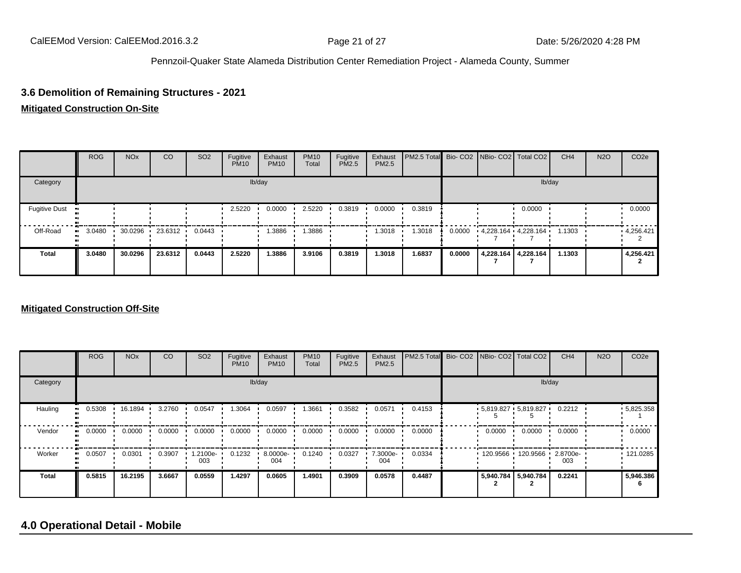# **3.6 Demolition of Remaining Structures - 2021**

#### **Mitigated Construction On-Site**

|                      | <b>ROG</b> | <b>NO<sub>x</sub></b> | CO        | SO <sub>2</sub> | Fugitive<br><b>PM10</b> | Exhaust<br><b>PM10</b> | <b>PM10</b><br>Total | Fugitive<br>PM2.5 | Exhaust<br>PM2.5 | PM2.5 Total Bio- CO2 NBio- CO2 Total CO2 |        |                         |                     | CH <sub>4</sub> | <b>N2O</b> | CO <sub>2e</sub> |
|----------------------|------------|-----------------------|-----------|-----------------|-------------------------|------------------------|----------------------|-------------------|------------------|------------------------------------------|--------|-------------------------|---------------------|-----------------|------------|------------------|
| Category             |            |                       |           |                 |                         | lb/day                 |                      |                   |                  |                                          |        |                         | lb/day              |                 |            |                  |
| <b>Fugitive Dust</b> |            |                       |           |                 | 2.5220                  | 0.0000                 | 2.5220               | 0.3819            | 0.0000           | 0.3819                                   |        |                         | 0.0000              |                 |            | 0.0000           |
| Off-Road             | 3.0480<br> | 30.0296               | 23.6312 · | 0.0443          |                         | .3886                  | .3886                |                   | 1.3018           | 1.3018                                   | 0.0000 | $4,228.164$ $4,228.164$ |                     | 1.1303          |            | 4,256.421        |
| <b>Total</b>         | 3.0480     | 30.0296               | 23.6312   | 0.0443          | 2.5220                  | 1.3886                 | 3.9106               | 0.3819            | 1.3018           | 1.6837                                   | 0.0000 |                         | 4,228.164 4,228.164 | 1.1303          |            | 4,256.421        |

#### **Mitigated Construction Off-Site**

|                            | <b>ROG</b> | <b>NO<sub>x</sub></b> | CO     | SO <sub>2</sub> | Fugitive<br><b>PM10</b> | Exhaust<br><b>PM10</b> | <b>PM10</b><br>Total | Fugitive<br><b>PM2.5</b> | Exhaust<br>PM2.5 | PM2.5 Total |           | Bio- CO2   NBio- CO2   Total CO2 | CH <sub>4</sub> | <b>N2O</b> | CO <sub>2e</sub>  |
|----------------------------|------------|-----------------------|--------|-----------------|-------------------------|------------------------|----------------------|--------------------------|------------------|-------------|-----------|----------------------------------|-----------------|------------|-------------------|
| Category                   |            |                       |        |                 |                         | lb/day                 |                      |                          |                  |             |           | lb/day                           |                 |            |                   |
| Hauling<br>$\bullet$       | 0.5308     | 16.1894               | 3.2760 | 0.0547          | 1.3064                  | 0.0597                 | 3661،                | 0.3582                   | 0.0571           | 0.4153      |           | $5,819.827$ $5,819.827$          | 0.2212          |            | $\cdot$ 5,825.358 |
| Vendor<br>$\bullet\bullet$ | 0.0000     | 0.0000                | 0.0000 | 0.0000          | 0.0000                  | 0.0000                 | 0.0000               | 0.0000                   | 0.0000           | 0.0000      | 0.0000    | 0.0000                           | 0.0000          |            | 0.0000            |
| Worker<br>$\bullet$        | 0.0507     | 0.0301                | 0.3907 | -2100e.<br>003  | 0.1232                  | 8.0000e-<br>004        | 0.1240               | 0.0327                   | 7.3000e-<br>004  | 0.0334      | 120.9566  | 120.9566 ·                       | 2.8700e-<br>003 |            | .121.0285         |
| <b>Total</b>               | 0.5815     | 16.2195               | 3.6667 | 0.0559          | 1.4297                  | 0.0605                 | 1.4901               | 0.3909                   | 0.0578           | 0.4487      | 5,940.784 | 5,940.784                        | 0.2241          |            | 5,946.386         |

# **4.0 Operational Detail - Mobile**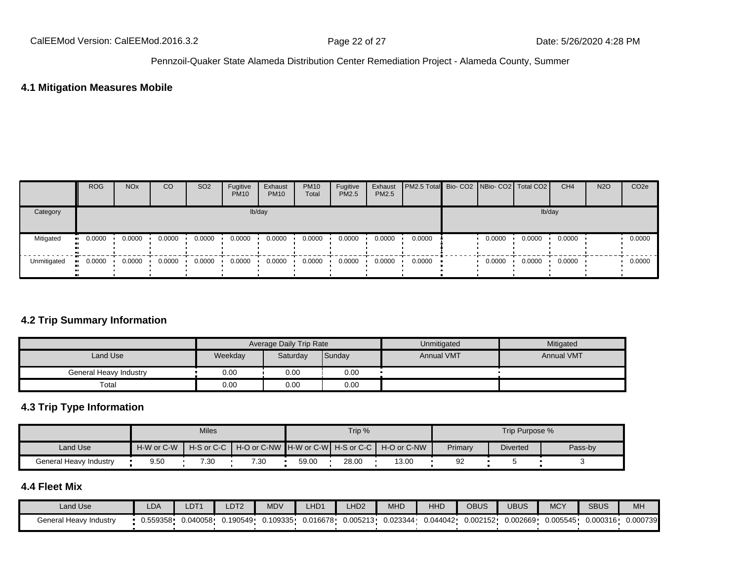# **4.1 Mitigation Measures Mobile**

|             | <b>ROG</b> | <b>NO<sub>x</sub></b> | CO     | SO <sub>2</sub> | Fugitive<br><b>PM10</b> | Exhaust<br><b>PM10</b> | <b>PM10</b><br>Total | Fugitive<br><b>PM2.5</b> | Exhaust<br><b>PM2.5</b> | <b>PM2.5 Total</b> Bio- CO2 NBio- CO2   Total CO2 |        |        | CH <sub>4</sub> | <b>N2O</b> | CO <sub>2e</sub> |
|-------------|------------|-----------------------|--------|-----------------|-------------------------|------------------------|----------------------|--------------------------|-------------------------|---------------------------------------------------|--------|--------|-----------------|------------|------------------|
| Category    |            |                       |        |                 |                         | lb/day                 |                      |                          |                         | lb/day                                            |        |        |                 |            |                  |
| Mitigated   | 0.0000     | 0.0000                | 0.0000 | 0.0000          | 0.0000                  | 0.0000                 | 0.0000               | 0.0000                   | 0.0000                  | 0.0000                                            | 0.0000 | 0.0000 | 0.0000          |            | 0.0000           |
| Unmitigated | 0.0000     | 0.0000                | 0.0000 | 0.0000          | 0.0000                  | 0.0000                 | 0.0000               | 0.0000                   | 0.0000                  | 0.0000                                            | 0.0000 | 0.0000 | 0.0000          |            | 0.0000           |

# **4.2 Trip Summary Information**

|                        |         | Average Daily Trip Rate |        | Unmitigated       | Mitigated         |
|------------------------|---------|-------------------------|--------|-------------------|-------------------|
| Land Use               | Weekday | Saturday                | Sunday | <b>Annual VMT</b> | <b>Annual VMT</b> |
| General Heavy Industry | 0.00    | 0.00                    | 0.00   |                   |                   |
| Total                  | 0.00    | 0.00                    | 0.00   |                   |                   |

# **4.3 Trip Type Information**

|                        |            | <b>Miles</b> |                                                            |       | Trip % |       |         | Trip Purpose %  |         |
|------------------------|------------|--------------|------------------------------------------------------------|-------|--------|-------|---------|-----------------|---------|
| Land Use               | H-W or C-W |              | H-S or C-C H + O or C-NW H-W or C-W H-S or C-C H-O or C-NW |       |        |       | Primary | <b>Diverted</b> | Pass-by |
| General Heavy Industry | 9.50       | 7.30         | 7.30                                                       | 59.00 | 28.00  | 13.00 | 92      |                 |         |

# **4.4 Fleet Mix**

| Land Use               | LDA      | LDT <sup>.</sup> | _DT <sub>2</sub> | <b>MDV</b> | LHD <sup>1</sup> | LHD <sub>2</sub> | <b>MHD</b> | <b>HHD</b> | OBUS     | <b>UBUS</b> | <b>MCY</b> | <b>SBUS</b> | MH       |
|------------------------|----------|------------------|------------------|------------|------------------|------------------|------------|------------|----------|-------------|------------|-------------|----------|
| General Heavy Industry | 0.559358 | 0.040058         | 0.190549         | 0.109335   | 0.016678         | 0.005213         | 0.023344   | 0.044042   | 0.002152 | 0.002669    | 0.005545   | 0.000316    | 0.000739 |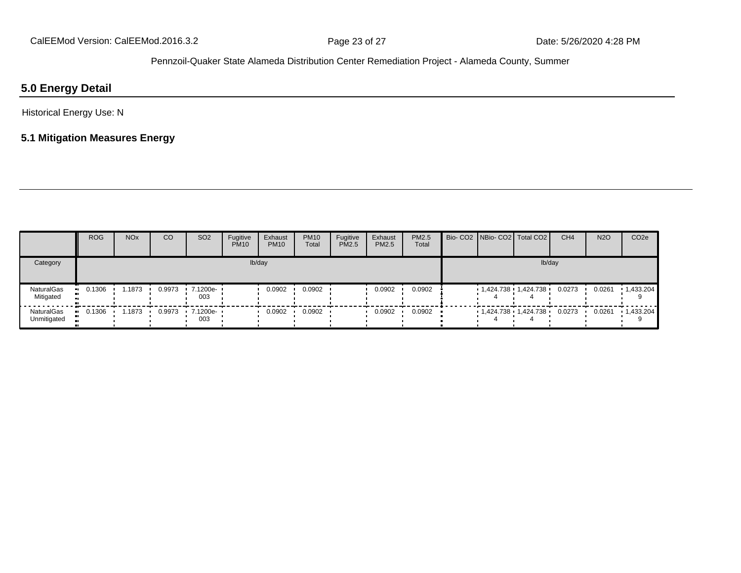### **5.0 Energy Detail**

Historical Energy Use: N

### **5.1 Mitigation Measures Energy**

|                           | <b>ROG</b>           | <b>NO<sub>x</sub></b> | CO     | SO <sub>2</sub>                 | Fugitive<br><b>PM10</b> | Exhaust<br><b>PM10</b> | <b>PM10</b><br>Total | Fugitive<br><b>PM2.5</b> | Exhaust<br>PM2.5 | PM2.5<br>Total | Bio- CO2   NBio- CO2   Total CO2 |        | CH <sub>4</sub> | <b>N2O</b> | CO <sub>2e</sub> |
|---------------------------|----------------------|-----------------------|--------|---------------------------------|-------------------------|------------------------|----------------------|--------------------------|------------------|----------------|----------------------------------|--------|-----------------|------------|------------------|
| Category                  |                      |                       |        |                                 |                         | lb/day                 |                      |                          |                  |                |                                  | lb/day |                 |            |                  |
| NaturalGas<br>Mitigated   | 0.1306               | .1873                 | 0.9973 | $\cdot$ 7.1200e- $\cdot$<br>003 |                         | 0.0902                 | 0.0902               |                          | 0.0902           | 0.0902         | $1,424.738$ $1,424.738$          |        | 0.0273          | 0.0261     | 1,433.204        |
| NaturalGas<br>Unmitigated | 0.1306<br><b>ALC</b> | .1873                 | 0.9973 | $.7.1200e -$<br>003             |                         | 0.0902                 | 0.0902               |                          | 0.0902           | 0.0902         | $1,424.738$ $1,424.738$          |        | 0.0273          | 0.0261     | 1,433.204        |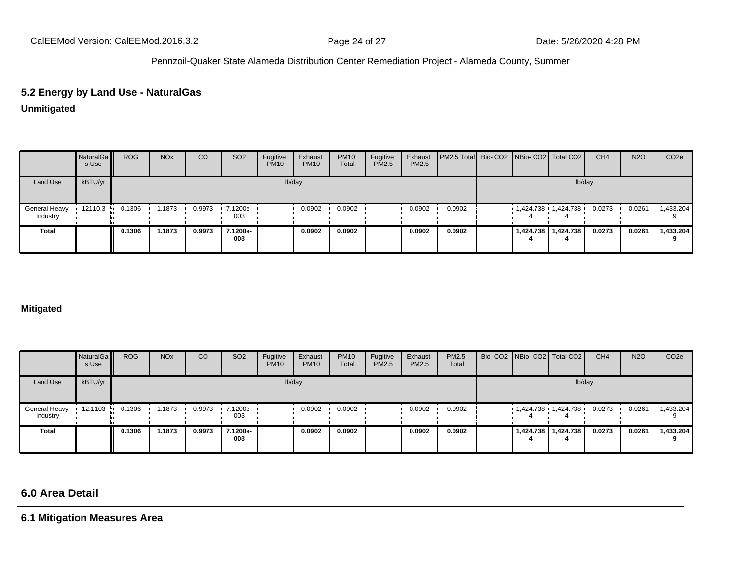# **5.2 Energy by Land Use - NaturalGas**

### **Unmitigated**

|                           | NaturalGa<br>s Use | <b>ROG</b> | <b>NO<sub>x</sub></b> | CO     | SO <sub>2</sub> | Fugitive<br><b>PM10</b> | Exhaust<br><b>PM10</b> | <b>PM10</b><br>Total | Fugitive<br>PM2.5 | Exhaust<br>PM2.5 | <b>PM2.5 Total</b> Bio- CO2 NBio- CO2 Total CO2 |  |                             | CH <sub>4</sub> | <b>N2O</b> | CO <sub>2e</sub>  |
|---------------------------|--------------------|------------|-----------------------|--------|-----------------|-------------------------|------------------------|----------------------|-------------------|------------------|-------------------------------------------------|--|-----------------------------|-----------------|------------|-------------------|
| Land Use                  | kBTU/yr            |            |                       |        |                 |                         | lb/day                 |                      |                   |                  |                                                 |  | lb/day                      |                 |            |                   |
| General Heavy<br>Industry | 12110.3            | 0.1306     | .1873                 | 0.9973 | 7.1200e-<br>003 |                         | 0.0902                 | 0.0902               |                   | 0.0902           | 0.0902                                          |  | $1,424.738$ $1,424.738$ $1$ | 0.0273          | 0.0261     | $\cdot$ 1,433.204 |
| <b>Total</b>              |                    | 0.1306     | .1873                 | 0.9973 | 7.1200e-<br>003 |                         | 0.0902                 | 0.0902               |                   | 0.0902           | 0.0902                                          |  | 1,424.738   1,424.738       | 0.0273          | 0.0261     | 1,433.204         |

#### **Mitigated**

|                           | NaturalGa<br>s Use | <b>ROG</b> | <b>NO<sub>x</sub></b> | CO     | SO <sub>2</sub> | Fugitive<br><b>PM10</b> | Exhaust<br><b>PM10</b> | <b>PM10</b><br>Total | Fugitive<br><b>PM2.5</b> | Exhaust<br>PM2.5 | PM2.5<br>Total |  | Bio- CO2 NBio- CO2   Total CO2 | CH <sub>4</sub> | <b>N2O</b> | CO <sub>2e</sub>  |
|---------------------------|--------------------|------------|-----------------------|--------|-----------------|-------------------------|------------------------|----------------------|--------------------------|------------------|----------------|--|--------------------------------|-----------------|------------|-------------------|
| Land Use                  | kBTU/yr            |            |                       |        |                 |                         | lb/day                 |                      |                          |                  |                |  | lb/day                         |                 |            |                   |
| General Heavy<br>Industry | 12.1103            | 0.1306     | 1.1873                | 0.9973 | 7.1200e-<br>003 |                         | 0.0902                 | 0.0902               |                          | 0.0902           | 0.0902         |  | 1,424.738 1,424.738            | 0.0273          | 0.0261     | $\cdot$ 1,433.204 |
| Total                     |                    | 0.1306     | 1.1873                | 0.9973 | 7.1200e-<br>003 |                         | 0.0902                 | 0.0902               |                          | 0.0902           | 0.0902         |  | 1,424.738   1,424.738          | 0.0273          | 0.0261     | 1,433.204         |

# **6.0 Area Detail**

**6.1 Mitigation Measures Area**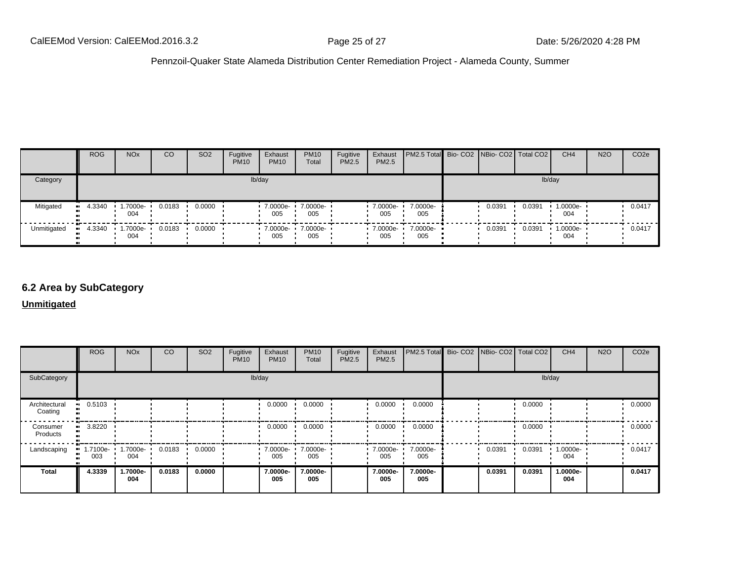|                  | <b>ROG</b> | <b>NO<sub>x</sub></b>   | CO     | SO <sub>2</sub> | Fugitive<br><b>PM10</b> | Exhaust<br><b>PM10</b> | <b>PM10</b><br>Total | Fugitive<br>PM2.5 | Exhaust<br>PM2.5 | PM2.5 Total Bio- CO2 NBio- CO2 Total CO2 |        |        | CH <sub>4</sub> | <b>N2O</b> | CO <sub>2e</sub> |
|------------------|------------|-------------------------|--------|-----------------|-------------------------|------------------------|----------------------|-------------------|------------------|------------------------------------------|--------|--------|-----------------|------------|------------------|
| Category         |            |                         |        |                 |                         | lb/day                 |                      |                   |                  |                                          |        | lb/day |                 |            |                  |
| Mitigated        | $-4.3340$  | $.7000e-$<br>004        | 0.0183 | 0.0000          |                         | 7.0000e-<br>005        | 7.0000e-<br>005      |                   | 7.0000e-<br>005  | 7.0000e-<br>005                          | 0.0391 | 0.0391 | 1.0000e-<br>004 |            | 0.0417           |
| Unmitigated<br>ш | 4.3340     | $\cdot$ 1.7000e-<br>004 | 0.0183 | 0.0000          |                         | .70000e.<br>005        | 7.0000e-<br>005      |                   | 7.0000e-<br>005  | 7.0000e-<br>005                          | 0.0391 | 0.0391 | 1.0000e-<br>004 |            | 0.0417           |

### **6.2 Area by SubCategory**

**Unmitigated**

|                          | <b>ROG</b>      | <b>NO<sub>x</sub></b> | CO     | SO <sub>2</sub> | Fugitive<br><b>PM10</b> | Exhaust<br><b>PM10</b>  | <b>PM10</b><br>Total | Fugitive<br>PM2.5 | Exhaust<br>PM2.5 | PM2.5 Total Bio- CO2 NBio- CO2 Total CO2 |        |        | CH <sub>4</sub> | <b>N2O</b> | CO <sub>2e</sub> |
|--------------------------|-----------------|-----------------------|--------|-----------------|-------------------------|-------------------------|----------------------|-------------------|------------------|------------------------------------------|--------|--------|-----------------|------------|------------------|
| SubCategory              |                 |                       |        |                 | lb/day                  |                         |                      |                   |                  |                                          |        | lb/day |                 |            |                  |
| Architectural<br>Coating | 0.5103          |                       |        |                 |                         | 0.0000                  | 0.0000               |                   | 0.0000           | 0.0000                                   |        | 0.0000 |                 |            | 0.0000           |
| Consumer<br>Products     | 3.8220          |                       |        |                 |                         | 0.0000                  | 0.0000               |                   | 0.0000           | 0.0000                                   |        | 0.0000 |                 |            | 0.0000           |
| Landscaping              | 1.7100e-<br>003 | 1.7000e-<br>004       | 0.0183 | 0.0000          |                         | $\cdot$ 7.0000e-<br>005 | 7.0000e-<br>005      |                   | 7.0000e-<br>005  | 7.0000e-<br>005                          | 0.0391 | 0.0391 | 1.0000e-<br>004 |            | 0.0417           |
| <b>Total</b>             | 4.3339          | 1.7000e-<br>004       | 0.0183 | 0.0000          |                         | 7.0000e-<br>005         | 7.0000e-<br>005      |                   | 7.0000e-<br>005  | 7.0000e-<br>005                          | 0.0391 | 0.0391 | 1.0000e-<br>004 |            | 0.0417           |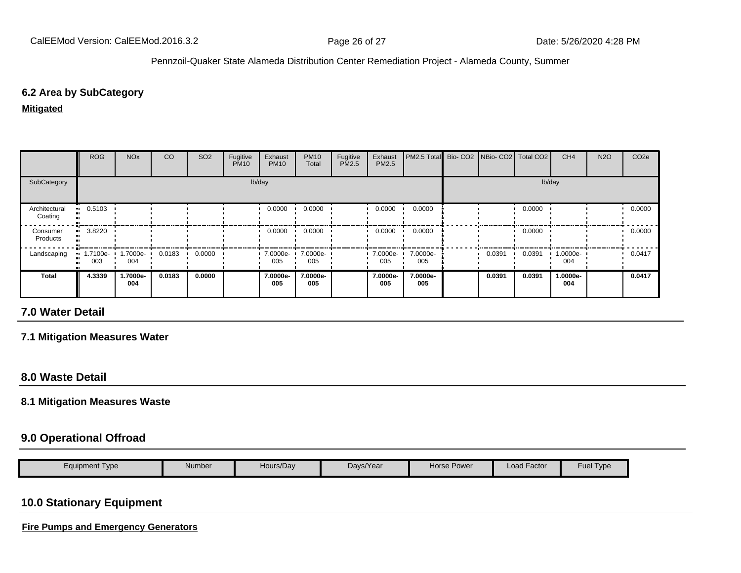### **6.2 Area by SubCategory**

**Mitigated**

|                          | <b>ROG</b>            | <b>NO<sub>x</sub></b> | CO     | SO <sub>2</sub> | Fugitive<br><b>PM10</b> | Exhaust<br><b>PM10</b> | <b>PM10</b><br>Total | Fugitive<br>PM2.5 | Exhaust<br><b>PM2.5</b> | PM2.5 Total Bio- CO2 NBio- CO2   Total CO2 |        |        | CH <sub>4</sub> | <b>N2O</b> | CO <sub>2e</sub> |
|--------------------------|-----------------------|-----------------------|--------|-----------------|-------------------------|------------------------|----------------------|-------------------|-------------------------|--------------------------------------------|--------|--------|-----------------|------------|------------------|
| SubCategory              |                       |                       |        |                 |                         | lb/day                 |                      |                   |                         |                                            |        |        | lb/day          |            |                  |
| Architectural<br>Coating | $\blacksquare$ 0.5103 |                       |        |                 |                         | 0.0000                 | 0.0000               |                   | 0.0000                  | 0.0000                                     |        | 0.0000 |                 |            | 0.0000           |
| Consumer<br>Products     | 3.8220                |                       |        |                 |                         | 0.0000                 | 0.0000               |                   | 0.0000                  | 0.0000                                     |        | 0.0000 |                 |            | 0.0000           |
| Landscaping              | 1.7100e-<br>003       | 1.7000e-<br>004       | 0.0183 | 0.0000          |                         | 7.0000e-<br>005        | 7.0000e-<br>005      |                   | 7.0000e-<br>005         | 7.0000e-<br>005                            | 0.0391 | 0.0391 | 1.0000e-<br>004 |            | 0.0417           |
| <b>Total</b>             | 4.3339                | 1.7000e-<br>004       | 0.0183 | 0.0000          |                         | 7.0000e-<br>005        | 7.0000e-<br>005      |                   | 7.0000e-<br>005         | 7.0000e-<br>005                            | 0.0391 | 0.0391 | 1.0000e-<br>004 |            | 0.0417           |

### **7.0 Water Detail**

**7.1 Mitigation Measures Water**

### **8.0 Waste Detail**

#### **8.1 Mitigation Measures Waste**

### **9.0 Operational Offroad**

| Eauipment Tvpe | Number | Hours/Day | Davs/Year | Power<br>Horse F | $\cdot$ $-$<br>Load Factor | -<br>Fuel<br>Type |
|----------------|--------|-----------|-----------|------------------|----------------------------|-------------------|

# **10.0 Stationary Equipment**

**Fire Pumps and Emergency Generators**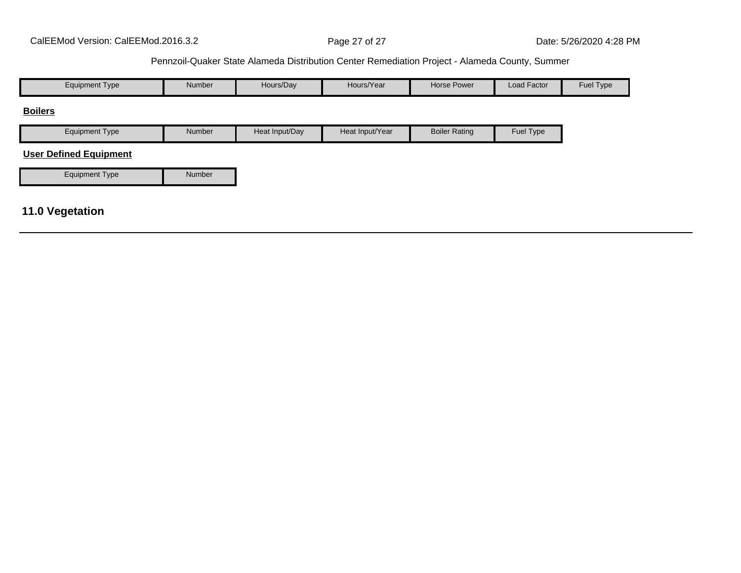| <b>Equipment Type</b>         | Number | Hours/Day      | Hours/Year      | <b>Horse Power</b>   | Load Factor | Fuel Type |
|-------------------------------|--------|----------------|-----------------|----------------------|-------------|-----------|
| <b>Boilers</b>                |        |                |                 |                      |             |           |
| <b>Equipment Type</b>         | Number | Heat Input/Day | Heat Input/Year | <b>Boiler Rating</b> | Fuel Type   |           |
| <b>User Defined Equipment</b> |        |                |                 |                      |             |           |
| <b>Equipment Type</b>         | Number |                |                 |                      |             |           |
| 11.0 Vegetation               |        |                |                 |                      |             |           |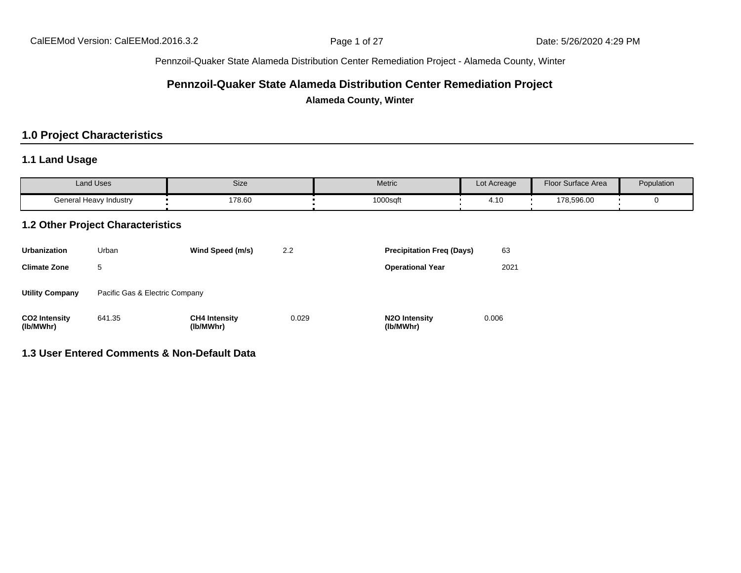### **Pennzoil-Quaker State Alameda Distribution Center Remediation Project**

**Alameda County, Winter**

### **1.0 Project Characteristics**

### **1.1 Land Usage**

| <b>Land Uses</b>       | Size   | Metric   | Lot Acreage                         | <b>Floor Surface Area</b> | Population |
|------------------------|--------|----------|-------------------------------------|---------------------------|------------|
| General Heavy Industry | 178.60 | 1000sqft | $\overline{A}$<br>$\mathbf{r}$ . IV | 178,596.00                |            |

### **1.2 Other Project Characteristics**

| <b>Urbanization</b>               | Urban                          | Wind Speed (m/s)                  | 2.2   | <b>Precipitation Freq (Days)</b>        | 63    |
|-----------------------------------|--------------------------------|-----------------------------------|-------|-----------------------------------------|-------|
| <b>Climate Zone</b>               | 5                              |                                   |       | <b>Operational Year</b>                 | 2021  |
| <b>Utility Company</b>            | Pacific Gas & Electric Company |                                   |       |                                         |       |
| <b>CO2 Intensity</b><br>(lb/MWhr) | 641.35                         | <b>CH4 Intensity</b><br>(lb/MWhr) | 0.029 | N <sub>2</sub> O Intensity<br>(lb/MWhr) | 0.006 |

#### **1.3 User Entered Comments & Non-Default Data**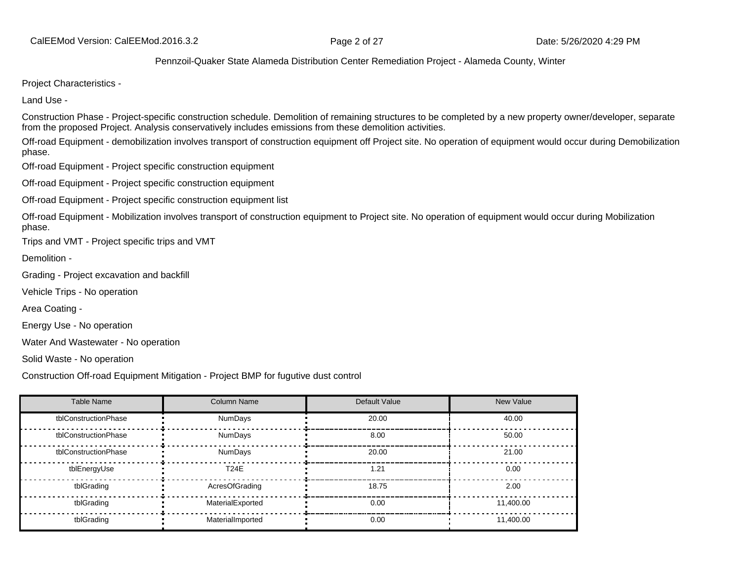Project Characteristics -

Land Use -

Construction Phase - Project-specific construction schedule. Demolition of remaining structures to be completed by a new property owner/developer, separate from the proposed Project. Analysis conservatively includes emissions from these demolition activities.

Off-road Equipment - demobilization involves transport of construction equipment off Project site. No operation of equipment would occur during Demobilization phase.

Off-road Equipment - Project specific construction equipment

Off-road Equipment - Project specific construction equipment

Off-road Equipment - Project specific construction equipment list

Off-road Equipment - Mobilization involves transport of construction equipment to Project site. No operation of equipment would occur during Mobilization phase.

Trips and VMT - Project specific trips and VMT

Demolition -

Grading - Project excavation and backfill

Vehicle Trips - No operation

Area Coating -

Energy Use - No operation

Water And Wastewater - No operation

Solid Waste - No operation

Construction Off-road Equipment Mitigation - Project BMP for fugutive dust control

| <b>Table Name</b>    | <b>Column Name</b> | Default Value | New Value |
|----------------------|--------------------|---------------|-----------|
| tblConstructionPhase | <b>NumDays</b>     | 20.00         | 40.00     |
| tblConstructionPhase | <b>NumDays</b>     | 8.00          | 50.00     |
| tblConstructionPhase | <b>NumDays</b>     | 20.00         | 21.00     |
| tblEnergyUse         | <b>T24E</b>        | 1.21          | 0.00      |
| tblGrading           | AcresOfGrading     | 18.75         | 2.00      |
| tblGrading           | MaterialExported   | 0.00          | 11,400.00 |
| tblGrading           | MaterialImported   | 0.00          | 11,400.00 |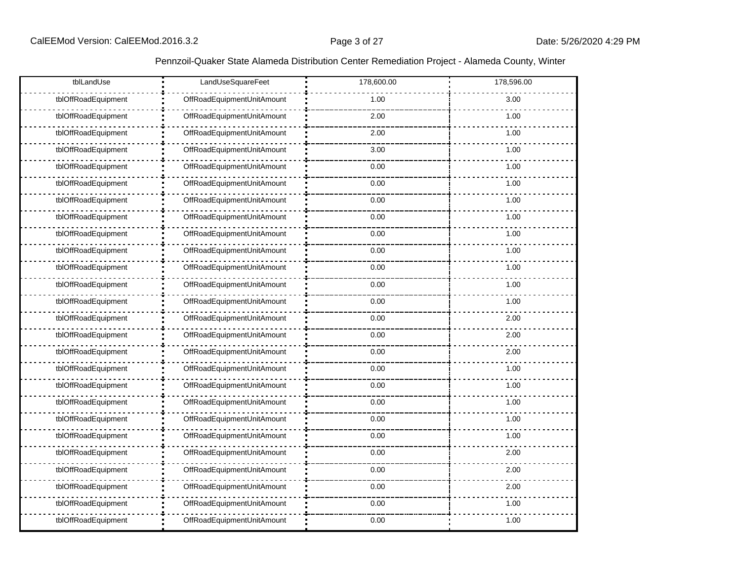| tblLandUse          | LandUseSquareFeet          | 178,600.00 | 178,596.00 |
|---------------------|----------------------------|------------|------------|
| tblOffRoadEquipment | OffRoadEquipmentUnitAmount | 1.00       | 3.00       |
| tblOffRoadEquipment | OffRoadEquipmentUnitAmount | 2.00       | 1.00       |
| tblOffRoadEquipment | OffRoadEquipmentUnitAmount | 2.00       | 1.00       |
| tblOffRoadEquipment | OffRoadEquipmentUnitAmount | 3.00       | 1.00       |
| tblOffRoadEquipment | OffRoadEquipmentUnitAmount | 0.00       | 1.00       |
| tblOffRoadEquipment | OffRoadEquipmentUnitAmount | 0.00       | 1.00       |
| tblOffRoadEquipment | OffRoadEquipmentUnitAmount | 0.00       | 1.00       |
| tblOffRoadEquipment | OffRoadEquipmentUnitAmount | 0.00       | 1.00       |
| tblOffRoadEquipment | OffRoadEquipmentUnitAmount | 0.00       | 1.00       |
| tblOffRoadEquipment | OffRoadEquipmentUnitAmount | 0.00       | 1.00       |
| tblOffRoadEquipment | OffRoadEquipmentUnitAmount | 0.00       | 1.00       |
| tblOffRoadEquipment | OffRoadEquipmentUnitAmount | 0.00       | 1.00       |
| tblOffRoadEquipment | OffRoadEquipmentUnitAmount | 0.00       | 1.00       |
| tblOffRoadEquipment | OffRoadEquipmentUnitAmount | 0.00       | 2.00       |
| tblOffRoadEquipment | OffRoadEquipmentUnitAmount | 0.00       | 2.00       |
| tblOffRoadEquipment | OffRoadEquipmentUnitAmount | 0.00       | 2.00       |
| tblOffRoadEquipment | OffRoadEquipmentUnitAmount | 0.00       | 1.00       |
| tblOffRoadEquipment | OffRoadEquipmentUnitAmount | 0.00       | 1.00       |
| tblOffRoadEquipment | OffRoadEquipmentUnitAmount | 0.00       | 1.00       |
| tblOffRoadEquipment | OffRoadEquipmentUnitAmount | 0.00       | 1.00       |
| tblOffRoadEquipment | OffRoadEquipmentUnitAmount | 0.00       | 1.00       |
| tblOffRoadEquipment | OffRoadEquipmentUnitAmount | 0.00       | 2.00       |
| tblOffRoadEquipment | OffRoadEquipmentUnitAmount | 0.00       | 2.00       |
| tblOffRoadEquipment | OffRoadEquipmentUnitAmount | 0.00       | 2.00       |
| tblOffRoadEquipment | OffRoadEquipmentUnitAmount | 0.00       | 1.00       |
| tblOffRoadEquipment | OffRoadEquipmentUnitAmount | 0.00       | 1.00       |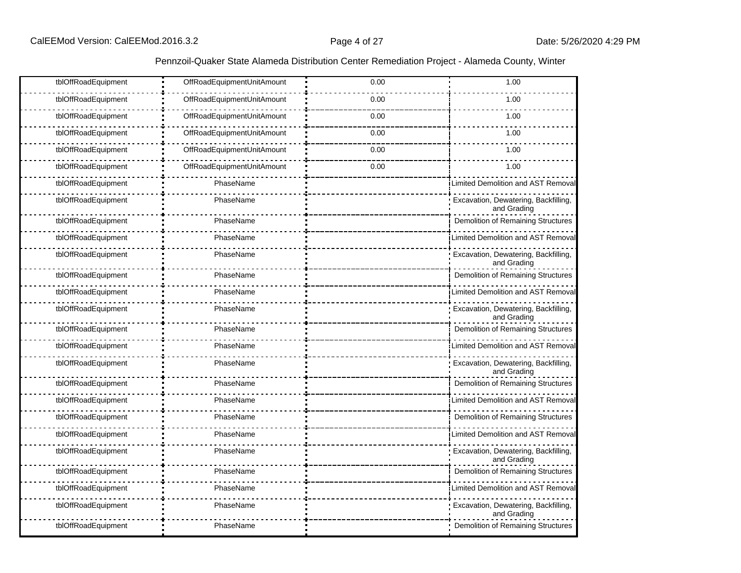| tblOffRoadEquipment<br>OffRoadEquipmentUnitAmount<br>0.00<br>1.00<br>tblOffRoadEquipment<br>OffRoadEquipmentUnitAmount<br>0.00<br>1.00<br>tblOffRoadEquipment<br>OffRoadEquipmentUnitAmount<br>0.00<br>1.00<br>tblOffRoadEquipment<br>OffRoadEquipmentUnitAmount<br>0.00<br>1.00<br>tblOffRoadEquipment<br>OffRoadEquipmentUnitAmount<br>1.00<br>0.00<br>OffRoadEquipmentUnitAmount<br>tblOffRoadEquipment<br>0.00<br>1.00<br>tblOffRoadEquipment<br>PhaseName<br><b>Limited Demolition and AST Removal</b><br>Excavation, Dewatering, Backfilling,<br>tblOffRoadEquipment<br>PhaseName<br>and Grading<br>Demolition of Remaining Structures<br>tblOffRoadEquipment<br>PhaseName<br>tblOffRoadEquipment<br>PhaseName<br><b>Limited Demolition and AST Removal</b><br>tblOffRoadEquipment<br>PhaseName<br>Excavation, Dewatering, Backfilling,<br>and Grading<br><b>Demolition of Remaining Structures</b><br>tblOffRoadEquipment<br>PhaseName<br>tblOffRoadEquipment<br>PhaseName<br>Limited Demolition and AST Removal<br>tblOffRoadEquipment<br>PhaseName<br>Excavation, Dewatering, Backfilling,<br>and Grading<br>tblOffRoadEquipment<br>PhaseName<br>Demolition of Remaining Structures<br>tblOffRoadEquipment<br>PhaseName<br>Limited Demolition and AST Removal<br>tblOffRoadEquipment<br>PhaseName<br>Excavation, Dewatering, Backfilling,<br>and Grading<br>tblOffRoadEquipment<br>PhaseName<br>Demolition of Remaining Structures<br>tblOffRoadEquipment<br>PhaseName<br>Limited Demolition and AST Removal<br>tblOffRoadEquipment<br>PhaseName<br>Demolition of Remaining Structures<br>PhaseName<br>tblOffRoadEquipment<br>Limited Demolition and AST Removal<br>tblOffRoadEquipment<br>PhaseName<br>Excavation, Dewatering, Backfilling,<br>and Grading<br>tblOffRoadEquipment<br>PhaseName<br>Demolition of Remaining Structures<br>PhaseName<br>tblOffRoadEquipment<br>Limited Demolition and AST Remova<br>tblOffRoadEquipment<br>PhaseName<br>Excavation, Dewatering, Backfilling,<br>and Grading<br>tblOffRoadEquipment<br>PhaseName<br>Demolition of Remaining Structures |  |  |
|----------------------------------------------------------------------------------------------------------------------------------------------------------------------------------------------------------------------------------------------------------------------------------------------------------------------------------------------------------------------------------------------------------------------------------------------------------------------------------------------------------------------------------------------------------------------------------------------------------------------------------------------------------------------------------------------------------------------------------------------------------------------------------------------------------------------------------------------------------------------------------------------------------------------------------------------------------------------------------------------------------------------------------------------------------------------------------------------------------------------------------------------------------------------------------------------------------------------------------------------------------------------------------------------------------------------------------------------------------------------------------------------------------------------------------------------------------------------------------------------------------------------------------------------------------------------------------------------------------------------------------------------------------------------------------------------------------------------------------------------------------------------------------------------------------------------------------------------------------------------------------------------------------------------------------------------------------------------------------------------------------------------------------------------------------------------------------------------|--|--|
|                                                                                                                                                                                                                                                                                                                                                                                                                                                                                                                                                                                                                                                                                                                                                                                                                                                                                                                                                                                                                                                                                                                                                                                                                                                                                                                                                                                                                                                                                                                                                                                                                                                                                                                                                                                                                                                                                                                                                                                                                                                                                              |  |  |
|                                                                                                                                                                                                                                                                                                                                                                                                                                                                                                                                                                                                                                                                                                                                                                                                                                                                                                                                                                                                                                                                                                                                                                                                                                                                                                                                                                                                                                                                                                                                                                                                                                                                                                                                                                                                                                                                                                                                                                                                                                                                                              |  |  |
|                                                                                                                                                                                                                                                                                                                                                                                                                                                                                                                                                                                                                                                                                                                                                                                                                                                                                                                                                                                                                                                                                                                                                                                                                                                                                                                                                                                                                                                                                                                                                                                                                                                                                                                                                                                                                                                                                                                                                                                                                                                                                              |  |  |
|                                                                                                                                                                                                                                                                                                                                                                                                                                                                                                                                                                                                                                                                                                                                                                                                                                                                                                                                                                                                                                                                                                                                                                                                                                                                                                                                                                                                                                                                                                                                                                                                                                                                                                                                                                                                                                                                                                                                                                                                                                                                                              |  |  |
|                                                                                                                                                                                                                                                                                                                                                                                                                                                                                                                                                                                                                                                                                                                                                                                                                                                                                                                                                                                                                                                                                                                                                                                                                                                                                                                                                                                                                                                                                                                                                                                                                                                                                                                                                                                                                                                                                                                                                                                                                                                                                              |  |  |
|                                                                                                                                                                                                                                                                                                                                                                                                                                                                                                                                                                                                                                                                                                                                                                                                                                                                                                                                                                                                                                                                                                                                                                                                                                                                                                                                                                                                                                                                                                                                                                                                                                                                                                                                                                                                                                                                                                                                                                                                                                                                                              |  |  |
|                                                                                                                                                                                                                                                                                                                                                                                                                                                                                                                                                                                                                                                                                                                                                                                                                                                                                                                                                                                                                                                                                                                                                                                                                                                                                                                                                                                                                                                                                                                                                                                                                                                                                                                                                                                                                                                                                                                                                                                                                                                                                              |  |  |
|                                                                                                                                                                                                                                                                                                                                                                                                                                                                                                                                                                                                                                                                                                                                                                                                                                                                                                                                                                                                                                                                                                                                                                                                                                                                                                                                                                                                                                                                                                                                                                                                                                                                                                                                                                                                                                                                                                                                                                                                                                                                                              |  |  |
|                                                                                                                                                                                                                                                                                                                                                                                                                                                                                                                                                                                                                                                                                                                                                                                                                                                                                                                                                                                                                                                                                                                                                                                                                                                                                                                                                                                                                                                                                                                                                                                                                                                                                                                                                                                                                                                                                                                                                                                                                                                                                              |  |  |
|                                                                                                                                                                                                                                                                                                                                                                                                                                                                                                                                                                                                                                                                                                                                                                                                                                                                                                                                                                                                                                                                                                                                                                                                                                                                                                                                                                                                                                                                                                                                                                                                                                                                                                                                                                                                                                                                                                                                                                                                                                                                                              |  |  |
|                                                                                                                                                                                                                                                                                                                                                                                                                                                                                                                                                                                                                                                                                                                                                                                                                                                                                                                                                                                                                                                                                                                                                                                                                                                                                                                                                                                                                                                                                                                                                                                                                                                                                                                                                                                                                                                                                                                                                                                                                                                                                              |  |  |
|                                                                                                                                                                                                                                                                                                                                                                                                                                                                                                                                                                                                                                                                                                                                                                                                                                                                                                                                                                                                                                                                                                                                                                                                                                                                                                                                                                                                                                                                                                                                                                                                                                                                                                                                                                                                                                                                                                                                                                                                                                                                                              |  |  |
|                                                                                                                                                                                                                                                                                                                                                                                                                                                                                                                                                                                                                                                                                                                                                                                                                                                                                                                                                                                                                                                                                                                                                                                                                                                                                                                                                                                                                                                                                                                                                                                                                                                                                                                                                                                                                                                                                                                                                                                                                                                                                              |  |  |
|                                                                                                                                                                                                                                                                                                                                                                                                                                                                                                                                                                                                                                                                                                                                                                                                                                                                                                                                                                                                                                                                                                                                                                                                                                                                                                                                                                                                                                                                                                                                                                                                                                                                                                                                                                                                                                                                                                                                                                                                                                                                                              |  |  |
|                                                                                                                                                                                                                                                                                                                                                                                                                                                                                                                                                                                                                                                                                                                                                                                                                                                                                                                                                                                                                                                                                                                                                                                                                                                                                                                                                                                                                                                                                                                                                                                                                                                                                                                                                                                                                                                                                                                                                                                                                                                                                              |  |  |
|                                                                                                                                                                                                                                                                                                                                                                                                                                                                                                                                                                                                                                                                                                                                                                                                                                                                                                                                                                                                                                                                                                                                                                                                                                                                                                                                                                                                                                                                                                                                                                                                                                                                                                                                                                                                                                                                                                                                                                                                                                                                                              |  |  |
|                                                                                                                                                                                                                                                                                                                                                                                                                                                                                                                                                                                                                                                                                                                                                                                                                                                                                                                                                                                                                                                                                                                                                                                                                                                                                                                                                                                                                                                                                                                                                                                                                                                                                                                                                                                                                                                                                                                                                                                                                                                                                              |  |  |
|                                                                                                                                                                                                                                                                                                                                                                                                                                                                                                                                                                                                                                                                                                                                                                                                                                                                                                                                                                                                                                                                                                                                                                                                                                                                                                                                                                                                                                                                                                                                                                                                                                                                                                                                                                                                                                                                                                                                                                                                                                                                                              |  |  |
|                                                                                                                                                                                                                                                                                                                                                                                                                                                                                                                                                                                                                                                                                                                                                                                                                                                                                                                                                                                                                                                                                                                                                                                                                                                                                                                                                                                                                                                                                                                                                                                                                                                                                                                                                                                                                                                                                                                                                                                                                                                                                              |  |  |
|                                                                                                                                                                                                                                                                                                                                                                                                                                                                                                                                                                                                                                                                                                                                                                                                                                                                                                                                                                                                                                                                                                                                                                                                                                                                                                                                                                                                                                                                                                                                                                                                                                                                                                                                                                                                                                                                                                                                                                                                                                                                                              |  |  |
|                                                                                                                                                                                                                                                                                                                                                                                                                                                                                                                                                                                                                                                                                                                                                                                                                                                                                                                                                                                                                                                                                                                                                                                                                                                                                                                                                                                                                                                                                                                                                                                                                                                                                                                                                                                                                                                                                                                                                                                                                                                                                              |  |  |
|                                                                                                                                                                                                                                                                                                                                                                                                                                                                                                                                                                                                                                                                                                                                                                                                                                                                                                                                                                                                                                                                                                                                                                                                                                                                                                                                                                                                                                                                                                                                                                                                                                                                                                                                                                                                                                                                                                                                                                                                                                                                                              |  |  |
|                                                                                                                                                                                                                                                                                                                                                                                                                                                                                                                                                                                                                                                                                                                                                                                                                                                                                                                                                                                                                                                                                                                                                                                                                                                                                                                                                                                                                                                                                                                                                                                                                                                                                                                                                                                                                                                                                                                                                                                                                                                                                              |  |  |
|                                                                                                                                                                                                                                                                                                                                                                                                                                                                                                                                                                                                                                                                                                                                                                                                                                                                                                                                                                                                                                                                                                                                                                                                                                                                                                                                                                                                                                                                                                                                                                                                                                                                                                                                                                                                                                                                                                                                                                                                                                                                                              |  |  |
|                                                                                                                                                                                                                                                                                                                                                                                                                                                                                                                                                                                                                                                                                                                                                                                                                                                                                                                                                                                                                                                                                                                                                                                                                                                                                                                                                                                                                                                                                                                                                                                                                                                                                                                                                                                                                                                                                                                                                                                                                                                                                              |  |  |
|                                                                                                                                                                                                                                                                                                                                                                                                                                                                                                                                                                                                                                                                                                                                                                                                                                                                                                                                                                                                                                                                                                                                                                                                                                                                                                                                                                                                                                                                                                                                                                                                                                                                                                                                                                                                                                                                                                                                                                                                                                                                                              |  |  |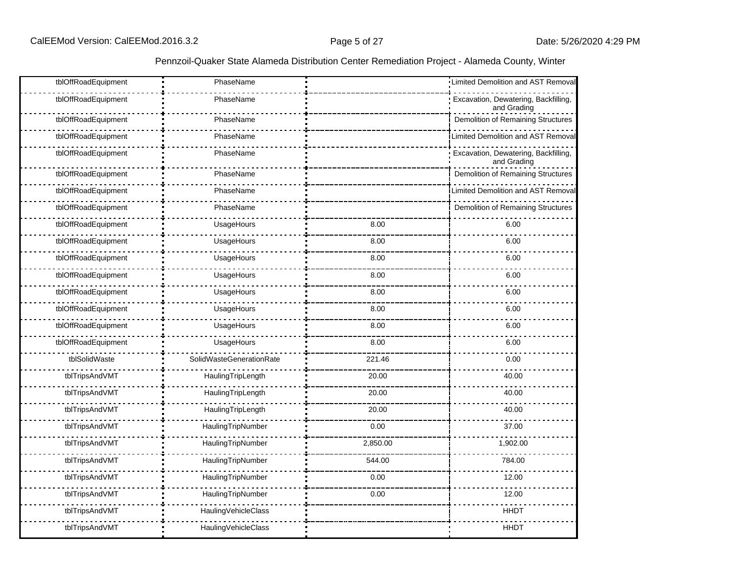| tblOffRoadEquipment | PhaseName                |          | Limited Demolition and AST Removal                  |
|---------------------|--------------------------|----------|-----------------------------------------------------|
| tblOffRoadEquipment | PhaseName                |          | Excavation, Dewatering, Backfilling,<br>and Grading |
| tblOffRoadEquipment | PhaseName                |          | Demolition of Remaining Structures                  |
| tblOffRoadEquipment | PhaseName                |          | Limited Demolition and AST Removal                  |
| tblOffRoadEquipment | PhaseName                |          | Excavation, Dewatering, Backfilling,<br>and Grading |
| tblOffRoadEquipment | PhaseName                |          | Demolition of Remaining Structures                  |
| tblOffRoadEquipment | PhaseName                |          | Limited Demolition and AST Removal                  |
| tblOffRoadEquipment | PhaseName                |          | Demolition of Remaining Structures                  |
| tblOffRoadEquipment | UsageHours               | 8.00     | 6.00                                                |
| tblOffRoadEquipment | UsageHours               | 8.00     | 6.00                                                |
| tblOffRoadEquipment | UsageHours               | 8.00     | 6.00                                                |
| tblOffRoadEquipment | UsageHours               | 8.00     | 6.00                                                |
| tblOffRoadEquipment | UsageHours               | 8.00     | 6.00                                                |
| tblOffRoadEquipment | UsageHours               | 8.00     | 6.00                                                |
| tblOffRoadEquipment | UsageHours               | 8.00     | 6.00                                                |
| tblOffRoadEquipment | UsageHours               | 8.00     | 6.00                                                |
| tblSolidWaste       | SolidWasteGenerationRate | 221.46   | 0.00                                                |
| tblTripsAndVMT      | HaulingTripLength        | 20.00    | 40.00                                               |
| tblTripsAndVMT      | HaulingTripLength        | 20.00    | 40.00                                               |
| tblTripsAndVMT      | HaulingTripLength        | 20.00    | 40.00                                               |
| tblTripsAndVMT      | HaulingTripNumber        | 0.00     | 37.00                                               |
| tblTripsAndVMT      | HaulingTripNumber        | 2,850.00 | 1,902.00                                            |
| tblTripsAndVMT      | HaulingTripNumber        | 544.00   | 784.00                                              |
| tblTripsAndVMT      | HaulingTripNumber        | 0.00     | 12.00                                               |
| tblTripsAndVMT      | HaulingTripNumber        | 0.00     | 12.00                                               |
| tblTripsAndVMT      | HaulingVehicleClass      |          | <b>HHDT</b>                                         |
| tblTripsAndVMT      | HaulingVehicleClass      |          | <b>HHDT</b>                                         |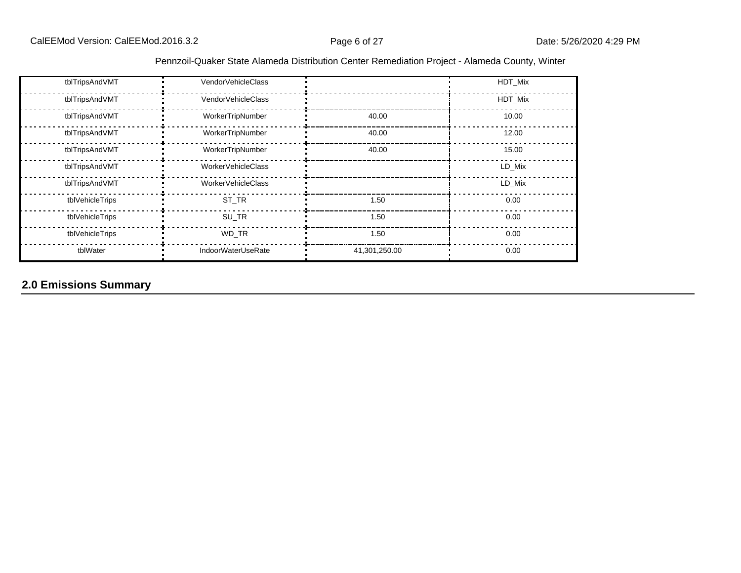| Pennzoil-Quaker State Alameda Distribution Center Remediation Project - Alameda County, Winter |  |  |  |  |  |  |  |  |  |
|------------------------------------------------------------------------------------------------|--|--|--|--|--|--|--|--|--|
|------------------------------------------------------------------------------------------------|--|--|--|--|--|--|--|--|--|

| tblTripsAndVMT  | VendorVehicleClass        |               | HDT_Mix |
|-----------------|---------------------------|---------------|---------|
| tblTripsAndVMT  | VendorVehicleClass        |               | HDT Mix |
| tblTripsAndVMT  | WorkerTripNumber          | 40.00         | 10.00   |
| tblTripsAndVMT  | WorkerTripNumber          | 40.00         | 12.00   |
| tblTripsAndVMT  | WorkerTripNumber          | 40.00         | 15.00   |
| tblTripsAndVMT  | WorkerVehicleClass        |               | LD Mix  |
| tblTripsAndVMT  | WorkerVehicleClass        |               | LD Mix  |
| tblVehicleTrips | ST TR                     | 1.50          | 0.00    |
| tblVehicleTrips | SU_TR                     | 1.50          | 0.00    |
| tblVehicleTrips | WD_TR                     | 1.50          | 0.00    |
| tblWater        | <b>IndoorWaterUseRate</b> | 41,301,250.00 | 0.00    |

# **2.0 Emissions Summary**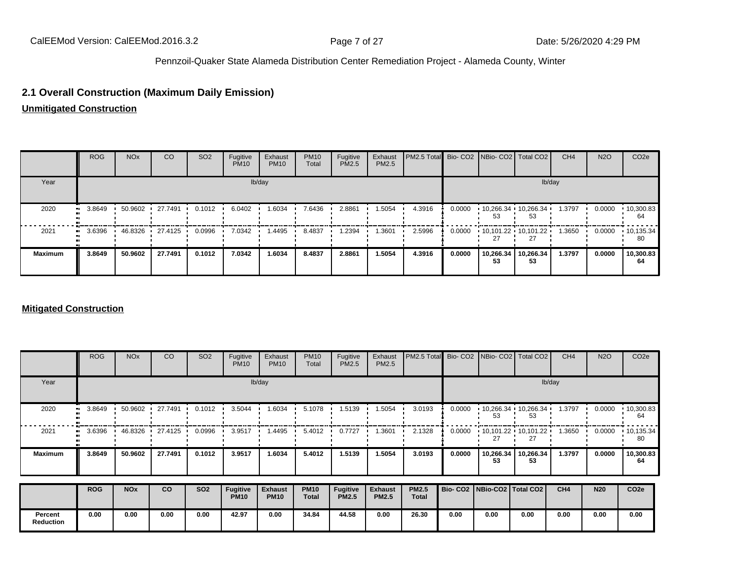### **2.1 Overall Construction (Maximum Daily Emission)**

**Unmitigated Construction**

|                | <b>ROG</b> | <b>NO<sub>x</sub></b> | <sub>CO</sub>   | SO <sub>2</sub> | Fugitive<br><b>PM10</b> | Exhaust<br><b>PM10</b> | <b>PM10</b><br>Total | Fugitive<br>PM2.5 | Exhaust<br>PM2.5 | PM2.5 Total Bio- CO2 NBio- CO2   Total CO2 |        |                               |                 | CH <sub>4</sub> | <b>N2O</b> | CO <sub>2</sub> e       |
|----------------|------------|-----------------------|-----------------|-----------------|-------------------------|------------------------|----------------------|-------------------|------------------|--------------------------------------------|--------|-------------------------------|-----------------|-----------------|------------|-------------------------|
| Year           |            |                       |                 |                 |                         | lb/day                 |                      |                   |                  |                                            |        |                               |                 | lb/day          |            |                         |
| 2020           | 3.8649<br> | 50.9602               | 127.7491        | 0.1012          | 6.0402                  | 1.6034                 | 7.6436               | 2.8861            | 1.5054           | 4.3916                                     | 0.0000 | $10,266.34$ $10,266.34$<br>53 | 53              | 1.3797          | 0.0000     | $\cdot$ 10,300.83<br>64 |
| 2021           | 3.6396<br> |                       | 46.8326 27.4125 | 0.0996          | 7.0342                  | . 4495                 | 8.4837               | 1.2394            | 1.3601           | 2.5996                                     | 0.0000 | $10,101.22$ $10,101.22$       |                 | 1.3650          | 0.0000     | •10,135.34<br>80        |
| <b>Maximum</b> | 3.8649     | 50.9602               | 27.7491         | 0.1012          | 7.0342                  | 1.6034                 | 8.4837               | 2.8861            | 1.5054           | 4.3916                                     | 0.0000 | 10,266.34<br>53               | 10,266.34<br>53 | 1.3797          | 0.0000     | 10,300.83<br>64         |

#### **Mitigated Construction**

|                             | <b>ROG</b> | <b>NO<sub>x</sub></b> | CO      | SO <sub>2</sub> | Fugitive<br><b>PM10</b>        | Exhaust<br><b>PM10</b>        | <b>PM10</b><br>Total | Fugitive<br>PM2.5        | Exhaust<br><b>PM2.5</b>        | PM2.5 Total                  |        | Bio- CO2   NBio- CO2   Total CO2 |                                                   | CH <sub>4</sub> | <b>N2O</b> | CO <sub>2e</sub> |
|-----------------------------|------------|-----------------------|---------|-----------------|--------------------------------|-------------------------------|----------------------|--------------------------|--------------------------------|------------------------------|--------|----------------------------------|---------------------------------------------------|-----------------|------------|------------------|
| Year                        |            |                       |         |                 |                                | lb/day                        |                      |                          |                                |                              |        |                                  |                                                   | lb/day          |            |                  |
| 2020                        | 3.8649     | 50.9602               | 27.7491 | 0.1012          | 3.5044                         | 1.6034                        | 5.1078               | 1.5139                   | 1.5054                         | 3.0193                       | 0.0000 | 10,266.34<br>53                  | 10,266.34<br>53                                   | 1.3797          | 0.0000     | 10,300.83<br>64  |
| 2021                        | 3.6396     | 46.8326               | 27.4125 | 0.0996          | 3.9517                         | 1.4495                        | 5.4012               | 0.7727                   | 1.3601                         | 2.1328                       | 0.0000 | 27                               | $\cdot$ 10,101.22 $\cdot$ 10,101.22 $\cdot$<br>27 | 1.3650          | 0.0000     | 10,135.34<br>80  |
| <b>Maximum</b>              | 3.8649     | 50.9602               | 27.7491 | 0.1012          | 3.9517                         | 1.6034                        | 5.4012               | 1.5139                   | 1.5054                         | 3.0193                       | 0.0000 | 10,266.34<br>53                  | 10,266.34<br>53                                   | 1.3797          | 0.0000     | 10,300.83<br>64  |
|                             | <b>ROG</b> | <b>NO<sub>x</sub></b> | co      | <b>SO2</b>      | <b>Fugitive</b><br><b>PM10</b> | <b>Exhaust</b><br><b>PM10</b> | <b>PM10</b><br>Total | Fugitive<br><b>PM2.5</b> | <b>Exhaust</b><br><b>PM2.5</b> | <b>PM2.5</b><br><b>Total</b> |        | Bio- CO2   NBio-CO2   Total CO2  |                                                   | CH4             | <b>N20</b> | CO <sub>2e</sub> |
| Percent<br><b>Reduction</b> | 0.00       | 0.00                  | 0.00    | 0.00            | 42.97                          | 0.00                          | 34.84                | 44.58                    | 0.00                           | 26.30                        | 0.00   | 0.00                             | 0.00                                              | 0.00            | 0.00       | 0.00             |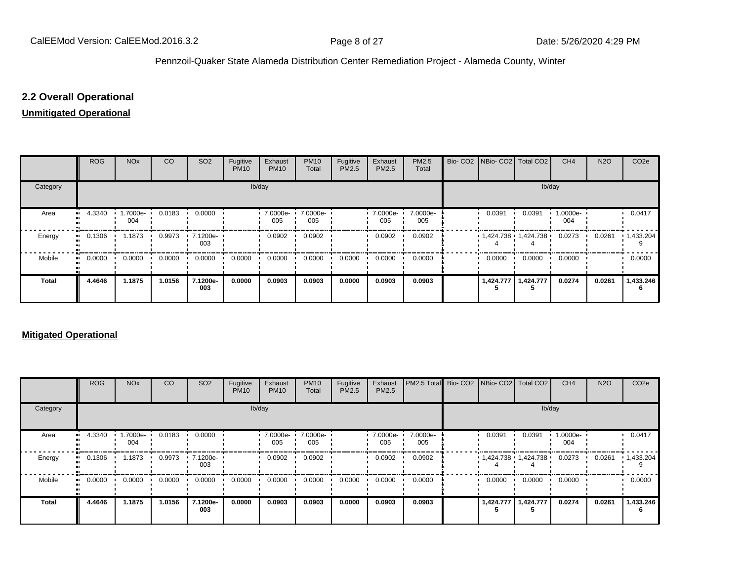### **2.2 Overall Operational**

#### **Unmitigated Operational**

|              | <b>ROG</b> | <b>NO<sub>x</sub></b> | CO     | SO <sub>2</sub> | Fugitive<br><b>PM10</b> | Exhaust<br><b>PM10</b> | <b>PM10</b><br>Total | Fugitive<br>PM2.5 | Exhaust<br>PM2.5 | PM2.5<br>Total  | Bio- CO2   NBio- CO2   Total CO2 |                       | CH <sub>4</sub> | <b>N2O</b> | CO <sub>2</sub> e |
|--------------|------------|-----------------------|--------|-----------------|-------------------------|------------------------|----------------------|-------------------|------------------|-----------------|----------------------------------|-----------------------|-----------------|------------|-------------------|
| Category     |            |                       |        |                 |                         | lb/day                 |                      |                   |                  |                 |                                  | lb/day                |                 |            |                   |
| Area         | 4.3340     | 1.7000e-<br>004       | 0.0183 | 0.0000          |                         | $-7.0000e-$<br>005     | 7.0000e-<br>005      |                   | 7.0000e-<br>005  | 7.0000e-<br>005 | 0.0391                           | 0.0391                | 1.0000e-<br>004 |            | 0.0417            |
| Energy       | 0.1306     | 1.1873                | 0.9973 | 7.1200e-<br>003 |                         | 0.0902                 | 0.0902               |                   | 0.0902           | 0.0902          | $1,424.738$ $1,424.738$          |                       | 0.0273          | 0.0261     | $\cdot$ 1,433.204 |
| Mobile       | 0.0000<br> | 0.0000                | 0.0000 | 0.0000          | 0.0000                  | 0.0000                 | 0.0000               | 0.0000            | 0.0000           | 0.0000          | 0.0000                           | 0.0000                | 0.0000          |            | 0.0000            |
| <b>Total</b> | 4.4646     | 1.1875                | 1.0156 | 7.1200e-<br>003 | 0.0000                  | 0.0903                 | 0.0903               | 0.0000            | 0.0903           | 0.0903          |                                  | 1,424.777   1,424.777 | 0.0274          | 0.0261     | 1,433.246         |

#### **Mitigated Operational**

|              | <b>ROG</b> | <b>NO<sub>x</sub></b>   | <b>CO</b> | SO <sub>2</sub> | Fugitive<br><b>PM10</b> | Exhaust<br><b>PM10</b> | <b>PM10</b><br>Total | Fugitive<br>PM2.5 | Exhaust<br>PM2.5 | PM2.5 Total Bio- CO2 NBio- CO2   Total CO2 |           |                           | CH <sub>4</sub> | <b>N2O</b> | CO <sub>2e</sub> |
|--------------|------------|-------------------------|-----------|-----------------|-------------------------|------------------------|----------------------|-------------------|------------------|--------------------------------------------|-----------|---------------------------|-----------------|------------|------------------|
| Category     |            |                         |           |                 |                         | lb/day                 |                      |                   |                  |                                            |           | lb/day                    |                 |            |                  |
| Area         | 4.3340     | $\cdot$ 1.7000e-<br>004 | 0.0183    | 0.0000          |                         | 7.0000e- ·<br>005      | 7.0000e-<br>005      |                   | 7.0000e-<br>005  | 7.0000e-<br>005                            | 0.0391    | 0.0391                    | 1.0000e-<br>004 |            | 0.0417           |
| Energy       | 0.1306     | 1.1873                  | 0.9973    | 7.1200e-<br>003 |                         | 0.0902                 | 0.0902               |                   | 0.0902           | 0.0902                                     |           | • 1,424.738 • 1,424.738 • | 0.0273          | 0.0261     | 1,433.204        |
| Mobile       | 0.0000     | 0.0000                  | 0.0000    | 0.0000          | 0.0000                  | 0.0000                 | 0.0000               | 0.0000            | 0.0000           | 0.0000                                     | 0.0000    | 0.0000                    | 0.0000          |            | 0.0000           |
| <b>Total</b> | 4.4646     | 1.1875                  | 1.0156    | 7.1200e-<br>003 | 0.0000                  | 0.0903                 | 0.0903               | 0.0000            | 0.0903           | 0.0903                                     | 1,424.777 | 1,424.777                 | 0.0274          | 0.0261     | 1,433.246        |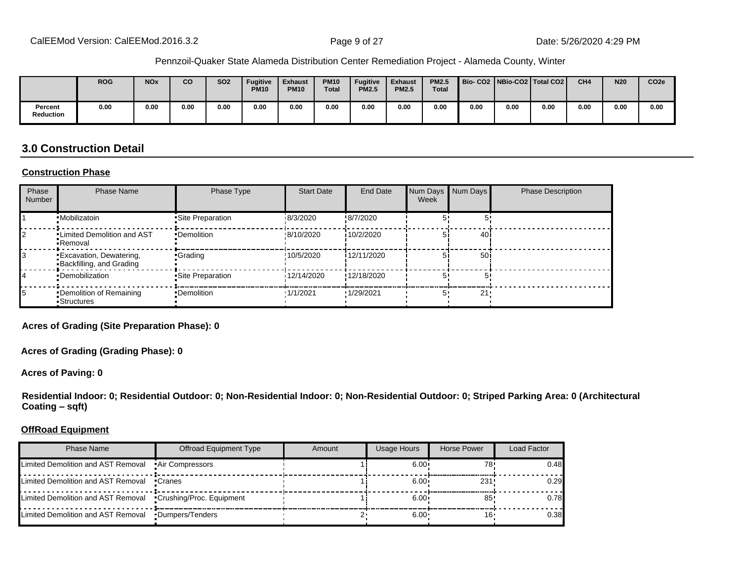|                             | <b>ROG</b> | <b>NO<sub>x</sub></b> | CO   | <b>SO2</b> | <b>Fugitive</b><br><b>PM10</b> | <b>Exhaust</b><br><b>PM10</b> | <b>PM10</b><br><b>Total</b> | <b>Fugitive</b><br><b>PM2.5</b> | <b>Exhaust</b><br><b>PM2.5</b> | <b>PM2.5</b><br><b>Total</b> | Bio-CO2 NBio-CO2 Total CO2 |      |      | CH <sub>4</sub> | <b>N20</b> | CO <sub>2e</sub> |
|-----------------------------|------------|-----------------------|------|------------|--------------------------------|-------------------------------|-----------------------------|---------------------------------|--------------------------------|------------------------------|----------------------------|------|------|-----------------|------------|------------------|
| Percent<br><b>Reduction</b> | 0.00       | 0.00                  | 0.00 | 0.00       | 0.00                           | 0.00                          | 0.00                        | 0.00                            | 0.00                           | 0.00                         | 0.00                       | 0.00 | 0.00 | 0.00            | 0.00       | 0.00             |

### **3.0 Construction Detail**

#### **Construction Phase**

| Phase<br><b>Number</b> | <b>Phase Name</b>                                          | Phase Type        | <b>Start Date</b> | <b>End Date</b>  | Num Days<br>Week | Num Days        | <b>Phase Description</b> |
|------------------------|------------------------------------------------------------|-------------------|-------------------|------------------|------------------|-----------------|--------------------------|
|                        | •Mobilizatoin                                              | •Site Preparation | 18/3/2020         | !8/7/2020        |                  |                 |                          |
|                        | . Limited Demolition and AST<br>•Removal                   | •Demolition       | !8/10/2020        | 110/2/2020       |                  | 40 i            |                          |
|                        | <b>Excavation, Dewatering,</b><br>Backfilling, and Grading | •Grading          | !10/5/2020        | i 12/11/2020     |                  | 50 <sub>1</sub> |                          |
| 14                     | •Demobilization                                            | •Site Preparation | 12/14/2020        | !12/18/2020      |                  |                 |                          |
| 15                     | •Demolition of Remaining<br>■Structures                    | •Demolition       | 1/1/2021          | <b>1/29/2021</b> |                  | 21              |                          |

**Acres of Grading (Site Preparation Phase): 0**

**Acres of Grading (Grading Phase): 0**

**Acres of Paving: 0**

**Residential Indoor: 0; Residential Outdoor: 0; Non-Residential Indoor: 0; Non-Residential Outdoor: 0; Striped Parking Area: 0 (Architectural Coating ±sqft)**

#### **OffRoad Equipment**

| Phase Name                                                   | Offroad Equipment Type | Amount | Usage Hours  | Horse Power | Load Factor |
|--------------------------------------------------------------|------------------------|--------|--------------|-------------|-------------|
| Limited Demolition and AST Removal                           | •Air Compressors       |        | $6.00 \cdot$ | 78          | 0.48        |
| Limited Demolition and AST Removal                           | •Cranes                |        | $6.00 \cdot$ | 231!        | 0.29        |
| Limited Demolition and AST Removal •Crushing/Proc. Equipment |                        |        | $6.00 \cdot$ | 85          | 0.78        |
| Limited Demolition and AST Removal                           | •Dumpers/Tenders       |        | $6.00 \cdot$ |             | 0.38        |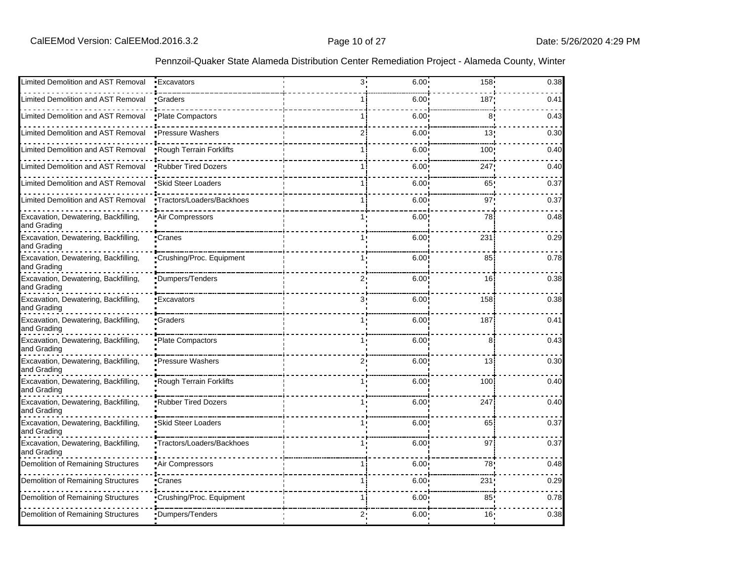| Limited Demolition and AST Removal                  | • Excavators               | 3.           | $6.00 \cdot$      | $158 -$          | 0.38 |
|-----------------------------------------------------|----------------------------|--------------|-------------------|------------------|------|
|                                                     |                            |              |                   |                  |      |
| Limited Demolition and AST Removal                  | •Graders                   |              | $6.00^{\circ}$    | 187 <sub>1</sub> | 0.41 |
| Limited Demolition and AST Removal                  | Plate Compactors           | 1 i          | 6.00              | 8                | 0.43 |
| Limited Demolition and AST Removal                  | <b>•Pressure Washers</b>   | 2i           | 6.00              | 13!              | 0.30 |
| Limited Demolition and AST Removal                  | Rough Terrain Forklifts    |              | 6.00 <sup>1</sup> | 100              | 0.40 |
| Limited Demolition and AST Removal                  | .Rubber Tired Dozers       |              | 6.00              | 247              | 0.40 |
| Limited Demolition and AST Removal                  | <b>Skid Steer Loaders</b>  |              | 6.00 <sub>1</sub> | 65               | 0.37 |
| Limited Demolition and AST Removal                  | •Tractors/Loaders/Backhoes | 1 i          | $6.00^{\circ}$    | 97'              | 0.37 |
| Excavation, Dewatering, Backfilling,<br>and Grading | Air Compressors            | 1.           | 6.00              | 78               | 0.48 |
| Excavation, Dewatering, Backfilling,<br>and Grading | •Cranes                    |              | 6.00              | 231              | 0.29 |
| Excavation, Dewatering, Backfilling,<br>and Grading | Crushing/Proc. Equipment   | 1.           | 6.00              | 85               | 0.78 |
| Excavation, Dewatering, Backfilling,<br>and Grading | Dumpers/Tenders            | ر 2          | 6.00              | 16               | 0.38 |
| Excavation, Dewatering, Backfilling,<br>and Grading | •Excavators                | 3,           | 6.00              | 158              | 0.38 |
| Excavation, Dewatering, Backfilling,<br>and Grading | Graders                    |              | 6.00              | 187              | 0.41 |
| Excavation, Dewatering, Backfilling,<br>and Grading | •Plate Compactors          | 1,           | 6.00              | 8                | 0.43 |
| Excavation, Dewatering, Backfilling,<br>and Grading | •Pressure Washers          | $2^{\prime}$ | 6.00              | 13               | 0.30 |
| Excavation, Dewatering, Backfilling,<br>and Grading | Rough Terrain Forklifts    |              | 6.00              | 100              | 0.40 |
| Excavation, Dewatering, Backfilling,<br>and Grading | Rubber Tired Dozers        |              | 6.00              | 247              | 0.40 |
| Excavation, Dewatering, Backfilling,<br>and Grading | Skid Steer Loaders         | 1.           | 6.00              | 65               | 0.37 |
| Excavation, Dewatering, Backfilling,<br>and Grading | Tractors/Loaders/Backhoes  |              | 6.00              | 97               | 0.37 |
| Demolition of Remaining Structures                  | Air Compressors            |              | $6.00 \cdot$      | 78               | 0.48 |
| Demolition of Remaining Structures                  | •Cranes                    |              | 6.00 <sup>1</sup> | 231              | 0.29 |
| Demolition of Remaining Structures                  | Crushing/Proc. Equipment   | 1            | 6.00              | 85:              | 0.78 |
| Demolition of Remaining Structures                  | Dumpers/Tenders            | 2:           | 6.00 <sub>1</sub> | 16!              | 0.38 |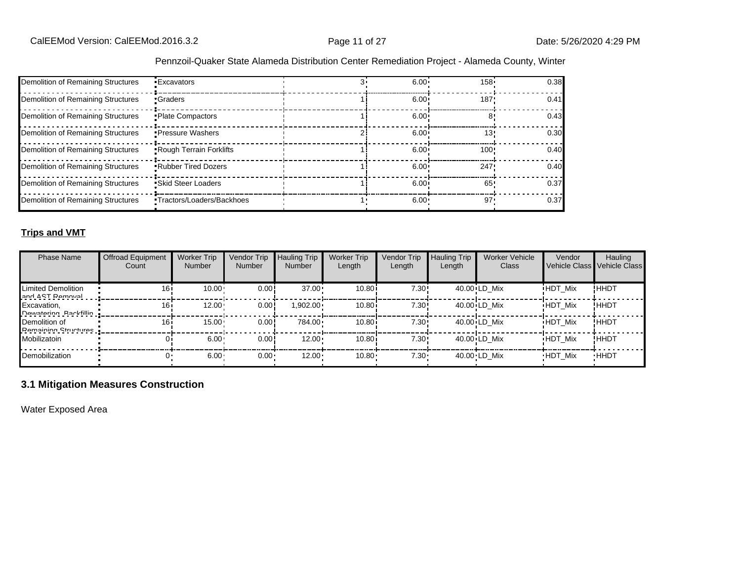| Demolition of Remaining Structures | <b>Excavators</b>            | $6.00 -$          | $158 -$ | 0.38 |
|------------------------------------|------------------------------|-------------------|---------|------|
| Demolition of Remaining Structures | •Graders                     | 6.00 <sup>1</sup> | 187'    | 0.41 |
| Demolition of Remaining Structures | • Plate Compactors           | $6.00 \cdot$      |         | 0.43 |
| Demolition of Remaining Structures | • Pressure Washers           | $6.00 \cdot$      | 13'     | 0.30 |
| Demolition of Remaining Structures | Rough Terrain Forklifts      | 6.00 <sup>1</sup> | 100     | 0.40 |
| Demolition of Remaining Structures | <b>.</b> Rubber Tired Dozers | $6.00 \cdot$      | 247     | 0.40 |
| Demolition of Remaining Structures | • Skid Steer Loaders         | 6.00              | 65'     | 0.37 |
| Demolition of Remaining Structures | •Tractors/Loaders/Backhoes   | $6.00 \cdot$      | $97 -$  | 0.37 |

#### **Trips and VMT**

| <b>Phase Name</b>                            | <b>Offroad Equipment</b><br>Count | <b>Worker Trip</b><br><b>Number</b> | Vendor Trip<br>Number | <b>Hauling Trip</b><br><b>Number</b> | <b>Worker Trip</b><br>Length | <b>Vendor Trip</b><br>Length | <b>Hauling Trip</b><br>Length | <b>Worker Vehicle</b><br>Class | Vendor         | Hauling<br>Vehicle Class Vehicle Class |
|----------------------------------------------|-----------------------------------|-------------------------------------|-----------------------|--------------------------------------|------------------------------|------------------------------|-------------------------------|--------------------------------|----------------|----------------------------------------|
| Limited Demolition<br>and ACT Damoval        | 16i                               | 10.00                               | 0.00!                 | $37.00 \cdot$                        | 10.80i                       | 7.30!                        |                               | 40.00 LD Mix                   | <b>HDT Mix</b> | !HHDT                                  |
| Excavation,<br><b>Nawataring Rackfillin</b>  | 16i                               | 12.00                               | 0.00                  | $1,902.00 \cdot$                     | 10.80i                       | 7.30!                        |                               | 40.00 LD Mix                   | <b>HDT Mix</b> | ! ННDТ                                 |
| Demolition of<br><b>Pamaining Structures</b> | 16i                               | $15.00 -$                           | 0.00                  | 784.00                               | 10.80i                       | 7.30!                        |                               | 40.00 LD Mix                   | <b>HDT Mix</b> | !ННDТ                                  |
| Mobilizatoin                                 |                                   | 6.00                                | 0.00!                 | $12.00 \cdot$                        | 10.80i                       | 7.30!                        |                               | 40.00 LD Mix                   | <b>HDT Mix</b> | !ННDТ                                  |
| Demobilization                               |                                   | 6.00                                | $0.00 -$              | $12.00 \cdot$                        | 10.80                        | $7.30 \cdot$                 |                               | 40.00 LD Mix                   | <b>HDT Mix</b> | <b>HHDT</b>                            |

### **3.1 Mitigation Measures Construction**

Water Exposed Area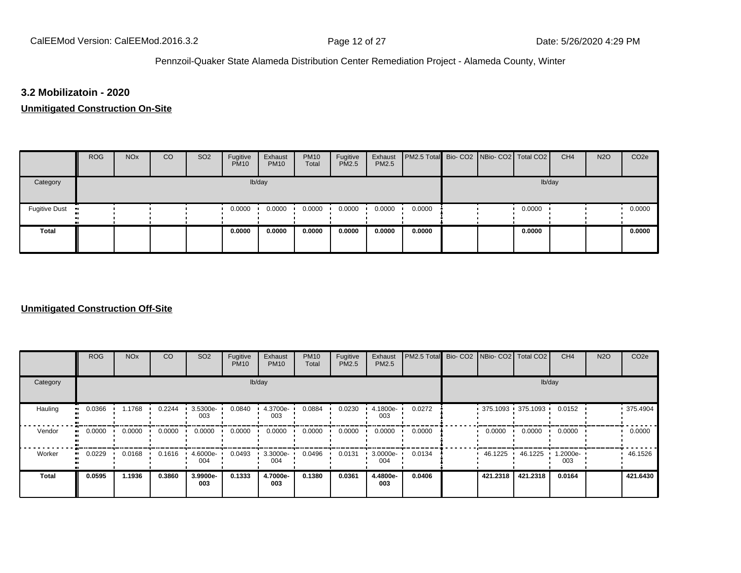#### **3.2 Mobilizatoin - 2020**

#### **Unmitigated Construction On-Site**

|                      | <b>ROG</b> | <b>NO<sub>x</sub></b> | CO | SO <sub>2</sub> | Fugitive<br><b>PM10</b> | Exhaust<br><b>PM10</b> | <b>PM10</b><br>Total | Fugitive<br><b>PM2.5</b> | Exhaust<br><b>PM2.5</b> | PM2.5 Total Bio- CO2 NBio- CO2 Total CO2 |  |        | CH <sub>4</sub> | <b>N2O</b> | CO <sub>2e</sub> |
|----------------------|------------|-----------------------|----|-----------------|-------------------------|------------------------|----------------------|--------------------------|-------------------------|------------------------------------------|--|--------|-----------------|------------|------------------|
| Category             |            |                       |    |                 |                         | lb/day                 |                      |                          |                         |                                          |  | lb/day |                 |            |                  |
| <b>Fugitive Dust</b> |            |                       |    |                 | 0.0000                  | 0.0000                 | 0.0000               | 0.0000                   | 0.0000                  | 0.0000                                   |  | 0.0000 |                 |            | 0.0000           |
| <b>Total</b>         |            |                       |    |                 | 0.0000                  | 0.0000                 | 0.0000               | 0.0000                   | 0.0000                  | 0.0000                                   |  | 0.0000 |                 |            | 0.0000           |

#### **Unmitigated Construction Off-Site**

|                      | <b>ROG</b> | <b>NO<sub>x</sub></b> | CO     | SO <sub>2</sub> | Fugitive<br><b>PM10</b> | Exhaust<br><b>PM10</b> | <b>PM10</b><br>Total | Fugitive<br><b>PM2.5</b> | Exhaust<br>PM2.5 | PM2.5 Total Bio-CO2 | NBio- CO2   Total CO2 |          | CH <sub>4</sub> | <b>N2O</b> | CO <sub>2e</sub> |
|----------------------|------------|-----------------------|--------|-----------------|-------------------------|------------------------|----------------------|--------------------------|------------------|---------------------|-----------------------|----------|-----------------|------------|------------------|
| Category             |            |                       |        |                 |                         | lb/day                 |                      |                          |                  |                     |                       | lb/day   |                 |            |                  |
| Hauling<br>$\bullet$ | 0.0366     | 1.1768                | 0.2244 | 3.5300e-<br>003 | 0.0840                  | 4.3700e-<br>003        | 0.0884               | 0.0230                   | 4.1800e-<br>003  | 0.0272              | $375.1093$ 375.1093   |          | 0.0152          |            | .375.4904        |
| Vendor<br>$\bullet$  | 0.0000     | 0.0000                | 0.0000 | 0.0000          | 0.0000                  | 0.0000                 | 0.0000               | 0.0000                   | 0.0000           | 0.0000              | 0.0000                | 0.0000   | 0.0000          |            | 0.0000           |
| Worker<br>$\bullet$  | 0.0229     | 0.0168                | 0.1616 | 4.6000e-<br>004 | 0.0493                  | 3.3000e-<br>004        | 0.0496               | 0.0131                   | 3.0000e-<br>004  | 0.0134              | 46.1225               | 46.1225  | 1.2000e-<br>003 |            | 46.1526          |
| <b>Total</b>         | 0.0595     | 1.1936                | 0.3860 | 3.9900e-<br>003 | 0.1333                  | 4.7000e-<br>003        | 0.1380               | 0.0361                   | 4.4800e-<br>003  | 0.0406              | 421.2318              | 421.2318 | 0.0164          |            | 421.6430         |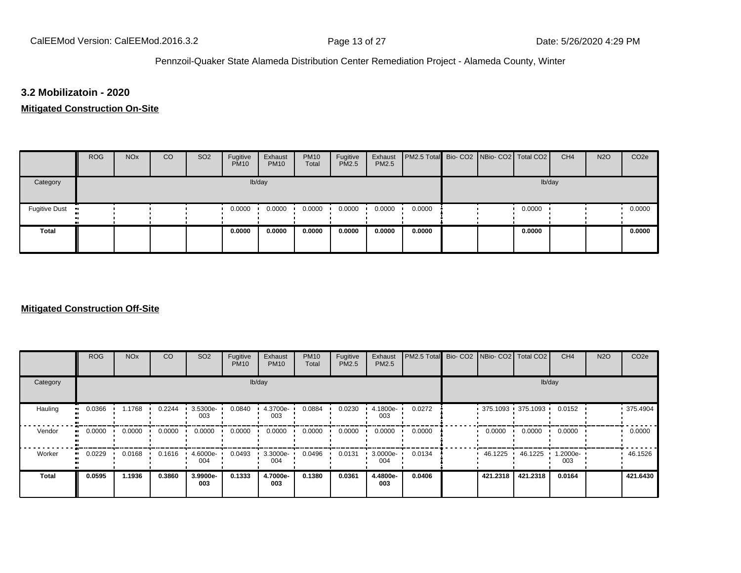#### **3.2 Mobilizatoin - 2020**

#### **Mitigated Construction On-Site**

|                      | <b>ROG</b> | <b>NO<sub>x</sub></b> | CO | SO <sub>2</sub> | Fugitive<br><b>PM10</b> | Exhaust<br><b>PM10</b> | <b>PM10</b><br>Total | Fugitive<br><b>PM2.5</b> | Exhaust<br><b>PM2.5</b> | PM2.5 Total Bio- CO2 NBio- CO2 Total CO2 |  |        | CH <sub>4</sub> | <b>N2O</b> | CO <sub>2e</sub> |
|----------------------|------------|-----------------------|----|-----------------|-------------------------|------------------------|----------------------|--------------------------|-------------------------|------------------------------------------|--|--------|-----------------|------------|------------------|
| Category             |            |                       |    |                 |                         | lb/day                 |                      |                          |                         |                                          |  | lb/day |                 |            |                  |
| <b>Fugitive Dust</b> |            |                       |    |                 | 0.0000                  | 0.0000                 | 0.0000               | 0.0000                   | 0.0000                  | 0.0000                                   |  | 0.0000 |                 |            | 0.0000           |
| <b>Total</b>         |            |                       |    |                 | 0.0000                  | 0.0000                 | 0.0000               | 0.0000                   | 0.0000                  | 0.0000                                   |  | 0.0000 |                 |            | 0.0000           |

#### **Mitigated Construction Off-Site**

|                      | <b>ROG</b> | <b>NO<sub>x</sub></b> | CO     | SO <sub>2</sub> | Fugitive<br><b>PM10</b> | Exhaust<br><b>PM10</b> | <b>PM10</b><br>Total | Fugitive<br>PM2.5 | Exhaust<br>PM2.5 | PM2.5 Total Bio- CO2 NBio- CO2 Total CO2 |          |                     | CH <sub>4</sub> | <b>N2O</b> | CO <sub>2e</sub> |
|----------------------|------------|-----------------------|--------|-----------------|-------------------------|------------------------|----------------------|-------------------|------------------|------------------------------------------|----------|---------------------|-----------------|------------|------------------|
| Category             |            |                       |        |                 |                         | lb/day                 |                      |                   |                  |                                          |          | lb/day              |                 |            |                  |
| Hauling<br>$\bullet$ | 0.0366     | 1.1768                | 0.2244 | 3.5300e-<br>003 | 0.0840                  | 4.3700e-<br>003        | 0.0884               | 0.0230            | 4.1800e-<br>003  | 0.0272                                   |          | $375.1093$ 375.1093 | 0.0152          |            | 375.4904         |
| Vendor<br>ш.         | 0.0000     | 0.0000                | 0.0000 | 0.0000          | 0.0000                  | 0.0000                 | 0.0000               | 0.0000            | 0.0000           | 0.0000                                   | 0.0000   | 0.0000              | 0.0000          |            | 0.0000           |
| Worker<br>$\bullet$  | 0.0229     | 0.0168                | 0.1616 | 4.6000e-<br>004 | 0.0493                  | 3.3000e-<br>004        | 0.0496               | 0.0131            | 3.0000e-<br>004  | 0.0134                                   | 46.1225  | 46.1225             | 1.2000e-<br>003 |            | 46.1526          |
| <b>Total</b>         | 0.0595     | 1.1936                | 0.3860 | 3.9900e-<br>003 | 0.1333                  | 4.7000e-<br>003        | 0.1380               | 0.0361            | 4.4800e-<br>003  | 0.0406                                   | 421.2318 | 421.2318            | 0.0164          |            | 421.6430         |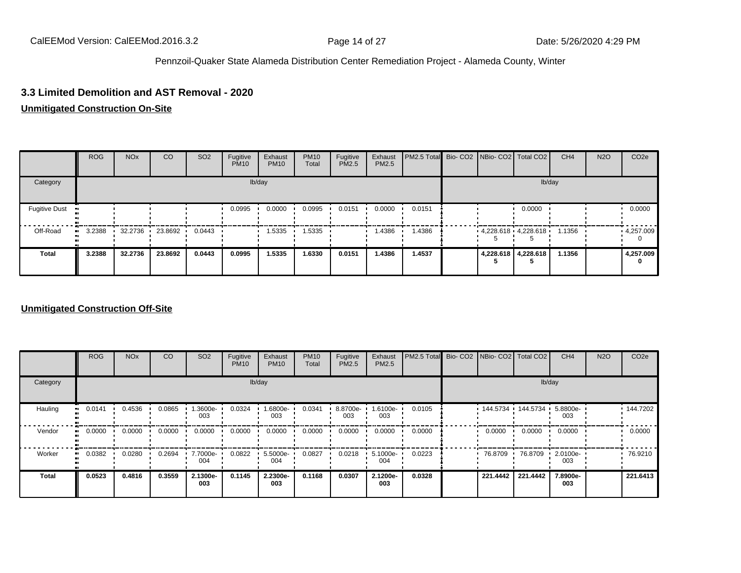#### **3.3 Limited Demolition and AST Removal - 2020**

#### **Unmitigated Construction On-Site**

|                      | <b>ROG</b> | <b>NO<sub>x</sub></b> | <sub>CO</sub>     | <b>SO2</b> | Fugitive<br><b>PM10</b> | Exhaust<br><b>PM10</b> | <b>PM10</b><br>Total | Fugitive<br>PM2.5 | Exhaust<br>PM2.5 | PM2.5 Total Bio- CO2 NBio- CO2 Total CO2 |  |                             | CH <sub>4</sub> | <b>N2O</b> | CO <sub>2</sub> e |
|----------------------|------------|-----------------------|-------------------|------------|-------------------------|------------------------|----------------------|-------------------|------------------|------------------------------------------|--|-----------------------------|-----------------|------------|-------------------|
| Category             |            |                       |                   |            |                         | lb/day                 |                      |                   |                  |                                          |  | lb/day                      |                 |            |                   |
| <b>Fugitive Dust</b> |            |                       |                   |            | 0.0995                  | 0.0000                 | 0.0995               | 0.0151            | 0.0000           | 0.0151                                   |  | 0.0000                      |                 |            | 0.0000            |
| Off-Road             | 3.2388     |                       | 32.2736 23.8692 ' | 0.0443     |                         | 1.5335                 | 1.5335               |                   | 1.4386           | 1.4386                                   |  | $4.228.618 \cdot 4.228.618$ | 1.1356          |            | 4,257.009         |
| <b>Total</b>         | 3.2388     | 32.2736               | 23.8692           | 0.0443     | 0.0995                  | 1.5335                 | .6330                | 0.0151            | 1.4386           | 1.4537                                   |  | 4,228.618 4,228.618         | 1.1356          |            | 4,257.009<br>0    |

#### **Unmitigated Construction Off-Site**

|                      | <b>ROG</b> | <b>NO<sub>x</sub></b> | CO     | SO <sub>2</sub> | Fugitive<br><b>PM10</b> | Exhaust<br><b>PM10</b> | <b>PM10</b><br>Total | Fugitive<br><b>PM2.5</b> | Exhaust<br>PM2.5 | PM2.5 Total Bio-CO2 | NBio- CO2   Total CO2 |          | CH <sub>4</sub> | <b>N2O</b> | CO <sub>2e</sub> |
|----------------------|------------|-----------------------|--------|-----------------|-------------------------|------------------------|----------------------|--------------------------|------------------|---------------------|-----------------------|----------|-----------------|------------|------------------|
| Category             |            |                       |        |                 |                         | lb/day                 |                      |                          |                  |                     |                       | lb/day   |                 |            |                  |
| Hauling<br>$\bullet$ | 0.0141     | 0.4536                | 0.0865 | -3600e-<br>003  | 0.0324                  | 1.6800e-<br>003        | 0.0341               | 8.8700e-<br>003          | -6100e-<br>003   | 0.0105              | $144.5734$ 144.5734   |          | 5.8800e-<br>003 |            | 144.7202         |
| Vendor<br>$\bullet$  | 0.0000     | 0.0000                | 0.0000 | 0.0000          | 0.0000                  | 0.0000                 | 0.0000               | 0.0000                   | 0.0000           | 0.0000              | 0.0000                | 0.0000   | 0.0000          |            | 0.0000           |
| Worker<br>$\bullet$  | 0.0382     | 0.0280                | 0.2694 | 7.7000e-<br>004 | 0.0822                  | 5.5000e-<br>004        | 0.0827               | 0.0218                   | 5.1000e-<br>004  | 0.0223              | 76.8709               | 76.8709  | 2.0100e-<br>003 |            | 76.9210          |
| <b>Total</b>         | 0.0523     | 0.4816                | 0.3559 | 2.1300e-<br>003 | 0.1145                  | 2.2300e-<br>003        | 0.1168               | 0.0307                   | 2.1200e-<br>003  | 0.0328              | 221.4442              | 221.4442 | 7.8900e-<br>003 |            | 221.6413         |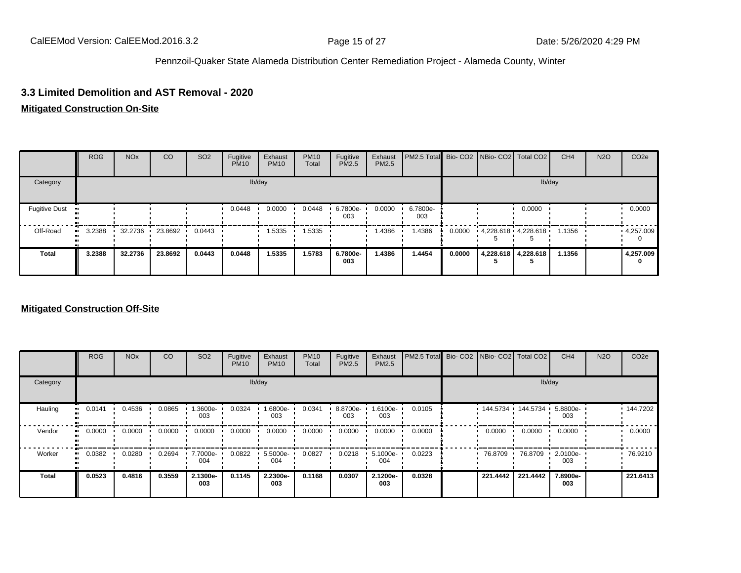#### **3.3 Limited Demolition and AST Removal - 2020**

### **Mitigated Construction On-Site**

|                      | <b>ROG</b> | <b>NO<sub>x</sub></b> | CO              | SO <sub>2</sub> | Fugitive<br><b>PM10</b> | Exhaust<br><b>PM10</b> | <b>PM10</b><br>Total | Fugitive<br><b>PM2.5</b> | Exhaust<br>PM2.5 | PM2.5 Total Bio- CO2 NBio- CO2 Total CO2 |        |                         | CH <sub>4</sub> | <b>N2O</b> | CO <sub>2e</sub> |
|----------------------|------------|-----------------------|-----------------|-----------------|-------------------------|------------------------|----------------------|--------------------------|------------------|------------------------------------------|--------|-------------------------|-----------------|------------|------------------|
| Category             |            |                       |                 |                 |                         | lb/day                 |                      |                          |                  |                                          |        | lb/day                  |                 |            |                  |
| <b>Fugitive Dust</b> |            |                       |                 |                 | 0.0448                  | 0.0000                 | 0.0448               | 6.7800e-<br>003          | 0.0000           | 6.7800e-<br>003                          |        | 0.0000                  |                 |            | 0.0000           |
| Off-Road             | 3.2388     |                       | 32.2736 23.8692 | 0.0443          |                         | 1.5335                 | .5335                |                          | 1.4386           | .4386                                    | 0.0000 | $4,228.618$ $4,228.618$ | 1.1356          |            | 4,257.009        |
| <b>Total</b>         | 3.2388     | 32.2736               | 23.8692         | 0.0443          | 0.0448                  | 1.5335                 | 1.5783               | 6.7800e-<br>003          | 1.4386           | 1.4454                                   | 0.0000 | 4,228.618 4,228.618     | 1.1356          |            | 4,257.009<br>0   |

#### **Mitigated Construction Off-Site**

|                        | <b>ROG</b>               | <b>NO<sub>x</sub></b> | CO     | SO <sub>2</sub> | Fugitive<br><b>PM10</b> | Exhaust<br><b>PM10</b> | <b>PM10</b><br>Total | Fugitive<br><b>PM2.5</b> | Exhaust<br>PM2.5 | PM2.5 Total Bio- CO2 NBio- CO2 Total CO2 |          |                     | CH <sub>4</sub> | <b>N2O</b> | CO <sub>2e</sub> |
|------------------------|--------------------------|-----------------------|--------|-----------------|-------------------------|------------------------|----------------------|--------------------------|------------------|------------------------------------------|----------|---------------------|-----------------|------------|------------------|
| Category               |                          |                       |        |                 |                         | lb/day                 |                      |                          |                  |                                          |          |                     | lb/day          |            |                  |
| Hauling                | 0.0141<br>$\blacksquare$ | 0.4536                | 0.0865 | -3600e.<br>003  | 0.0324                  | -6800e-<br>003         | 0.0341               | 8.8700e-<br>003          | -6100e-<br>003   | 0.0105                                   |          | 144.5734 144.5734 ' | 5.8800e-<br>003 |            | $\cdot$ 144.7202 |
| Vendor<br>$\mathbf{u}$ | 0.0000                   | 0.0000                | 0.0000 | 0.0000          | 0.0000                  | 0.0000                 | 0.0000               | 0.0000                   | 0.0000           | 0.0000                                   | 0.0000   | 0.0000              | 0.0000          |            | 0.0000           |
| Worker<br>$\bullet$    | 0.0382                   | 0.0280                | 0.2694 | 7.7000e-<br>004 | 0.0822                  | 5.5000e-<br>004        | 0.0827               | 0.0218                   | 5.1000e-<br>004  | 0.0223                                   | 76.8709  | 76.8709             | 2.0100e-<br>003 |            | 76.9210          |
| <b>Total</b>           | 0.0523                   | 0.4816                | 0.3559 | 2.1300e-<br>003 | 0.1145                  | 2.2300e-<br>003        | 0.1168               | 0.0307                   | 2.1200e-<br>003  | 0.0328                                   | 221.4442 | 221.4442            | 7.8900e-<br>003 |            | 221.6413         |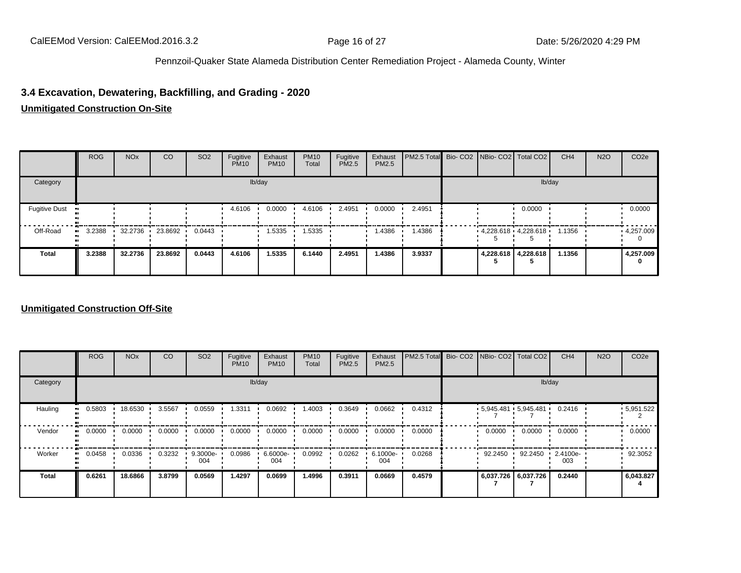### **3.4 Excavation, Dewatering, Backfilling, and Grading - 2020**

#### **Unmitigated Construction On-Site**

|                      | <b>ROG</b> | <b>NO<sub>x</sub></b> | <sub>CO</sub>   | <b>SO2</b> | Fugitive<br><b>PM10</b> | Exhaust<br><b>PM10</b> | <b>PM10</b><br>Total | Fugitive<br><b>PM2.5</b> | Exhaust<br>PM2.5 | PM2.5 Total Bio- CO2 NBio- CO2 Total CO2 |                         |                     | CH <sub>4</sub> | <b>N2O</b> | CO <sub>2e</sub> |
|----------------------|------------|-----------------------|-----------------|------------|-------------------------|------------------------|----------------------|--------------------------|------------------|------------------------------------------|-------------------------|---------------------|-----------------|------------|------------------|
| Category             |            |                       |                 |            |                         | lb/day                 |                      |                          |                  |                                          |                         | lb/day              |                 |            |                  |
| <b>Fugitive Dust</b> |            |                       |                 |            | 4.6106                  | 0.0000                 | 4.6106               | 2.4951                   | 0.0000           | 2.4951                                   |                         | 0.0000              |                 |            | 0.0000           |
| Off-Road             | 3.2388     |                       | 32.2736 23.8692 | 0.0443     |                         | 1.5335                 | .5335                |                          | 1.4386           | 1.4386                                   | $4,228.618$ $4,228.618$ |                     | 1.1356          |            | 4,257.009        |
| <b>Total</b>         | 3.2388     | 32.2736               | 23.8692         | 0.0443     | 4.6106                  | 1.5335                 | 6.1440               | 2.4951                   | 1.4386           | 3.9337                                   |                         | 4,228.618 4,228.618 | 1.1356          |            | 4,257.009<br>0   |

#### **Unmitigated Construction Off-Site**

|                           | <b>ROG</b> | <b>NO<sub>x</sub></b> | CO     | SO <sub>2</sub> | Fugitive<br><b>PM10</b> | Exhaust<br><b>PM10</b> | <b>PM10</b><br>Total | Fugitive<br><b>PM2.5</b> | Exhaust<br>PM2.5 | PM2.5 Total Bio- CO2 NBio- CO2 Total CO2 |         |                         | CH <sub>4</sub> | <b>N2O</b> | CO <sub>2e</sub> |
|---------------------------|------------|-----------------------|--------|-----------------|-------------------------|------------------------|----------------------|--------------------------|------------------|------------------------------------------|---------|-------------------------|-----------------|------------|------------------|
| Category                  |            |                       |        |                 | lb/day                  |                        |                      |                          |                  |                                          |         | lb/day                  |                 |            |                  |
| Hauling<br>$\blacksquare$ | 0.5803     | 18.6530               | 3.5567 | 0.0559          | .3311                   | 0.0692                 | .4003                | 0.3649                   | 0.0662           | 0.4312                                   |         | $5,945.481$ $5,945.481$ | 0.2416          |            | $-5,951.522$     |
| Vendor<br>ш.              | 0.0000     | 0.0000                | 0.0000 | 0.0000          | 0.0000                  | 0.0000                 | 0.0000               | 0.0000                   | 0.0000           | 0.0000                                   | 0.0000  | 0.0000                  | 0.0000          |            | 0.0000           |
| Worker<br>ш.              | 0.0458     | 0.0336                | 0.3232 | 9.3000e-<br>004 | 0.0986                  | 6.6000e-<br>004        | 0.0992               | 0.0262                   | 6.1000e-<br>004  | 0.0268                                   | 92.2450 | 92.2450<br>$\cdot$      | 2.4100e-<br>003 |            | 92.3052          |
| <b>Total</b>              | 0.6261     | 18.6866               | 3.8799 | 0.0569          | 1.4297                  | 0.0699                 | 1.4996               | 0.3911                   | 0.0669           | 0.4579                                   |         | 6,037.726 6,037.726     | 0.2440          |            | 6,043.827        |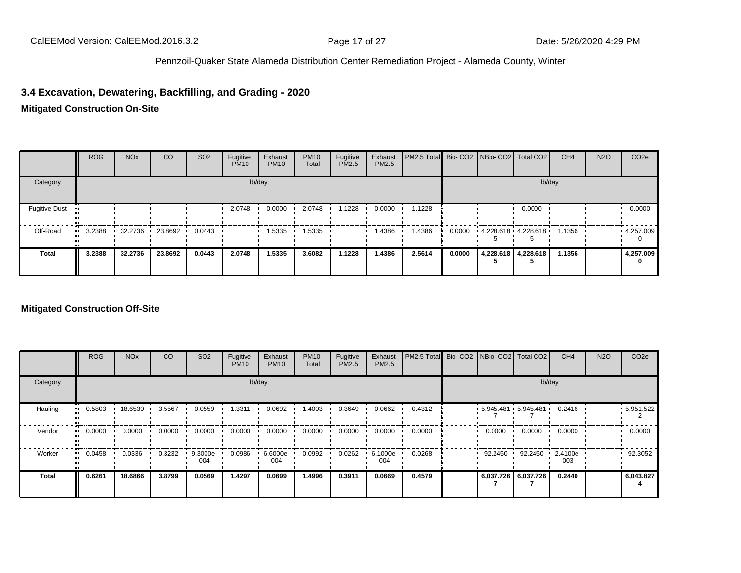### **3.4 Excavation, Dewatering, Backfilling, and Grading - 2020**

#### **Mitigated Construction On-Site**

|                      | <b>ROG</b> | <b>NO<sub>x</sub></b> | CO        | SO <sub>2</sub> | Fugitive<br><b>PM10</b> | Exhaust<br><b>PM10</b> | <b>PM10</b><br>Total | Fugitive<br>PM2.5 | Exhaust<br>PM2.5 | PM2.5 Total Bio- CO2 NBio- CO2 Total CO2 |        |                         | CH <sub>4</sub> | <b>N2O</b> | CO <sub>2e</sub> |
|----------------------|------------|-----------------------|-----------|-----------------|-------------------------|------------------------|----------------------|-------------------|------------------|------------------------------------------|--------|-------------------------|-----------------|------------|------------------|
| Category             |            |                       |           |                 |                         | lb/day                 |                      |                   |                  |                                          |        | lb/day                  |                 |            |                  |
| <b>Fugitive Dust</b> |            |                       |           |                 | 2.0748                  | 0.0000                 | 2.0748               | 1.1228            | 0.0000           | 1.1228                                   |        | 0.0000                  |                 |            | 0.0000           |
| Off-Road             | 3.2388     | 32.2736               | 23.8692 · | 0.0443          |                         | 1.5335                 | 1.5335               |                   | 1.4386           | 1.4386                                   | 0.0000 | $4,228.618$ $4,228.618$ | 1.1356          |            | 4,257.009        |
| <b>Total</b>         | 3.2388     | 32.2736               | 23.8692   | 0.0443          | 2.0748                  | 1.5335                 | 3.6082               | 1.1228            | 1.4386           | 2.5614                                   | 0.0000 | 4,228.618 4,228.618     | 1.1356          |            | 4,257.009<br>0   |

#### **Mitigated Construction Off-Site**

|                             | <b>ROG</b> | <b>NO<sub>x</sub></b> | CO     | SO <sub>2</sub> | Fugitive<br><b>PM10</b> | Exhaust<br><b>PM10</b> | <b>PM10</b><br>Total | Fugitive<br><b>PM2.5</b> | Exhaust<br>PM2.5 | PM2.5 Total Bio- CO2 NBio- CO2 Total CO2 |         |                          | CH <sub>4</sub> | <b>N2O</b> | CO <sub>2e</sub> |
|-----------------------------|------------|-----------------------|--------|-----------------|-------------------------|------------------------|----------------------|--------------------------|------------------|------------------------------------------|---------|--------------------------|-----------------|------------|------------------|
| Category                    |            |                       |        |                 |                         | lb/day                 |                      |                          |                  |                                          |         | lb/day                   |                 |            |                  |
| Hauling<br>$\bullet\bullet$ | 0.5803     | 18.6530 ·             | 3.5567 | 0.0559          | .3311                   | 0.0692                 | .4003                | 0.3649                   | 0.0662           | 0.4312                                   |         | $-5.945.481 - 5.945.481$ | 0.2416          |            | .5,951.522       |
| Vendor<br>$\bullet$         | 0.0000     | 0.0000                | 0.0000 | 0.0000          | 0.0000                  | 0.0000                 | 0.0000               | 0.0000                   | 0.0000           | 0.0000                                   | 0.0000  | 0.0000                   | 0.0000          |            | 0.0000           |
| Worker<br>$\bullet$         | 0.0458     | 0.0336                | 0.3232 | 9.3000e-<br>004 | 0.0986                  | 6.6000e-<br>004        | 0.0992               | 0.0262                   | 6.1000e-<br>004  | 0.0268                                   | 92.2450 | 92.2450                  | 2.4100e-<br>003 |            | 92.3052          |
| <b>Total</b>                | 0.6261     | 18.6866               | 3.8799 | 0.0569          | 1.4297                  | 0.0699                 | 1.4996               | 0.3911                   | 0.0669           | 0.4579                                   |         | 6,037.726 6,037.726      | 0.2440          |            | 6,043.827        |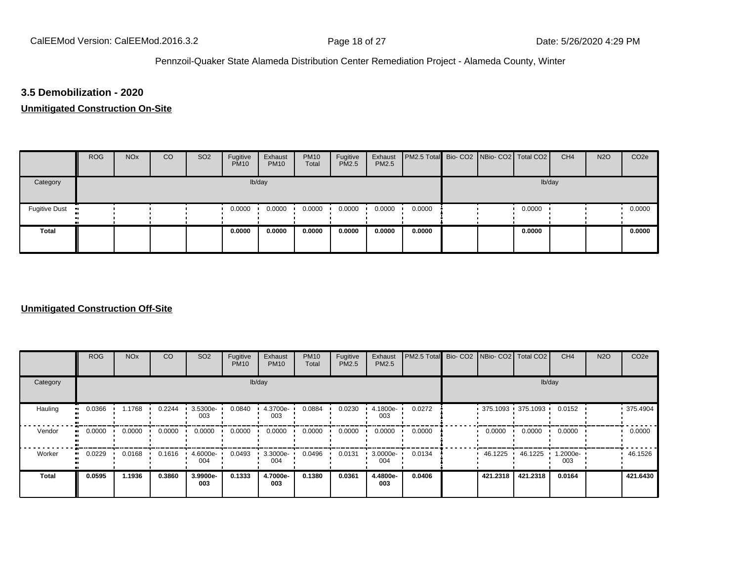#### **3.5 Demobilization - 2020**

#### **Unmitigated Construction On-Site**

|                 | <b>ROG</b> | <b>NO<sub>x</sub></b> | CO | SO <sub>2</sub> | Fugitive<br><b>PM10</b> | Exhaust<br><b>PM10</b> | <b>PM10</b><br>Total | Fugitive<br><b>PM2.5</b> | Exhaust<br><b>PM2.5</b> | PM2.5 Total Bio- CO2 NBio- CO2 Total CO2 |  |        | CH <sub>4</sub> | <b>N2O</b> | CO <sub>2e</sub> |
|-----------------|------------|-----------------------|----|-----------------|-------------------------|------------------------|----------------------|--------------------------|-------------------------|------------------------------------------|--|--------|-----------------|------------|------------------|
| Category        |            |                       |    |                 |                         | lb/day                 |                      |                          |                         |                                          |  | lb/day |                 |            |                  |
| Fugitive Dust • |            |                       |    |                 | 0.0000                  | 0.0000                 | 0.0000               | 0.0000                   | 0.0000                  | 0.0000                                   |  | 0.0000 |                 |            | 0.0000           |
| <b>Total</b>    |            |                       |    |                 | 0.0000                  | 0.0000                 | 0.0000               | 0.0000                   | 0.0000                  | 0.0000                                   |  | 0.0000 |                 |            | 0.0000           |

#### **Unmitigated Construction Off-Site**

|                      | <b>ROG</b> | <b>NO<sub>x</sub></b> | CO     | SO <sub>2</sub> | Fugitive<br><b>PM10</b> | Exhaust<br><b>PM10</b> | <b>PM10</b><br>Total | Fugitive<br>PM2.5 | Exhaust<br>PM2.5 | PM2.5 Total Bio- CO2 NBio- CO2 Total CO2 |          |                     | CH <sub>4</sub> | <b>N2O</b> | CO <sub>2e</sub> |
|----------------------|------------|-----------------------|--------|-----------------|-------------------------|------------------------|----------------------|-------------------|------------------|------------------------------------------|----------|---------------------|-----------------|------------|------------------|
| Category             |            |                       |        |                 |                         | lb/day                 |                      |                   |                  |                                          |          | lb/day              |                 |            |                  |
| Hauling<br>$\bullet$ | 0.0366     | 1.1768                | 0.2244 | 3.5300e-<br>003 | 0.0840                  | 4.3700e-<br>003        | 0.0884               | 0.0230            | 4.1800e-<br>003  | 0.0272                                   |          | $375.1093$ 375.1093 | 0.0152          |            | 375.4904         |
| Vendor<br>ш.         | 0.0000     | 0.0000                | 0.0000 | 0.0000          | 0.0000                  | 0.0000                 | 0.0000               | 0.0000            | 0.0000           | 0.0000                                   | 0.0000   | 0.0000              | 0.0000          |            | 0.0000           |
| Worker<br>$\bullet$  | 0.0229     | 0.0168                | 0.1616 | 4.6000e-<br>004 | 0.0493                  | 3.3000e-<br>004        | 0.0496               | 0.0131            | 3.0000e-<br>004  | 0.0134                                   | 46.1225  | 46.1225             | 1.2000e-<br>003 |            | 46.1526          |
| <b>Total</b>         | 0.0595     | 1.1936                | 0.3860 | 3.9900e-<br>003 | 0.1333                  | 4.7000e-<br>003        | 0.1380               | 0.0361            | 4.4800e-<br>003  | 0.0406                                   | 421.2318 | 421.2318            | 0.0164          |            | 421.6430         |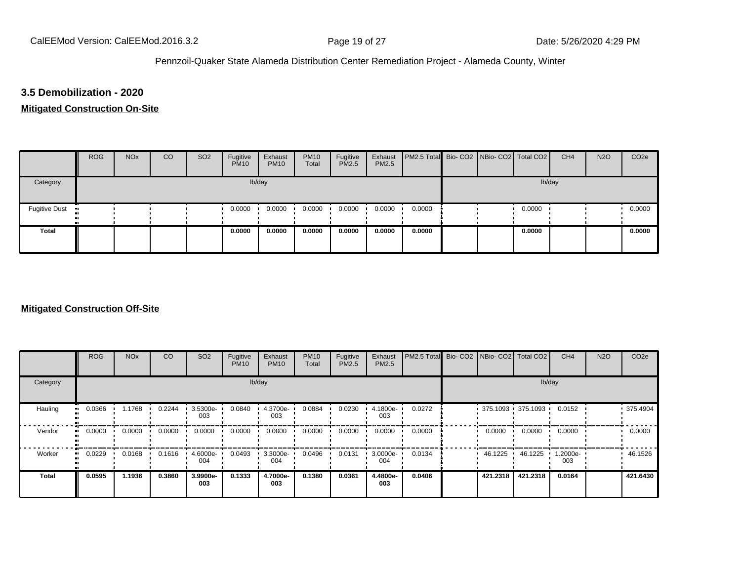#### **3.5 Demobilization - 2020**

#### **Mitigated Construction On-Site**

|                      | <b>ROG</b> | <b>NO<sub>x</sub></b> | CO | SO <sub>2</sub> | Fugitive<br><b>PM10</b> | Exhaust<br><b>PM10</b> | <b>PM10</b><br>Total | Fugitive<br><b>PM2.5</b> | Exhaust<br><b>PM2.5</b> | PM2.5 Total Bio- CO2 NBio- CO2 Total CO2 |  |        | CH <sub>4</sub> | <b>N2O</b> | CO <sub>2e</sub> |
|----------------------|------------|-----------------------|----|-----------------|-------------------------|------------------------|----------------------|--------------------------|-------------------------|------------------------------------------|--|--------|-----------------|------------|------------------|
| Category             |            |                       |    |                 |                         | lb/day                 |                      |                          |                         |                                          |  | lb/day |                 |            |                  |
| <b>Fugitive Dust</b> |            |                       |    |                 | 0.0000                  | 0.0000                 | 0.0000               | 0.0000                   | 0.0000                  | 0.0000                                   |  | 0.0000 |                 |            | 0.0000           |
| <b>Total</b>         |            |                       |    |                 | 0.0000                  | 0.0000                 | 0.0000               | 0.0000                   | 0.0000                  | 0.0000                                   |  | 0.0000 |                 |            | 0.0000           |

#### **Mitigated Construction Off-Site**

|                         | <b>ROG</b> | <b>NO<sub>x</sub></b> | CO     | SO <sub>2</sub>    | Fugitive<br><b>PM10</b> | Exhaust<br><b>PM10</b> | <b>PM10</b><br>Total | Fugitive<br><b>PM2.5</b> | Exhaust<br>PM2.5 | PM2.5 Total | Bio-CO2 NBio-CO2 Total CO2 |                     | CH <sub>4</sub> | <b>N2O</b> | CO <sub>2e</sub> |
|-------------------------|------------|-----------------------|--------|--------------------|-------------------------|------------------------|----------------------|--------------------------|------------------|-------------|----------------------------|---------------------|-----------------|------------|------------------|
| Category                |            |                       |        |                    |                         | lb/day                 |                      |                          |                  |             |                            | lb/day              |                 |            |                  |
| Hauling<br>$\mathbf{u}$ | 0.0366     | 1.1768                | 0.2244 | $.35300e-$<br>003  | 0.0840                  | 4.3700e-<br>003        | 0.0884               | 0.0230                   | 4.1800e-<br>003  | 0.0272      |                            | $375.1093$ 375.1093 | 0.0152          |            | 375.4904         |
| Vendor<br>$\bullet$     | 0.0000     | 0.0000                | 0.0000 | 0.0000             | 0.0000                  | 0.0000                 | 0.0000               | 0.0000                   | 0.0000           | 0.0000      | 0.0000                     | 0.0000              | 0.0000          |            | 0.0000           |
| Worker<br>$\bullet$     | 0.0229     | 0.0168                | 0.1616 | $4.6000e -$<br>004 | 0.0493                  | 3.3000e-<br>004        | 0.0496               | 0.0131                   | 3.0000e-<br>004  | 0.0134      | 46.1225                    | 46.1225             | 1.2000e-<br>003 |            | 46.1526          |
| <b>Total</b>            | 0.0595     | 1.1936                | 0.3860 | 3.9900e-<br>003    | 0.1333                  | 4.7000e-<br>003        | 0.1380               | 0.0361                   | 4.4800e-<br>003  | 0.0406      | 421.2318                   | 421.2318            | 0.0164          |            | 421.6430         |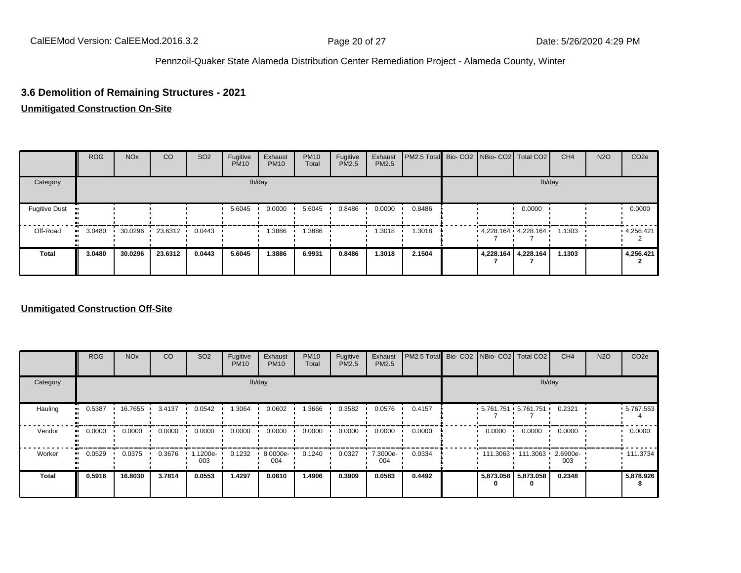### **3.6 Demolition of Remaining Structures - 2021**

#### **Unmitigated Construction On-Site**

|                      | <b>ROG</b> | <b>NO<sub>x</sub></b> | <sub>CO</sub>   | <b>SO2</b> | Fugitive<br><b>PM10</b> | Exhaust<br><b>PM10</b> | <b>PM10</b><br>Total | Fugitive<br>PM2.5 | Exhaust<br>PM2.5 | PM2.5 Total Bio- CO2 NBio- CO2 Total CO2 |  |                         | CH <sub>4</sub> | <b>N2O</b> | CO <sub>2</sub> e |
|----------------------|------------|-----------------------|-----------------|------------|-------------------------|------------------------|----------------------|-------------------|------------------|------------------------------------------|--|-------------------------|-----------------|------------|-------------------|
| Category             |            |                       |                 |            |                         | lb/day                 |                      |                   |                  |                                          |  | lb/day                  |                 |            |                   |
| <b>Fugitive Dust</b> |            |                       |                 |            | 5.6045                  | 0.0000                 | 5.6045               | 0.8486            | 0.0000           | 0.8486                                   |  | 0.0000                  |                 |            | 0.0000            |
| Off-Road             | 3.0480     |                       | 30.0296 23.6312 | 0.0443     |                         | .3886                  | .3886                |                   | 1.3018           | 1.3018                                   |  | $4,228.164$ $4,228.164$ | 1.1303          |            | 4,256.421         |
| <b>Total</b>         | 3.0480     | 30.0296               | 23.6312         | 0.0443     | 5.6045                  | 1.3886                 | 6.9931               | 0.8486            | 1.3018           | 2.1504                                   |  | 4,228.164 4,228.164     | 1.1303          |            | 4,256.421         |

#### **Unmitigated Construction Off-Site**

|              | <b>ROG</b> | <b>NO<sub>x</sub></b> | CO     | SO <sub>2</sub> | Fugitive<br><b>PM10</b> | Exhaust<br><b>PM10</b> | <b>PM10</b><br>Total | Fugitive<br>PM2.5 | Exhaust<br>PM2.5 | PM2.5 Total Bio-CO2 | NBio- CO2   Total CO2                  |                            | CH <sub>4</sub> | <b>N2O</b> | CO <sub>2e</sub> |
|--------------|------------|-----------------------|--------|-----------------|-------------------------|------------------------|----------------------|-------------------|------------------|---------------------|----------------------------------------|----------------------------|-----------------|------------|------------------|
| Category     |            |                       |        |                 | lb/day                  |                        |                      |                   |                  |                     |                                        | lb/day                     |                 |            |                  |
| Hauling      | 0.5387     | 16.7655               | 3.4137 | 0.0542          | 1.3064                  | 0.0602                 | .3666                | 0.3582            | 0.0576           | 0.4157              | $5,761.751$ $5,761.751$ $\blacksquare$ |                            | 0.2321          |            | $-5,767.553$     |
| Vendor<br>ш. | 0.0000     | 0.0000                | 0.0000 | 0.0000          | 0.0000                  | 0.0000                 | 0.0000               | 0.0000            | 0.0000           | 0.0000              | 0.0000                                 | 0.0000                     | 0.0000          |            | 0.0000           |
| Worker<br>ш. | 0.0529     | 0.0375                | 0.3676 | 1.1200e-<br>003 | 0.1232                  | 8.0000e-<br>004        | 0.1240               | 0.0327            | 7.3000e-<br>004  | 0.0334              |                                        | 111.3063 111.3063 2.6900e- | 003             |            | .111.3734        |
| <b>Total</b> | 0.5916     | 16.8030               | 3.7814 | 0.0553          | 1.4297                  | 0.0610                 | 1.4906               | 0.3909            | 0.0583           | 0.4492              | 0                                      | 5,873.058 5,873.058<br>0   | 0.2348          |            | 5,878.926        |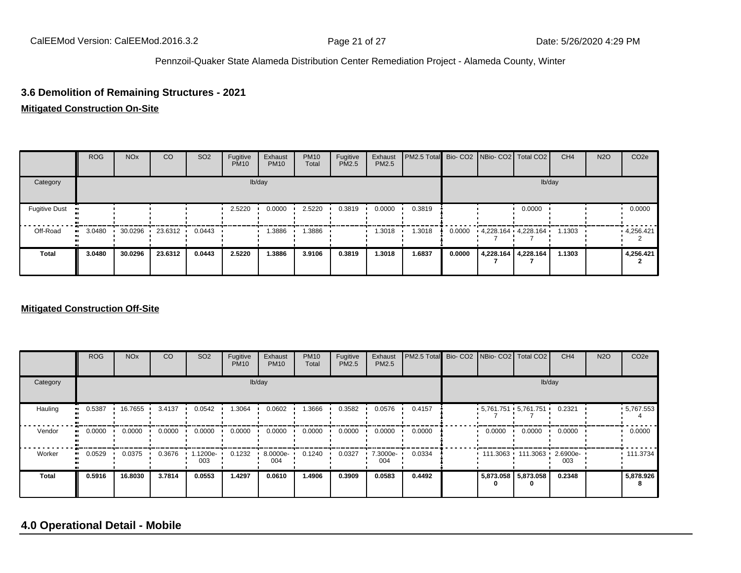# **3.6 Demolition of Remaining Structures - 2021**

#### **Mitigated Construction On-Site**

|                      | <b>ROG</b> | <b>NO<sub>x</sub></b> | CO                | <b>SO2</b> | Fugitive<br><b>PM10</b> | Exhaust<br><b>PM10</b> | <b>PM10</b><br>Total | Fugitive<br><b>PM2.5</b> | Exhaust<br>PM2.5 | PM2.5 Total Bio- CO2 NBio- CO2 Total CO2 |        |                         | CH <sub>4</sub> | <b>N2O</b> | CO <sub>2e</sub> |
|----------------------|------------|-----------------------|-------------------|------------|-------------------------|------------------------|----------------------|--------------------------|------------------|------------------------------------------|--------|-------------------------|-----------------|------------|------------------|
| Category             |            |                       |                   |            |                         | lb/day                 |                      |                          |                  |                                          |        | lb/day                  |                 |            |                  |
| <b>Fugitive Dust</b> |            |                       |                   |            | 2.5220                  | 0.0000                 | 2.5220               | 0.3819                   | 0.0000           | 0.3819                                   |        | 0.0000                  |                 |            | 0.0000           |
| Off-Road             | 3.0480     |                       | 30.0296 23.6312 ' | 0.0443     |                         | .3886                  | .3886                |                          | 1.3018           | 1.3018                                   | 0.0000 | $4,228.164$ $4,228.164$ | 1.1303          |            | 4,256.421        |
| <b>Total</b>         | 3.0480     | 30.0296               | 23.6312           | 0.0443     | 2.5220                  | 1.3886                 | 3.9106               | 0.3819                   | 1.3018           | 1.6837                                   | 0.0000 | 4,228.164 4,228.164     | 1.1303          |            | 4,256.421        |

#### **Mitigated Construction Off-Site**

|              | <b>ROG</b>          | <b>NO<sub>x</sub></b> | CO     | SO <sub>2</sub> | Fugitive<br><b>PM10</b> | Exhaust<br><b>PM10</b> | <b>PM10</b><br>Total | Fugitive<br>PM2.5 | Exhaust<br>PM2.5 | PM2.5 Total Bio- CO2 NBio- CO2 Total CO2 |        |                                 | CH <sub>4</sub> | <b>N2O</b> | CO <sub>2e</sub> |
|--------------|---------------------|-----------------------|--------|-----------------|-------------------------|------------------------|----------------------|-------------------|------------------|------------------------------------------|--------|---------------------------------|-----------------|------------|------------------|
| Category     |                     |                       |        |                 |                         | lb/day                 |                      |                   |                  |                                          |        | lb/day                          |                 |            |                  |
| Hauling      | 0.5387<br>$\bullet$ | 16.7655               | 3.4137 | 0.0542          | 1.3064                  | 0.0602                 | 1.3666               | 0.3582            | 0.0576           | 0.4157                                   |        | $5,761.751$ $5,761.751$ $\cdot$ | 0.2321          |            | $-5,767.553$     |
| Vendor       | 0.0000<br>$\bullet$ | 0.0000                | 0.0000 | 0.0000          | 0.0000                  | 0.0000                 | 0.0000               | 0.0000            | 0.0000           | 0.0000                                   | 0.0000 | 0.0000                          | 0.0000          |            | 0.0000           |
| Worker       | 0.0529<br>$\bullet$ | 0.0375                | 0.3676 | .1200e-<br>003  | 0.1232                  | 8.0000e-<br>004        | 0.1240               | 0.0327            | 7.3000e-<br>004  | 0.0334                                   |        | $111.3063$ 111.3063             | 2.6900e-<br>003 |            | 111.3734         |
| <b>Total</b> | 0.5916              | 16.8030               | 3.7814 | 0.0553          | 1.4297                  | 0.0610                 | 1.4906               | 0.3909            | 0.0583           | 0.4492                                   | 0      | 5,873.058 5,873.058<br>0        | 0.2348          |            | 5,878.926        |

### **4.0 Operational Detail - Mobile**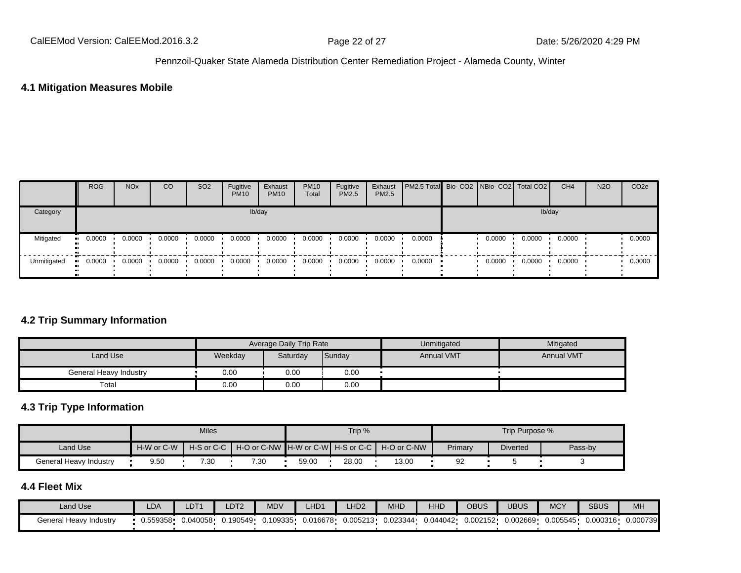### **4.1 Mitigation Measures Mobile**

|             | <b>ROG</b>            | <b>NO<sub>x</sub></b> | CO     | SO <sub>2</sub> | Fugitive<br><b>PM10</b> | Exhaust<br><b>PM10</b> | <b>PM10</b><br>Total | Fugitive<br><b>PM2.5</b> | Exhaust<br><b>PM2.5</b> | <b>PM2.5 Total</b> Bio- CO2 NBio- CO2   Total CO2 |        |        | CH <sub>4</sub> | <b>N2O</b> | CO <sub>2e</sub> |
|-------------|-----------------------|-----------------------|--------|-----------------|-------------------------|------------------------|----------------------|--------------------------|-------------------------|---------------------------------------------------|--------|--------|-----------------|------------|------------------|
| Category    |                       |                       |        |                 |                         | lb/day                 |                      |                          |                         |                                                   |        | lb/day |                 |            |                  |
| Mitigated   | $\blacksquare$ 0.0000 | 0.0000                | 0.0000 | 0.0000          | 0.0000                  | 0.0000                 | 0.0000               | 0.0000                   | 0.0000                  | 0.0000                                            | 0.0000 | 0.0000 | 0.0000          |            | 0.0000           |
| Unmitigated | $\blacksquare$ 0.0000 | 0.0000                | 0.0000 | 0.0000          | 0.0000                  | 0.0000                 | 0.0000               | 0.0000                   | 0.0000                  | 0.0000                                            | 0.0000 | 0.0000 | 0.0000          |            | 0.0000           |

### **4.2 Trip Summary Information**

|                        |         | Average Daily Trip Rate |        | Unmitigated       | Mitigated         |
|------------------------|---------|-------------------------|--------|-------------------|-------------------|
| Land Use               | Weekday | Saturday                | Sunday | <b>Annual VMT</b> | <b>Annual VMT</b> |
| General Heavy Industry | 0.00    | 0.00                    | 0.00   |                   |                   |
| Total                  | 0.00    | 0.00                    | 0.00   |                   |                   |

### **4.3 Trip Type Information**

|                        |                      | <b>Miles</b> |                                                           |       | Trip % |       | Trip Purpose % |                 |         |  |  |
|------------------------|----------------------|--------------|-----------------------------------------------------------|-------|--------|-------|----------------|-----------------|---------|--|--|
| Land Use               | H-W or C-W           |              | H-S or C-C H- O or C-NW H-W or C-W H-S or C-C H-O or C-NW |       |        |       | Primary        | <b>Diverted</b> | Pass-by |  |  |
| General Heavy Industry | 7.30<br>7.30<br>9.50 |              |                                                           | 59.00 | 28.00  | 13.00 | 92             |                 |         |  |  |

#### **4.4 Fleet Mix**

| Land Use               | LDA      | LDT <sup>.</sup> | LDT <sub>2</sub> | <b>MDV</b> | LHD <sub>1</sub> | LHD <sub>2</sub> | <b>MHD</b> | <b>HHD</b> | OBUS     | <b>UBUS</b> | <b>MCY</b> | <b>SBUS</b> | MH       |
|------------------------|----------|------------------|------------------|------------|------------------|------------------|------------|------------|----------|-------------|------------|-------------|----------|
| General Heavy Industry | 0.559358 | 0.040058         | 0.190549         | 0.109335   | 0.016678         | 0.005213         | 0.023344   | 0.044042   | 0.002152 | 0.002669    | 0.005545   | 0.000316    | 0.000739 |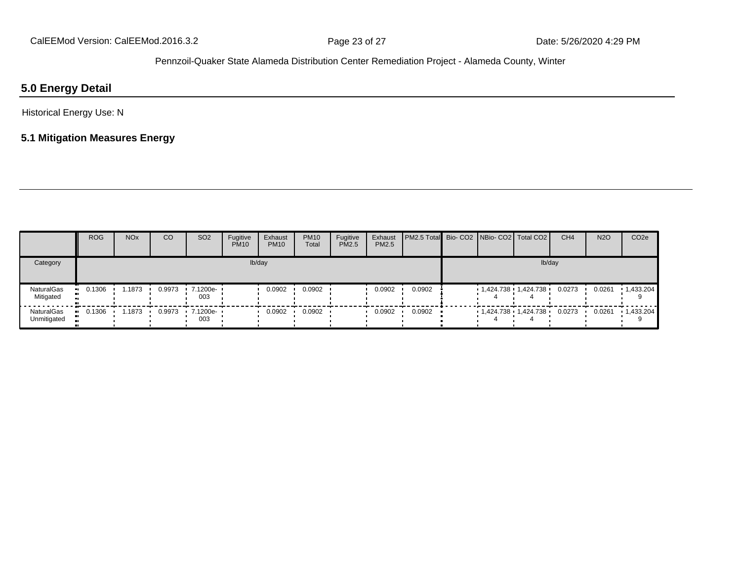### **5.0 Energy Detail**

Historical Energy Use: N

### **5.1 Mitigation Measures Energy**

|                           | <b>ROG</b>    | <b>NO<sub>x</sub></b> | CO     | SO <sub>2</sub>                 | Fugitive<br><b>PM10</b> | Exhaust<br><b>PM10</b> | <b>PM10</b><br>Total | Fugitive<br>PM2.5 | Exhaust<br>PM2.5 | <b>PM2.5 Total</b> Bio- CO2 NBio- CO2   Total CO2 |                         |        | CH <sub>4</sub> | <b>N2O</b> | CO <sub>2e</sub>  |
|---------------------------|---------------|-----------------------|--------|---------------------------------|-------------------------|------------------------|----------------------|-------------------|------------------|---------------------------------------------------|-------------------------|--------|-----------------|------------|-------------------|
| Category                  |               |                       |        |                                 |                         | lb/day                 |                      |                   |                  |                                                   |                         | lb/day |                 |            |                   |
| NaturalGas<br>Mitigated   | 0.1306<br>. . | 1.1873                | 0.9973 | $\cdot$ 7.1200e- $\cdot$<br>003 |                         | 0.0902                 | 0.0902               |                   | 0.0902           | 0.0902                                            | 1,424.738 1,424.738     |        | 0.0273          | 0.0261     | 1,433.204         |
| NaturalGas<br>Unmitigated | 0.1306<br>. . | 1.1873                |        | 0.9973 · 7.1200e- ·<br>003      |                         | 0.0902                 | 0.0902               |                   | 0.0902           | 0.0902                                            | $1,424.738$ $1,424.738$ |        | 0.0273          | 0.0261     | $\cdot$ 1,433.204 |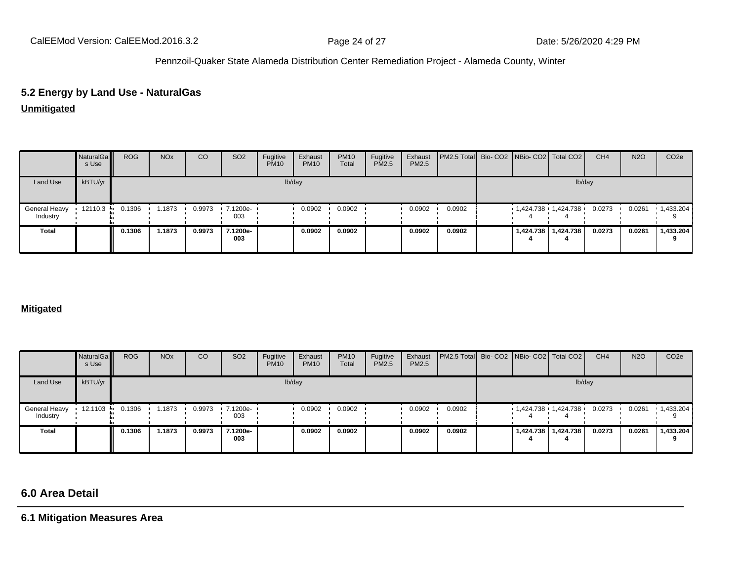# **5.2 Energy by Land Use - NaturalGas**

### **Unmitigated**

|                           | NaturalGa<br>s Use | <b>ROG</b> | <b>NO<sub>x</sub></b> | CO     | SO <sub>2</sub> | Fugitive<br><b>PM10</b> | Exhaust<br><b>PM10</b> | <b>PM10</b><br>Total | Fugitive<br>PM2.5 | Exhaust<br>PM2.5 | <b>PM2.5 Total</b> Bio- CO2 NBio- CO2 Total CO2 |  |                       | CH <sub>4</sub> | <b>N2O</b> | CO <sub>2</sub> e |
|---------------------------|--------------------|------------|-----------------------|--------|-----------------|-------------------------|------------------------|----------------------|-------------------|------------------|-------------------------------------------------|--|-----------------------|-----------------|------------|-------------------|
| Land Use                  | kBTU/yr            |            |                       |        |                 |                         | lb/day                 |                      |                   |                  |                                                 |  | lb/day                |                 |            |                   |
| General Heavy<br>Industry | 12110.3            | 0.1306     | 1.1873                | 0.9973 | 7.1200e-<br>003 |                         | 0.0902                 | 0.0902               |                   | 0.0902           | 0.0902                                          |  | 1,424.738 1,424.738   | 0.0273          | 0.0261     | $\cdot$ 1,433.204 |
| <b>Total</b>              |                    | 0.1306     | .1873                 | 0.9973 | 7.1200e-<br>003 |                         | 0.0902                 | 0.0902               |                   | 0.0902           | 0.0902                                          |  | 1,424.738   1,424.738 | 0.0273          | 0.0261     | 1,433.204         |

#### **Mitigated**

|                           | NaturalGa<br>s Use | <b>ROG</b> | <b>NO<sub>x</sub></b> | CO     | SO <sub>2</sub> | Fugitive<br><b>PM10</b> | Exhaust<br><b>PM10</b> | <b>PM10</b><br>Total | Fugitive<br><b>PM2.5</b> | Exhaust<br><b>PM2.5</b> | <b>PM2.5 Total</b> Bio- CO2 NBio- CO2 Total CO2 |  |                                | CH <sub>4</sub> | <b>N2O</b> | CO <sub>2</sub> e |
|---------------------------|--------------------|------------|-----------------------|--------|-----------------|-------------------------|------------------------|----------------------|--------------------------|-------------------------|-------------------------------------------------|--|--------------------------------|-----------------|------------|-------------------|
| Land Use                  | kBTU/yr            |            |                       |        |                 |                         | lb/day                 |                      |                          |                         |                                                 |  | lb/day                         |                 |            |                   |
| General Heavy<br>Industry | 12.1103 ·          | 0.1306     | 1.1873                | 0.9973 | 7.1200e-<br>003 |                         | 0.0902                 | 0.0902               |                          | 0.0902                  | 0.0902                                          |  | $1,424.738$ $1,424.738$ 0.0273 |                 | 0.0261     | $\cdot$ 1,433.204 |
| <b>Total</b>              |                    | 0.1306     | 1.1873                | 0.9973 | 7.1200e-<br>003 |                         | 0.0902                 | 0.0902               |                          | 0.0902                  | 0.0902                                          |  | 1,424.738   1,424.738          | 0.0273          | 0.0261     | 1,433.204         |

# **6.0 Area Detail**

**6.1 Mitigation Measures Area**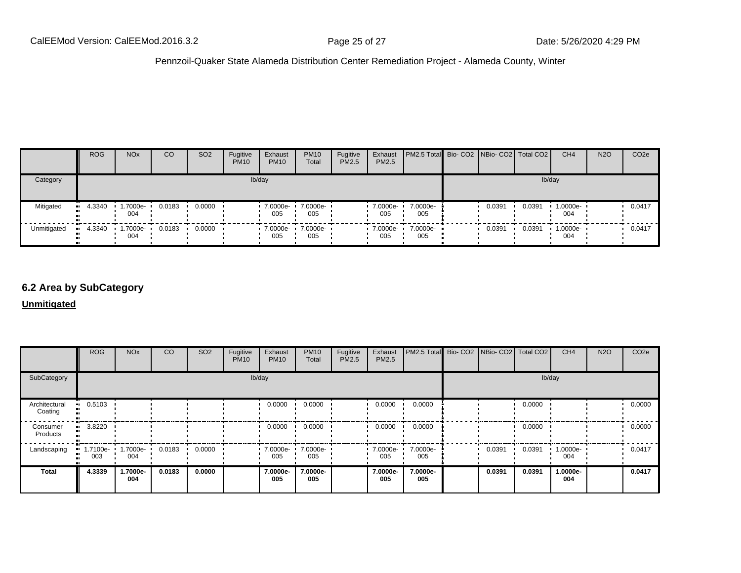|             | <b>ROG</b>             | <b>NO<sub>x</sub></b>   | CO     | SO <sub>2</sub> | Fugitive<br><b>PM10</b> | Exhaust<br><b>PM10</b> | <b>PM10</b><br>Total | Fugitive<br><b>PM2.5</b> | Exhaust<br>PM2.5 | PM2.5 Total Bio- CO2 NBio- CO2   Total CO2 |        |        | CH <sub>4</sub> | <b>N2O</b> | CO <sub>2e</sub> |
|-------------|------------------------|-------------------------|--------|-----------------|-------------------------|------------------------|----------------------|--------------------------|------------------|--------------------------------------------|--------|--------|-----------------|------------|------------------|
| Category    |                        |                         |        |                 |                         | lb/day                 |                      |                          |                  |                                            |        |        | lb/day          |            |                  |
| Mitigated   | 4.3340<br>$\mathbf{u}$ | 1.7000e-<br>004         | 0.0183 | 0.0000          |                         | 7.0000e-<br>005        | 7.0000e-<br>005      |                          | 7.0000e-<br>005  | 7.0000e-<br>005                            | 0.0391 | 0.0391 | 1.0000e-<br>004 |            | 0.0417           |
| Unmitigated | 4.3340                 | $\cdot$ 1.7000e-<br>004 | 0.0183 | 0.0000          |                         | 7.0000e-<br>005        | 7.0000e-<br>005      |                          | 7.0000e-<br>005  | 7.0000e-<br>005                            | 0.0391 | 0.0391 | 1.0000e-<br>004 |            | 0.0417           |

### **6.2 Area by SubCategory**

**Unmitigated**

|                          | <b>ROG</b>          | <b>NO<sub>x</sub></b> | CO     | SO <sub>2</sub> | Fugitive<br><b>PM10</b> | Exhaust<br><b>PM10</b> | <b>PM10</b><br>Total | Fugitive<br>PM2.5 | Exhaust<br>PM2.5 | <b>PM2.5 Total</b> Bio- CO2 NBio- CO2 Total CO2 |        |        | CH <sub>4</sub> | <b>N2O</b> | CO <sub>2</sub> e |
|--------------------------|---------------------|-----------------------|--------|-----------------|-------------------------|------------------------|----------------------|-------------------|------------------|-------------------------------------------------|--------|--------|-----------------|------------|-------------------|
| SubCategory              |                     |                       |        |                 | lb/day                  |                        |                      |                   |                  |                                                 |        | lb/day |                 |            |                   |
| Architectural<br>Coating | 0.5103              |                       |        |                 |                         | 0.0000                 | 0.0000               |                   | 0.0000           | 0.0000                                          |        | 0.0000 |                 |            | 0.0000            |
| Consumer<br>Products     | 3.8220<br>ш.        |                       |        |                 |                         | 0.0000                 | 0.0000               |                   | 0.0000           | 0.0000                                          |        | 0.0000 |                 |            | 0.0000            |
| Landscaping              | 1.7100e-<br><br>003 | 1.7000e-<br>004       | 0.0183 | 0.0000          |                         | 7.0000e- •<br>005      | 7.0000e-<br>005      |                   | 7.0000e-<br>005  | 7.0000e-<br>005                                 | 0.0391 | 0.0391 | 1.0000e-<br>004 |            | 0.0417            |
| <b>Total</b>             | 4.3339              | 1.7000e-<br>004       | 0.0183 | 0.0000          |                         | 7.0000e-<br>005        | 7.0000e-<br>005      |                   | 7.0000e-<br>005  | 7.0000e-<br>005                                 | 0.0391 | 0.0391 | 1.0000e-<br>004 |            | 0.0417            |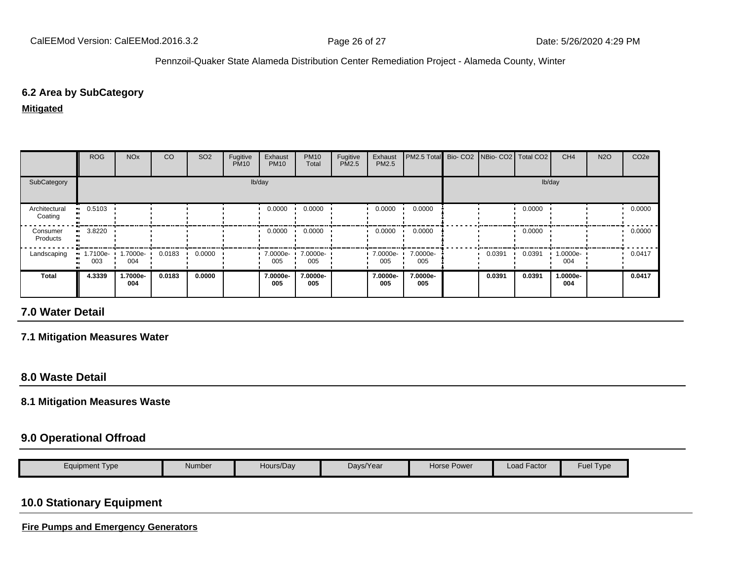### **6.2 Area by SubCategory**

#### **Mitigated**

|                          | <b>ROG</b>           | <b>NO<sub>x</sub></b> | CO     | SO <sub>2</sub> | Fugitive<br><b>PM10</b> | Exhaust<br><b>PM10</b> | <b>PM10</b><br>Total | Fugitive<br>PM2.5 | Exhaust<br><b>PM2.5</b> | PM2.5 Total Bio- CO2 NBio- CO2 Total CO2 |        |        | CH <sub>4</sub> | <b>N2O</b> | CO <sub>2e</sub> |
|--------------------------|----------------------|-----------------------|--------|-----------------|-------------------------|------------------------|----------------------|-------------------|-------------------------|------------------------------------------|--------|--------|-----------------|------------|------------------|
| SubCategory              |                      |                       |        |                 |                         | lb/day                 |                      |                   |                         |                                          |        | lb/day |                 |            |                  |
| Architectural<br>Coating | 0.5103               |                       |        |                 |                         | 0.0000                 | 0.0000               |                   | 0.0000                  | 0.0000                                   |        | 0.0000 |                 |            | 0.0000           |
| Consumer<br>Products     | 3.8220               |                       |        |                 |                         | 0.0000                 | 0.0000               |                   | 0.0000                  | 0.0000                                   |        | 0.0000 |                 |            | 0.0000           |
| Landscaping              | $1.7100e - 1$<br>003 | 1.7000e-<br>004       | 0.0183 | 0.0000          |                         | 7.0000e-<br>005        | 7.0000e-<br>005      |                   | 7.0000e-<br>005         | 7.0000e-<br>005                          | 0.0391 | 0.0391 | 1.0000e-<br>004 |            | 0.0417           |
| <b>Total</b>             | 4.3339               | 1.7000e-<br>004       | 0.0183 | 0.0000          |                         | 7.0000e-<br>005        | 7.0000e-<br>005      |                   | 7.0000e-<br>005         | 7.0000e-<br>005                          | 0.0391 | 0.0391 | 1.0000e-<br>004 |            | 0.0417           |

### **7.0 Water Detail**

### **7.1 Mitigation Measures Water**

### **8.0 Waste Detail**

#### **8.1 Mitigation Measures Waste**

### **9.0 Operational Offroad**

| Eauipment Tvpe | Number | Hours/Day | Davs/Year | Power<br>Horse F | $\cdot$ $-$<br>Load Factor | -<br>Fuel<br>Type |
|----------------|--------|-----------|-----------|------------------|----------------------------|-------------------|

### **10.0 Stationary Equipment**

**Fire Pumps and Emergency Generators**